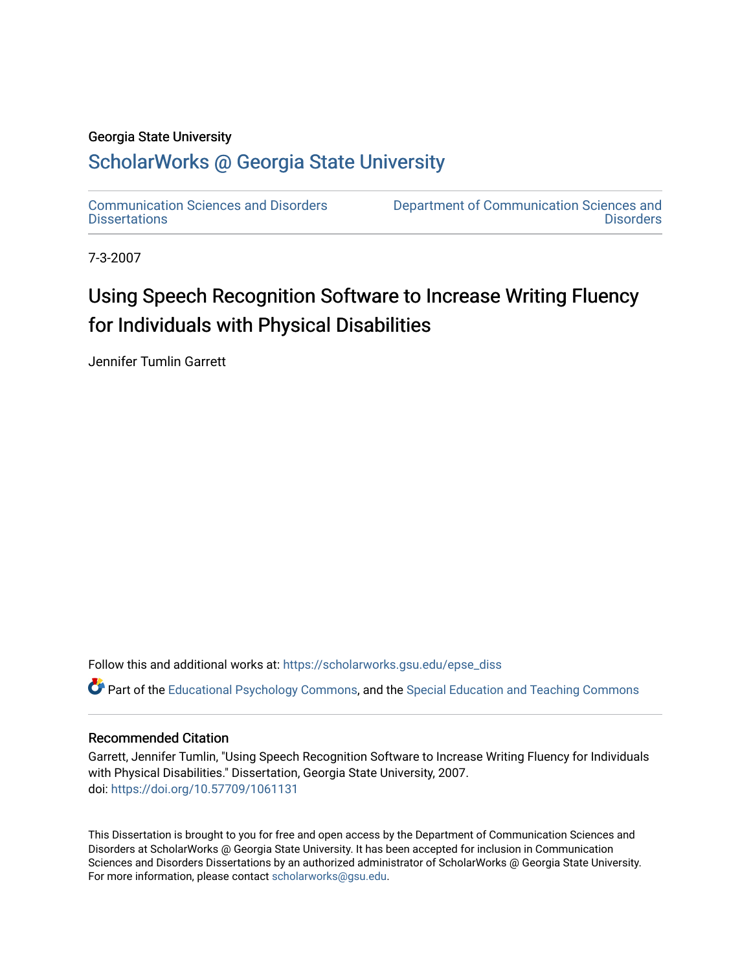### Georgia State University

# [ScholarWorks @ Georgia State University](https://scholarworks.gsu.edu/)

[Communication Sciences and Disorders](https://scholarworks.gsu.edu/epse_diss) **Dissertations** 

[Department of Communication Sciences and](https://scholarworks.gsu.edu/epse)  **Disorders** 

7-3-2007

# Using Speech Recognition Software to Increase Writing Fluency for Individuals with Physical Disabilities

Jennifer Tumlin Garrett

Follow this and additional works at: [https://scholarworks.gsu.edu/epse\\_diss](https://scholarworks.gsu.edu/epse_diss?utm_source=scholarworks.gsu.edu%2Fepse_diss%2F46&utm_medium=PDF&utm_campaign=PDFCoverPages)

Part of the [Educational Psychology Commons,](http://network.bepress.com/hgg/discipline/798?utm_source=scholarworks.gsu.edu%2Fepse_diss%2F46&utm_medium=PDF&utm_campaign=PDFCoverPages) and the [Special Education and Teaching Commons](http://network.bepress.com/hgg/discipline/801?utm_source=scholarworks.gsu.edu%2Fepse_diss%2F46&utm_medium=PDF&utm_campaign=PDFCoverPages)

## Recommended Citation

Garrett, Jennifer Tumlin, "Using Speech Recognition Software to Increase Writing Fluency for Individuals with Physical Disabilities." Dissertation, Georgia State University, 2007. doi: <https://doi.org/10.57709/1061131>

This Dissertation is brought to you for free and open access by the Department of Communication Sciences and Disorders at ScholarWorks @ Georgia State University. It has been accepted for inclusion in Communication Sciences and Disorders Dissertations by an authorized administrator of ScholarWorks @ Georgia State University. For more information, please contact [scholarworks@gsu.edu](mailto:scholarworks@gsu.edu).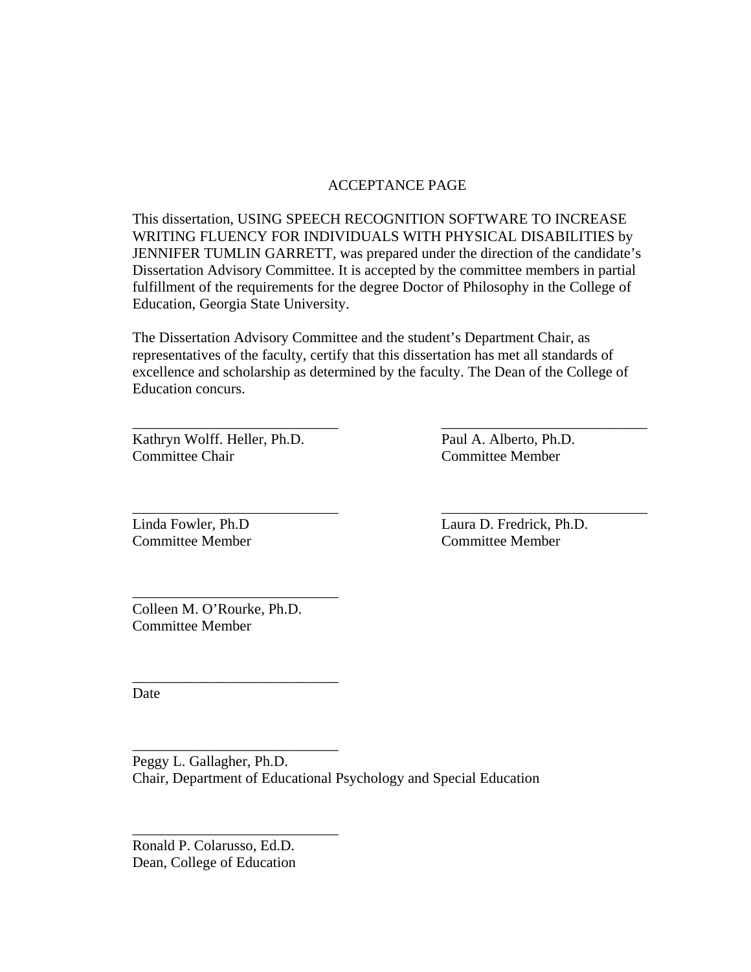## ACCEPTANCE PAGE

This dissertation, USING SPEECH RECOGNITION SOFTWARE TO INCREASE WRITING FLUENCY FOR INDIVIDUALS WITH PHYSICAL DISABILITIES by JENNIFER TUMLIN GARRETT, was prepared under the direction of the candidate's Dissertation Advisory Committee. It is accepted by the committee members in partial fulfillment of the requirements for the degree Doctor of Philosophy in the College of Education, Georgia State University.

The Dissertation Advisory Committee and the student's Department Chair, as representatives of the faculty, certify that this dissertation has met all standards of excellence and scholarship as determined by the faculty. The Dean of the College of Education concurs.

\_\_\_\_\_\_\_\_\_\_\_\_\_\_\_\_\_\_\_\_\_\_\_\_\_\_\_\_ \_\_\_\_\_\_\_\_\_\_\_\_\_\_\_\_\_\_\_\_\_\_\_\_\_\_\_\_

\_\_\_\_\_\_\_\_\_\_\_\_\_\_\_\_\_\_\_\_\_\_\_\_\_\_\_\_ \_\_\_\_\_\_\_\_\_\_\_\_\_\_\_\_\_\_\_\_\_\_\_\_\_\_\_\_

Kathryn Wolff. Heller, Ph.D. Paul A. Alberto, Ph.D. Committee Chair Committee Member

Linda Fowler, Ph.D Laura D. Fredrick, Ph.D. Committee Member Committee Member

Colleen M. O'Rourke, Ph.D. Committee Member

\_\_\_\_\_\_\_\_\_\_\_\_\_\_\_\_\_\_\_\_\_\_\_\_\_\_\_\_

\_\_\_\_\_\_\_\_\_\_\_\_\_\_\_\_\_\_\_\_\_\_\_\_\_\_\_\_

\_\_\_\_\_\_\_\_\_\_\_\_\_\_\_\_\_\_\_\_\_\_\_\_\_\_\_\_

\_\_\_\_\_\_\_\_\_\_\_\_\_\_\_\_\_\_\_\_\_\_\_\_\_\_\_\_

Date

Peggy L. Gallagher, Ph.D. Chair, Department of Educational Psychology and Special Education

Ronald P. Colarusso, Ed.D. Dean, College of Education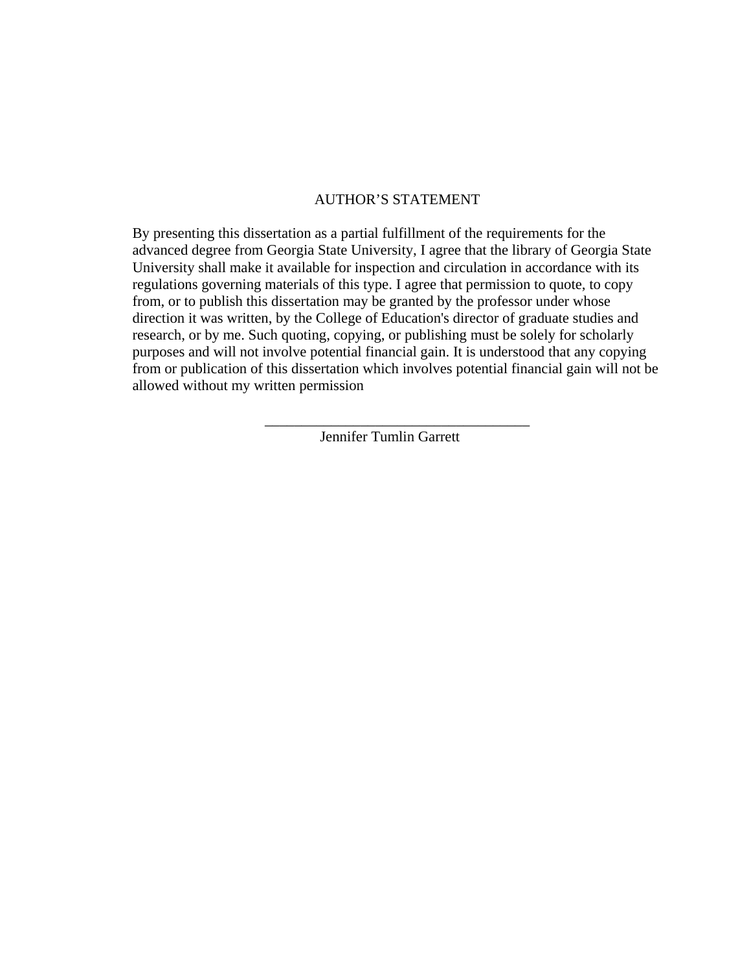## AUTHOR'S STATEMENT

By presenting this dissertation as a partial fulfillment of the requirements for the advanced degree from Georgia State University, I agree that the library of Georgia State University shall make it available for inspection and circulation in accordance with its regulations governing materials of this type. I agree that permission to quote, to copy from, or to publish this dissertation may be granted by the professor under whose direction it was written, by the College of Education's director of graduate studies and research, or by me. Such quoting, copying, or publishing must be solely for scholarly purposes and will not involve potential financial gain. It is understood that any copying from or publication of this dissertation which involves potential financial gain will not be allowed without my written permission

Jennifer Tumlin Garrett

 $\overline{\phantom{a}}$  ,  $\overline{\phantom{a}}$  ,  $\overline{\phantom{a}}$  ,  $\overline{\phantom{a}}$  ,  $\overline{\phantom{a}}$  ,  $\overline{\phantom{a}}$  ,  $\overline{\phantom{a}}$  ,  $\overline{\phantom{a}}$  ,  $\overline{\phantom{a}}$  ,  $\overline{\phantom{a}}$  ,  $\overline{\phantom{a}}$  ,  $\overline{\phantom{a}}$  ,  $\overline{\phantom{a}}$  ,  $\overline{\phantom{a}}$  ,  $\overline{\phantom{a}}$  ,  $\overline{\phantom{a}}$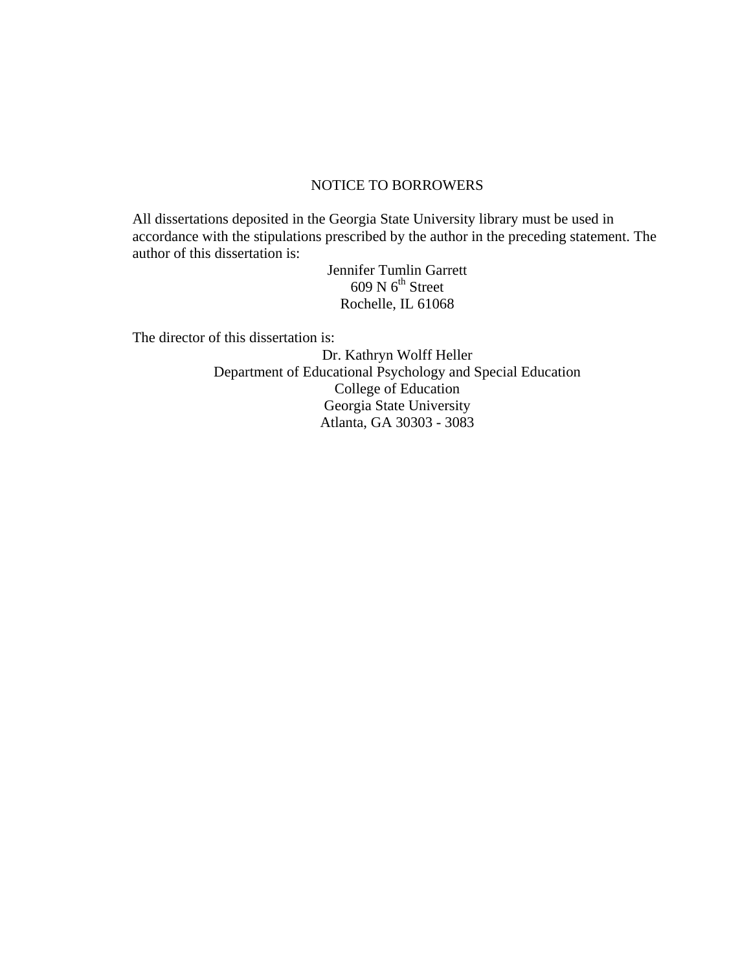## NOTICE TO BORROWERS

All dissertations deposited in the Georgia State University library must be used in accordance with the stipulations prescribed by the author in the preceding statement. The author of this dissertation is:

> Jennifer Tumlin Garrett  $609$  N  $6<sup>th</sup>$  Street Rochelle, IL 61068

The director of this dissertation is:

Dr. Kathryn Wolff Heller Department of Educational Psychology and Special Education College of Education Georgia State University Atlanta, GA 30303 - 3083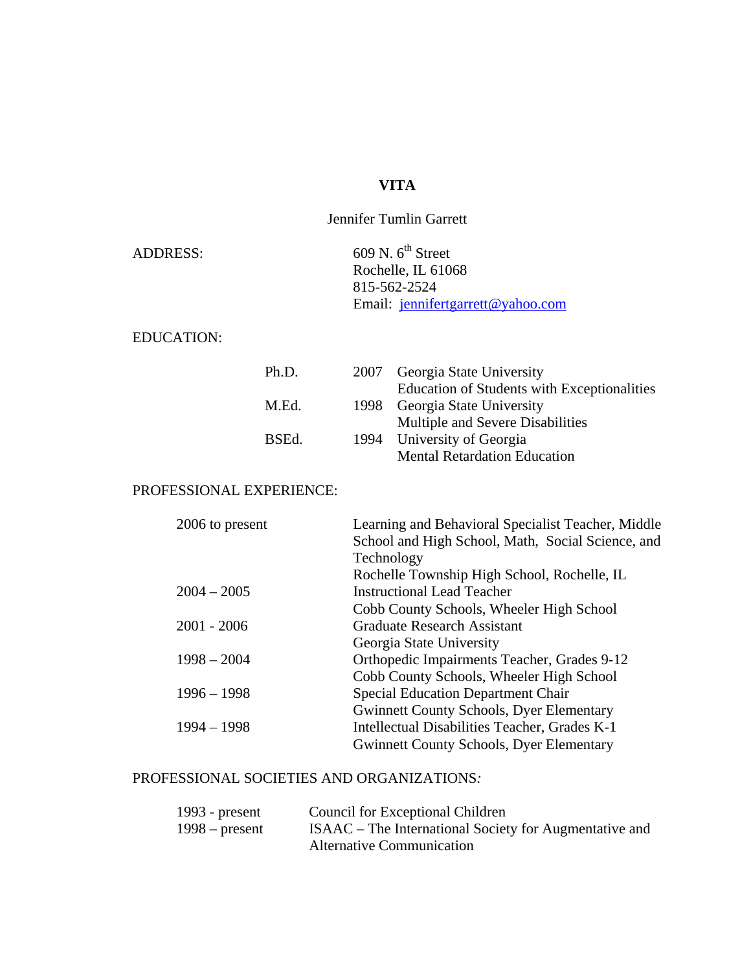# **VITA**

## Jennifer Tumlin Garrett

| <b>ADDRESS:</b> | $609$ N. $6^{th}$ Street          |
|-----------------|-----------------------------------|
|                 | Rochelle, IL 61068                |
|                 | 815-562-2524                      |
|                 | Email: jennifertgarrett@yahoo.com |

## EDUCATION:

| Ph.D. | 2007 Georgia State University               |
|-------|---------------------------------------------|
|       | Education of Students with Exceptionalities |
| M.Ed. | 1998 Georgia State University               |
|       | Multiple and Severe Disabilities            |
| BSEd. | 1994 University of Georgia                  |
|       | <b>Mental Retardation Education</b>         |

## PROFESSIONAL EXPERIENCE:

| 2006 to present | Learning and Behavioral Specialist Teacher, Middle |
|-----------------|----------------------------------------------------|
|                 | School and High School, Math, Social Science, and  |
|                 | Technology                                         |
|                 | Rochelle Township High School, Rochelle, IL        |
| $2004 - 2005$   | <b>Instructional Lead Teacher</b>                  |
|                 | Cobb County Schools, Wheeler High School           |
| $2001 - 2006$   | <b>Graduate Research Assistant</b>                 |
|                 | Georgia State University                           |
| $1998 - 2004$   | Orthopedic Impairments Teacher, Grades 9-12        |
|                 | Cobb County Schools, Wheeler High School           |
| $1996 - 1998$   | <b>Special Education Department Chair</b>          |
|                 | <b>Gwinnett County Schools, Dyer Elementary</b>    |
| $1994 - 1998$   | Intellectual Disabilities Teacher, Grades K-1      |
|                 | <b>Gwinnett County Schools, Dyer Elementary</b>    |
|                 |                                                    |

## PROFESSIONAL SOCIETIES AND ORGANIZATIONS*:*

| 1993 - $present$ | Council for Exceptional Children                       |
|------------------|--------------------------------------------------------|
| $1998$ – present | ISAAC – The International Society for Augmentative and |
|                  | <b>Alternative Communication</b>                       |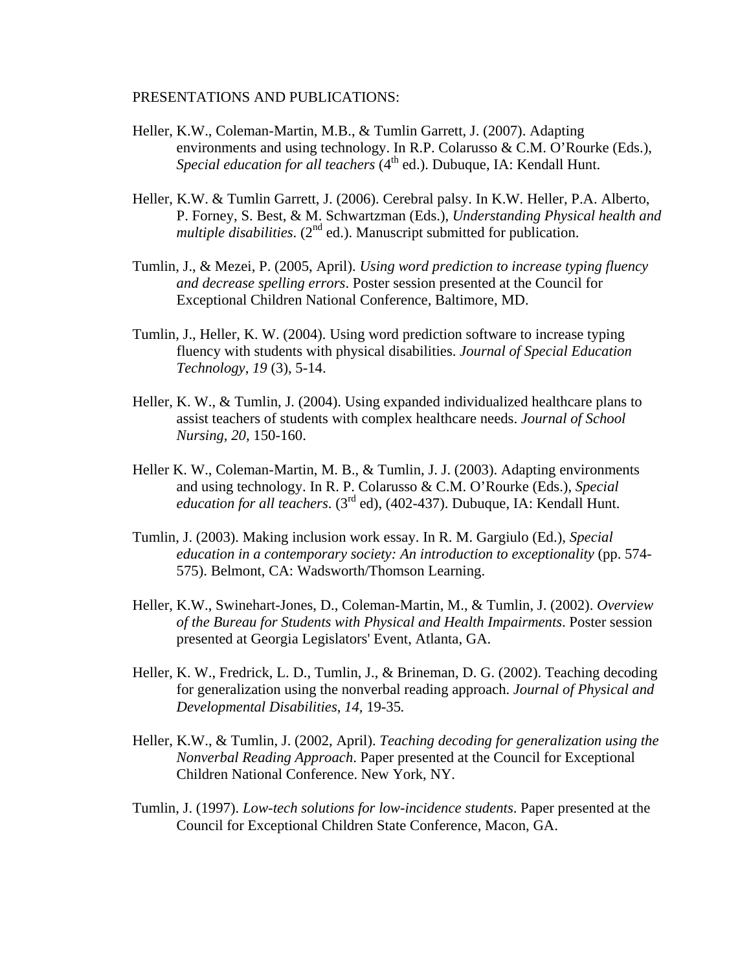### PRESENTATIONS AND PUBLICATIONS:

- Heller, K.W., Coleman-Martin, M.B., & Tumlin Garrett, J. (2007). Adapting environments and using technology. In R.P. Colarusso & C.M. O'Rourke (Eds.), *Special education for all teachers* (4<sup>th</sup> ed.). Dubuque, IA: Kendall Hunt.
- Heller, K.W. & Tumlin Garrett, J. (2006). Cerebral palsy. In K.W. Heller, P.A. Alberto, P. Forney, S. Best, & M. Schwartzman (Eds.), *Understanding Physical health and multiple disabilities.*  $(2^{nd}$  ed.). Manuscript submitted for publication.
- Tumlin, J., & Mezei, P. (2005, April). *Using word prediction to increase typing fluency and decrease spelling errors*. Poster session presented at the Council for Exceptional Children National Conference, Baltimore, MD.
- Tumlin, J., Heller, K. W. (2004). Using word prediction software to increase typing fluency with students with physical disabilities. *Journal of Special Education Technology*, *19* (3), 5-14.
- Heller, K. W., & Tumlin, J. (2004). Using expanded individualized healthcare plans to assist teachers of students with complex healthcare needs. *Journal of School Nursing, 20,* 150-160.
- Heller K. W., Coleman-Martin, M. B., & Tumlin, J. J. (2003). Adapting environments and using technology. In R. P. Colarusso & C.M. O'Rourke (Eds.), *Special education for all teachers*. (3rd ed), (402-437). Dubuque, IA: Kendall Hunt.
- Tumlin, J. (2003). Making inclusion work essay. In R. M. Gargiulo (Ed.), *Special education in a contemporary society: An introduction to exceptionality* (pp. 574- 575). Belmont, CA: Wadsworth/Thomson Learning.
- Heller, K.W., Swinehart-Jones, D., Coleman-Martin, M., & Tumlin, J. (2002). *Overview of the Bureau for Students with Physical and Health Impairments*. Poster session presented at Georgia Legislators' Event, Atlanta, GA.
- Heller, K. W., Fredrick, L. D., Tumlin, J., & Brineman, D. G. (2002). Teaching decoding for generalization using the nonverbal reading approach. *Journal of Physical and Developmental Disabilities, 14,* 19-35*.*
- Heller, K.W., & Tumlin, J. (2002, April). *Teaching decoding for generalization using the Nonverbal Reading Approach*. Paper presented at the Council for Exceptional Children National Conference. New York, NY.
- Tumlin, J. (1997). *Low-tech solutions for low-incidence students*. Paper presented at the Council for Exceptional Children State Conference, Macon, GA.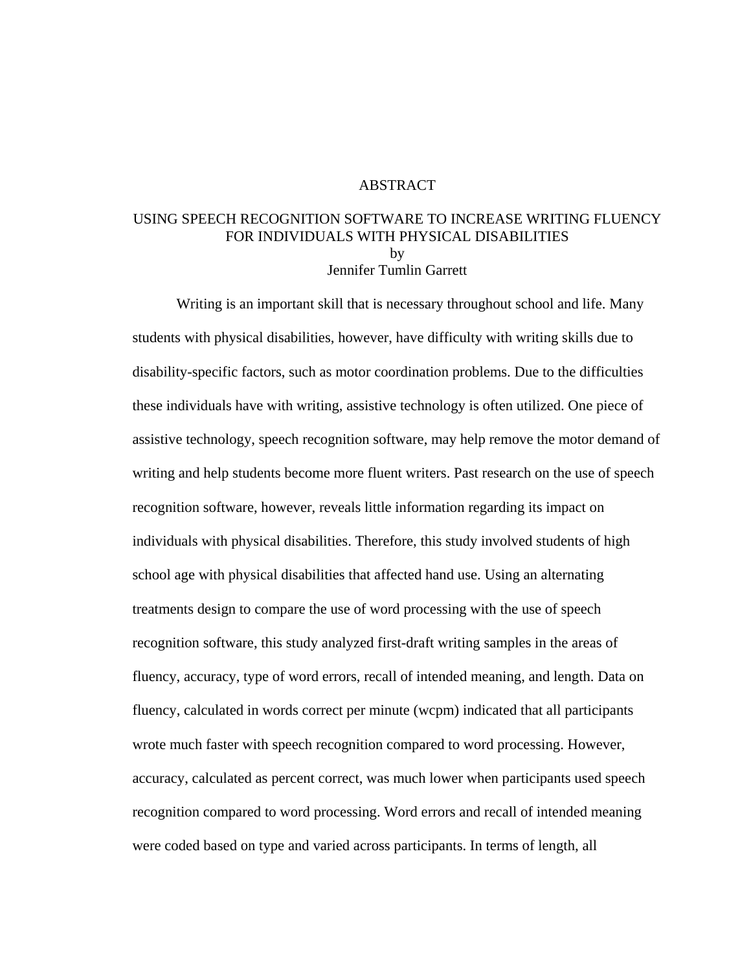### ABSTRACT

## USING SPEECH RECOGNITION SOFTWARE TO INCREASE WRITING FLUENCY FOR INDIVIDUALS WITH PHYSICAL DISABILITIES by Jennifer Tumlin Garrett

 Writing is an important skill that is necessary throughout school and life. Many students with physical disabilities, however, have difficulty with writing skills due to disability-specific factors, such as motor coordination problems. Due to the difficulties these individuals have with writing, assistive technology is often utilized. One piece of assistive technology, speech recognition software, may help remove the motor demand of writing and help students become more fluent writers. Past research on the use of speech recognition software, however, reveals little information regarding its impact on individuals with physical disabilities. Therefore, this study involved students of high school age with physical disabilities that affected hand use. Using an alternating treatments design to compare the use of word processing with the use of speech recognition software, this study analyzed first-draft writing samples in the areas of fluency, accuracy, type of word errors, recall of intended meaning, and length. Data on fluency, calculated in words correct per minute (wcpm) indicated that all participants wrote much faster with speech recognition compared to word processing. However, accuracy, calculated as percent correct, was much lower when participants used speech recognition compared to word processing. Word errors and recall of intended meaning were coded based on type and varied across participants. In terms of length, all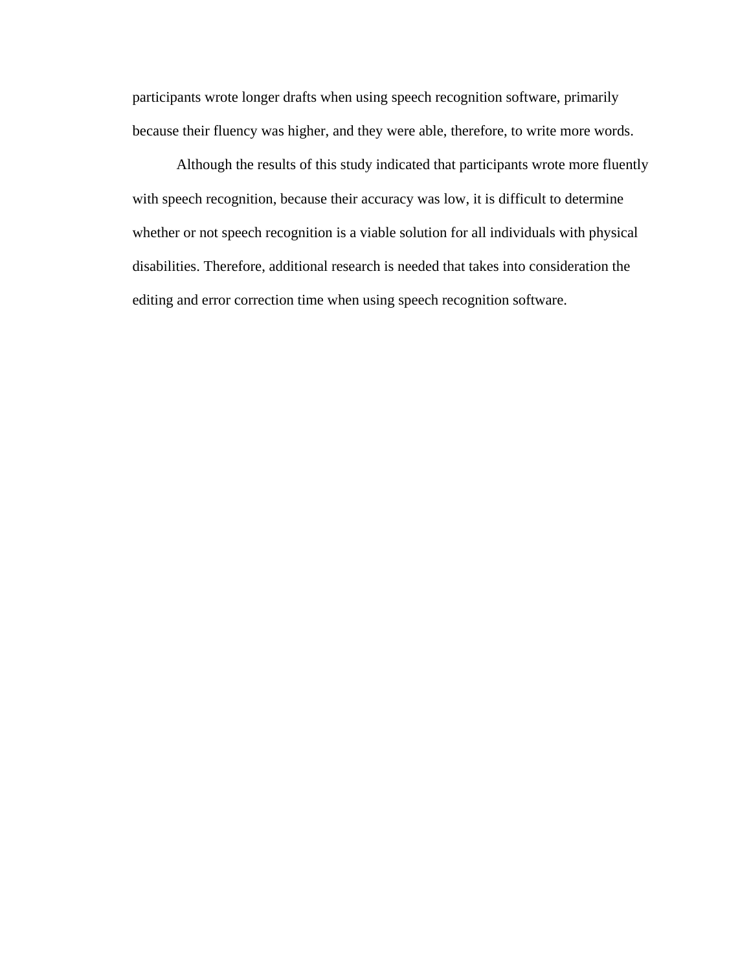participants wrote longer drafts when using speech recognition software, primarily because their fluency was higher, and they were able, therefore, to write more words.

 Although the results of this study indicated that participants wrote more fluently with speech recognition, because their accuracy was low, it is difficult to determine whether or not speech recognition is a viable solution for all individuals with physical disabilities. Therefore, additional research is needed that takes into consideration the editing and error correction time when using speech recognition software.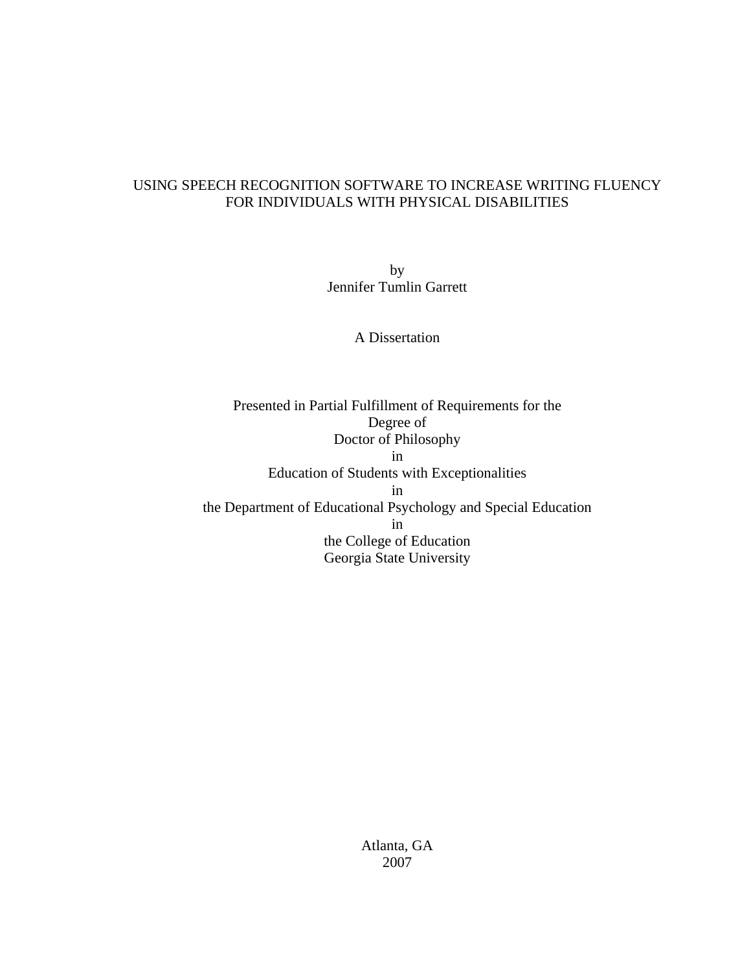## USING SPEECH RECOGNITION SOFTWARE TO INCREASE WRITING FLUENCY FOR INDIVIDUALS WITH PHYSICAL DISABILITIES

by Jennifer Tumlin Garrett

A Dissertation

Presented in Partial Fulfillment of Requirements for the Degree of Doctor of Philosophy in Education of Students with Exceptionalities in the Department of Educational Psychology and Special Education in the College of Education Georgia State University

> Atlanta, GA 2007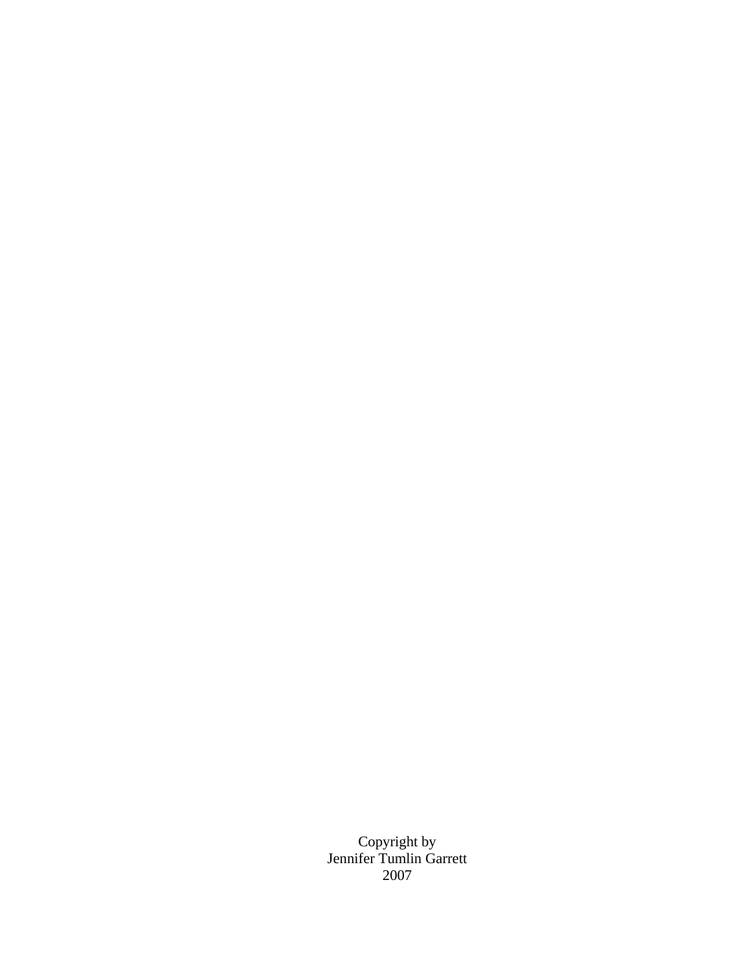Copyright by Jennifer Tumlin Garrett 2007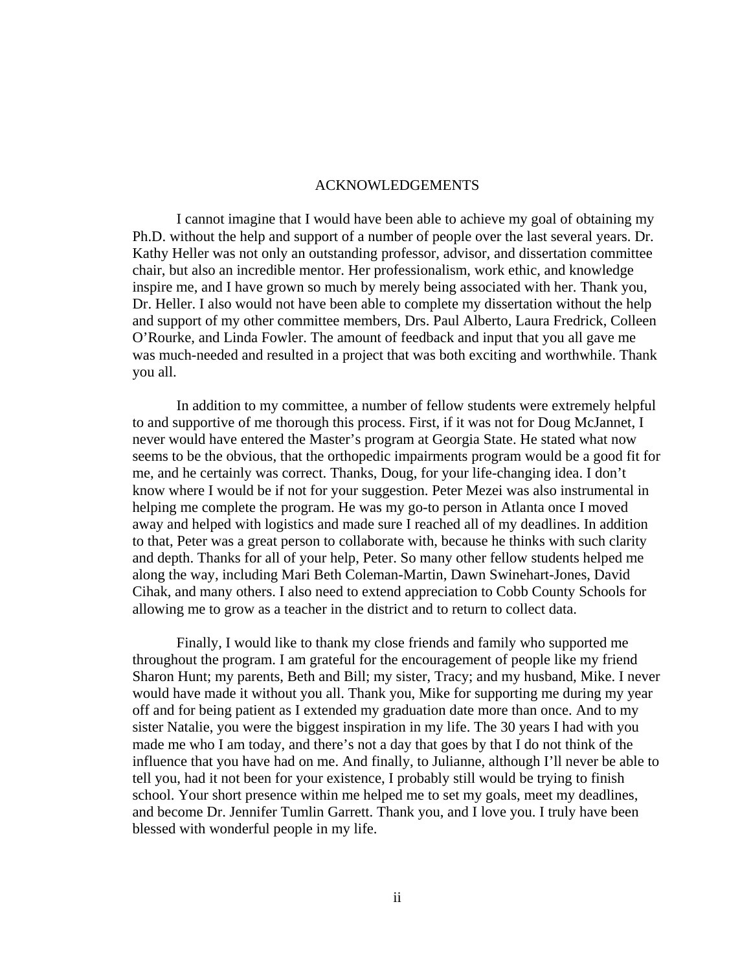#### ACKNOWLEDGEMENTS

 I cannot imagine that I would have been able to achieve my goal of obtaining my Ph.D. without the help and support of a number of people over the last several years. Dr. Kathy Heller was not only an outstanding professor, advisor, and dissertation committee chair, but also an incredible mentor. Her professionalism, work ethic, and knowledge inspire me, and I have grown so much by merely being associated with her. Thank you, Dr. Heller. I also would not have been able to complete my dissertation without the help and support of my other committee members, Drs. Paul Alberto, Laura Fredrick, Colleen O'Rourke, and Linda Fowler. The amount of feedback and input that you all gave me was much-needed and resulted in a project that was both exciting and worthwhile. Thank you all.

 In addition to my committee, a number of fellow students were extremely helpful to and supportive of me thorough this process. First, if it was not for Doug McJannet, I never would have entered the Master's program at Georgia State. He stated what now seems to be the obvious, that the orthopedic impairments program would be a good fit for me, and he certainly was correct. Thanks, Doug, for your life-changing idea. I don't know where I would be if not for your suggestion. Peter Mezei was also instrumental in helping me complete the program. He was my go-to person in Atlanta once I moved away and helped with logistics and made sure I reached all of my deadlines. In addition to that, Peter was a great person to collaborate with, because he thinks with such clarity and depth. Thanks for all of your help, Peter. So many other fellow students helped me along the way, including Mari Beth Coleman-Martin, Dawn Swinehart-Jones, David Cihak, and many others. I also need to extend appreciation to Cobb County Schools for allowing me to grow as a teacher in the district and to return to collect data.

 Finally, I would like to thank my close friends and family who supported me throughout the program. I am grateful for the encouragement of people like my friend Sharon Hunt; my parents, Beth and Bill; my sister, Tracy; and my husband, Mike. I never would have made it without you all. Thank you, Mike for supporting me during my year off and for being patient as I extended my graduation date more than once. And to my sister Natalie, you were the biggest inspiration in my life. The 30 years I had with you made me who I am today, and there's not a day that goes by that I do not think of the influence that you have had on me. And finally, to Julianne, although I'll never be able to tell you, had it not been for your existence, I probably still would be trying to finish school. Your short presence within me helped me to set my goals, meet my deadlines, and become Dr. Jennifer Tumlin Garrett. Thank you, and I love you. I truly have been blessed with wonderful people in my life.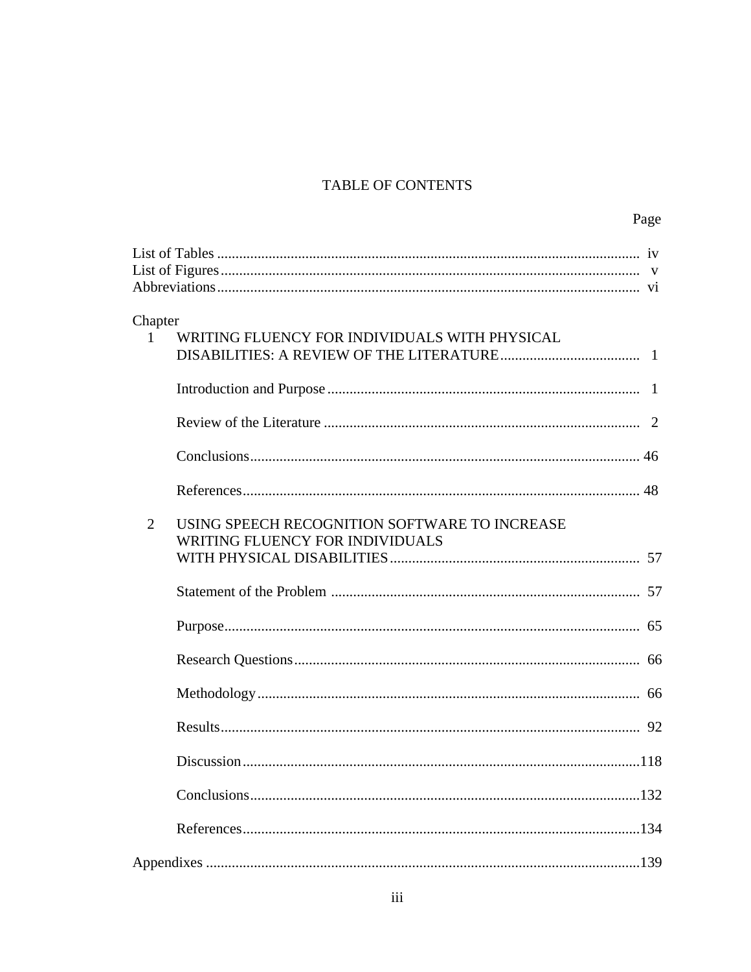## TABLE OF CONTENTS

|                |                                                                                  | Page |
|----------------|----------------------------------------------------------------------------------|------|
|                |                                                                                  |      |
| Chapter        |                                                                                  |      |
| $\mathbf{1}$   | WRITING FLUENCY FOR INDIVIDUALS WITH PHYSICAL                                    |      |
|                |                                                                                  |      |
|                |                                                                                  |      |
|                |                                                                                  |      |
|                |                                                                                  |      |
| $\overline{2}$ | USING SPEECH RECOGNITION SOFTWARE TO INCREASE<br>WRITING FLUENCY FOR INDIVIDUALS |      |
|                |                                                                                  |      |
|                |                                                                                  |      |
|                |                                                                                  |      |
|                |                                                                                  |      |
|                |                                                                                  |      |
|                |                                                                                  | 118  |
|                |                                                                                  |      |
|                |                                                                                  |      |
|                |                                                                                  |      |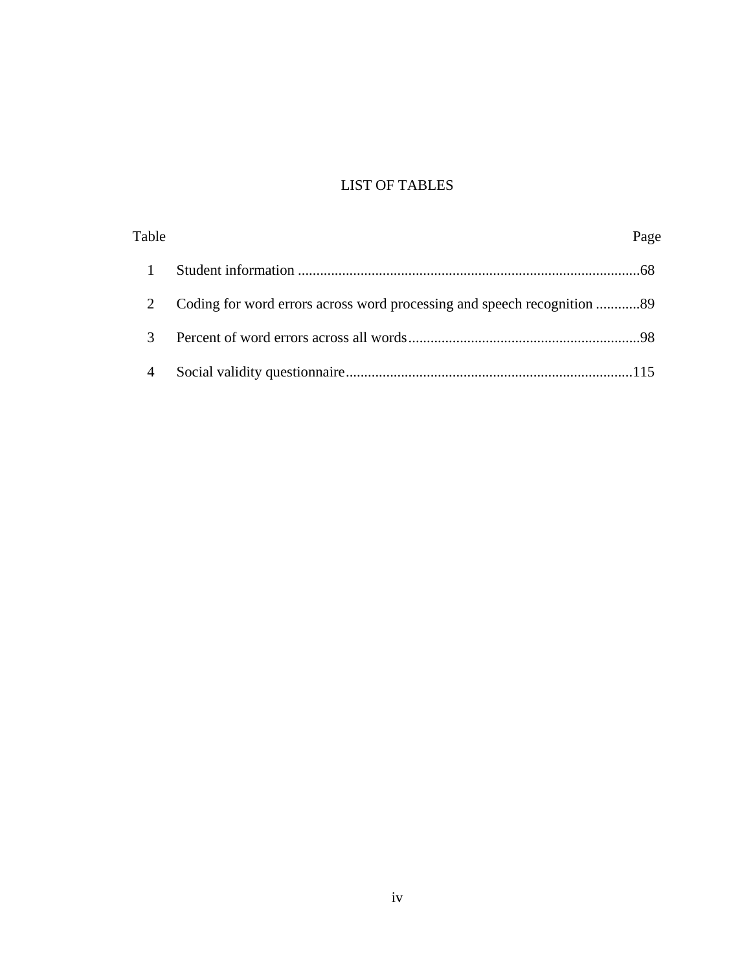# LIST OF TABLES

| Table          | Page |
|----------------|------|
|                |      |
|                |      |
|                |      |
| $\overline{4}$ |      |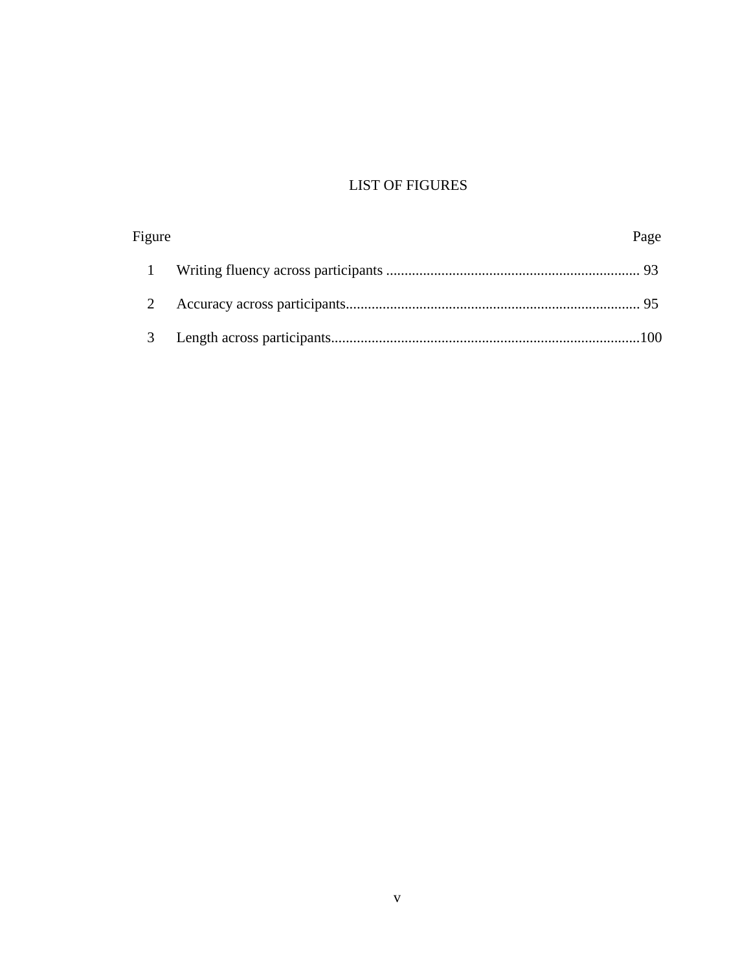# LIST OF FIGURES

| Figure | Page |
|--------|------|
|        |      |
|        |      |
| 3      |      |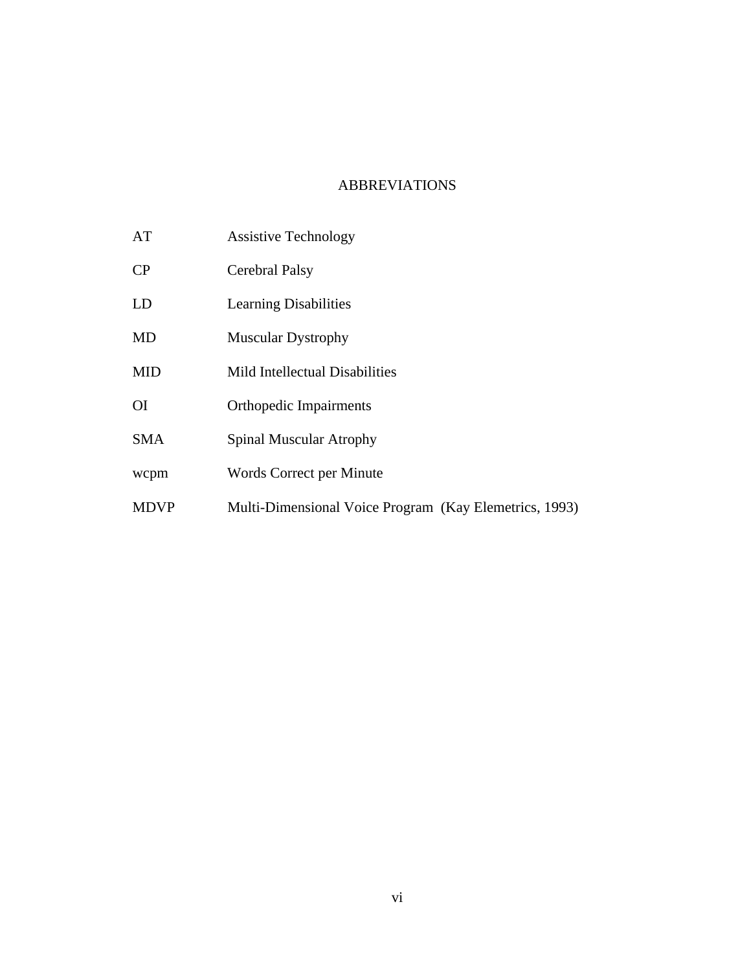## ABBREVIATIONS

- AT Assistive Technology
- CP Cerebral Palsy
- LD Learning Disabilities
- MD Muscular Dystrophy
- MID Mild Intellectual Disabilities
- OI Orthopedic Impairments
- SMA Spinal Muscular Atrophy
- wcpm Words Correct per Minute
- MDVP Multi-Dimensional Voice Program (Kay Elemetrics, 1993)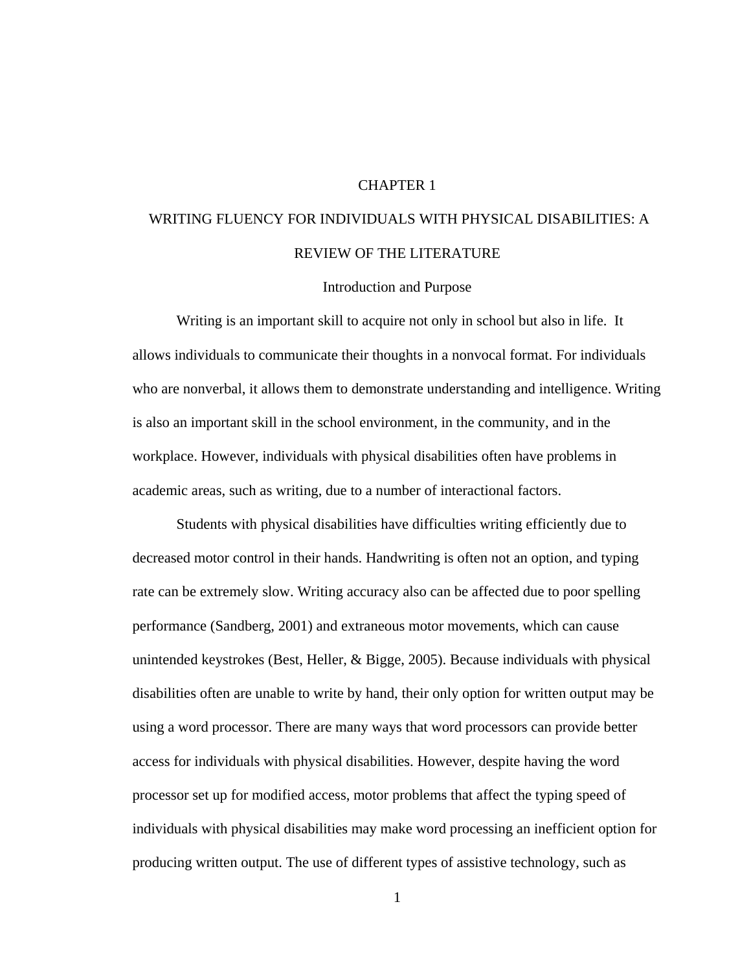### CHAPTER 1

# WRITING FLUENCY FOR INDIVIDUALS WITH PHYSICAL DISABILITIES: A REVIEW OF THE LITERATURE

#### Introduction and Purpose

 Writing is an important skill to acquire not only in school but also in life. It allows individuals to communicate their thoughts in a nonvocal format. For individuals who are nonverbal, it allows them to demonstrate understanding and intelligence. Writing is also an important skill in the school environment, in the community, and in the workplace. However, individuals with physical disabilities often have problems in academic areas, such as writing, due to a number of interactional factors.

 Students with physical disabilities have difficulties writing efficiently due to decreased motor control in their hands. Handwriting is often not an option, and typing rate can be extremely slow. Writing accuracy also can be affected due to poor spelling performance (Sandberg, 2001) and extraneous motor movements, which can cause unintended keystrokes (Best, Heller, & Bigge, 2005). Because individuals with physical disabilities often are unable to write by hand, their only option for written output may be using a word processor. There are many ways that word processors can provide better access for individuals with physical disabilities. However, despite having the word processor set up for modified access, motor problems that affect the typing speed of individuals with physical disabilities may make word processing an inefficient option for producing written output. The use of different types of assistive technology, such as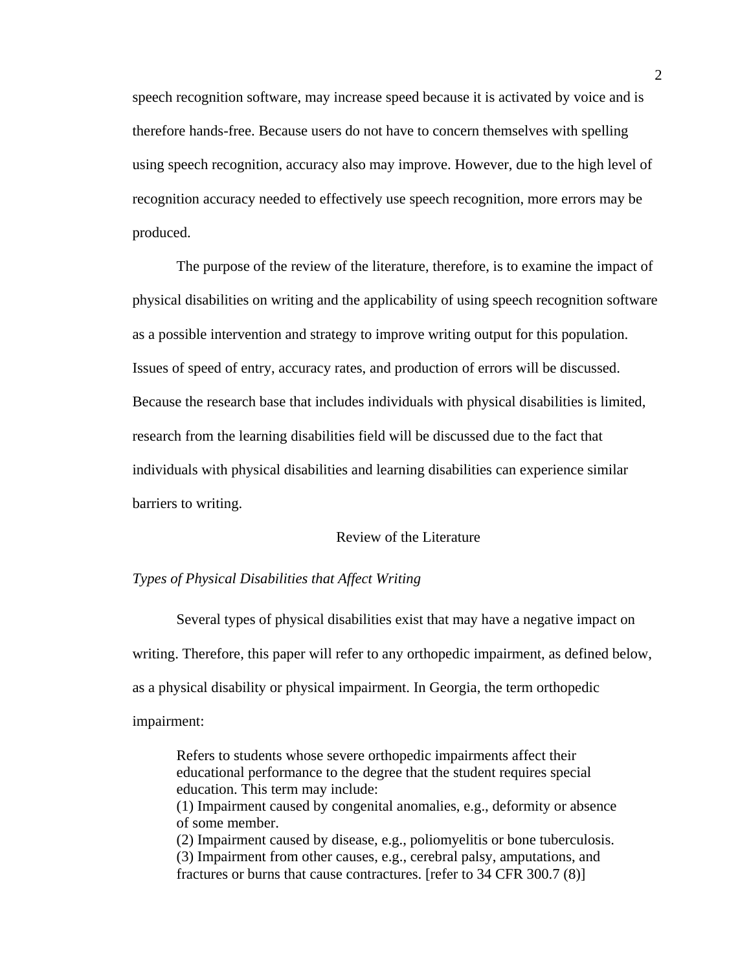speech recognition software, may increase speed because it is activated by voice and is therefore hands-free. Because users do not have to concern themselves with spelling using speech recognition, accuracy also may improve. However, due to the high level of recognition accuracy needed to effectively use speech recognition, more errors may be produced.

The purpose of the review of the literature, therefore, is to examine the impact of physical disabilities on writing and the applicability of using speech recognition software as a possible intervention and strategy to improve writing output for this population. Issues of speed of entry, accuracy rates, and production of errors will be discussed. Because the research base that includes individuals with physical disabilities is limited, research from the learning disabilities field will be discussed due to the fact that individuals with physical disabilities and learning disabilities can experience similar barriers to writing.

#### Review of the Literature

#### *Types of Physical Disabilities that Affect Writing*

 Several types of physical disabilities exist that may have a negative impact on writing. Therefore, this paper will refer to any orthopedic impairment, as defined below, as a physical disability or physical impairment. In Georgia, the term orthopedic impairment:

Refers to students whose severe orthopedic impairments affect their educational performance to the degree that the student requires special education. This term may include: (1) Impairment caused by congenital anomalies, e.g., deformity or absence of some member. (2) Impairment caused by disease, e.g., poliomyelitis or bone tuberculosis. (3) Impairment from other causes, e.g., cerebral palsy, amputations, and fractures or burns that cause contractures. [refer to 34 CFR 300.7 (8)]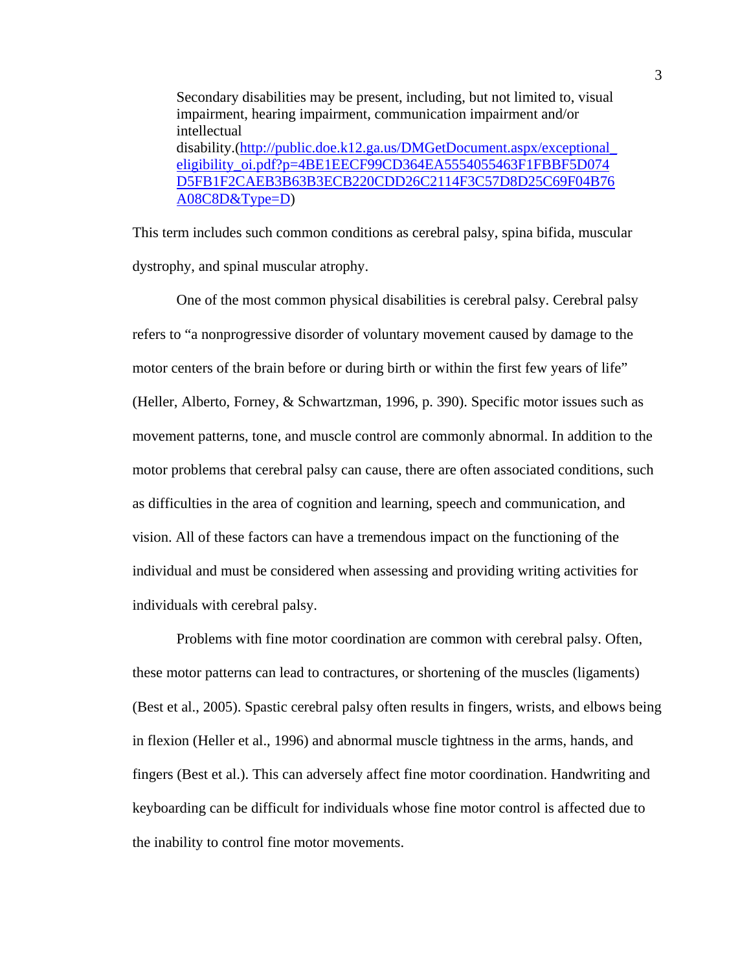Secondary disabilities may be present, including, but not limited to, visual impairment, hearing impairment, communication impairment and/or intellectual disability.([http://public.doe.k12.ga.us/DMGetDocument.aspx/exceptional\\_](http://public.doe.k12.ga.us/DMGetDocument.aspx/exceptional_eligibility_oi.pdf?p=4BE1EECF99CD364EA5554055463F1FBBF5D074D5FB1F2CAEB3B63B3ECB220CDD26C2114F3C57D8D25C69F04B76A08C8D&Type=D) [eligibility\\_oi.pdf?p=4BE1EECF99CD364EA5554055463F1FBBF5D074](http://public.doe.k12.ga.us/DMGetDocument.aspx/exceptional_eligibility_oi.pdf?p=4BE1EECF99CD364EA5554055463F1FBBF5D074D5FB1F2CAEB3B63B3ECB220CDD26C2114F3C57D8D25C69F04B76A08C8D&Type=D) [D5FB1F2CAEB3B63B3ECB220CDD26C2114F3C57D8D25C69F04B76](http://public.doe.k12.ga.us/DMGetDocument.aspx/exceptional_eligibility_oi.pdf?p=4BE1EECF99CD364EA5554055463F1FBBF5D074D5FB1F2CAEB3B63B3ECB220CDD26C2114F3C57D8D25C69F04B76A08C8D&Type=D) [A08C8D&Type=D\)](http://public.doe.k12.ga.us/DMGetDocument.aspx/exceptional_eligibility_oi.pdf?p=4BE1EECF99CD364EA5554055463F1FBBF5D074D5FB1F2CAEB3B63B3ECB220CDD26C2114F3C57D8D25C69F04B76A08C8D&Type=D)

This term includes such common conditions as cerebral palsy, spina bifida, muscular dystrophy, and spinal muscular atrophy.

One of the most common physical disabilities is cerebral palsy. Cerebral palsy refers to "a nonprogressive disorder of voluntary movement caused by damage to the motor centers of the brain before or during birth or within the first few years of life" (Heller, Alberto, Forney, & Schwartzman, 1996, p. 390). Specific motor issues such as movement patterns, tone, and muscle control are commonly abnormal. In addition to the motor problems that cerebral palsy can cause, there are often associated conditions, such as difficulties in the area of cognition and learning, speech and communication, and vision. All of these factors can have a tremendous impact on the functioning of the individual and must be considered when assessing and providing writing activities for individuals with cerebral palsy.

Problems with fine motor coordination are common with cerebral palsy. Often, these motor patterns can lead to contractures, or shortening of the muscles (ligaments) (Best et al., 2005). Spastic cerebral palsy often results in fingers, wrists, and elbows being in flexion (Heller et al., 1996) and abnormal muscle tightness in the arms, hands, and fingers (Best et al.). This can adversely affect fine motor coordination. Handwriting and keyboarding can be difficult for individuals whose fine motor control is affected due to the inability to control fine motor movements.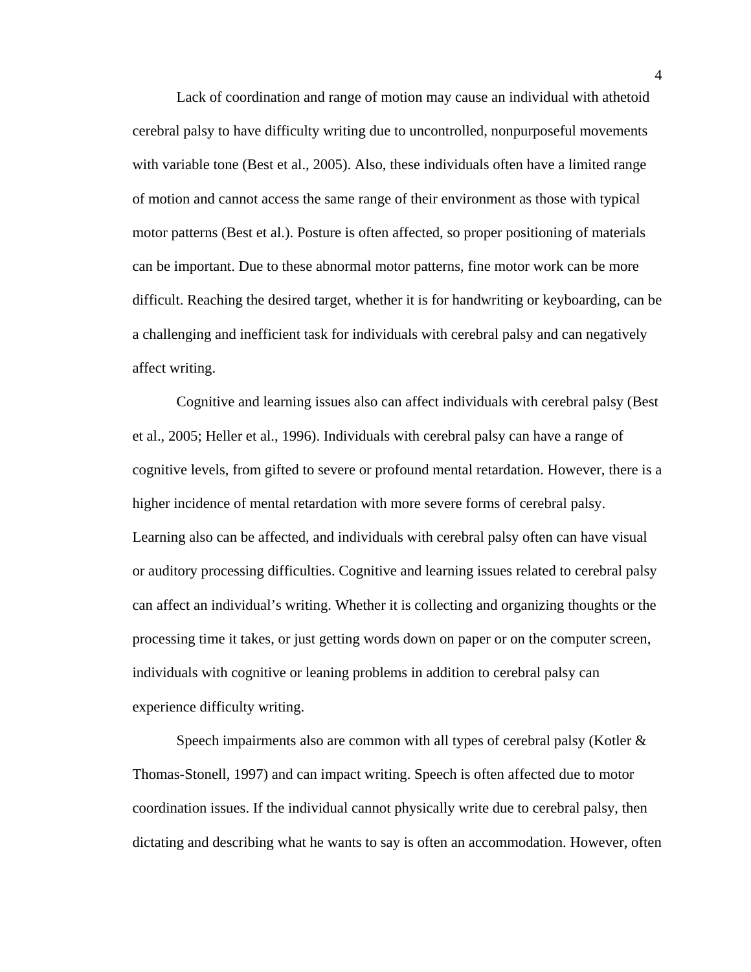Lack of coordination and range of motion may cause an individual with athetoid cerebral palsy to have difficulty writing due to uncontrolled, nonpurposeful movements with variable tone (Best et al., 2005). Also, these individuals often have a limited range of motion and cannot access the same range of their environment as those with typical motor patterns (Best et al.). Posture is often affected, so proper positioning of materials can be important. Due to these abnormal motor patterns, fine motor work can be more difficult. Reaching the desired target, whether it is for handwriting or keyboarding, can be a challenging and inefficient task for individuals with cerebral palsy and can negatively affect writing.

Cognitive and learning issues also can affect individuals with cerebral palsy (Best et al., 2005; Heller et al., 1996). Individuals with cerebral palsy can have a range of cognitive levels, from gifted to severe or profound mental retardation. However, there is a higher incidence of mental retardation with more severe forms of cerebral palsy. Learning also can be affected, and individuals with cerebral palsy often can have visual or auditory processing difficulties. Cognitive and learning issues related to cerebral palsy can affect an individual's writing. Whether it is collecting and organizing thoughts or the processing time it takes, or just getting words down on paper or on the computer screen, individuals with cognitive or leaning problems in addition to cerebral palsy can experience difficulty writing.

Speech impairments also are common with all types of cerebral palsy (Kotler & Thomas-Stonell, 1997) and can impact writing. Speech is often affected due to motor coordination issues. If the individual cannot physically write due to cerebral palsy, then dictating and describing what he wants to say is often an accommodation. However, often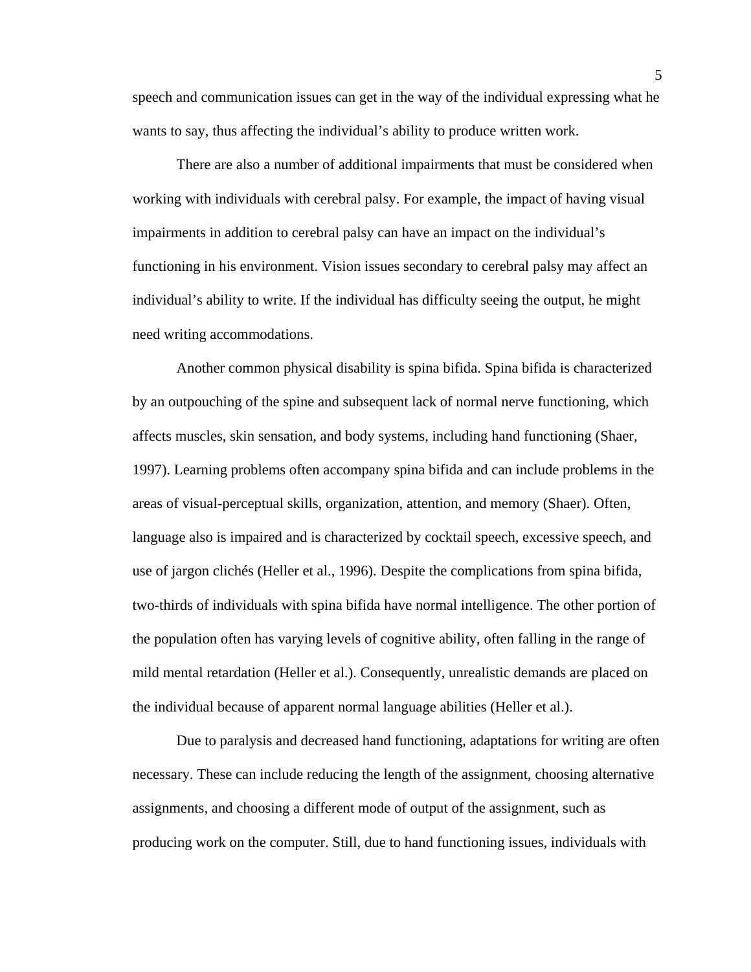speech and communication issues can get in the way of the individual expressing what he wants to say, thus affecting the individual's ability to produce written work.

There are also a number of additional impairments that must be considered when working with individuals with cerebral palsy. For example, the impact of having visual impairments in addition to cerebral palsy can have an impact on the individual's functioning in his environment. Vision issues secondary to cerebral palsy may affect an individual's ability to write. If the individual has difficulty seeing the output, he might need writing accommodations.

Another common physical disability is spina bifida. Spina bifida is characterized by an outpouching of the spine and subsequent lack of normal nerve functioning, which affects muscles, skin sensation, and body systems, including hand functioning (Shaer, 1997). Learning problems often accompany spina bifida and can include problems in the areas of visual-perceptual skills, organization, attention, and memory (Shaer). Often, language also is impaired and is characterized by cocktail speech, excessive speech, and use of jargon clichés (Heller et al., 1996). Despite the complications from spina bifida, two-thirds of individuals with spina bifida have normal intelligence. The other portion of the population often has varying levels of cognitive ability, often falling in the range of mild mental retardation (Heller et al.). Consequently, unrealistic demands are placed on the individual because of apparent normal language abilities (Heller et al.).

Due to paralysis and decreased hand functioning, adaptations for writing are often necessary. These can include reducing the length of the assignment, choosing alternative assignments, and choosing a different mode of output of the assignment, such as producing work on the computer. Still, due to hand functioning issues, individuals with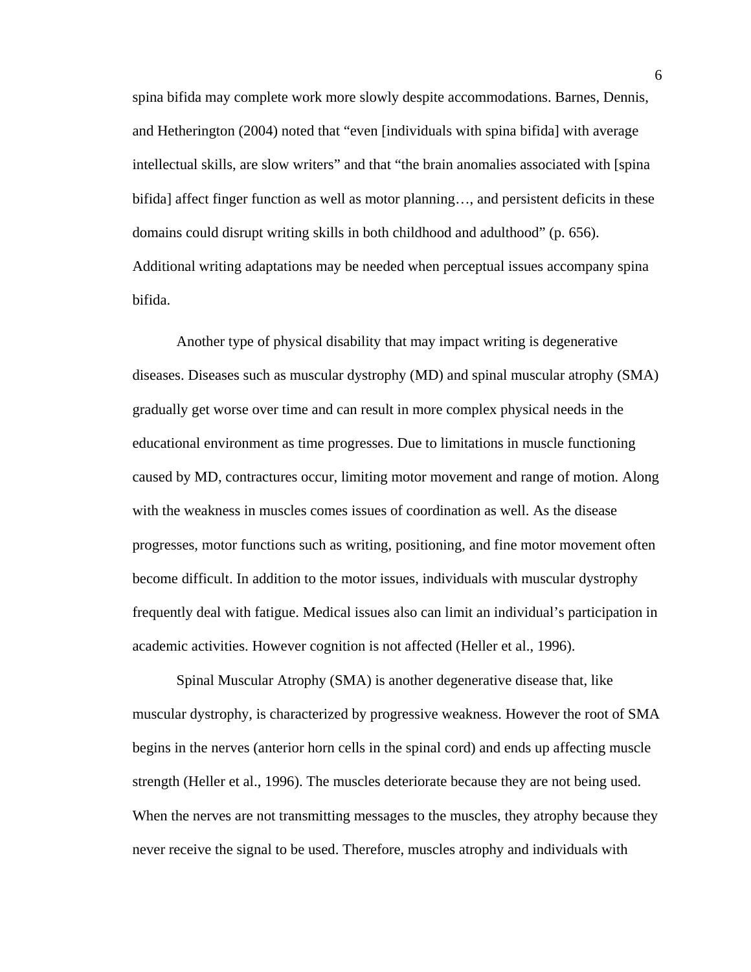spina bifida may complete work more slowly despite accommodations. Barnes, Dennis, and Hetherington (2004) noted that "even [individuals with spina bifida] with average intellectual skills, are slow writers" and that "the brain anomalies associated with [spina bifida] affect finger function as well as motor planning…, and persistent deficits in these domains could disrupt writing skills in both childhood and adulthood" (p. 656). Additional writing adaptations may be needed when perceptual issues accompany spina bifida.

 Another type of physical disability that may impact writing is degenerative diseases. Diseases such as muscular dystrophy (MD) and spinal muscular atrophy (SMA) gradually get worse over time and can result in more complex physical needs in the educational environment as time progresses. Due to limitations in muscle functioning caused by MD, contractures occur, limiting motor movement and range of motion. Along with the weakness in muscles comes issues of coordination as well. As the disease progresses, motor functions such as writing, positioning, and fine motor movement often become difficult. In addition to the motor issues, individuals with muscular dystrophy frequently deal with fatigue. Medical issues also can limit an individual's participation in academic activities. However cognition is not affected (Heller et al., 1996).

Spinal Muscular Atrophy (SMA) is another degenerative disease that, like muscular dystrophy, is characterized by progressive weakness. However the root of SMA begins in the nerves (anterior horn cells in the spinal cord) and ends up affecting muscle strength (Heller et al., 1996). The muscles deteriorate because they are not being used. When the nerves are not transmitting messages to the muscles, they atrophy because they never receive the signal to be used. Therefore, muscles atrophy and individuals with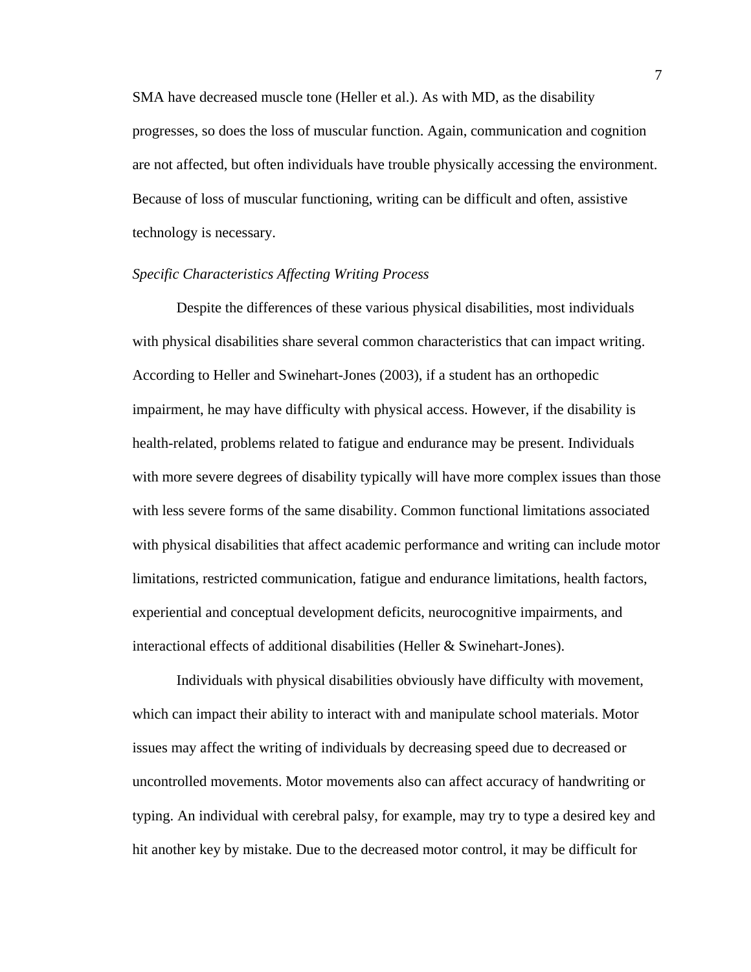SMA have decreased muscle tone (Heller et al.). As with MD, as the disability progresses, so does the loss of muscular function. Again, communication and cognition are not affected, but often individuals have trouble physically accessing the environment. Because of loss of muscular functioning, writing can be difficult and often, assistive technology is necessary.

## *Specific Characteristics Affecting Writing Process*

Despite the differences of these various physical disabilities, most individuals with physical disabilities share several common characteristics that can impact writing. According to Heller and Swinehart-Jones (2003), if a student has an orthopedic impairment, he may have difficulty with physical access. However, if the disability is health-related, problems related to fatigue and endurance may be present. Individuals with more severe degrees of disability typically will have more complex issues than those with less severe forms of the same disability. Common functional limitations associated with physical disabilities that affect academic performance and writing can include motor limitations, restricted communication, fatigue and endurance limitations, health factors, experiential and conceptual development deficits, neurocognitive impairments, and interactional effects of additional disabilities (Heller & Swinehart-Jones).

Individuals with physical disabilities obviously have difficulty with movement, which can impact their ability to interact with and manipulate school materials. Motor issues may affect the writing of individuals by decreasing speed due to decreased or uncontrolled movements. Motor movements also can affect accuracy of handwriting or typing. An individual with cerebral palsy, for example, may try to type a desired key and hit another key by mistake. Due to the decreased motor control, it may be difficult for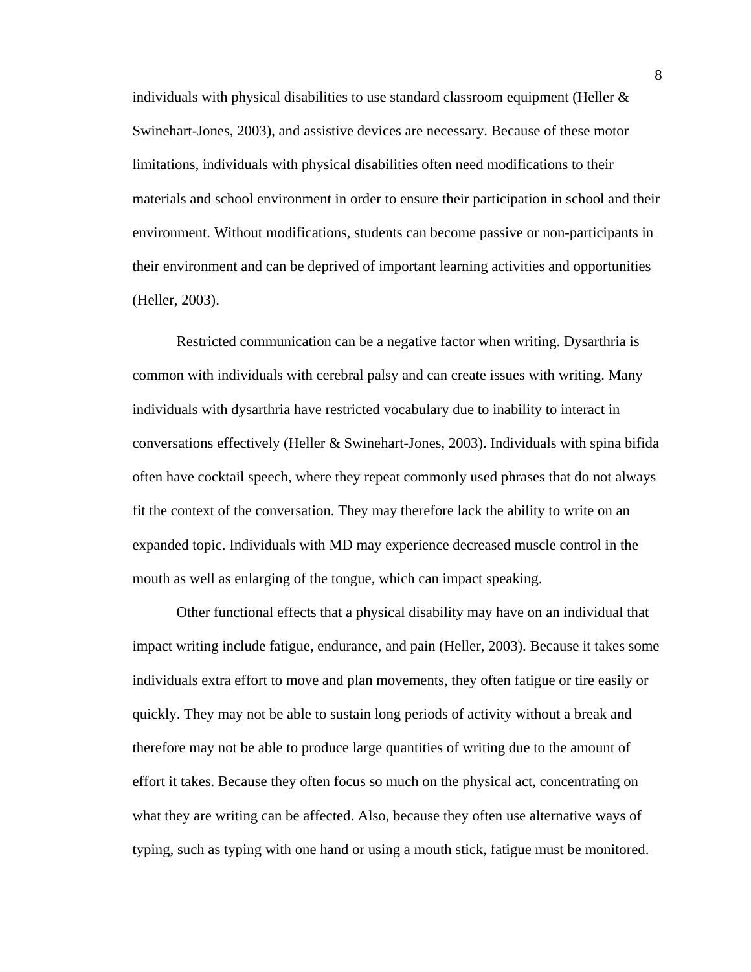individuals with physical disabilities to use standard classroom equipment (Heller  $\&$ Swinehart-Jones, 2003), and assistive devices are necessary. Because of these motor limitations, individuals with physical disabilities often need modifications to their materials and school environment in order to ensure their participation in school and their environment. Without modifications, students can become passive or non-participants in their environment and can be deprived of important learning activities and opportunities (Heller, 2003).

 Restricted communication can be a negative factor when writing. Dysarthria is common with individuals with cerebral palsy and can create issues with writing. Many individuals with dysarthria have restricted vocabulary due to inability to interact in conversations effectively (Heller & Swinehart-Jones, 2003). Individuals with spina bifida often have cocktail speech, where they repeat commonly used phrases that do not always fit the context of the conversation. They may therefore lack the ability to write on an expanded topic. Individuals with MD may experience decreased muscle control in the mouth as well as enlarging of the tongue, which can impact speaking.

Other functional effects that a physical disability may have on an individual that impact writing include fatigue, endurance, and pain (Heller, 2003). Because it takes some individuals extra effort to move and plan movements, they often fatigue or tire easily or quickly. They may not be able to sustain long periods of activity without a break and therefore may not be able to produce large quantities of writing due to the amount of effort it takes. Because they often focus so much on the physical act, concentrating on what they are writing can be affected. Also, because they often use alternative ways of typing, such as typing with one hand or using a mouth stick, fatigue must be monitored.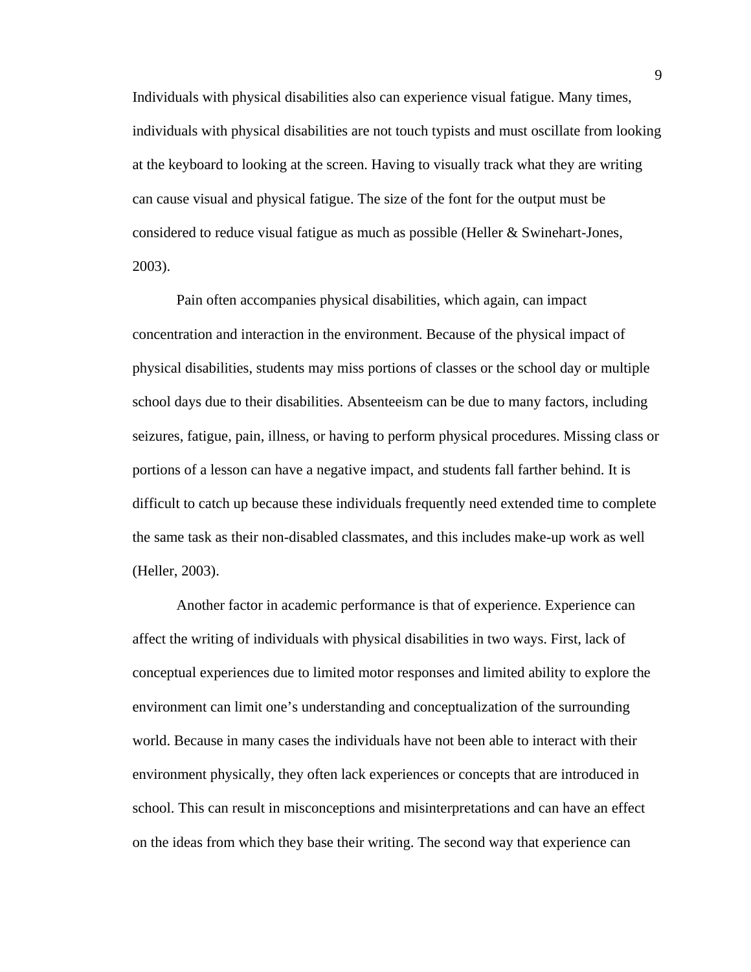Individuals with physical disabilities also can experience visual fatigue. Many times, individuals with physical disabilities are not touch typists and must oscillate from looking at the keyboard to looking at the screen. Having to visually track what they are writing can cause visual and physical fatigue. The size of the font for the output must be considered to reduce visual fatigue as much as possible (Heller & Swinehart-Jones, 2003).

Pain often accompanies physical disabilities, which again, can impact concentration and interaction in the environment. Because of the physical impact of physical disabilities, students may miss portions of classes or the school day or multiple school days due to their disabilities. Absenteeism can be due to many factors, including seizures, fatigue, pain, illness, or having to perform physical procedures. Missing class or portions of a lesson can have a negative impact, and students fall farther behind. It is difficult to catch up because these individuals frequently need extended time to complete the same task as their non-disabled classmates, and this includes make-up work as well (Heller, 2003).

Another factor in academic performance is that of experience. Experience can affect the writing of individuals with physical disabilities in two ways. First, lack of conceptual experiences due to limited motor responses and limited ability to explore the environment can limit one's understanding and conceptualization of the surrounding world. Because in many cases the individuals have not been able to interact with their environment physically, they often lack experiences or concepts that are introduced in school. This can result in misconceptions and misinterpretations and can have an effect on the ideas from which they base their writing. The second way that experience can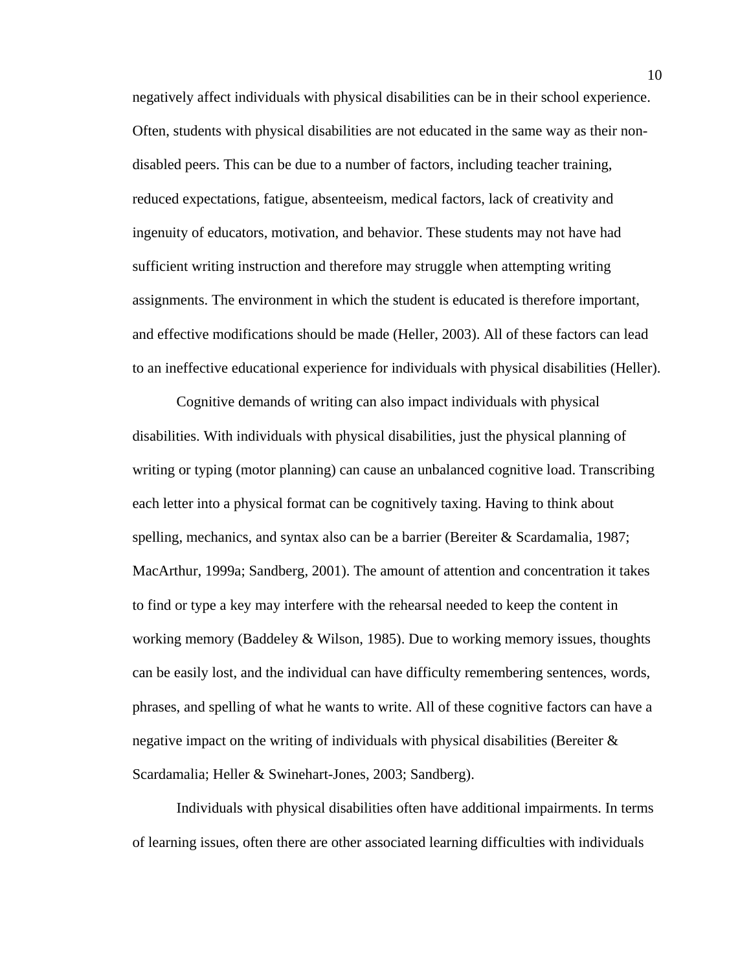negatively affect individuals with physical disabilities can be in their school experience. Often, students with physical disabilities are not educated in the same way as their nondisabled peers. This can be due to a number of factors, including teacher training, reduced expectations, fatigue, absenteeism, medical factors, lack of creativity and ingenuity of educators, motivation, and behavior. These students may not have had sufficient writing instruction and therefore may struggle when attempting writing assignments. The environment in which the student is educated is therefore important, and effective modifications should be made (Heller, 2003). All of these factors can lead to an ineffective educational experience for individuals with physical disabilities (Heller).

Cognitive demands of writing can also impact individuals with physical disabilities. With individuals with physical disabilities, just the physical planning of writing or typing (motor planning) can cause an unbalanced cognitive load. Transcribing each letter into a physical format can be cognitively taxing. Having to think about spelling, mechanics, and syntax also can be a barrier (Bereiter & Scardamalia, 1987; MacArthur, 1999a; Sandberg, 2001). The amount of attention and concentration it takes to find or type a key may interfere with the rehearsal needed to keep the content in working memory (Baddeley & Wilson, 1985). Due to working memory issues, thoughts can be easily lost, and the individual can have difficulty remembering sentences, words, phrases, and spelling of what he wants to write. All of these cognitive factors can have a negative impact on the writing of individuals with physical disabilities (Bereiter & Scardamalia; Heller & Swinehart-Jones, 2003; Sandberg).

Individuals with physical disabilities often have additional impairments. In terms of learning issues, often there are other associated learning difficulties with individuals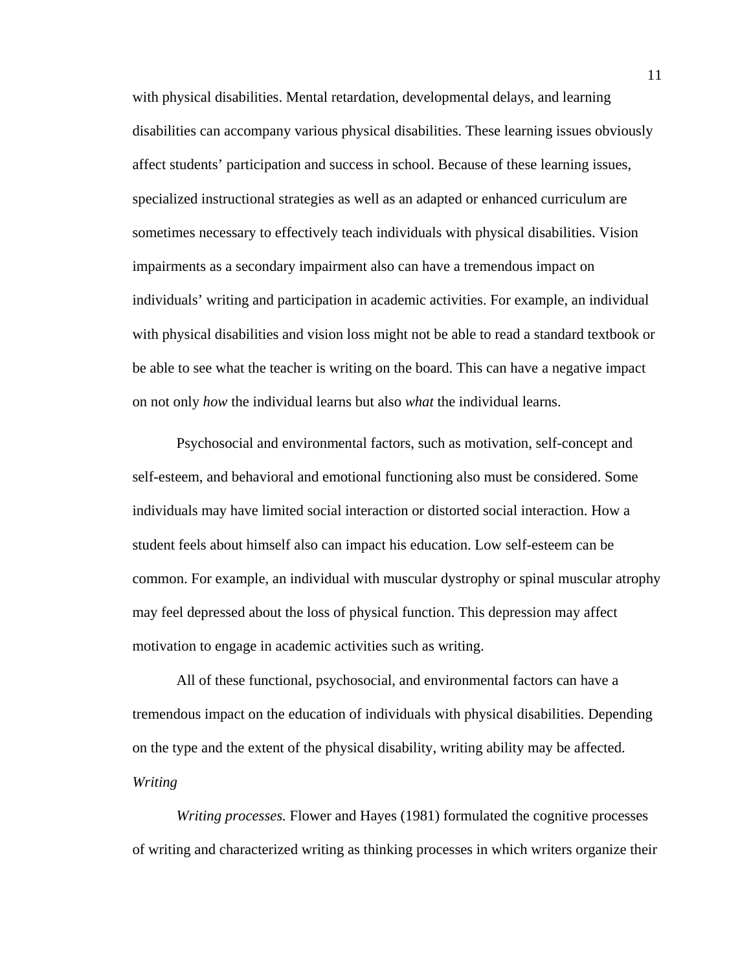with physical disabilities. Mental retardation, developmental delays, and learning disabilities can accompany various physical disabilities. These learning issues obviously affect students' participation and success in school. Because of these learning issues, specialized instructional strategies as well as an adapted or enhanced curriculum are sometimes necessary to effectively teach individuals with physical disabilities. Vision impairments as a secondary impairment also can have a tremendous impact on individuals' writing and participation in academic activities. For example, an individual with physical disabilities and vision loss might not be able to read a standard textbook or be able to see what the teacher is writing on the board. This can have a negative impact on not only *how* the individual learns but also *what* the individual learns.

 Psychosocial and environmental factors, such as motivation, self-concept and self-esteem, and behavioral and emotional functioning also must be considered. Some individuals may have limited social interaction or distorted social interaction. How a student feels about himself also can impact his education. Low self-esteem can be common. For example, an individual with muscular dystrophy or spinal muscular atrophy may feel depressed about the loss of physical function. This depression may affect motivation to engage in academic activities such as writing.

 All of these functional, psychosocial, and environmental factors can have a tremendous impact on the education of individuals with physical disabilities. Depending on the type and the extent of the physical disability, writing ability may be affected. *Writing* 

*Writing processes.* Flower and Hayes (1981) formulated the cognitive processes of writing and characterized writing as thinking processes in which writers organize their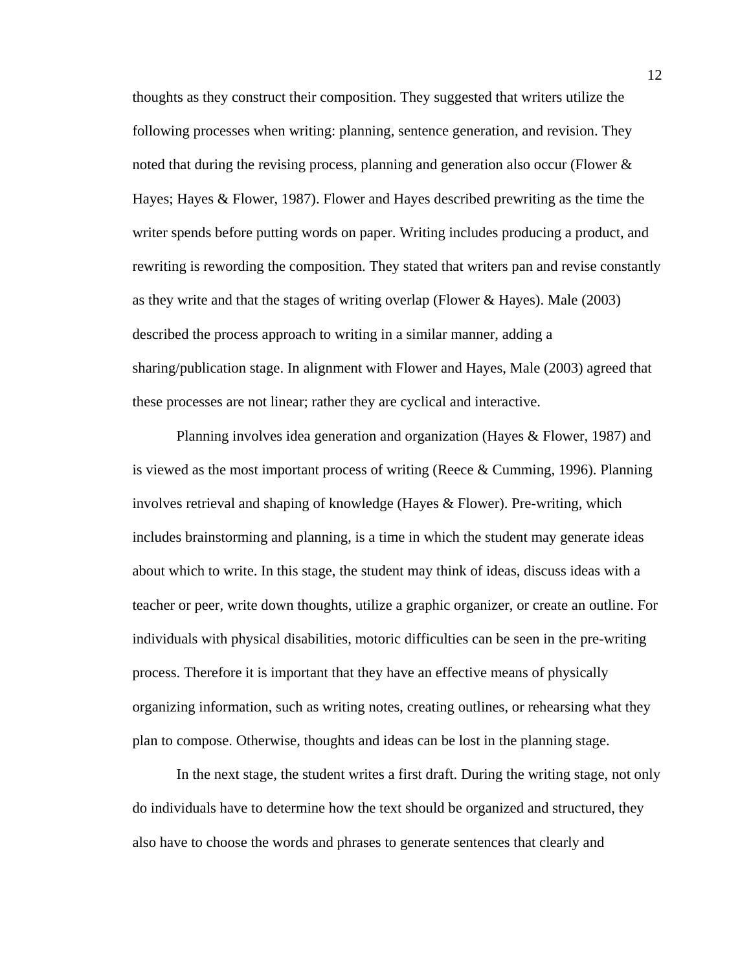thoughts as they construct their composition. They suggested that writers utilize the following processes when writing: planning, sentence generation, and revision. They noted that during the revising process, planning and generation also occur (Flower & Hayes; Hayes & Flower, 1987). Flower and Hayes described prewriting as the time the writer spends before putting words on paper. Writing includes producing a product, and rewriting is rewording the composition. They stated that writers pan and revise constantly as they write and that the stages of writing overlap (Flower & Hayes). Male (2003) described the process approach to writing in a similar manner, adding a sharing/publication stage. In alignment with Flower and Hayes, Male (2003) agreed that these processes are not linear; rather they are cyclical and interactive.

Planning involves idea generation and organization (Hayes & Flower, 1987) and is viewed as the most important process of writing (Reece  $\&$  Cumming, 1996). Planning involves retrieval and shaping of knowledge (Hayes & Flower). Pre-writing, which includes brainstorming and planning, is a time in which the student may generate ideas about which to write. In this stage, the student may think of ideas, discuss ideas with a teacher or peer, write down thoughts, utilize a graphic organizer, or create an outline. For individuals with physical disabilities, motoric difficulties can be seen in the pre-writing process. Therefore it is important that they have an effective means of physically organizing information, such as writing notes, creating outlines, or rehearsing what they plan to compose. Otherwise, thoughts and ideas can be lost in the planning stage.

In the next stage, the student writes a first draft. During the writing stage, not only do individuals have to determine how the text should be organized and structured, they also have to choose the words and phrases to generate sentences that clearly and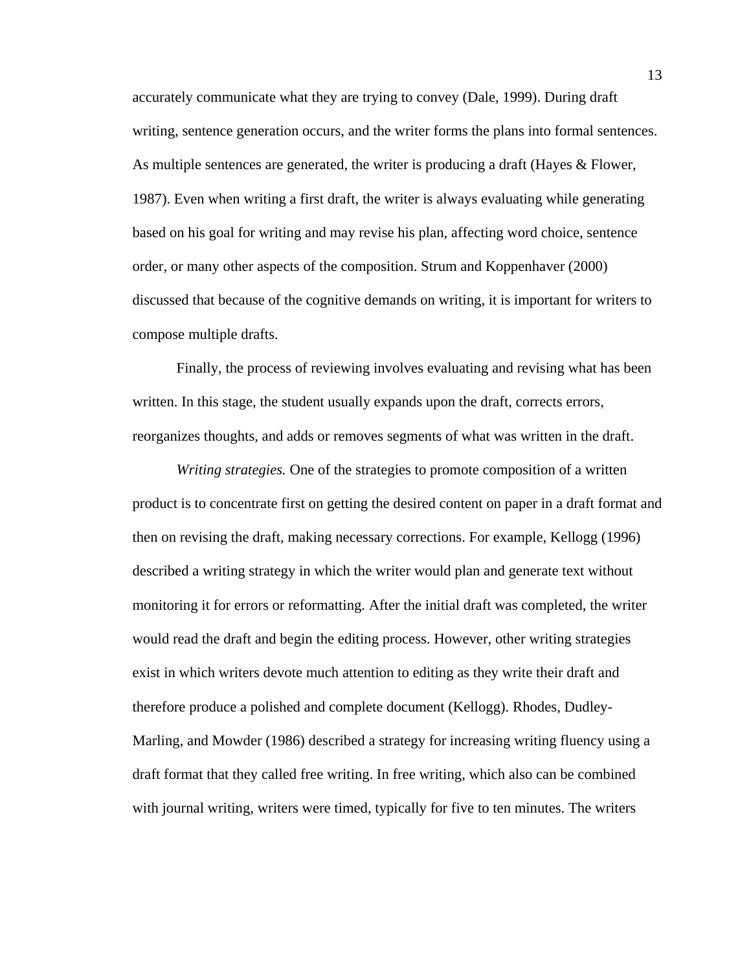accurately communicate what they are trying to convey (Dale, 1999). During draft writing, sentence generation occurs, and the writer forms the plans into formal sentences. As multiple sentences are generated, the writer is producing a draft (Hayes & Flower, 1987). Even when writing a first draft, the writer is always evaluating while generating based on his goal for writing and may revise his plan, affecting word choice, sentence order, or many other aspects of the composition. Strum and Koppenhaver (2000) discussed that because of the cognitive demands on writing, it is important for writers to compose multiple drafts.

Finally, the process of reviewing involves evaluating and revising what has been written. In this stage, the student usually expands upon the draft, corrects errors, reorganizes thoughts, and adds or removes segments of what was written in the draft.

*Writing strategies.* One of the strategies to promote composition of a written product is to concentrate first on getting the desired content on paper in a draft format and then on revising the draft, making necessary corrections. For example, Kellogg (1996) described a writing strategy in which the writer would plan and generate text without monitoring it for errors or reformatting. After the initial draft was completed, the writer would read the draft and begin the editing process. However, other writing strategies exist in which writers devote much attention to editing as they write their draft and therefore produce a polished and complete document (Kellogg). Rhodes, Dudley-Marling, and Mowder (1986) described a strategy for increasing writing fluency using a draft format that they called free writing. In free writing, which also can be combined with journal writing, writers were timed, typically for five to ten minutes. The writers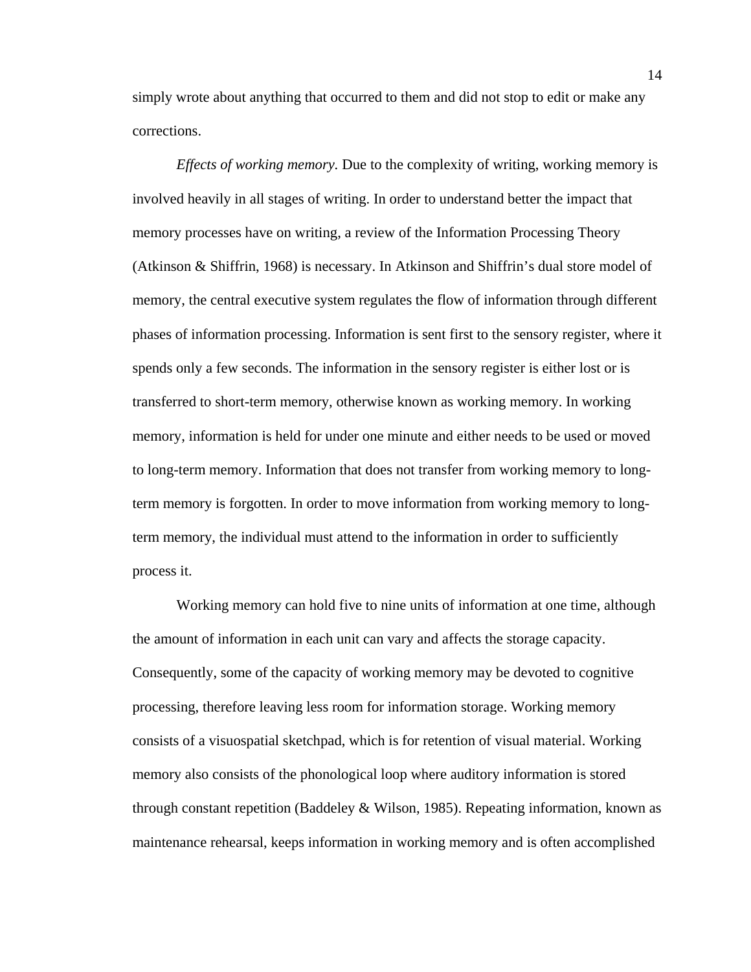simply wrote about anything that occurred to them and did not stop to edit or make any corrections.

*Effects of working memory.* Due to the complexity of writing, working memory is involved heavily in all stages of writing. In order to understand better the impact that memory processes have on writing, a review of the Information Processing Theory (Atkinson & Shiffrin, 1968) is necessary. In Atkinson and Shiffrin's dual store model of memory, the central executive system regulates the flow of information through different phases of information processing. Information is sent first to the sensory register, where it spends only a few seconds. The information in the sensory register is either lost or is transferred to short-term memory, otherwise known as working memory. In working memory, information is held for under one minute and either needs to be used or moved to long-term memory. Information that does not transfer from working memory to longterm memory is forgotten. In order to move information from working memory to longterm memory, the individual must attend to the information in order to sufficiently process it.

Working memory can hold five to nine units of information at one time, although the amount of information in each unit can vary and affects the storage capacity. Consequently, some of the capacity of working memory may be devoted to cognitive processing, therefore leaving less room for information storage. Working memory consists of a visuospatial sketchpad, which is for retention of visual material. Working memory also consists of the phonological loop where auditory information is stored through constant repetition (Baddeley & Wilson, 1985). Repeating information, known as maintenance rehearsal, keeps information in working memory and is often accomplished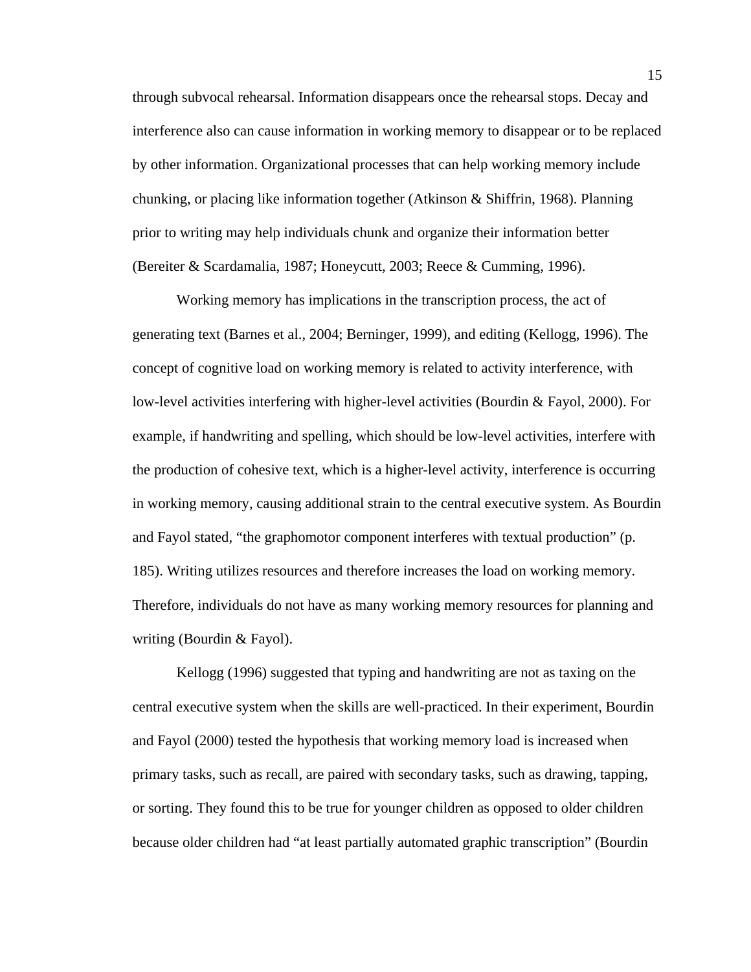through subvocal rehearsal. Information disappears once the rehearsal stops. Decay and interference also can cause information in working memory to disappear or to be replaced by other information. Organizational processes that can help working memory include chunking, or placing like information together (Atkinson & Shiffrin, 1968). Planning prior to writing may help individuals chunk and organize their information better (Bereiter & Scardamalia, 1987; Honeycutt, 2003; Reece & Cumming, 1996).

Working memory has implications in the transcription process, the act of generating text (Barnes et al., 2004; Berninger, 1999), and editing (Kellogg, 1996). The concept of cognitive load on working memory is related to activity interference, with low-level activities interfering with higher-level activities (Bourdin & Fayol, 2000). For example, if handwriting and spelling, which should be low-level activities, interfere with the production of cohesive text, which is a higher-level activity, interference is occurring in working memory, causing additional strain to the central executive system. As Bourdin and Fayol stated, "the graphomotor component interferes with textual production" (p. 185). Writing utilizes resources and therefore increases the load on working memory. Therefore, individuals do not have as many working memory resources for planning and writing (Bourdin & Fayol).

Kellogg (1996) suggested that typing and handwriting are not as taxing on the central executive system when the skills are well-practiced. In their experiment, Bourdin and Fayol (2000) tested the hypothesis that working memory load is increased when primary tasks, such as recall, are paired with secondary tasks, such as drawing, tapping, or sorting. They found this to be true for younger children as opposed to older children because older children had "at least partially automated graphic transcription" (Bourdin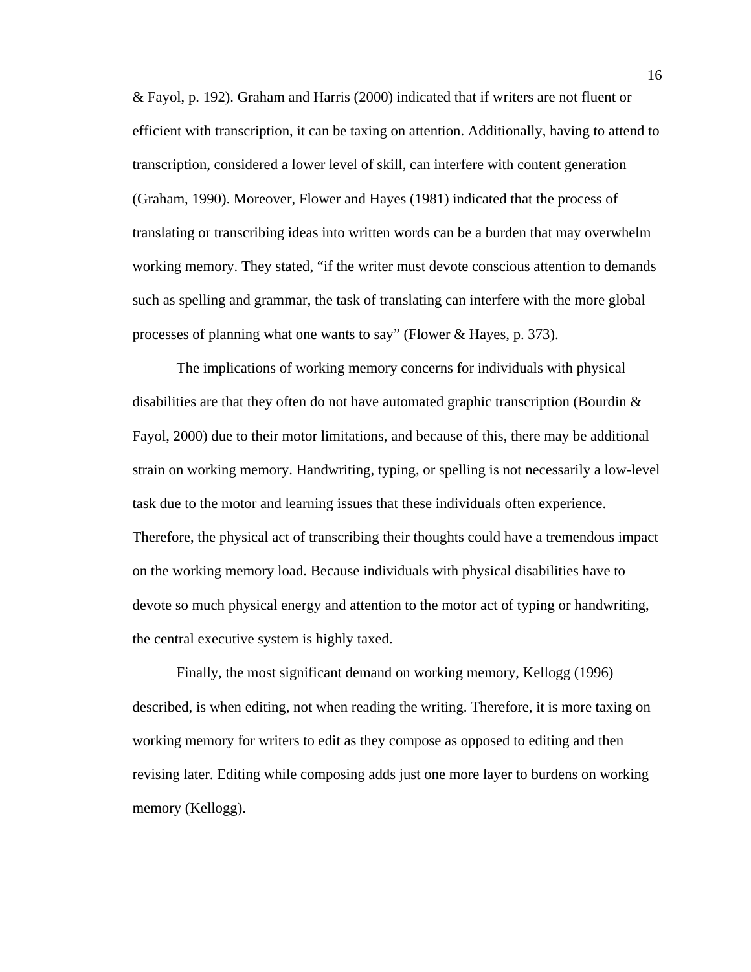& Fayol, p. 192). Graham and Harris (2000) indicated that if writers are not fluent or efficient with transcription, it can be taxing on attention. Additionally, having to attend to transcription, considered a lower level of skill, can interfere with content generation (Graham, 1990). Moreover, Flower and Hayes (1981) indicated that the process of translating or transcribing ideas into written words can be a burden that may overwhelm working memory. They stated, "if the writer must devote conscious attention to demands such as spelling and grammar, the task of translating can interfere with the more global processes of planning what one wants to say" (Flower & Hayes, p. 373).

The implications of working memory concerns for individuals with physical disabilities are that they often do not have automated graphic transcription (Bourdin & Fayol, 2000) due to their motor limitations, and because of this, there may be additional strain on working memory. Handwriting, typing, or spelling is not necessarily a low-level task due to the motor and learning issues that these individuals often experience. Therefore, the physical act of transcribing their thoughts could have a tremendous impact on the working memory load. Because individuals with physical disabilities have to devote so much physical energy and attention to the motor act of typing or handwriting, the central executive system is highly taxed.

Finally, the most significant demand on working memory, Kellogg (1996) described, is when editing, not when reading the writing. Therefore, it is more taxing on working memory for writers to edit as they compose as opposed to editing and then revising later. Editing while composing adds just one more layer to burdens on working memory (Kellogg).

16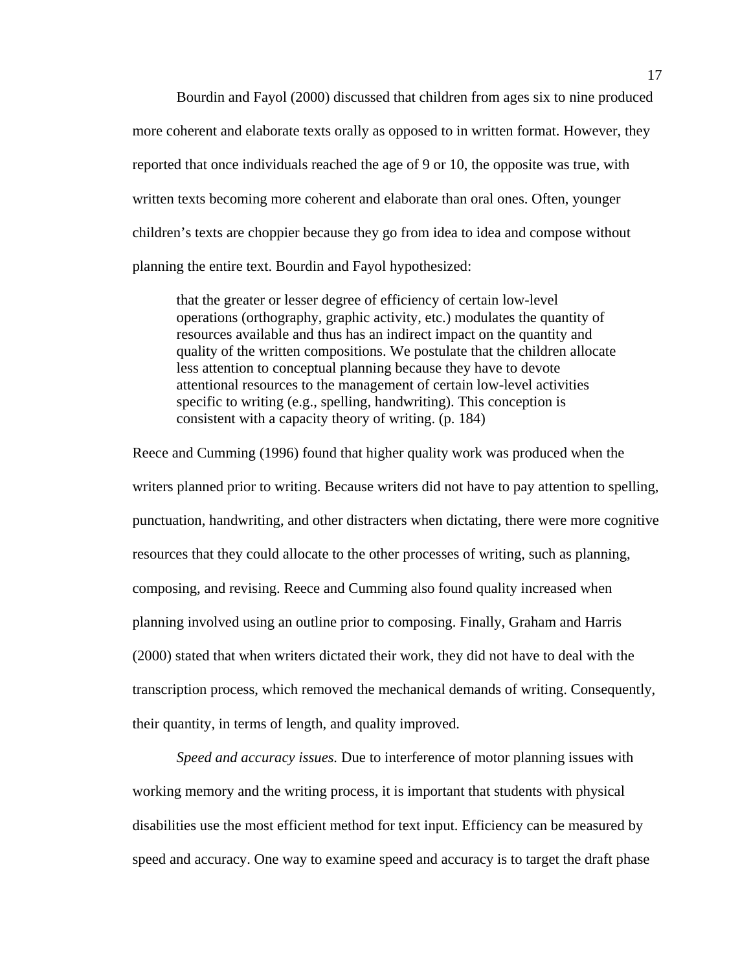Bourdin and Fayol (2000) discussed that children from ages six to nine produced more coherent and elaborate texts orally as opposed to in written format. However, they reported that once individuals reached the age of 9 or 10, the opposite was true, with written texts becoming more coherent and elaborate than oral ones. Often, younger children's texts are choppier because they go from idea to idea and compose without planning the entire text. Bourdin and Fayol hypothesized:

that the greater or lesser degree of efficiency of certain low-level operations (orthography, graphic activity, etc.) modulates the quantity of resources available and thus has an indirect impact on the quantity and quality of the written compositions. We postulate that the children allocate less attention to conceptual planning because they have to devote attentional resources to the management of certain low-level activities specific to writing (e.g., spelling, handwriting). This conception is consistent with a capacity theory of writing. (p. 184)

Reece and Cumming (1996) found that higher quality work was produced when the writers planned prior to writing. Because writers did not have to pay attention to spelling, punctuation, handwriting, and other distracters when dictating, there were more cognitive resources that they could allocate to the other processes of writing, such as planning, composing, and revising. Reece and Cumming also found quality increased when planning involved using an outline prior to composing. Finally, Graham and Harris (2000) stated that when writers dictated their work, they did not have to deal with the transcription process, which removed the mechanical demands of writing. Consequently, their quantity, in terms of length, and quality improved.

*Speed and accuracy issues.* Due to interference of motor planning issues with working memory and the writing process, it is important that students with physical disabilities use the most efficient method for text input. Efficiency can be measured by speed and accuracy. One way to examine speed and accuracy is to target the draft phase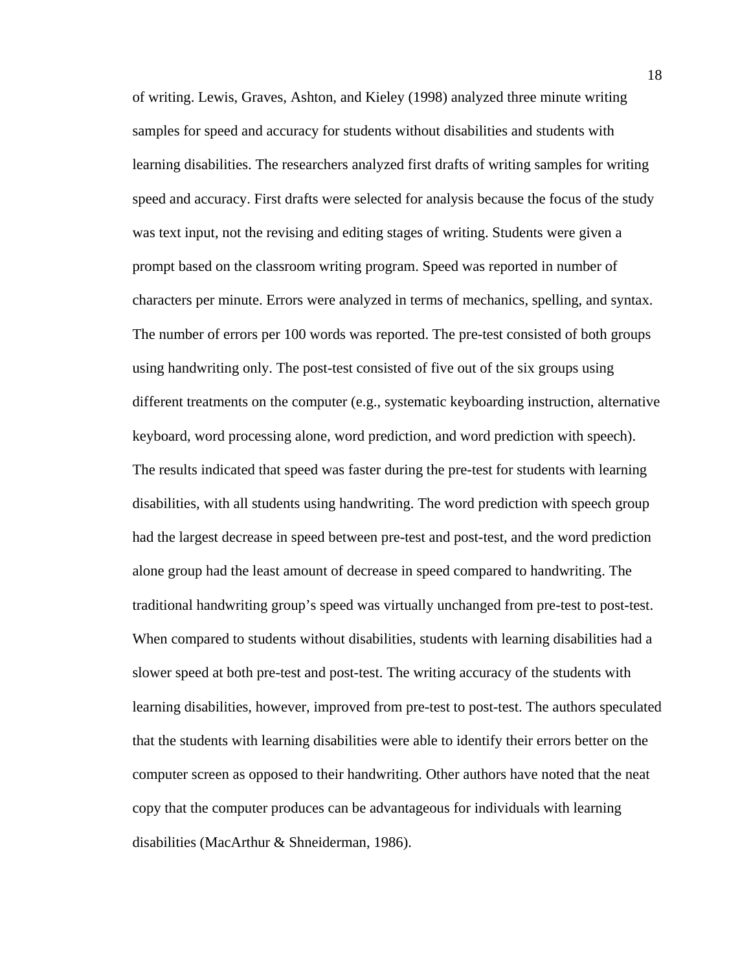of writing. Lewis, Graves, Ashton, and Kieley (1998) analyzed three minute writing samples for speed and accuracy for students without disabilities and students with learning disabilities. The researchers analyzed first drafts of writing samples for writing speed and accuracy. First drafts were selected for analysis because the focus of the study was text input, not the revising and editing stages of writing. Students were given a prompt based on the classroom writing program. Speed was reported in number of characters per minute. Errors were analyzed in terms of mechanics, spelling, and syntax. The number of errors per 100 words was reported. The pre-test consisted of both groups using handwriting only. The post-test consisted of five out of the six groups using different treatments on the computer (e.g., systematic keyboarding instruction, alternative keyboard, word processing alone, word prediction, and word prediction with speech). The results indicated that speed was faster during the pre-test for students with learning disabilities, with all students using handwriting. The word prediction with speech group had the largest decrease in speed between pre-test and post-test, and the word prediction alone group had the least amount of decrease in speed compared to handwriting. The traditional handwriting group's speed was virtually unchanged from pre-test to post-test. When compared to students without disabilities, students with learning disabilities had a slower speed at both pre-test and post-test. The writing accuracy of the students with learning disabilities, however, improved from pre-test to post-test. The authors speculated that the students with learning disabilities were able to identify their errors better on the computer screen as opposed to their handwriting. Other authors have noted that the neat copy that the computer produces can be advantageous for individuals with learning disabilities (MacArthur & Shneiderman, 1986).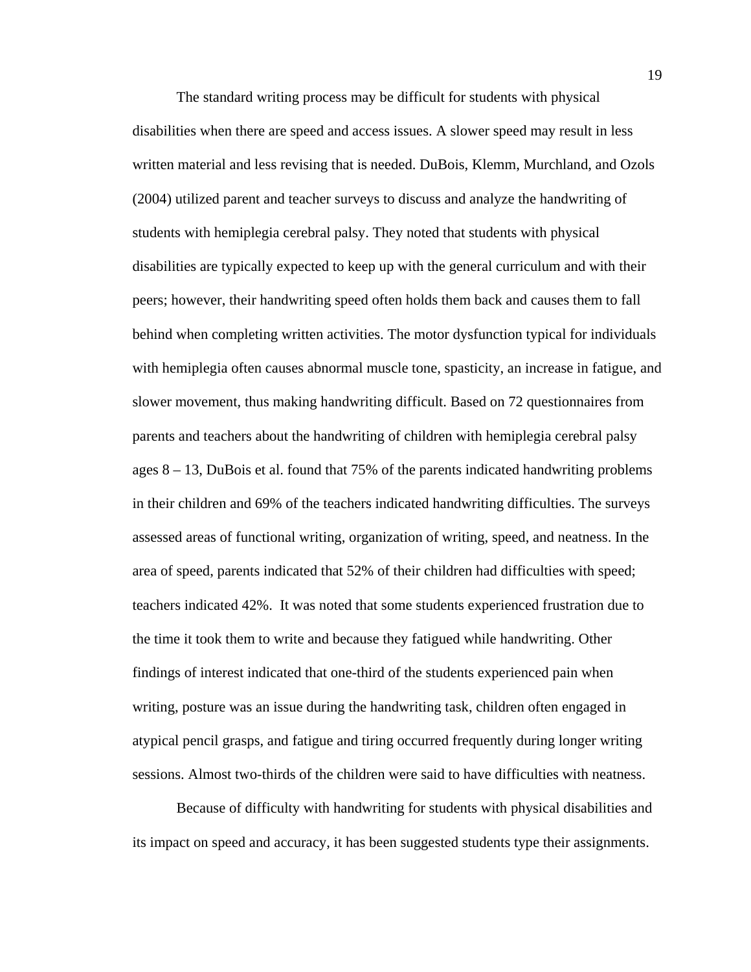The standard writing process may be difficult for students with physical disabilities when there are speed and access issues. A slower speed may result in less written material and less revising that is needed. DuBois, Klemm, Murchland, and Ozols (2004) utilized parent and teacher surveys to discuss and analyze the handwriting of students with hemiplegia cerebral palsy. They noted that students with physical disabilities are typically expected to keep up with the general curriculum and with their peers; however, their handwriting speed often holds them back and causes them to fall behind when completing written activities. The motor dysfunction typical for individuals with hemiplegia often causes abnormal muscle tone, spasticity, an increase in fatigue, and slower movement, thus making handwriting difficult. Based on 72 questionnaires from parents and teachers about the handwriting of children with hemiplegia cerebral palsy ages  $8 - 13$ , DuBois et al. found that 75% of the parents indicated handwriting problems in their children and 69% of the teachers indicated handwriting difficulties. The surveys assessed areas of functional writing, organization of writing, speed, and neatness. In the area of speed, parents indicated that 52% of their children had difficulties with speed; teachers indicated 42%. It was noted that some students experienced frustration due to the time it took them to write and because they fatigued while handwriting. Other findings of interest indicated that one-third of the students experienced pain when writing, posture was an issue during the handwriting task, children often engaged in atypical pencil grasps, and fatigue and tiring occurred frequently during longer writing sessions. Almost two-thirds of the children were said to have difficulties with neatness.

Because of difficulty with handwriting for students with physical disabilities and its impact on speed and accuracy, it has been suggested students type their assignments.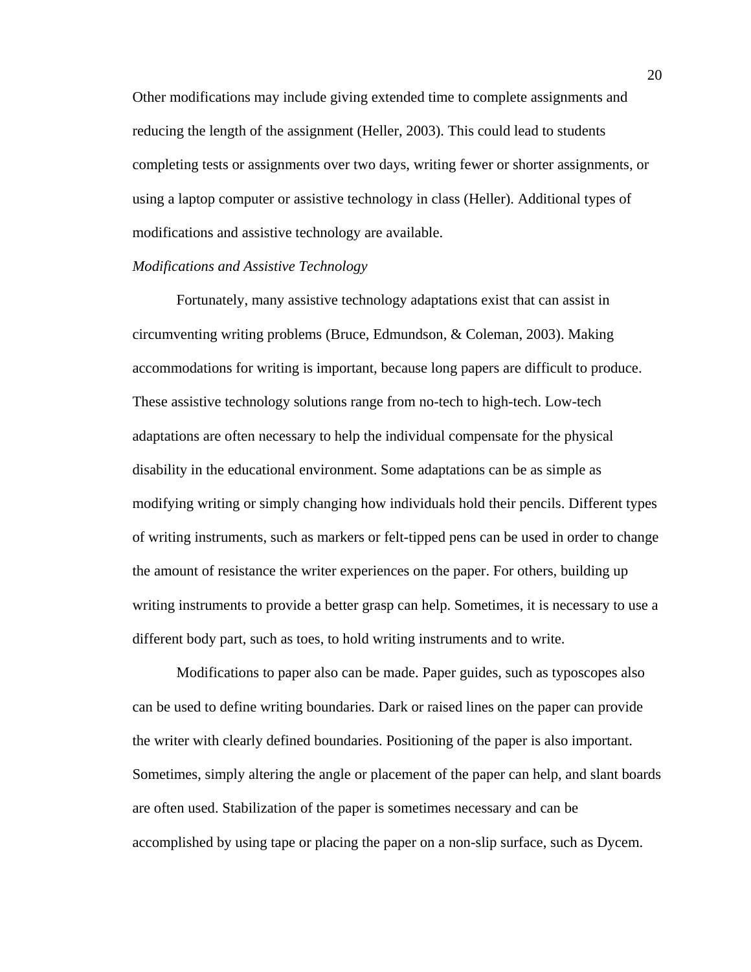Other modifications may include giving extended time to complete assignments and reducing the length of the assignment (Heller, 2003). This could lead to students completing tests or assignments over two days, writing fewer or shorter assignments, or using a laptop computer or assistive technology in class (Heller). Additional types of modifications and assistive technology are available.

#### *Modifications and Assistive Technology*

Fortunately, many assistive technology adaptations exist that can assist in circumventing writing problems (Bruce, Edmundson, & Coleman, 2003). Making accommodations for writing is important, because long papers are difficult to produce. These assistive technology solutions range from no-tech to high-tech. Low-tech adaptations are often necessary to help the individual compensate for the physical disability in the educational environment. Some adaptations can be as simple as modifying writing or simply changing how individuals hold their pencils. Different types of writing instruments, such as markers or felt-tipped pens can be used in order to change the amount of resistance the writer experiences on the paper. For others, building up writing instruments to provide a better grasp can help. Sometimes, it is necessary to use a different body part, such as toes, to hold writing instruments and to write.

Modifications to paper also can be made. Paper guides, such as typoscopes also can be used to define writing boundaries. Dark or raised lines on the paper can provide the writer with clearly defined boundaries. Positioning of the paper is also important. Sometimes, simply altering the angle or placement of the paper can help, and slant boards are often used. Stabilization of the paper is sometimes necessary and can be accomplished by using tape or placing the paper on a non-slip surface, such as Dycem.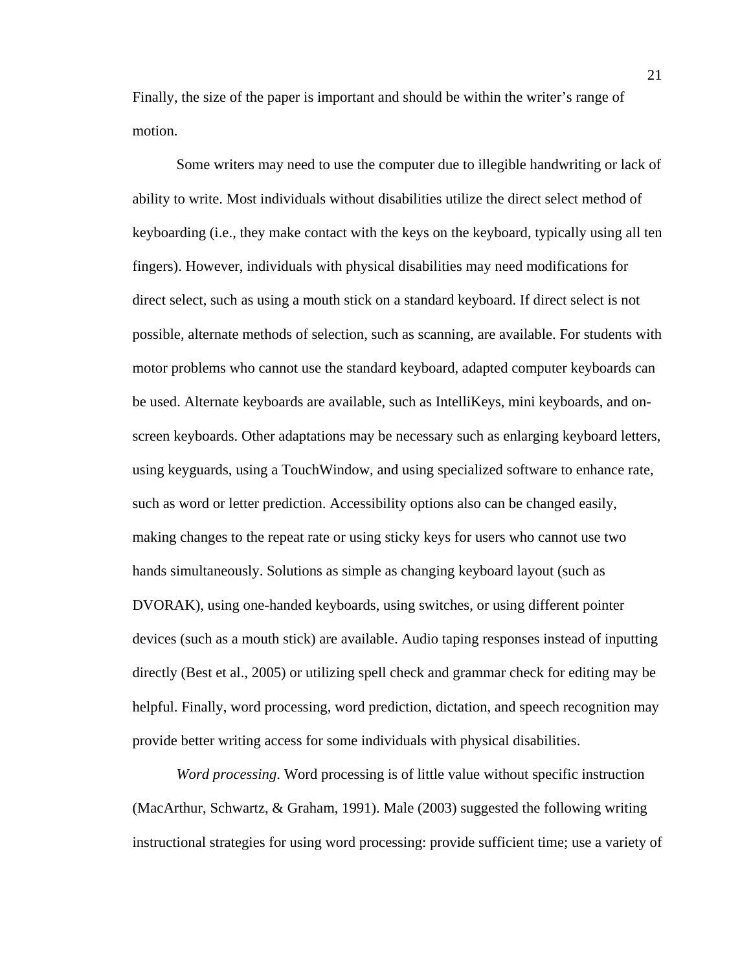Finally, the size of the paper is important and should be within the writer's range of motion.

Some writers may need to use the computer due to illegible handwriting or lack of ability to write. Most individuals without disabilities utilize the direct select method of keyboarding (i.e., they make contact with the keys on the keyboard, typically using all ten fingers). However, individuals with physical disabilities may need modifications for direct select, such as using a mouth stick on a standard keyboard. If direct select is not possible, alternate methods of selection, such as scanning, are available. For students with motor problems who cannot use the standard keyboard, adapted computer keyboards can be used. Alternate keyboards are available, such as IntelliKeys, mini keyboards, and onscreen keyboards. Other adaptations may be necessary such as enlarging keyboard letters, using keyguards, using a TouchWindow, and using specialized software to enhance rate, such as word or letter prediction. Accessibility options also can be changed easily, making changes to the repeat rate or using sticky keys for users who cannot use two hands simultaneously. Solutions as simple as changing keyboard layout (such as DVORAK), using one-handed keyboards, using switches, or using different pointer devices (such as a mouth stick) are available. Audio taping responses instead of inputting directly (Best et al., 2005) or utilizing spell check and grammar check for editing may be helpful. Finally, word processing, word prediction, dictation, and speech recognition may provide better writing access for some individuals with physical disabilities.

*Word processing*. Word processing is of little value without specific instruction (MacArthur, Schwartz, & Graham, 1991). Male (2003) suggested the following writing instructional strategies for using word processing: provide sufficient time; use a variety of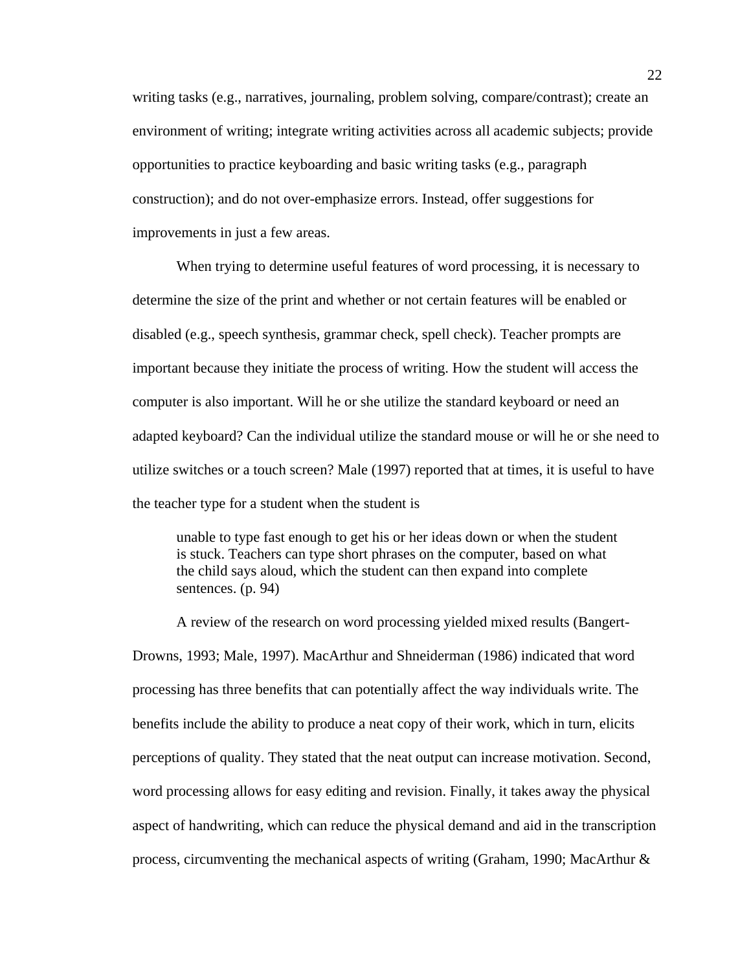writing tasks (e.g., narratives, journaling, problem solving, compare/contrast); create an environment of writing; integrate writing activities across all academic subjects; provide opportunities to practice keyboarding and basic writing tasks (e.g., paragraph construction); and do not over-emphasize errors. Instead, offer suggestions for improvements in just a few areas.

When trying to determine useful features of word processing, it is necessary to determine the size of the print and whether or not certain features will be enabled or disabled (e.g., speech synthesis, grammar check, spell check). Teacher prompts are important because they initiate the process of writing. How the student will access the computer is also important. Will he or she utilize the standard keyboard or need an adapted keyboard? Can the individual utilize the standard mouse or will he or she need to utilize switches or a touch screen? Male (1997) reported that at times, it is useful to have the teacher type for a student when the student is

unable to type fast enough to get his or her ideas down or when the student is stuck. Teachers can type short phrases on the computer, based on what the child says aloud, which the student can then expand into complete sentences. (p. 94)

 A review of the research on word processing yielded mixed results (Bangert-Drowns, 1993; Male, 1997). MacArthur and Shneiderman (1986) indicated that word processing has three benefits that can potentially affect the way individuals write. The benefits include the ability to produce a neat copy of their work, which in turn, elicits perceptions of quality. They stated that the neat output can increase motivation. Second, word processing allows for easy editing and revision. Finally, it takes away the physical aspect of handwriting, which can reduce the physical demand and aid in the transcription process, circumventing the mechanical aspects of writing (Graham, 1990; MacArthur &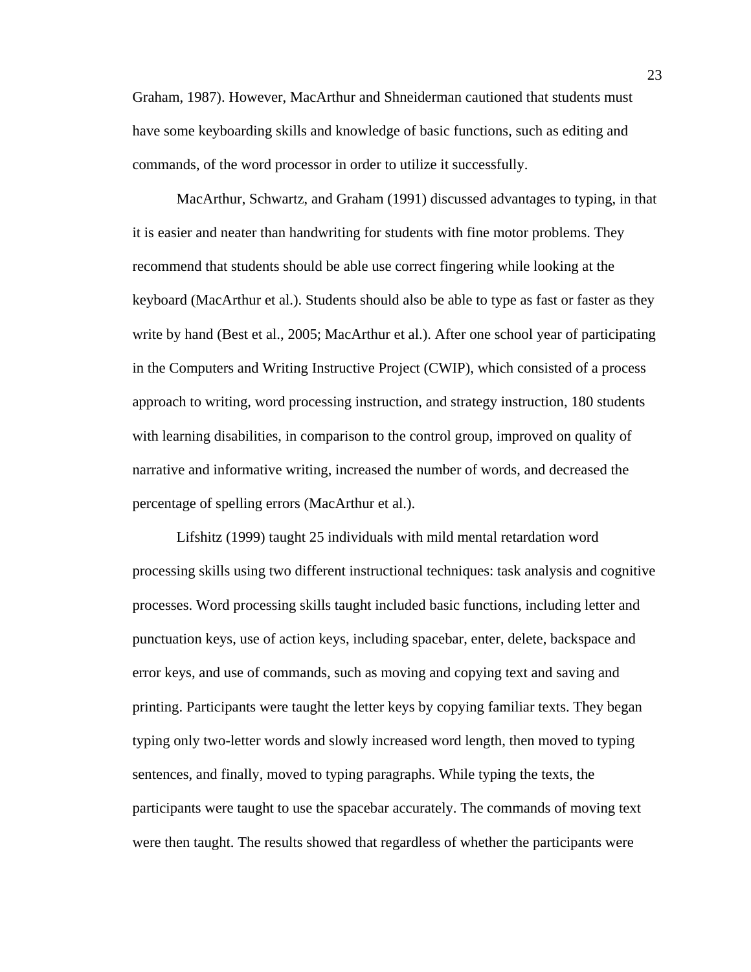Graham, 1987). However, MacArthur and Shneiderman cautioned that students must have some keyboarding skills and knowledge of basic functions, such as editing and commands, of the word processor in order to utilize it successfully.

 MacArthur, Schwartz, and Graham (1991) discussed advantages to typing, in that it is easier and neater than handwriting for students with fine motor problems. They recommend that students should be able use correct fingering while looking at the keyboard (MacArthur et al.). Students should also be able to type as fast or faster as they write by hand (Best et al., 2005; MacArthur et al.). After one school year of participating in the Computers and Writing Instructive Project (CWIP), which consisted of a process approach to writing, word processing instruction, and strategy instruction, 180 students with learning disabilities, in comparison to the control group, improved on quality of narrative and informative writing, increased the number of words, and decreased the percentage of spelling errors (MacArthur et al.).

 Lifshitz (1999) taught 25 individuals with mild mental retardation word processing skills using two different instructional techniques: task analysis and cognitive processes. Word processing skills taught included basic functions, including letter and punctuation keys, use of action keys, including spacebar, enter, delete, backspace and error keys, and use of commands, such as moving and copying text and saving and printing. Participants were taught the letter keys by copying familiar texts. They began typing only two-letter words and slowly increased word length, then moved to typing sentences, and finally, moved to typing paragraphs. While typing the texts, the participants were taught to use the spacebar accurately. The commands of moving text were then taught. The results showed that regardless of whether the participants were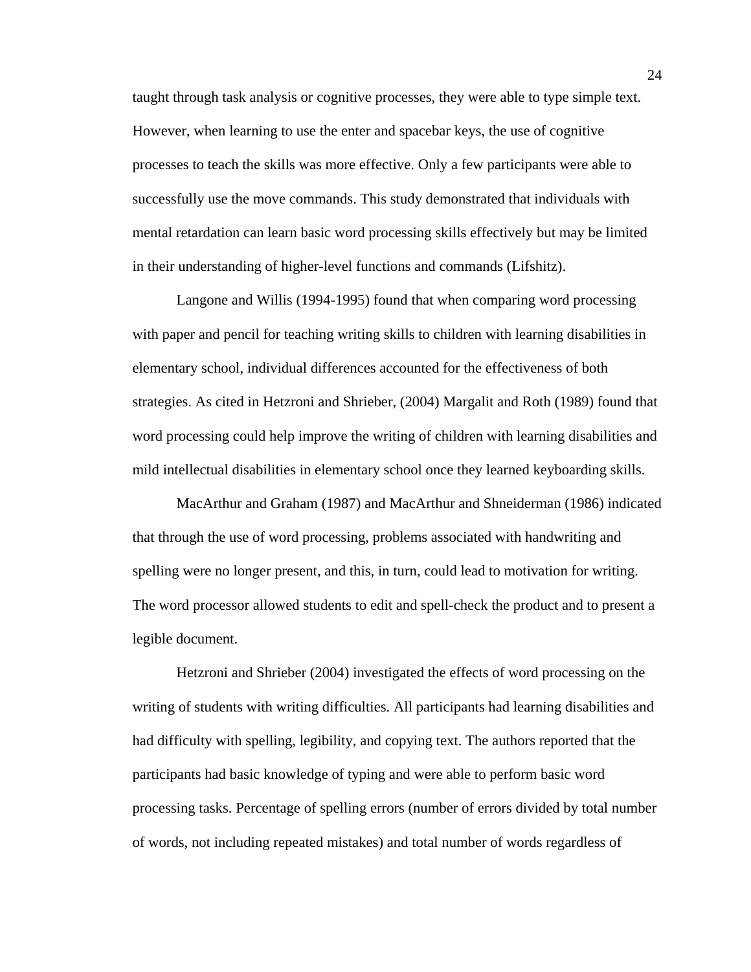taught through task analysis or cognitive processes, they were able to type simple text. However, when learning to use the enter and spacebar keys, the use of cognitive processes to teach the skills was more effective. Only a few participants were able to successfully use the move commands. This study demonstrated that individuals with mental retardation can learn basic word processing skills effectively but may be limited in their understanding of higher-level functions and commands (Lifshitz).

Langone and Willis (1994-1995) found that when comparing word processing with paper and pencil for teaching writing skills to children with learning disabilities in elementary school, individual differences accounted for the effectiveness of both strategies. As cited in Hetzroni and Shrieber, (2004) Margalit and Roth (1989) found that word processing could help improve the writing of children with learning disabilities and mild intellectual disabilities in elementary school once they learned keyboarding skills.

MacArthur and Graham (1987) and MacArthur and Shneiderman (1986) indicated that through the use of word processing, problems associated with handwriting and spelling were no longer present, and this, in turn, could lead to motivation for writing. The word processor allowed students to edit and spell-check the product and to present a legible document.

 Hetzroni and Shrieber (2004) investigated the effects of word processing on the writing of students with writing difficulties. All participants had learning disabilities and had difficulty with spelling, legibility, and copying text. The authors reported that the participants had basic knowledge of typing and were able to perform basic word processing tasks. Percentage of spelling errors (number of errors divided by total number of words, not including repeated mistakes) and total number of words regardless of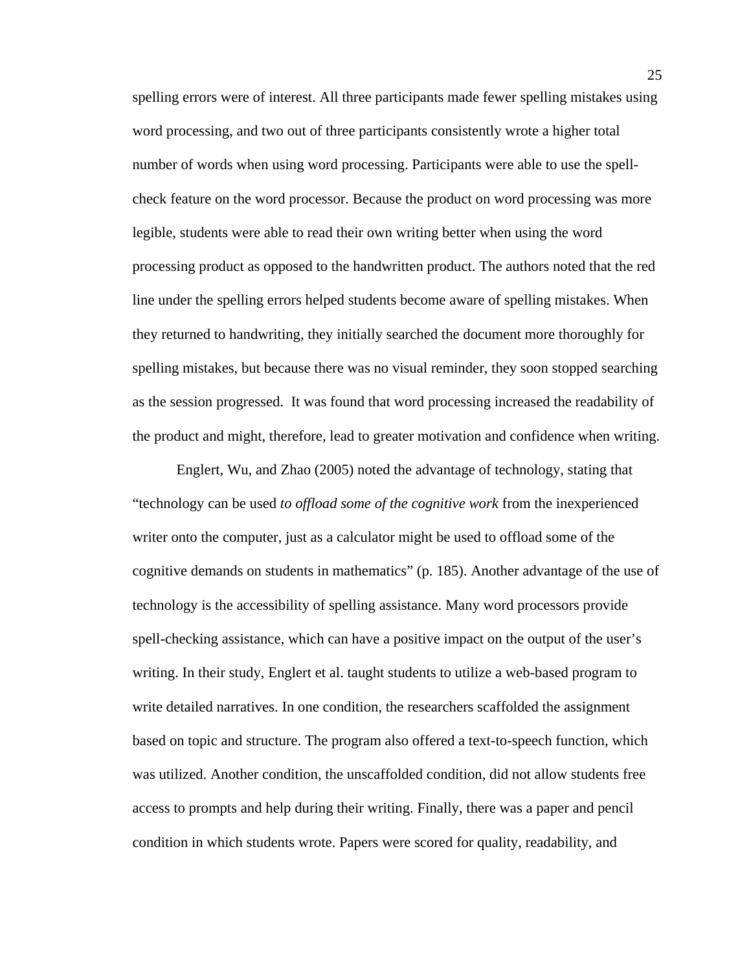spelling errors were of interest. All three participants made fewer spelling mistakes using word processing, and two out of three participants consistently wrote a higher total number of words when using word processing. Participants were able to use the spellcheck feature on the word processor. Because the product on word processing was more legible, students were able to read their own writing better when using the word processing product as opposed to the handwritten product. The authors noted that the red line under the spelling errors helped students become aware of spelling mistakes. When they returned to handwriting, they initially searched the document more thoroughly for spelling mistakes, but because there was no visual reminder, they soon stopped searching as the session progressed. It was found that word processing increased the readability of the product and might, therefore, lead to greater motivation and confidence when writing.

Englert, Wu, and Zhao (2005) noted the advantage of technology, stating that "technology can be used *to offload some of the cognitive work* from the inexperienced writer onto the computer, just as a calculator might be used to offload some of the cognitive demands on students in mathematics" (p. 185). Another advantage of the use of technology is the accessibility of spelling assistance. Many word processors provide spell-checking assistance, which can have a positive impact on the output of the user's writing. In their study, Englert et al. taught students to utilize a web-based program to write detailed narratives. In one condition, the researchers scaffolded the assignment based on topic and structure. The program also offered a text-to-speech function, which was utilized. Another condition, the unscaffolded condition, did not allow students free access to prompts and help during their writing. Finally, there was a paper and pencil condition in which students wrote. Papers were scored for quality, readability, and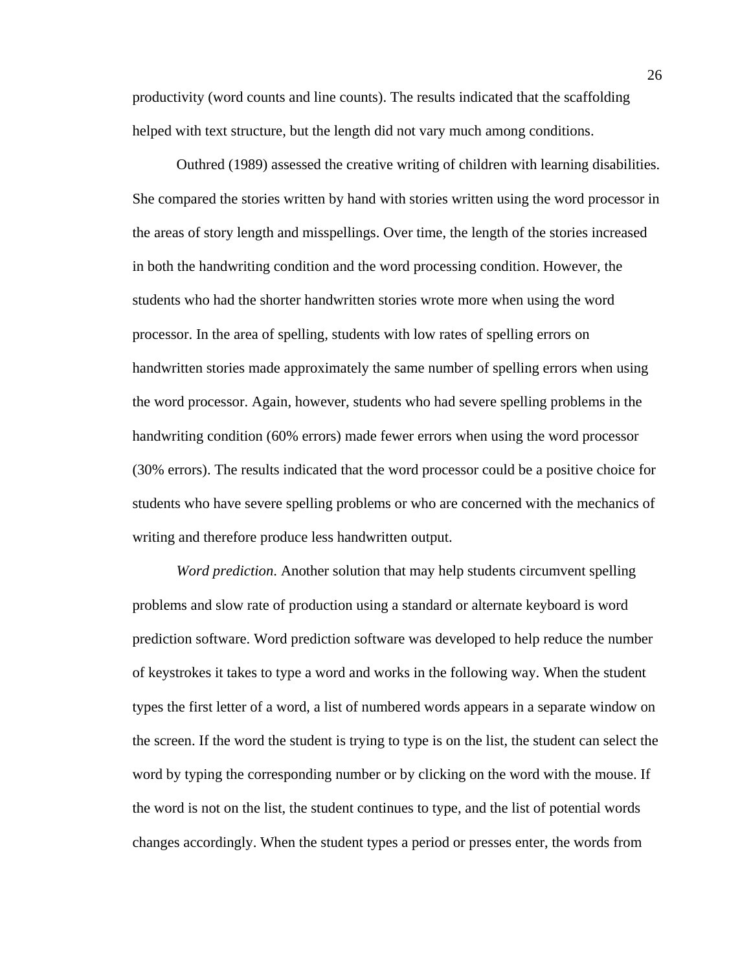productivity (word counts and line counts). The results indicated that the scaffolding helped with text structure, but the length did not vary much among conditions.

Outhred (1989) assessed the creative writing of children with learning disabilities. She compared the stories written by hand with stories written using the word processor in the areas of story length and misspellings. Over time, the length of the stories increased in both the handwriting condition and the word processing condition. However, the students who had the shorter handwritten stories wrote more when using the word processor. In the area of spelling, students with low rates of spelling errors on handwritten stories made approximately the same number of spelling errors when using the word processor. Again, however, students who had severe spelling problems in the handwriting condition (60% errors) made fewer errors when using the word processor (30% errors). The results indicated that the word processor could be a positive choice for students who have severe spelling problems or who are concerned with the mechanics of writing and therefore produce less handwritten output.

*Word prediction*. Another solution that may help students circumvent spelling problems and slow rate of production using a standard or alternate keyboard is word prediction software. Word prediction software was developed to help reduce the number of keystrokes it takes to type a word and works in the following way. When the student types the first letter of a word, a list of numbered words appears in a separate window on the screen. If the word the student is trying to type is on the list, the student can select the word by typing the corresponding number or by clicking on the word with the mouse. If the word is not on the list, the student continues to type, and the list of potential words changes accordingly. When the student types a period or presses enter, the words from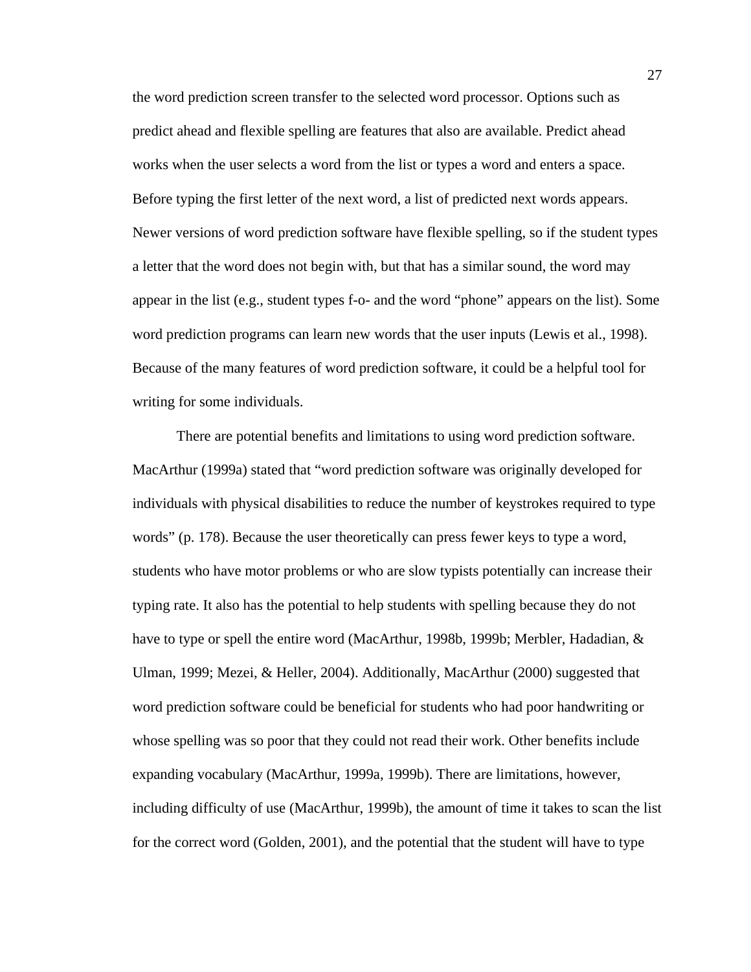the word prediction screen transfer to the selected word processor. Options such as predict ahead and flexible spelling are features that also are available. Predict ahead works when the user selects a word from the list or types a word and enters a space. Before typing the first letter of the next word, a list of predicted next words appears. Newer versions of word prediction software have flexible spelling, so if the student types a letter that the word does not begin with, but that has a similar sound, the word may appear in the list (e.g., student types f-o- and the word "phone" appears on the list). Some word prediction programs can learn new words that the user inputs (Lewis et al., 1998). Because of the many features of word prediction software, it could be a helpful tool for writing for some individuals.

 There are potential benefits and limitations to using word prediction software. MacArthur (1999a) stated that "word prediction software was originally developed for individuals with physical disabilities to reduce the number of keystrokes required to type words" (p. 178). Because the user theoretically can press fewer keys to type a word, students who have motor problems or who are slow typists potentially can increase their typing rate. It also has the potential to help students with spelling because they do not have to type or spell the entire word (MacArthur, 1998b, 1999b; Merbler, Hadadian, & Ulman, 1999; Mezei, & Heller, 2004). Additionally, MacArthur (2000) suggested that word prediction software could be beneficial for students who had poor handwriting or whose spelling was so poor that they could not read their work. Other benefits include expanding vocabulary (MacArthur, 1999a, 1999b). There are limitations, however, including difficulty of use (MacArthur, 1999b), the amount of time it takes to scan the list for the correct word (Golden, 2001), and the potential that the student will have to type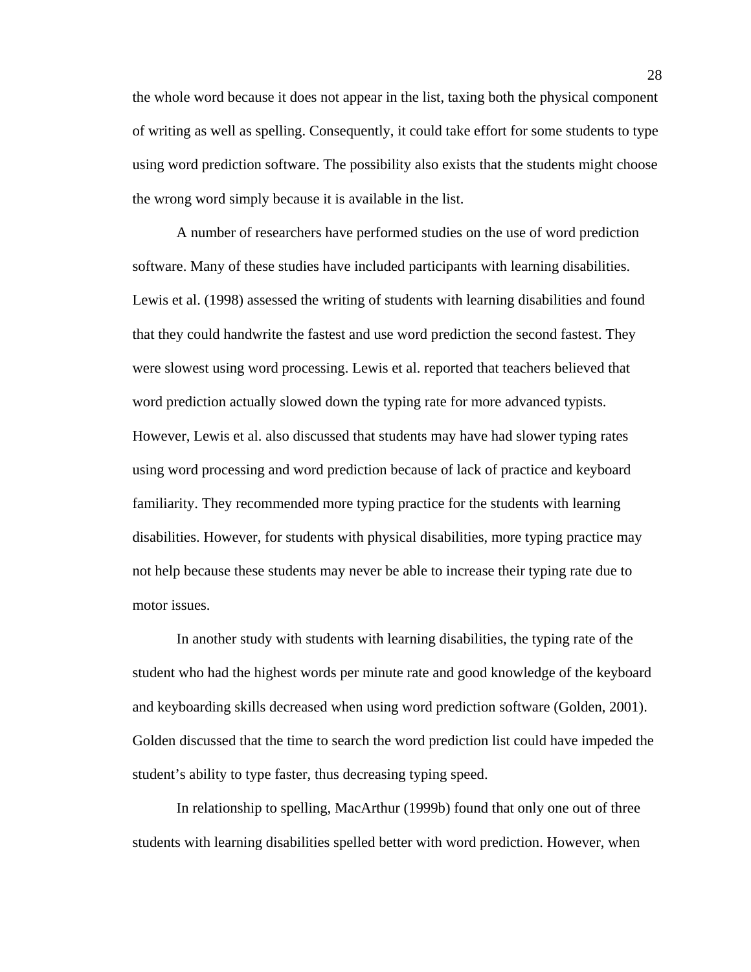the whole word because it does not appear in the list, taxing both the physical component of writing as well as spelling. Consequently, it could take effort for some students to type using word prediction software. The possibility also exists that the students might choose the wrong word simply because it is available in the list.

 A number of researchers have performed studies on the use of word prediction software. Many of these studies have included participants with learning disabilities. Lewis et al. (1998) assessed the writing of students with learning disabilities and found that they could handwrite the fastest and use word prediction the second fastest. They were slowest using word processing. Lewis et al. reported that teachers believed that word prediction actually slowed down the typing rate for more advanced typists. However, Lewis et al. also discussed that students may have had slower typing rates using word processing and word prediction because of lack of practice and keyboard familiarity. They recommended more typing practice for the students with learning disabilities. However, for students with physical disabilities, more typing practice may not help because these students may never be able to increase their typing rate due to motor issues.

In another study with students with learning disabilities, the typing rate of the student who had the highest words per minute rate and good knowledge of the keyboard and keyboarding skills decreased when using word prediction software (Golden, 2001). Golden discussed that the time to search the word prediction list could have impeded the student's ability to type faster, thus decreasing typing speed.

 In relationship to spelling, MacArthur (1999b) found that only one out of three students with learning disabilities spelled better with word prediction. However, when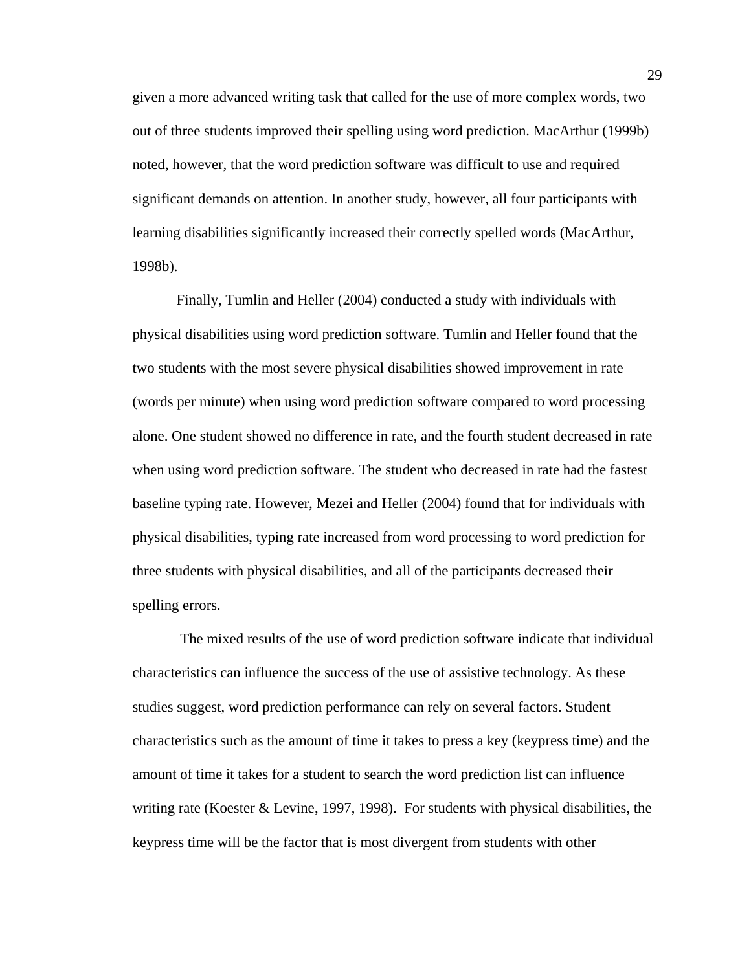given a more advanced writing task that called for the use of more complex words, two out of three students improved their spelling using word prediction. MacArthur (1999b) noted, however, that the word prediction software was difficult to use and required significant demands on attention. In another study, however, all four participants with learning disabilities significantly increased their correctly spelled words (MacArthur, 1998b).

Finally, Tumlin and Heller (2004) conducted a study with individuals with physical disabilities using word prediction software. Tumlin and Heller found that the two students with the most severe physical disabilities showed improvement in rate (words per minute) when using word prediction software compared to word processing alone. One student showed no difference in rate, and the fourth student decreased in rate when using word prediction software. The student who decreased in rate had the fastest baseline typing rate. However, Mezei and Heller (2004) found that for individuals with physical disabilities, typing rate increased from word processing to word prediction for three students with physical disabilities, and all of the participants decreased their spelling errors.

 The mixed results of the use of word prediction software indicate that individual characteristics can influence the success of the use of assistive technology. As these studies suggest, word prediction performance can rely on several factors. Student characteristics such as the amount of time it takes to press a key (keypress time) and the amount of time it takes for a student to search the word prediction list can influence writing rate (Koester & Levine, 1997, 1998). For students with physical disabilities, the keypress time will be the factor that is most divergent from students with other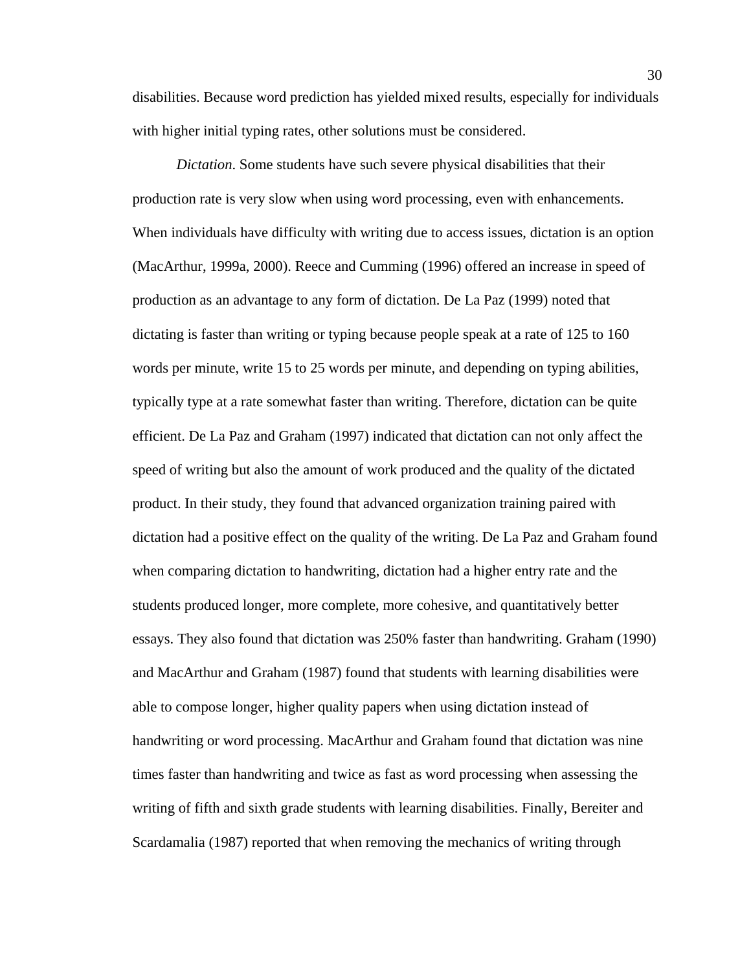disabilities. Because word prediction has yielded mixed results, especially for individuals with higher initial typing rates, other solutions must be considered.

*Dictation*. Some students have such severe physical disabilities that their production rate is very slow when using word processing, even with enhancements. When individuals have difficulty with writing due to access issues, dictation is an option (MacArthur, 1999a, 2000). Reece and Cumming (1996) offered an increase in speed of production as an advantage to any form of dictation. De La Paz (1999) noted that dictating is faster than writing or typing because people speak at a rate of 125 to 160 words per minute, write 15 to 25 words per minute, and depending on typing abilities, typically type at a rate somewhat faster than writing. Therefore, dictation can be quite efficient. De La Paz and Graham (1997) indicated that dictation can not only affect the speed of writing but also the amount of work produced and the quality of the dictated product. In their study, they found that advanced organization training paired with dictation had a positive effect on the quality of the writing. De La Paz and Graham found when comparing dictation to handwriting, dictation had a higher entry rate and the students produced longer, more complete, more cohesive, and quantitatively better essays. They also found that dictation was 250% faster than handwriting. Graham (1990) and MacArthur and Graham (1987) found that students with learning disabilities were able to compose longer, higher quality papers when using dictation instead of handwriting or word processing. MacArthur and Graham found that dictation was nine times faster than handwriting and twice as fast as word processing when assessing the writing of fifth and sixth grade students with learning disabilities. Finally, Bereiter and Scardamalia (1987) reported that when removing the mechanics of writing through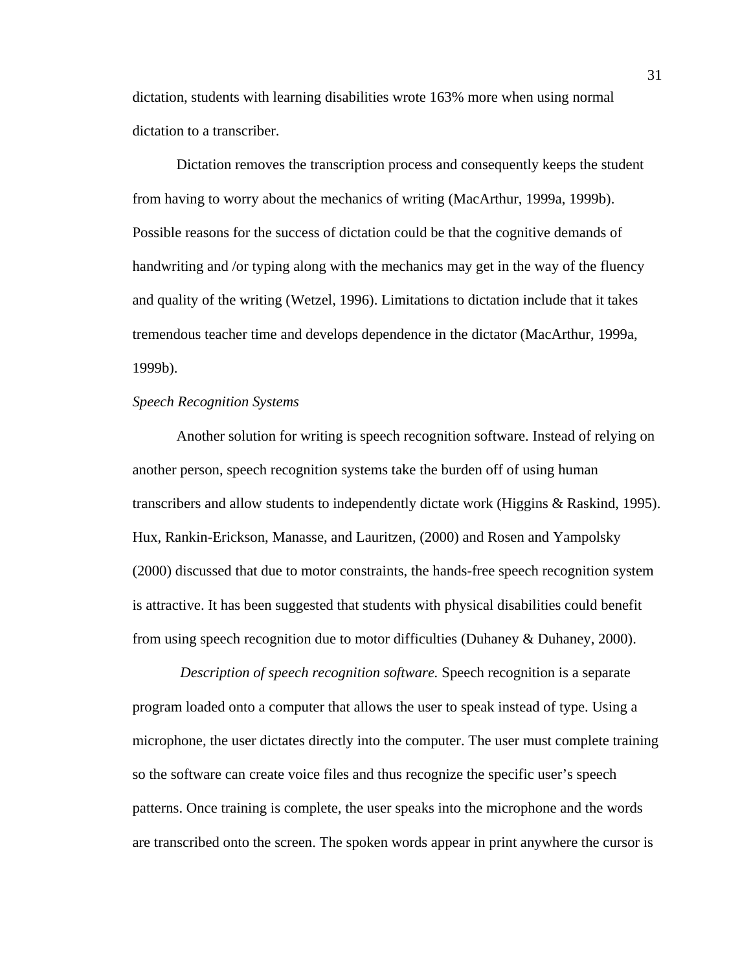dictation, students with learning disabilities wrote 163% more when using normal dictation to a transcriber.

Dictation removes the transcription process and consequently keeps the student from having to worry about the mechanics of writing (MacArthur, 1999a, 1999b). Possible reasons for the success of dictation could be that the cognitive demands of handwriting and /or typing along with the mechanics may get in the way of the fluency and quality of the writing (Wetzel, 1996). Limitations to dictation include that it takes tremendous teacher time and develops dependence in the dictator (MacArthur, 1999a, 1999b).

## *Speech Recognition Systems*

Another solution for writing is speech recognition software. Instead of relying on another person, speech recognition systems take the burden off of using human transcribers and allow students to independently dictate work (Higgins & Raskind, 1995). Hux, Rankin-Erickson, Manasse, and Lauritzen, (2000) and Rosen and Yampolsky (2000) discussed that due to motor constraints, the hands-free speech recognition system is attractive. It has been suggested that students with physical disabilities could benefit from using speech recognition due to motor difficulties (Duhaney & Duhaney, 2000).

*Description of speech recognition software.* Speech recognition is a separate program loaded onto a computer that allows the user to speak instead of type. Using a microphone, the user dictates directly into the computer. The user must complete training so the software can create voice files and thus recognize the specific user's speech patterns. Once training is complete, the user speaks into the microphone and the words are transcribed onto the screen. The spoken words appear in print anywhere the cursor is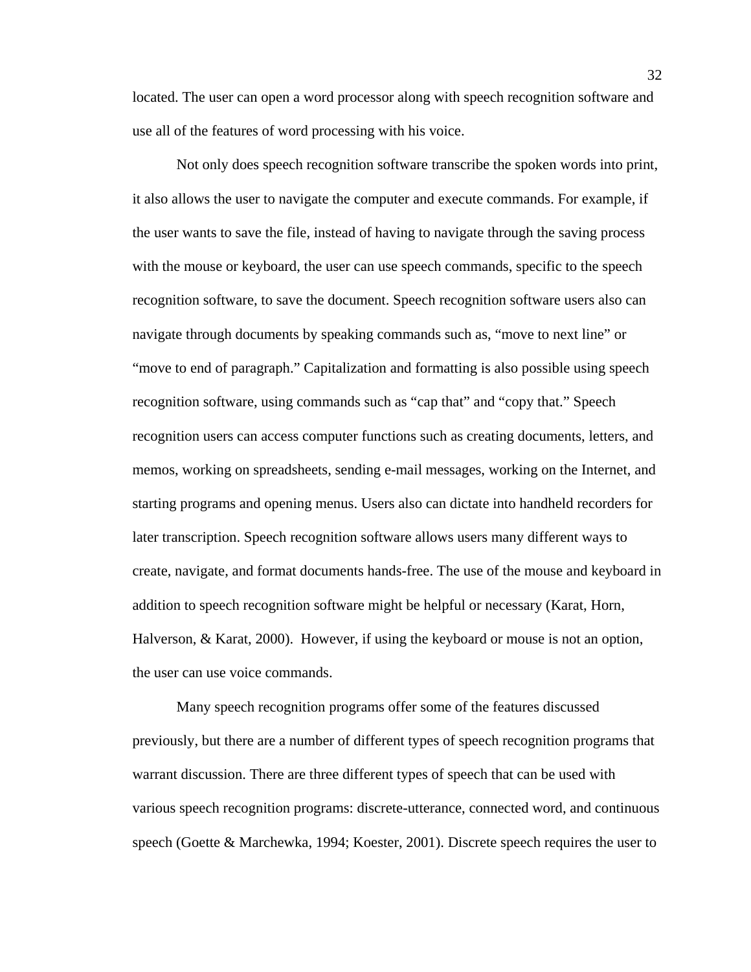located. The user can open a word processor along with speech recognition software and use all of the features of word processing with his voice.

 Not only does speech recognition software transcribe the spoken words into print, it also allows the user to navigate the computer and execute commands. For example, if the user wants to save the file, instead of having to navigate through the saving process with the mouse or keyboard, the user can use speech commands, specific to the speech recognition software, to save the document. Speech recognition software users also can navigate through documents by speaking commands such as, "move to next line" or "move to end of paragraph." Capitalization and formatting is also possible using speech recognition software, using commands such as "cap that" and "copy that." Speech recognition users can access computer functions such as creating documents, letters, and memos, working on spreadsheets, sending e-mail messages, working on the Internet, and starting programs and opening menus. Users also can dictate into handheld recorders for later transcription. Speech recognition software allows users many different ways to create, navigate, and format documents hands-free. The use of the mouse and keyboard in addition to speech recognition software might be helpful or necessary (Karat, Horn, Halverson, & Karat, 2000). However, if using the keyboard or mouse is not an option, the user can use voice commands.

 Many speech recognition programs offer some of the features discussed previously, but there are a number of different types of speech recognition programs that warrant discussion. There are three different types of speech that can be used with various speech recognition programs: discrete-utterance, connected word, and continuous speech (Goette & Marchewka, 1994; Koester, 2001). Discrete speech requires the user to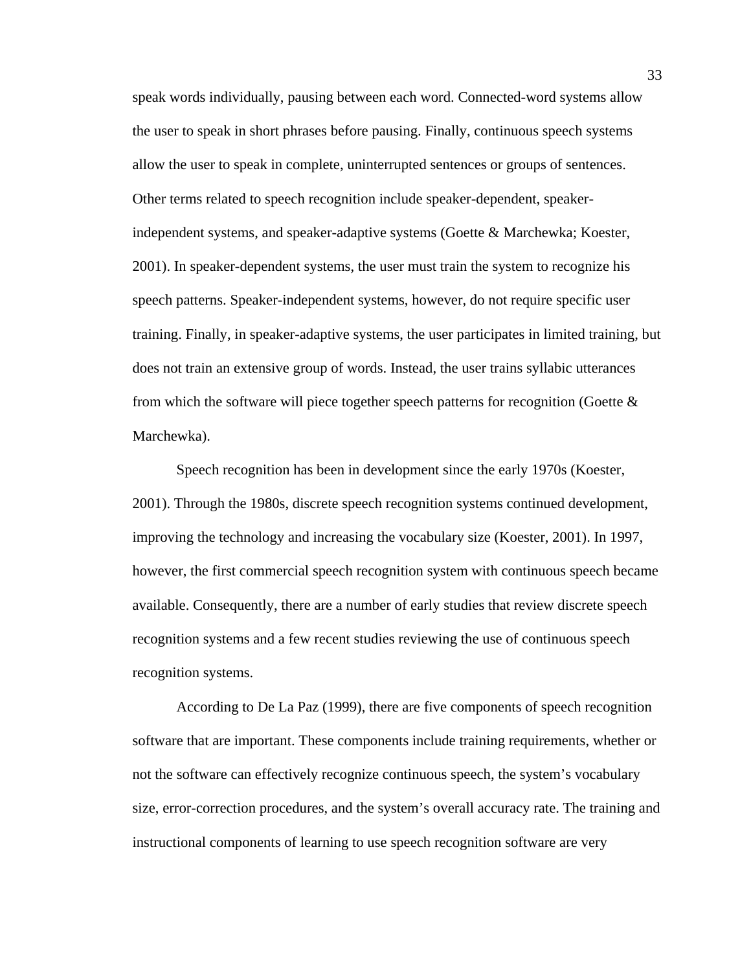speak words individually, pausing between each word. Connected-word systems allow the user to speak in short phrases before pausing. Finally, continuous speech systems allow the user to speak in complete, uninterrupted sentences or groups of sentences. Other terms related to speech recognition include speaker-dependent, speakerindependent systems, and speaker-adaptive systems (Goette & Marchewka; Koester, 2001). In speaker-dependent systems, the user must train the system to recognize his speech patterns. Speaker-independent systems, however, do not require specific user training. Finally, in speaker-adaptive systems, the user participates in limited training, but does not train an extensive group of words. Instead, the user trains syllabic utterances from which the software will piece together speech patterns for recognition (Goette  $\&$ Marchewka).

Speech recognition has been in development since the early 1970s (Koester, 2001). Through the 1980s, discrete speech recognition systems continued development, improving the technology and increasing the vocabulary size (Koester, 2001). In 1997, however, the first commercial speech recognition system with continuous speech became available. Consequently, there are a number of early studies that review discrete speech recognition systems and a few recent studies reviewing the use of continuous speech recognition systems.

According to De La Paz (1999), there are five components of speech recognition software that are important. These components include training requirements, whether or not the software can effectively recognize continuous speech, the system's vocabulary size, error-correction procedures, and the system's overall accuracy rate. The training and instructional components of learning to use speech recognition software are very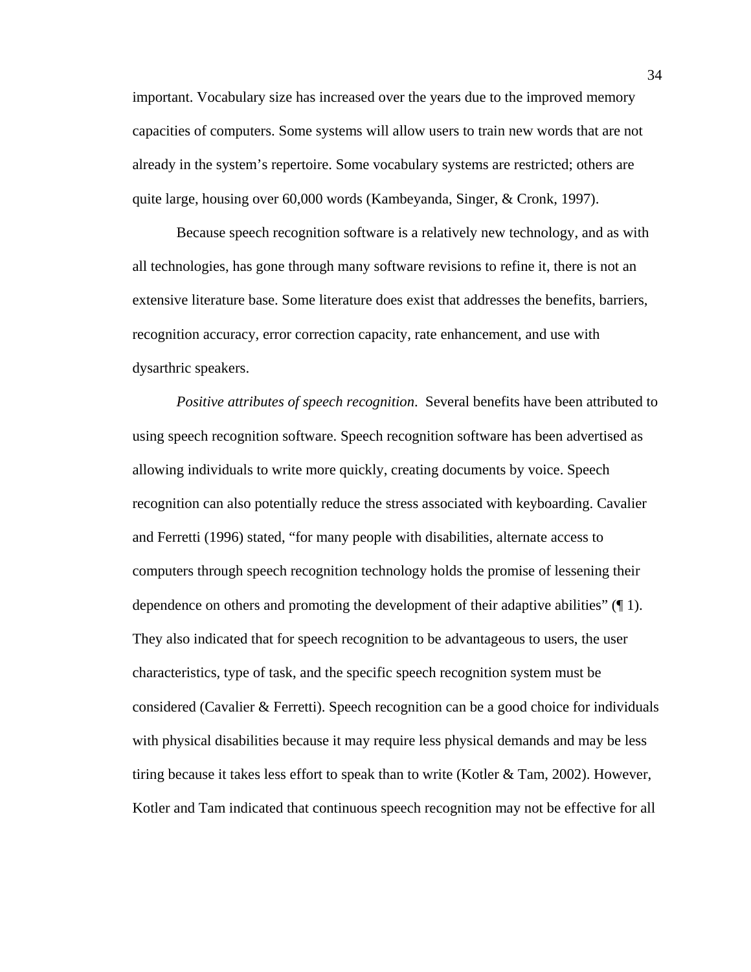important. Vocabulary size has increased over the years due to the improved memory capacities of computers. Some systems will allow users to train new words that are not already in the system's repertoire. Some vocabulary systems are restricted; others are quite large, housing over 60,000 words (Kambeyanda, Singer, & Cronk, 1997).

Because speech recognition software is a relatively new technology, and as with all technologies, has gone through many software revisions to refine it, there is not an extensive literature base. Some literature does exist that addresses the benefits, barriers, recognition accuracy, error correction capacity, rate enhancement, and use with dysarthric speakers.

*Positive attributes of speech recognition*. Several benefits have been attributed to using speech recognition software. Speech recognition software has been advertised as allowing individuals to write more quickly, creating documents by voice. Speech recognition can also potentially reduce the stress associated with keyboarding. Cavalier and Ferretti (1996) stated, "for many people with disabilities, alternate access to computers through speech recognition technology holds the promise of lessening their dependence on others and promoting the development of their adaptive abilities" (¶ 1). They also indicated that for speech recognition to be advantageous to users, the user characteristics, type of task, and the specific speech recognition system must be considered (Cavalier & Ferretti). Speech recognition can be a good choice for individuals with physical disabilities because it may require less physical demands and may be less tiring because it takes less effort to speak than to write (Kotler & Tam, 2002). However, Kotler and Tam indicated that continuous speech recognition may not be effective for all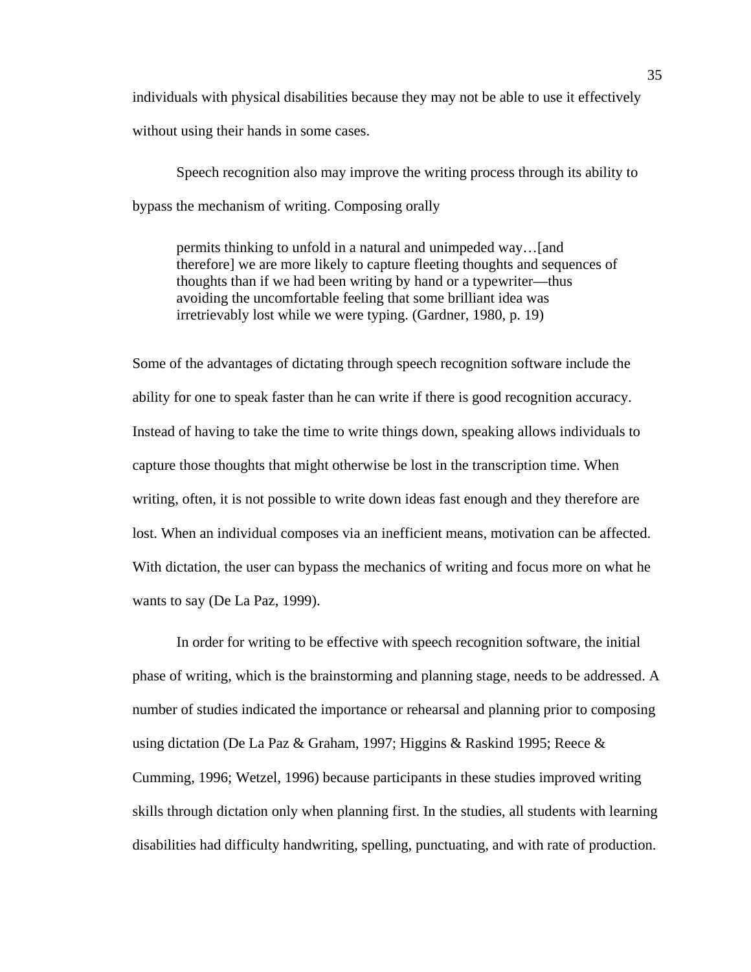individuals with physical disabilities because they may not be able to use it effectively without using their hands in some cases.

Speech recognition also may improve the writing process through its ability to bypass the mechanism of writing. Composing orally

permits thinking to unfold in a natural and unimpeded way…[and therefore] we are more likely to capture fleeting thoughts and sequences of thoughts than if we had been writing by hand or a typewriter—thus avoiding the uncomfortable feeling that some brilliant idea was irretrievably lost while we were typing. (Gardner, 1980, p. 19)

Some of the advantages of dictating through speech recognition software include the ability for one to speak faster than he can write if there is good recognition accuracy. Instead of having to take the time to write things down, speaking allows individuals to capture those thoughts that might otherwise be lost in the transcription time. When writing, often, it is not possible to write down ideas fast enough and they therefore are lost. When an individual composes via an inefficient means, motivation can be affected. With dictation, the user can bypass the mechanics of writing and focus more on what he wants to say (De La Paz, 1999).

In order for writing to be effective with speech recognition software, the initial phase of writing, which is the brainstorming and planning stage, needs to be addressed. A number of studies indicated the importance or rehearsal and planning prior to composing using dictation (De La Paz & Graham, 1997; Higgins & Raskind 1995; Reece & Cumming, 1996; Wetzel, 1996) because participants in these studies improved writing skills through dictation only when planning first. In the studies, all students with learning disabilities had difficulty handwriting, spelling, punctuating, and with rate of production.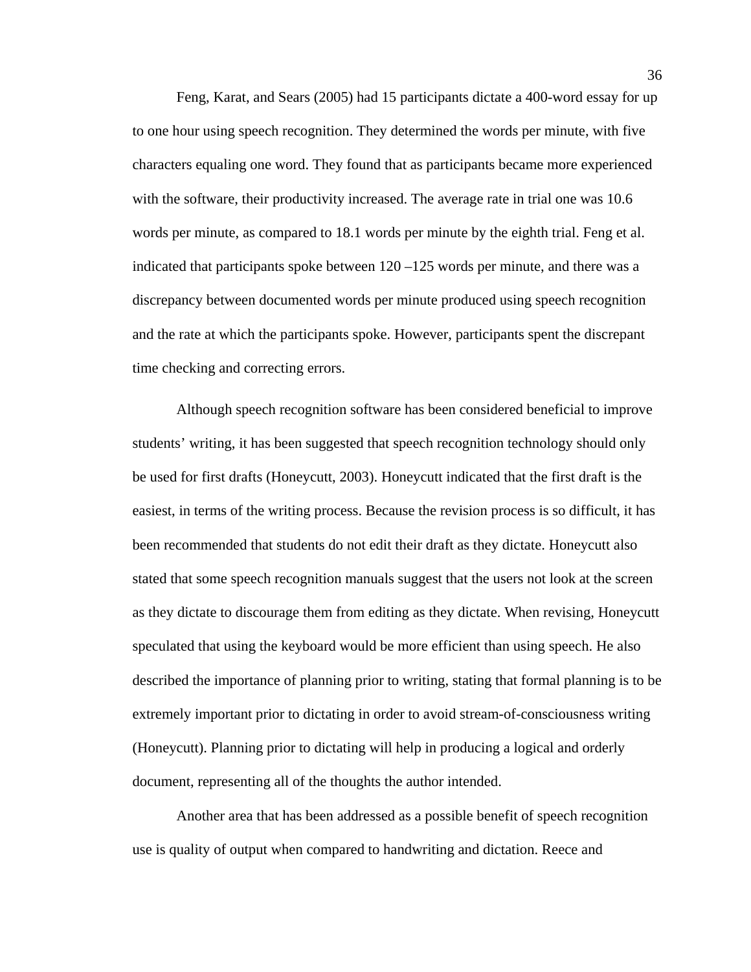Feng, Karat, and Sears (2005) had 15 participants dictate a 400-word essay for up to one hour using speech recognition. They determined the words per minute, with five characters equaling one word. They found that as participants became more experienced with the software, their productivity increased. The average rate in trial one was 10.6 words per minute, as compared to 18.1 words per minute by the eighth trial. Feng et al. indicated that participants spoke between 120 –125 words per minute, and there was a discrepancy between documented words per minute produced using speech recognition and the rate at which the participants spoke. However, participants spent the discrepant time checking and correcting errors.

Although speech recognition software has been considered beneficial to improve students' writing, it has been suggested that speech recognition technology should only be used for first drafts (Honeycutt, 2003). Honeycutt indicated that the first draft is the easiest, in terms of the writing process. Because the revision process is so difficult, it has been recommended that students do not edit their draft as they dictate. Honeycutt also stated that some speech recognition manuals suggest that the users not look at the screen as they dictate to discourage them from editing as they dictate. When revising, Honeycutt speculated that using the keyboard would be more efficient than using speech. He also described the importance of planning prior to writing, stating that formal planning is to be extremely important prior to dictating in order to avoid stream-of-consciousness writing (Honeycutt). Planning prior to dictating will help in producing a logical and orderly document, representing all of the thoughts the author intended.

Another area that has been addressed as a possible benefit of speech recognition use is quality of output when compared to handwriting and dictation. Reece and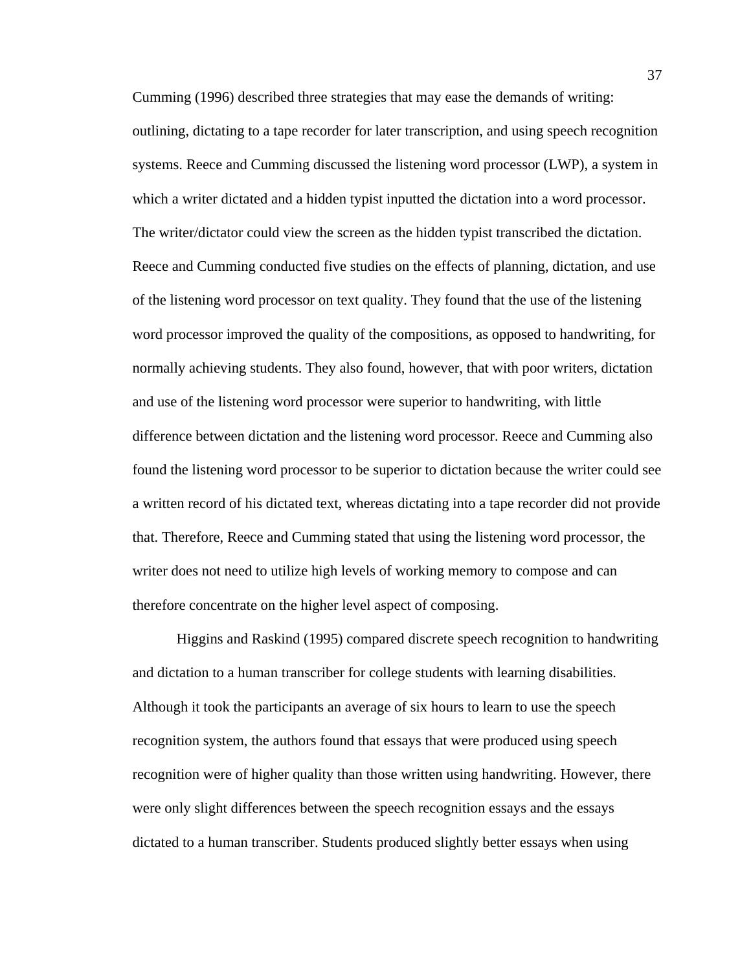Cumming (1996) described three strategies that may ease the demands of writing: outlining, dictating to a tape recorder for later transcription, and using speech recognition systems. Reece and Cumming discussed the listening word processor (LWP), a system in which a writer dictated and a hidden typist inputted the dictation into a word processor. The writer/dictator could view the screen as the hidden typist transcribed the dictation. Reece and Cumming conducted five studies on the effects of planning, dictation, and use of the listening word processor on text quality. They found that the use of the listening word processor improved the quality of the compositions, as opposed to handwriting, for normally achieving students. They also found, however, that with poor writers, dictation and use of the listening word processor were superior to handwriting, with little difference between dictation and the listening word processor. Reece and Cumming also found the listening word processor to be superior to dictation because the writer could see a written record of his dictated text, whereas dictating into a tape recorder did not provide that. Therefore, Reece and Cumming stated that using the listening word processor, the writer does not need to utilize high levels of working memory to compose and can therefore concentrate on the higher level aspect of composing.

Higgins and Raskind (1995) compared discrete speech recognition to handwriting and dictation to a human transcriber for college students with learning disabilities. Although it took the participants an average of six hours to learn to use the speech recognition system, the authors found that essays that were produced using speech recognition were of higher quality than those written using handwriting. However, there were only slight differences between the speech recognition essays and the essays dictated to a human transcriber. Students produced slightly better essays when using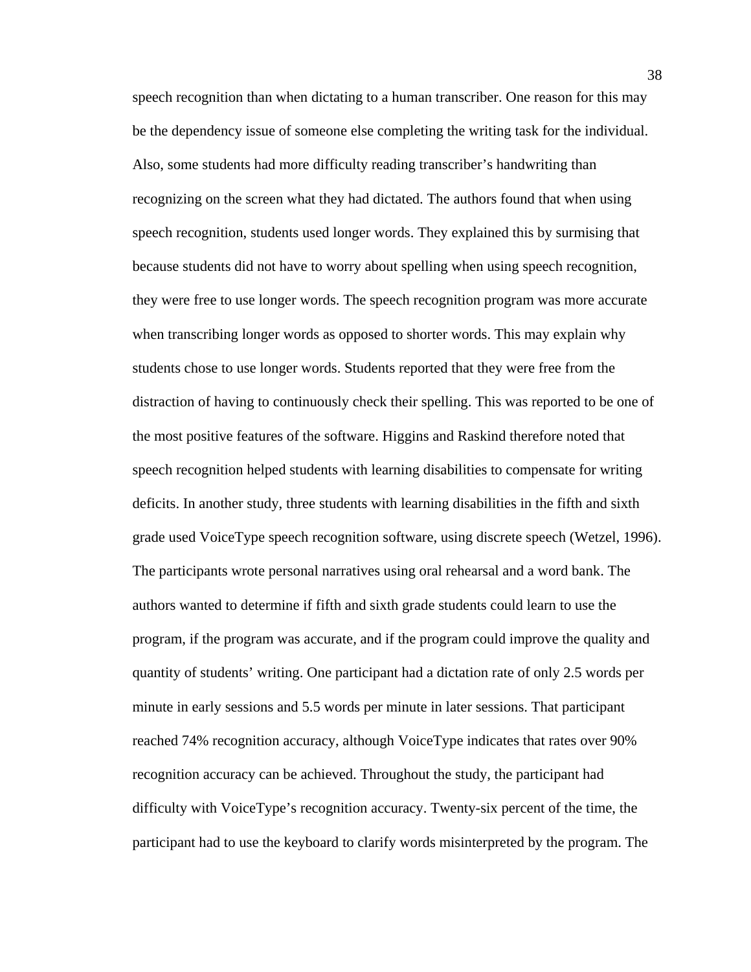speech recognition than when dictating to a human transcriber. One reason for this may be the dependency issue of someone else completing the writing task for the individual. Also, some students had more difficulty reading transcriber's handwriting than recognizing on the screen what they had dictated. The authors found that when using speech recognition, students used longer words. They explained this by surmising that because students did not have to worry about spelling when using speech recognition, they were free to use longer words. The speech recognition program was more accurate when transcribing longer words as opposed to shorter words. This may explain why students chose to use longer words. Students reported that they were free from the distraction of having to continuously check their spelling. This was reported to be one of the most positive features of the software. Higgins and Raskind therefore noted that speech recognition helped students with learning disabilities to compensate for writing deficits. In another study, three students with learning disabilities in the fifth and sixth grade used VoiceType speech recognition software, using discrete speech (Wetzel, 1996). The participants wrote personal narratives using oral rehearsal and a word bank. The authors wanted to determine if fifth and sixth grade students could learn to use the program, if the program was accurate, and if the program could improve the quality and quantity of students' writing. One participant had a dictation rate of only 2.5 words per minute in early sessions and 5.5 words per minute in later sessions. That participant reached 74% recognition accuracy, although VoiceType indicates that rates over 90% recognition accuracy can be achieved. Throughout the study, the participant had difficulty with VoiceType's recognition accuracy. Twenty-six percent of the time, the participant had to use the keyboard to clarify words misinterpreted by the program. The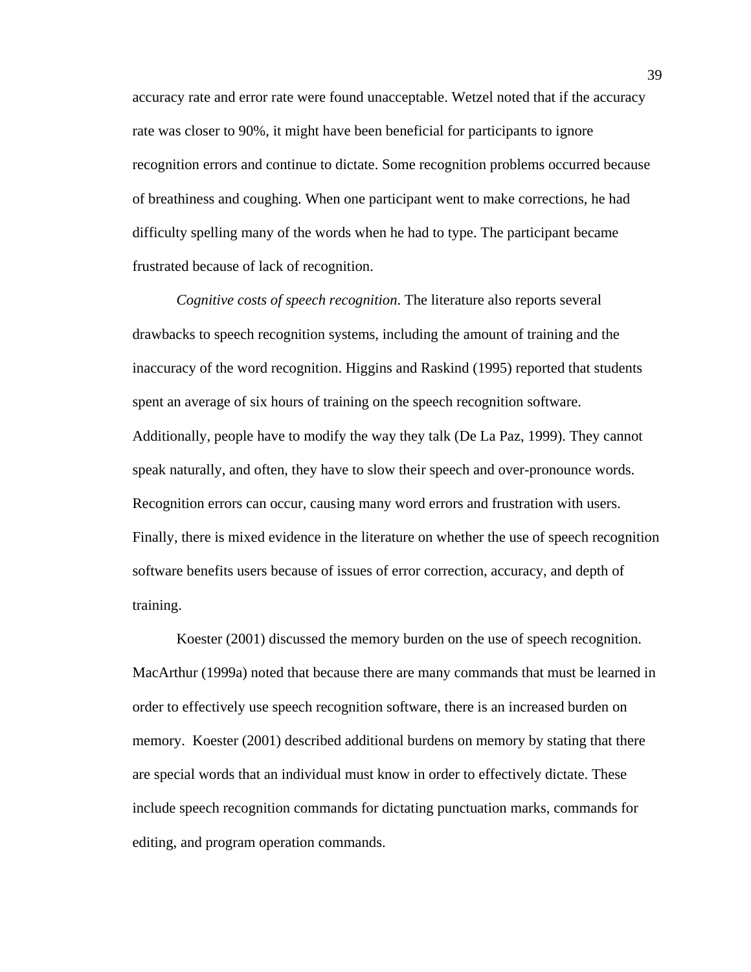accuracy rate and error rate were found unacceptable. Wetzel noted that if the accuracy rate was closer to 90%, it might have been beneficial for participants to ignore recognition errors and continue to dictate. Some recognition problems occurred because of breathiness and coughing. When one participant went to make corrections, he had difficulty spelling many of the words when he had to type. The participant became frustrated because of lack of recognition.

*Cognitive costs of speech recognition*. The literature also reports several drawbacks to speech recognition systems, including the amount of training and the inaccuracy of the word recognition. Higgins and Raskind (1995) reported that students spent an average of six hours of training on the speech recognition software. Additionally, people have to modify the way they talk (De La Paz, 1999). They cannot speak naturally, and often, they have to slow their speech and over-pronounce words. Recognition errors can occur, causing many word errors and frustration with users. Finally, there is mixed evidence in the literature on whether the use of speech recognition software benefits users because of issues of error correction, accuracy, and depth of training.

Koester (2001) discussed the memory burden on the use of speech recognition. MacArthur (1999a) noted that because there are many commands that must be learned in order to effectively use speech recognition software, there is an increased burden on memory. Koester (2001) described additional burdens on memory by stating that there are special words that an individual must know in order to effectively dictate. These include speech recognition commands for dictating punctuation marks, commands for editing, and program operation commands.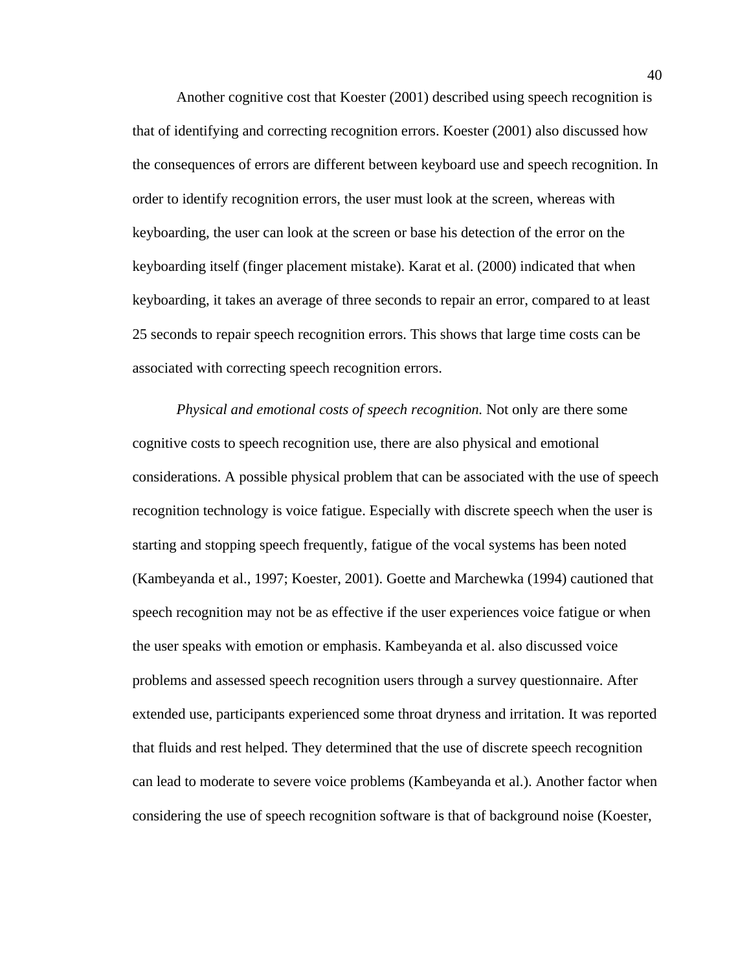Another cognitive cost that Koester (2001) described using speech recognition is that of identifying and correcting recognition errors. Koester (2001) also discussed how the consequences of errors are different between keyboard use and speech recognition. In order to identify recognition errors, the user must look at the screen, whereas with keyboarding, the user can look at the screen or base his detection of the error on the keyboarding itself (finger placement mistake). Karat et al. (2000) indicated that when keyboarding, it takes an average of three seconds to repair an error, compared to at least 25 seconds to repair speech recognition errors. This shows that large time costs can be associated with correcting speech recognition errors.

*Physical and emotional costs of speech recognition.* Not only are there some cognitive costs to speech recognition use, there are also physical and emotional considerations. A possible physical problem that can be associated with the use of speech recognition technology is voice fatigue. Especially with discrete speech when the user is starting and stopping speech frequently, fatigue of the vocal systems has been noted (Kambeyanda et al., 1997; Koester, 2001). Goette and Marchewka (1994) cautioned that speech recognition may not be as effective if the user experiences voice fatigue or when the user speaks with emotion or emphasis. Kambeyanda et al. also discussed voice problems and assessed speech recognition users through a survey questionnaire. After extended use, participants experienced some throat dryness and irritation. It was reported that fluids and rest helped. They determined that the use of discrete speech recognition can lead to moderate to severe voice problems (Kambeyanda et al.). Another factor when considering the use of speech recognition software is that of background noise (Koester,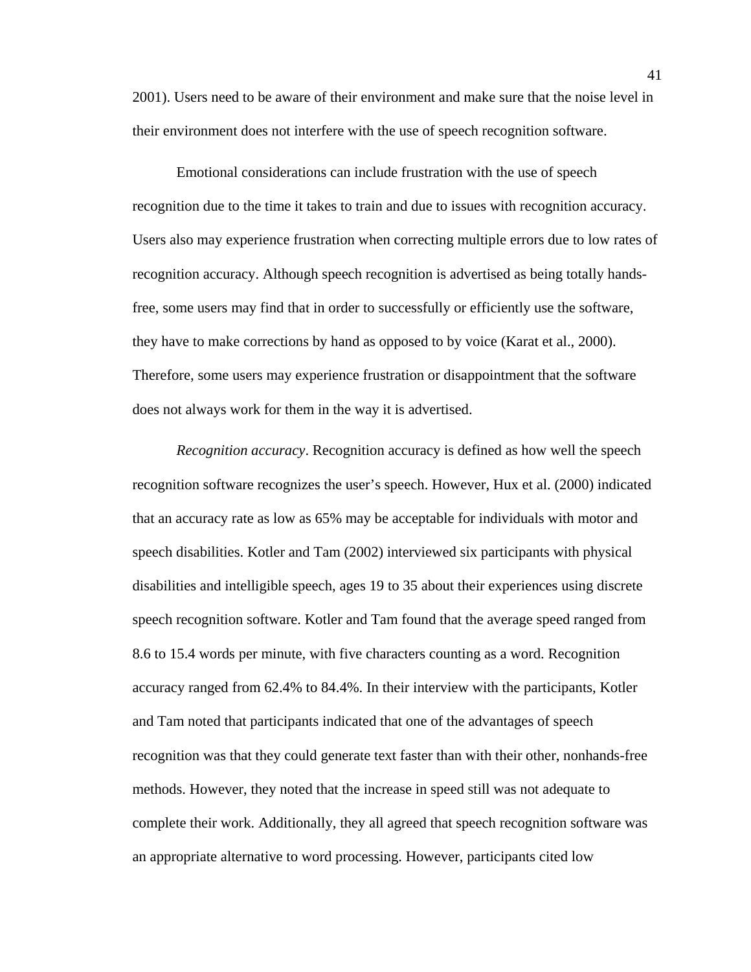2001). Users need to be aware of their environment and make sure that the noise level in their environment does not interfere with the use of speech recognition software.

Emotional considerations can include frustration with the use of speech recognition due to the time it takes to train and due to issues with recognition accuracy. Users also may experience frustration when correcting multiple errors due to low rates of recognition accuracy. Although speech recognition is advertised as being totally handsfree, some users may find that in order to successfully or efficiently use the software, they have to make corrections by hand as opposed to by voice (Karat et al., 2000). Therefore, some users may experience frustration or disappointment that the software does not always work for them in the way it is advertised.

*Recognition accuracy*. Recognition accuracy is defined as how well the speech recognition software recognizes the user's speech. However, Hux et al. (2000) indicated that an accuracy rate as low as 65% may be acceptable for individuals with motor and speech disabilities. Kotler and Tam (2002) interviewed six participants with physical disabilities and intelligible speech, ages 19 to 35 about their experiences using discrete speech recognition software. Kotler and Tam found that the average speed ranged from 8.6 to 15.4 words per minute, with five characters counting as a word. Recognition accuracy ranged from 62.4% to 84.4%. In their interview with the participants, Kotler and Tam noted that participants indicated that one of the advantages of speech recognition was that they could generate text faster than with their other, nonhands-free methods. However, they noted that the increase in speed still was not adequate to complete their work. Additionally, they all agreed that speech recognition software was an appropriate alternative to word processing. However, participants cited low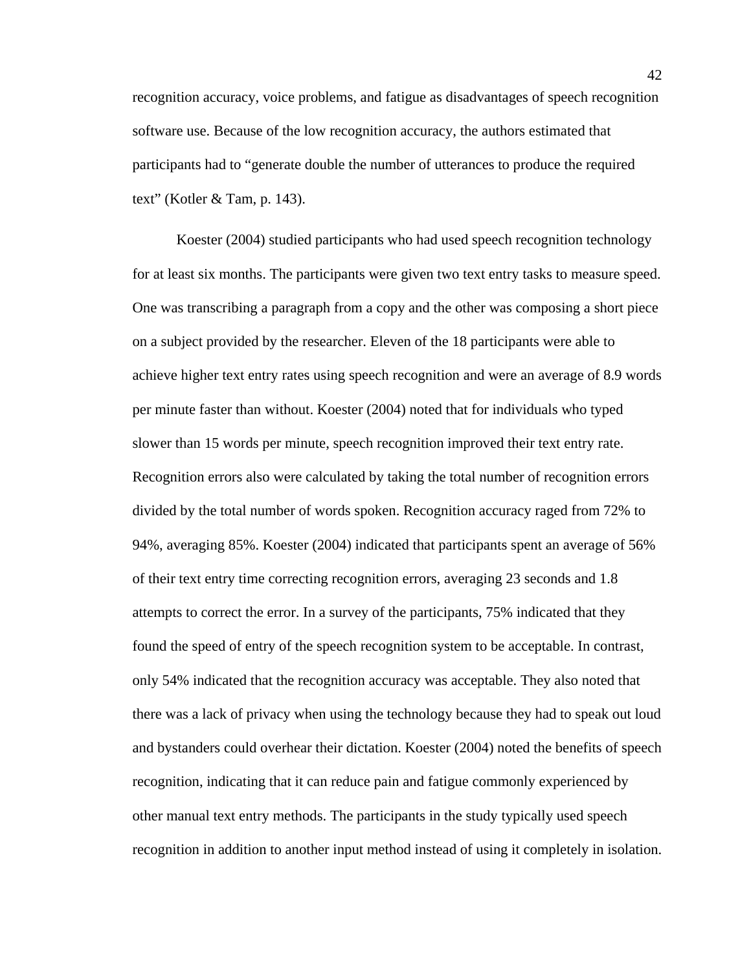recognition accuracy, voice problems, and fatigue as disadvantages of speech recognition software use. Because of the low recognition accuracy, the authors estimated that participants had to "generate double the number of utterances to produce the required text" (Kotler & Tam, p. 143).

Koester (2004) studied participants who had used speech recognition technology for at least six months. The participants were given two text entry tasks to measure speed. One was transcribing a paragraph from a copy and the other was composing a short piece on a subject provided by the researcher. Eleven of the 18 participants were able to achieve higher text entry rates using speech recognition and were an average of 8.9 words per minute faster than without. Koester (2004) noted that for individuals who typed slower than 15 words per minute, speech recognition improved their text entry rate. Recognition errors also were calculated by taking the total number of recognition errors divided by the total number of words spoken. Recognition accuracy raged from 72% to 94%, averaging 85%. Koester (2004) indicated that participants spent an average of 56% of their text entry time correcting recognition errors, averaging 23 seconds and 1.8 attempts to correct the error. In a survey of the participants, 75% indicated that they found the speed of entry of the speech recognition system to be acceptable. In contrast, only 54% indicated that the recognition accuracy was acceptable. They also noted that there was a lack of privacy when using the technology because they had to speak out loud and bystanders could overhear their dictation. Koester (2004) noted the benefits of speech recognition, indicating that it can reduce pain and fatigue commonly experienced by other manual text entry methods. The participants in the study typically used speech recognition in addition to another input method instead of using it completely in isolation.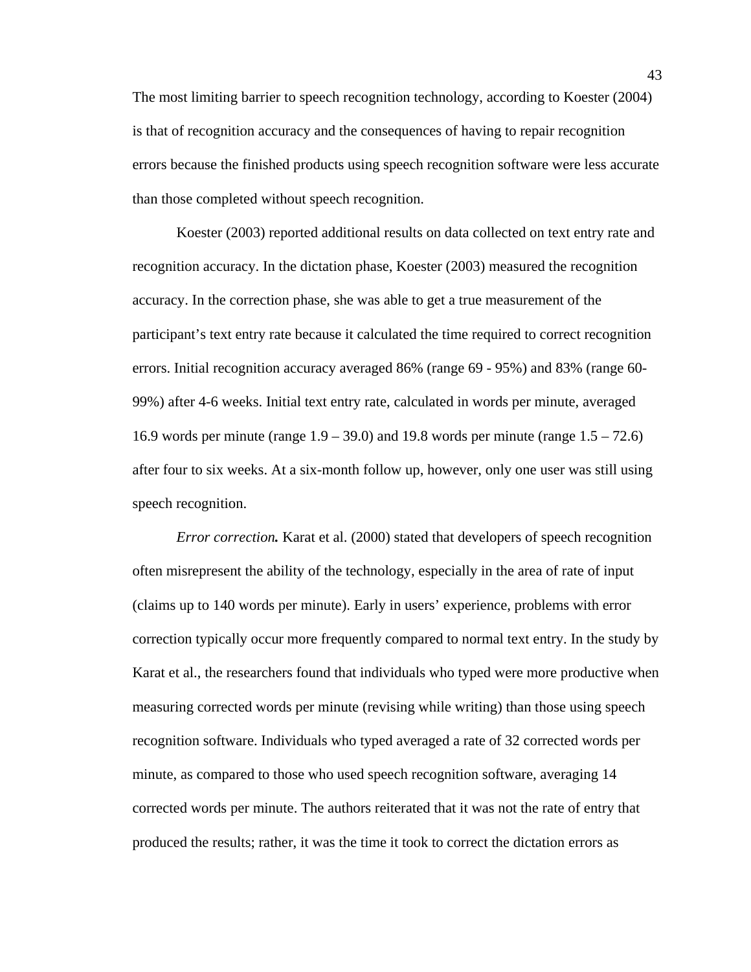The most limiting barrier to speech recognition technology, according to Koester (2004) is that of recognition accuracy and the consequences of having to repair recognition errors because the finished products using speech recognition software were less accurate than those completed without speech recognition.

Koester (2003) reported additional results on data collected on text entry rate and recognition accuracy. In the dictation phase, Koester (2003) measured the recognition accuracy. In the correction phase, she was able to get a true measurement of the participant's text entry rate because it calculated the time required to correct recognition errors. Initial recognition accuracy averaged 86% (range 69 - 95%) and 83% (range 60- 99%) after 4-6 weeks. Initial text entry rate, calculated in words per minute, averaged 16.9 words per minute (range 1.9 – 39.0) and 19.8 words per minute (range 1.5 – 72.6) after four to six weeks. At a six-month follow up, however, only one user was still using speech recognition.

*Error correction.* Karat et al. (2000) stated that developers of speech recognition often misrepresent the ability of the technology, especially in the area of rate of input (claims up to 140 words per minute). Early in users' experience, problems with error correction typically occur more frequently compared to normal text entry. In the study by Karat et al., the researchers found that individuals who typed were more productive when measuring corrected words per minute (revising while writing) than those using speech recognition software. Individuals who typed averaged a rate of 32 corrected words per minute, as compared to those who used speech recognition software, averaging 14 corrected words per minute. The authors reiterated that it was not the rate of entry that produced the results; rather, it was the time it took to correct the dictation errors as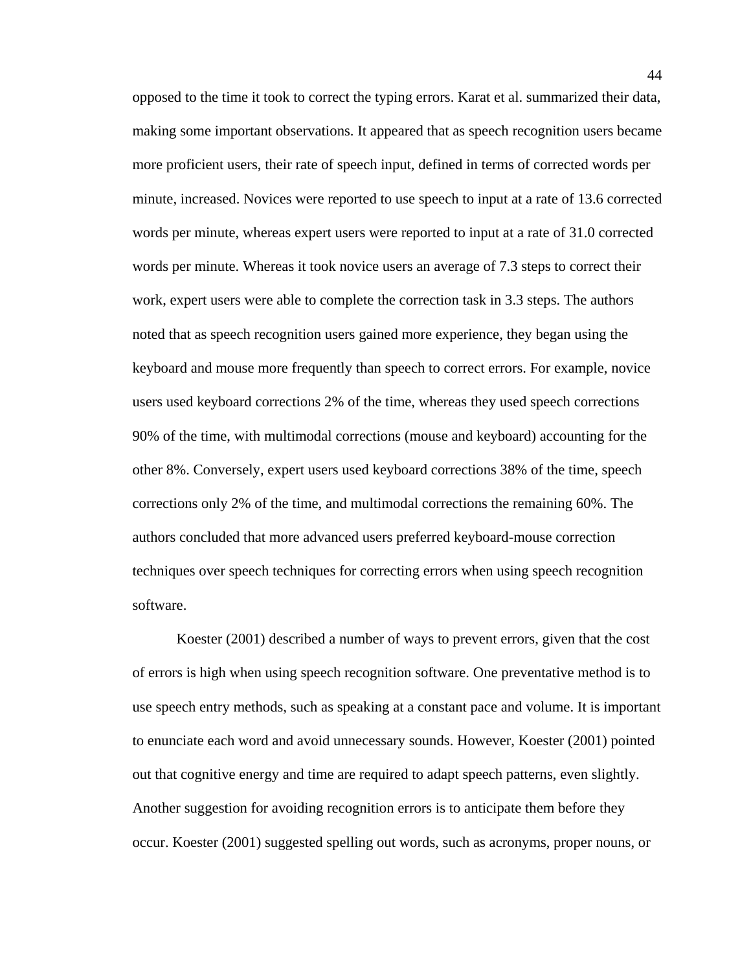opposed to the time it took to correct the typing errors. Karat et al. summarized their data, making some important observations. It appeared that as speech recognition users became more proficient users, their rate of speech input, defined in terms of corrected words per minute, increased. Novices were reported to use speech to input at a rate of 13.6 corrected words per minute, whereas expert users were reported to input at a rate of 31.0 corrected words per minute. Whereas it took novice users an average of 7.3 steps to correct their work, expert users were able to complete the correction task in 3.3 steps. The authors noted that as speech recognition users gained more experience, they began using the keyboard and mouse more frequently than speech to correct errors. For example, novice users used keyboard corrections 2% of the time, whereas they used speech corrections 90% of the time, with multimodal corrections (mouse and keyboard) accounting for the other 8%. Conversely, expert users used keyboard corrections 38% of the time, speech corrections only 2% of the time, and multimodal corrections the remaining 60%. The authors concluded that more advanced users preferred keyboard-mouse correction techniques over speech techniques for correcting errors when using speech recognition software.

Koester (2001) described a number of ways to prevent errors, given that the cost of errors is high when using speech recognition software. One preventative method is to use speech entry methods, such as speaking at a constant pace and volume. It is important to enunciate each word and avoid unnecessary sounds. However, Koester (2001) pointed out that cognitive energy and time are required to adapt speech patterns, even slightly. Another suggestion for avoiding recognition errors is to anticipate them before they occur. Koester (2001) suggested spelling out words, such as acronyms, proper nouns, or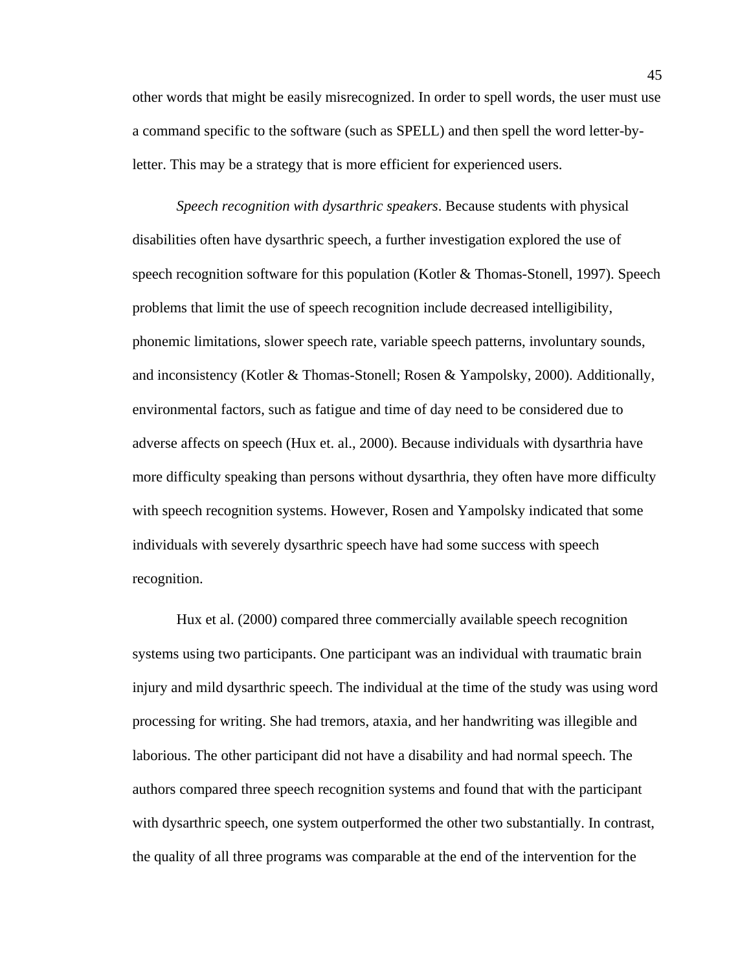other words that might be easily misrecognized. In order to spell words, the user must use a command specific to the software (such as SPELL) and then spell the word letter-byletter. This may be a strategy that is more efficient for experienced users.

*Speech recognition with dysarthric speakers*. Because students with physical disabilities often have dysarthric speech, a further investigation explored the use of speech recognition software for this population (Kotler & Thomas-Stonell, 1997). Speech problems that limit the use of speech recognition include decreased intelligibility, phonemic limitations, slower speech rate, variable speech patterns, involuntary sounds, and inconsistency (Kotler & Thomas-Stonell; Rosen & Yampolsky, 2000). Additionally, environmental factors, such as fatigue and time of day need to be considered due to adverse affects on speech (Hux et. al., 2000). Because individuals with dysarthria have more difficulty speaking than persons without dysarthria, they often have more difficulty with speech recognition systems. However, Rosen and Yampolsky indicated that some individuals with severely dysarthric speech have had some success with speech recognition.

 Hux et al. (2000) compared three commercially available speech recognition systems using two participants. One participant was an individual with traumatic brain injury and mild dysarthric speech. The individual at the time of the study was using word processing for writing. She had tremors, ataxia, and her handwriting was illegible and laborious. The other participant did not have a disability and had normal speech. The authors compared three speech recognition systems and found that with the participant with dysarthric speech, one system outperformed the other two substantially. In contrast, the quality of all three programs was comparable at the end of the intervention for the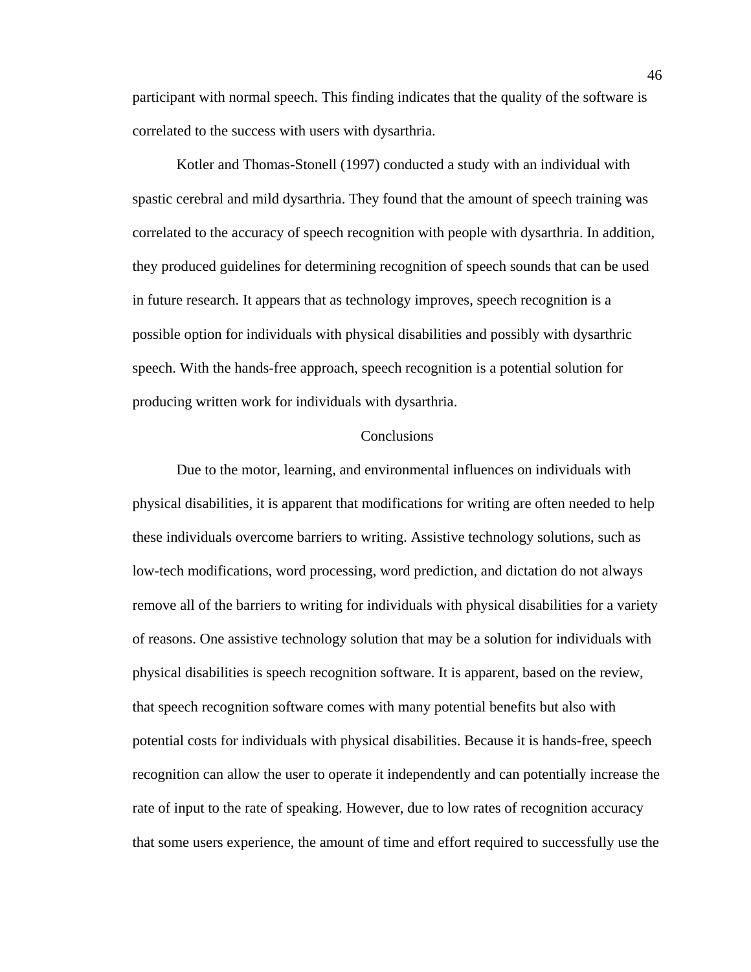participant with normal speech. This finding indicates that the quality of the software is correlated to the success with users with dysarthria.

 Kotler and Thomas-Stonell (1997) conducted a study with an individual with spastic cerebral and mild dysarthria. They found that the amount of speech training was correlated to the accuracy of speech recognition with people with dysarthria. In addition, they produced guidelines for determining recognition of speech sounds that can be used in future research. It appears that as technology improves, speech recognition is a possible option for individuals with physical disabilities and possibly with dysarthric speech. With the hands-free approach, speech recognition is a potential solution for producing written work for individuals with dysarthria.

#### **Conclusions**

 Due to the motor, learning, and environmental influences on individuals with physical disabilities, it is apparent that modifications for writing are often needed to help these individuals overcome barriers to writing. Assistive technology solutions, such as low-tech modifications, word processing, word prediction, and dictation do not always remove all of the barriers to writing for individuals with physical disabilities for a variety of reasons. One assistive technology solution that may be a solution for individuals with physical disabilities is speech recognition software. It is apparent, based on the review, that speech recognition software comes with many potential benefits but also with potential costs for individuals with physical disabilities. Because it is hands-free, speech recognition can allow the user to operate it independently and can potentially increase the rate of input to the rate of speaking. However, due to low rates of recognition accuracy that some users experience, the amount of time and effort required to successfully use the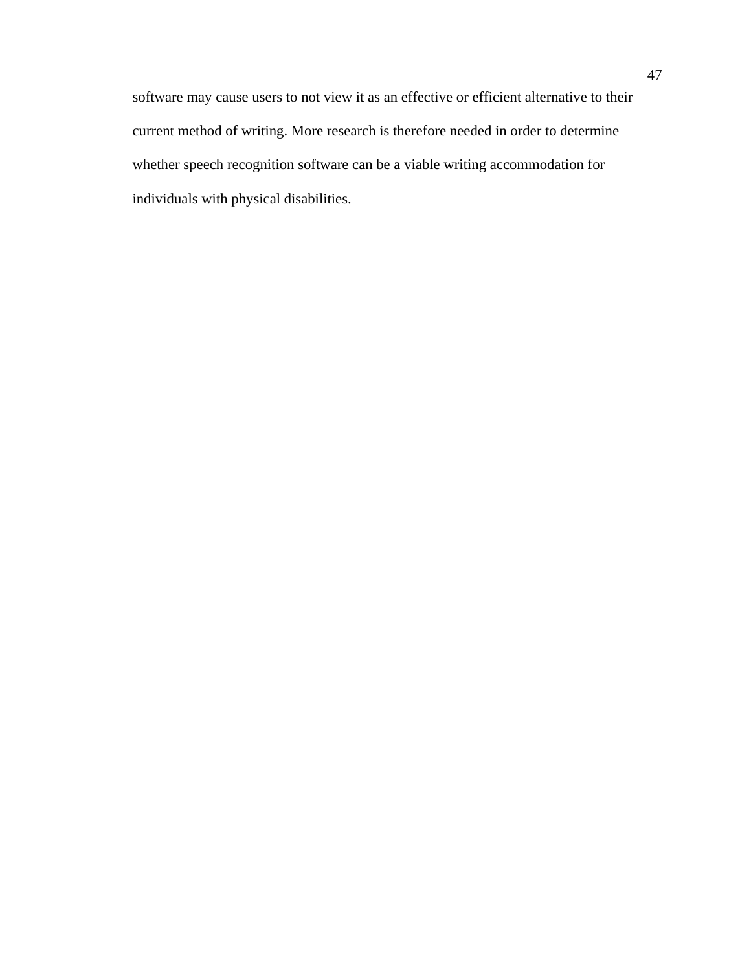software may cause users to not view it as an effective or efficient alternative to their current method of writing. More research is therefore needed in order to determine whether speech recognition software can be a viable writing accommodation for individuals with physical disabilities.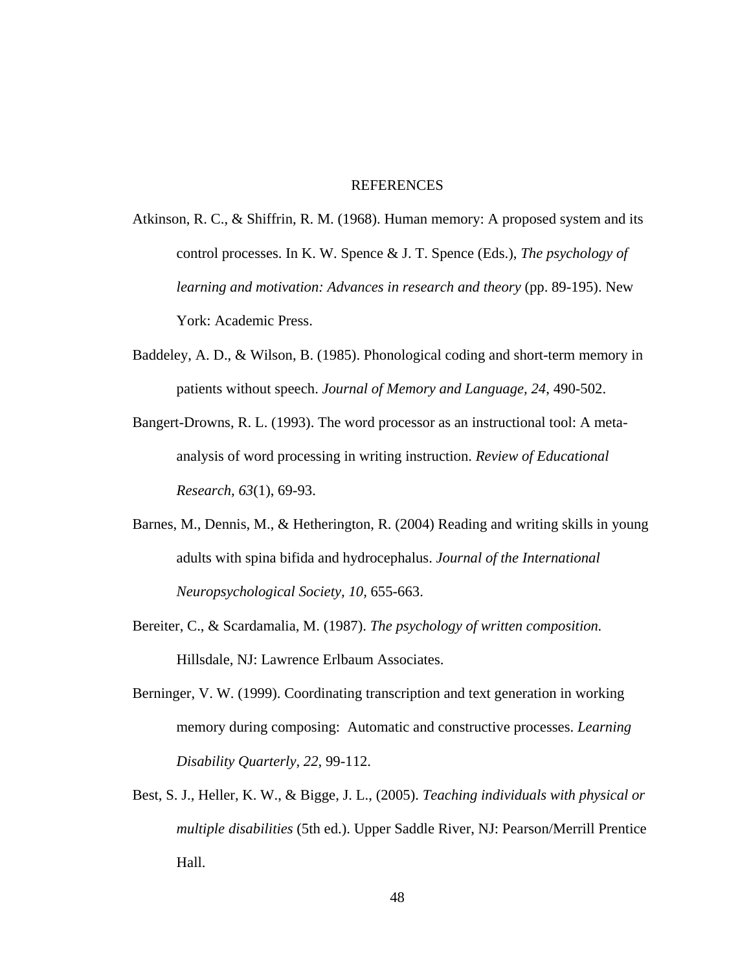#### REFERENCES

- Atkinson, R. C., & Shiffrin, R. M. (1968). Human memory: A proposed system and its control processes. In K. W. Spence & J. T. Spence (Eds.), *The psychology of learning and motivation: Advances in research and theory* (pp. 89-195). New York: Academic Press.
- Baddeley, A. D., & Wilson, B. (1985). Phonological coding and short-term memory in patients without speech. *Journal of Memory and Language, 24*, 490-502.
- Bangert-Drowns, R. L. (1993). The word processor as an instructional tool: A metaanalysis of word processing in writing instruction. *Review of Educational Research, 63*(1), 69-93.
- Barnes, M., Dennis, M., & Hetherington, R. (2004) Reading and writing skills in young adults with spina bifida and hydrocephalus. *Journal of the International Neuropsychological Society, 10,* 655-663.
- Bereiter, C., & Scardamalia, M. (1987). *The psychology of written composition.*  Hillsdale, NJ: Lawrence Erlbaum Associates.
- Berninger, V. W. (1999). Coordinating transcription and text generation in working memory during composing: Automatic and constructive processes. *Learning Disability Quarterly, 22,* 99-112.
- Best, S. J., Heller, K. W., & Bigge, J. L., (2005). *Teaching individuals with physical or multiple disabilities* (5th ed.). Upper Saddle River, NJ: Pearson/Merrill Prentice Hall.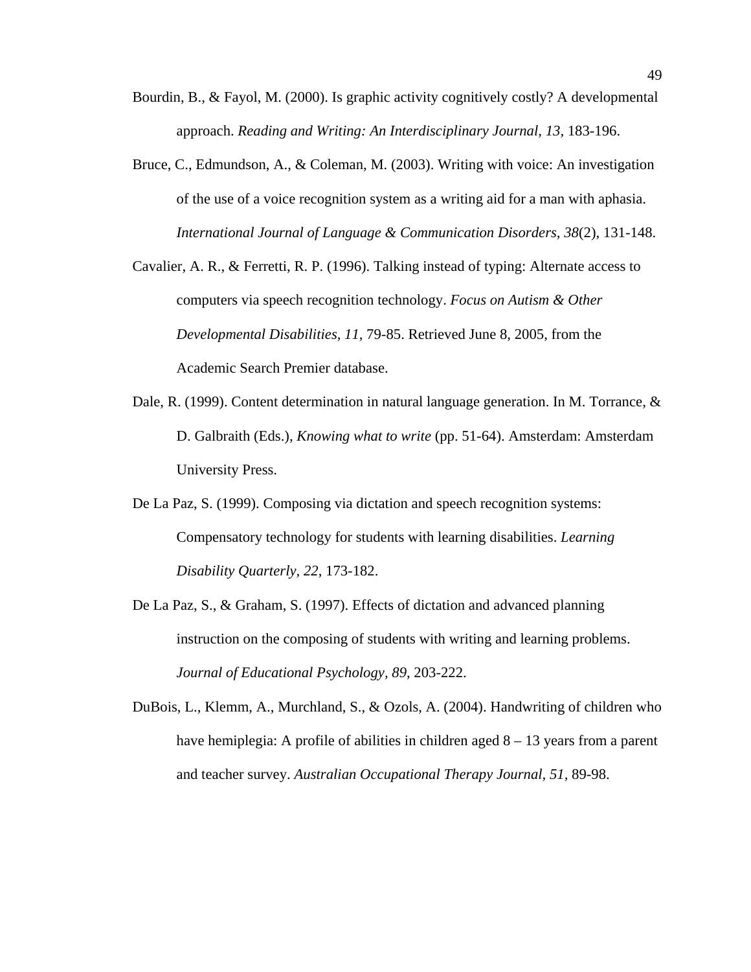- Bourdin, B., & Fayol, M. (2000). Is graphic activity cognitively costly? A developmental approach. *Reading and Writing: An Interdisciplinary Journal, 13,* 183-196.
- Bruce, C., Edmundson, A., & Coleman, M. (2003). Writing with voice: An investigation of the use of a voice recognition system as a writing aid for a man with aphasia. *International Journal of Language & Communication Disorders, 38*(2), 131-148.
- Cavalier, A. R., & Ferretti, R. P. (1996). Talking instead of typing: Alternate access to computers via speech recognition technology. *Focus on Autism & Other Developmental Disabilities, 11,* 79-85. Retrieved June 8, 2005, from the Academic Search Premier database.
- Dale, R. (1999). Content determination in natural language generation. In M. Torrance, & D. Galbraith (Eds.), *Knowing what to write* (pp. 51-64). Amsterdam: Amsterdam University Press.
- De La Paz, S. (1999). Composing via dictation and speech recognition systems: Compensatory technology for students with learning disabilities. *Learning Disability Quarterly, 22*, 173-182.
- De La Paz, S., & Graham, S. (1997). Effects of dictation and advanced planning instruction on the composing of students with writing and learning problems. *Journal of Educational Psychology, 89*, 203-222.
- DuBois, L., Klemm, A., Murchland, S., & Ozols, A. (2004). Handwriting of children who have hemiplegia: A profile of abilities in children aged  $8 - 13$  years from a parent and teacher survey. *Australian Occupational Therapy Journal, 51,* 89-98.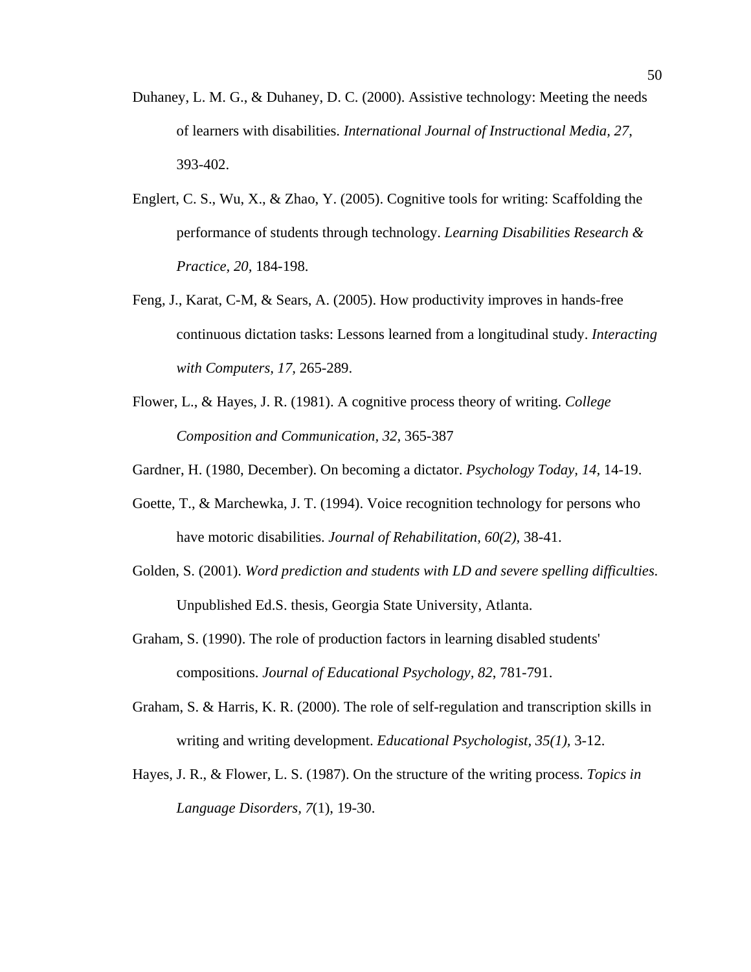- Duhaney, L. M. G., & Duhaney, D. C. (2000). Assistive technology: Meeting the needs of learners with disabilities. *International Journal of Instructional Media, 27*, 393-402.
- Englert, C. S., Wu, X., & Zhao, Y. (2005). Cognitive tools for writing: Scaffolding the performance of students through technology. *Learning Disabilities Research & Practice, 20,* 184-198.
- Feng, J., Karat, C-M, & Sears, A. (2005). How productivity improves in hands-free continuous dictation tasks: Lessons learned from a longitudinal study. *Interacting with Computers, 17,* 265-289.
- Flower, L., & Hayes, J. R. (1981). A cognitive process theory of writing. *College Composition and Communication, 32,* 365-387
- Gardner, H. (1980, December). On becoming a dictator. *Psychology Today, 14,* 14-19.
- Goette, T., & Marchewka, J. T. (1994). Voice recognition technology for persons who have motoric disabilities. *Journal of Rehabilitation, 60(2),* 38-41.
- Golden, S. (2001). *Word prediction and students with LD and severe spelling difficulties*. Unpublished Ed.S. thesis, Georgia State University, Atlanta.
- Graham, S. (1990). The role of production factors in learning disabled students' compositions. *Journal of Educational Psychology, 82*, 781-791.
- Graham, S. & Harris, K. R. (2000). The role of self-regulation and transcription skills in writing and writing development. *Educational Psychologist, 35(1),* 3-12.
- Hayes, J. R., & Flower, L. S. (1987). On the structure of the writing process. *Topics in Language Disorders, 7*(1), 19-30.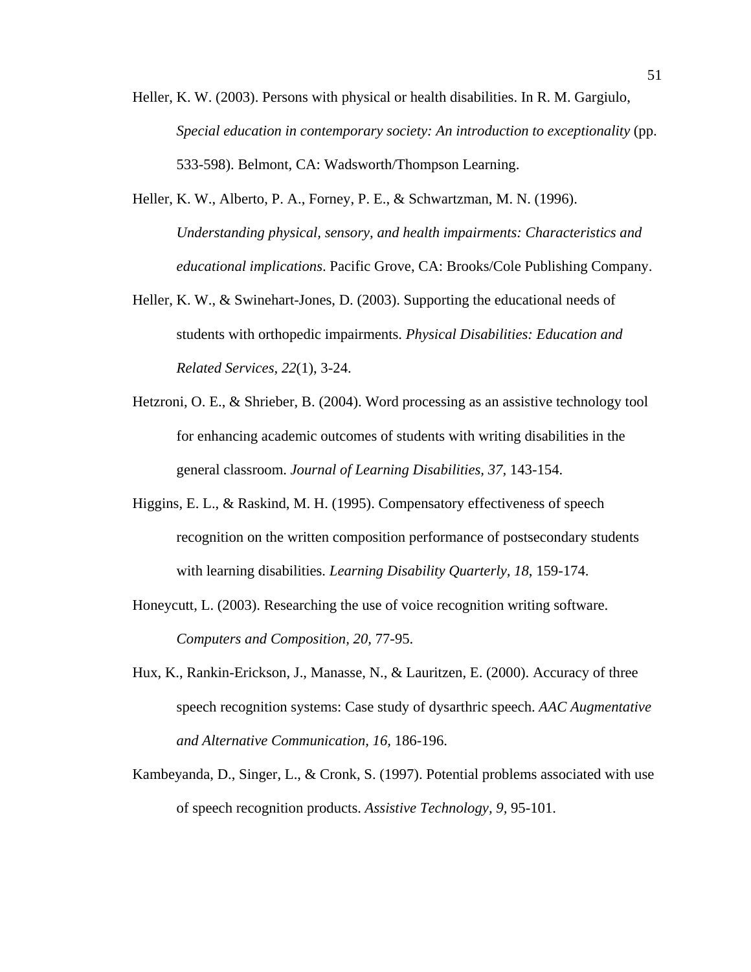- Heller, K. W. (2003). Persons with physical or health disabilities. In R. M. Gargiulo, *Special education in contemporary society: An introduction to exceptionality* (pp. 533-598). Belmont, CA: Wadsworth/Thompson Learning.
- Heller, K. W., Alberto, P. A., Forney, P. E., & Schwartzman, M. N. (1996). *Understanding physical, sensory, and health impairments: Characteristics and educational implications*. Pacific Grove, CA: Brooks/Cole Publishing Company.
- Heller, K. W., & Swinehart-Jones, D. (2003). Supporting the educational needs of students with orthopedic impairments. *Physical Disabilities: Education and Related Services, 22*(1), 3-24.
- Hetzroni, O. E., & Shrieber, B. (2004). Word processing as an assistive technology tool for enhancing academic outcomes of students with writing disabilities in the general classroom. *Journal of Learning Disabilities, 37,* 143-154.
- Higgins, E. L., & Raskind, M. H. (1995). Compensatory effectiveness of speech recognition on the written composition performance of postsecondary students with learning disabilities. *Learning Disability Quarterly, 18*, 159-174.
- Honeycutt, L. (2003). Researching the use of voice recognition writing software. *Computers and Composition, 20,* 77-95.
- Hux, K., Rankin-Erickson, J., Manasse, N., & Lauritzen, E. (2000). Accuracy of three speech recognition systems: Case study of dysarthric speech. *AAC Augmentative and Alternative Communication, 16,* 186-196.
- Kambeyanda, D., Singer, L., & Cronk, S. (1997). Potential problems associated with use of speech recognition products. *Assistive Technology, 9,* 95-101.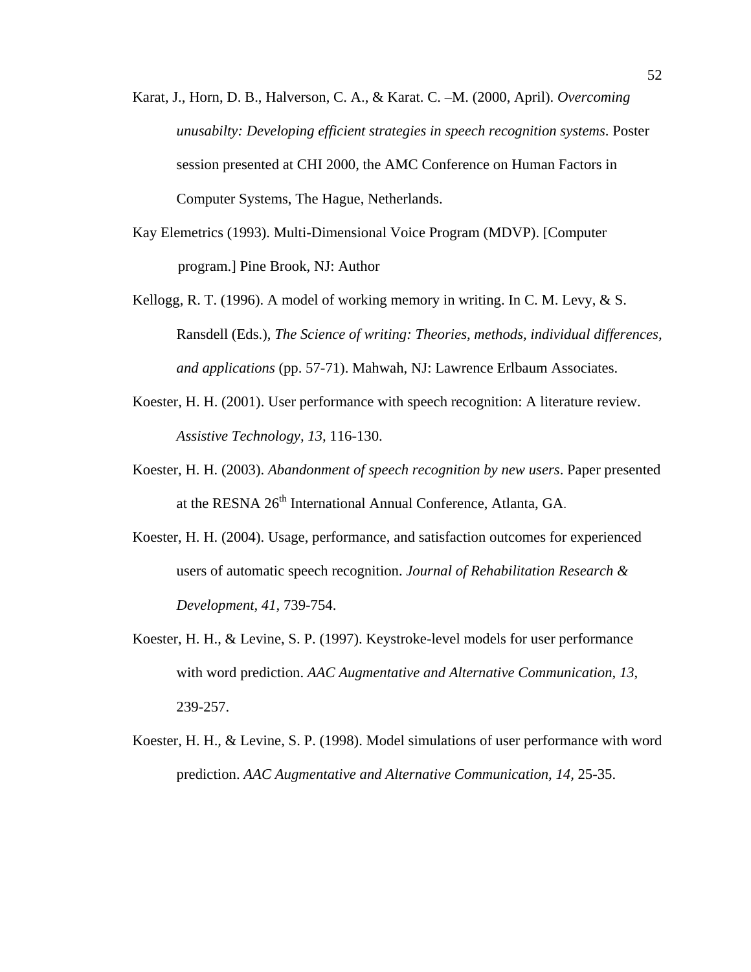- Karat, J., Horn, D. B., Halverson, C. A., & Karat. C. –M. (2000, April). *Overcoming unusabilty: Developing efficient strategies in speech recognition systems*. Poster session presented at CHI 2000, the AMC Conference on Human Factors in Computer Systems, The Hague, Netherlands.
- Kay Elemetrics (1993). Multi-Dimensional Voice Program (MDVP). [Computer program.] Pine Brook, NJ: Author
- Kellogg, R. T. (1996). A model of working memory in writing. In C. M. Levy, & S. Ransdell (Eds.), *The Science of writing: Theories, methods, individual differences, and applications* (pp. 57-71). Mahwah, NJ: Lawrence Erlbaum Associates.
- Koester, H. H. (2001). User performance with speech recognition: A literature review. *Assistive Technology, 13,* 116-130.
- Koester, H. H. (2003). *Abandonment of speech recognition by new users*. Paper presented at the RESNA 26<sup>th</sup> International Annual Conference, Atlanta, GA.
- Koester, H. H. (2004). Usage, performance, and satisfaction outcomes for experienced users of automatic speech recognition. *Journal of Rehabilitation Research & Development, 41,* 739-754.
- Koester, H. H., & Levine, S. P. (1997). Keystroke-level models for user performance with word prediction. *AAC Augmentative and Alternative Communication, 13*, 239-257.
- Koester, H. H., & Levine, S. P. (1998). Model simulations of user performance with word prediction. *AAC Augmentative and Alternative Communication, 14,* 25-35.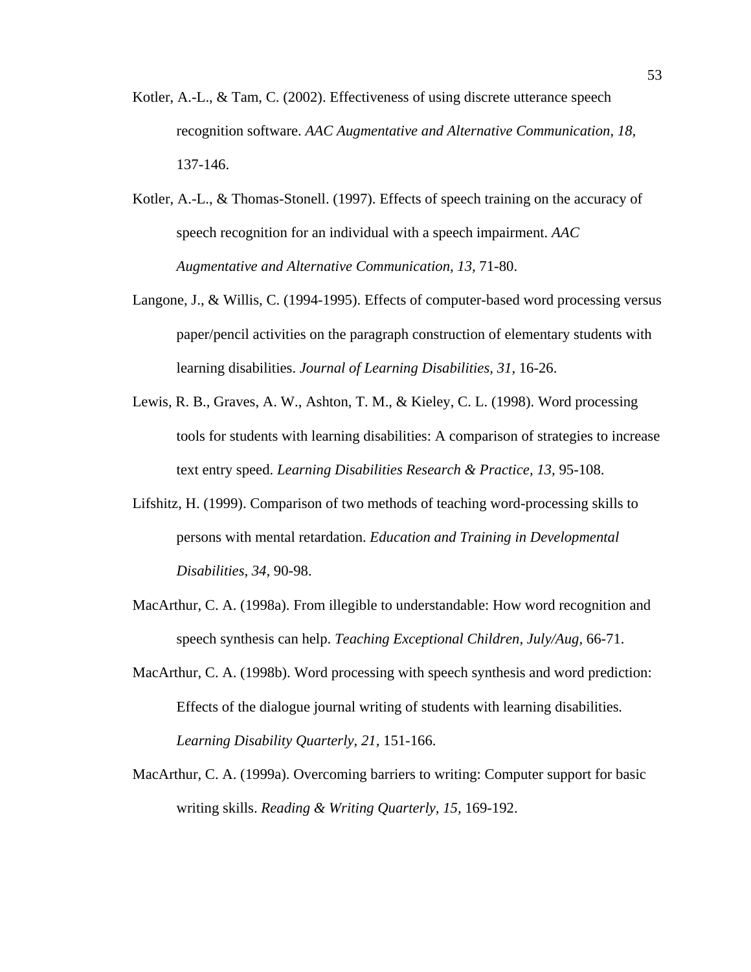- Kotler, A.-L., & Tam, C. (2002). Effectiveness of using discrete utterance speech recognition software. *AAC Augmentative and Alternative Communication, 18,*  137-146.
- Kotler, A.-L., & Thomas-Stonell. (1997). Effects of speech training on the accuracy of speech recognition for an individual with a speech impairment. *AAC Augmentative and Alternative Communication, 13,* 71-80.
- Langone, J., & Willis, C. (1994-1995). Effects of computer-based word processing versus paper/pencil activities on the paragraph construction of elementary students with learning disabilities. *Journal of Learning Disabilities, 31,* 16-26.
- Lewis, R. B., Graves, A. W., Ashton, T. M., & Kieley, C. L. (1998). Word processing tools for students with learning disabilities: A comparison of strategies to increase text entry speed. *Learning Disabilities Research & Practice, 13,* 95-108.
- Lifshitz, H. (1999). Comparison of two methods of teaching word-processing skills to persons with mental retardation. *Education and Training in Developmental Disabilities, 34*, 90-98.
- MacArthur, C. A. (1998a). From illegible to understandable: How word recognition and speech synthesis can help. *Teaching Exceptional Children, July/Aug,* 66-71.
- MacArthur, C. A. (1998b). Word processing with speech synthesis and word prediction: Effects of the dialogue journal writing of students with learning disabilities*. Learning Disability Quarterly, 21,* 151-166.
- MacArthur, C. A. (1999a). Overcoming barriers to writing: Computer support for basic writing skills. *Reading & Writing Quarterly, 15,* 169-192.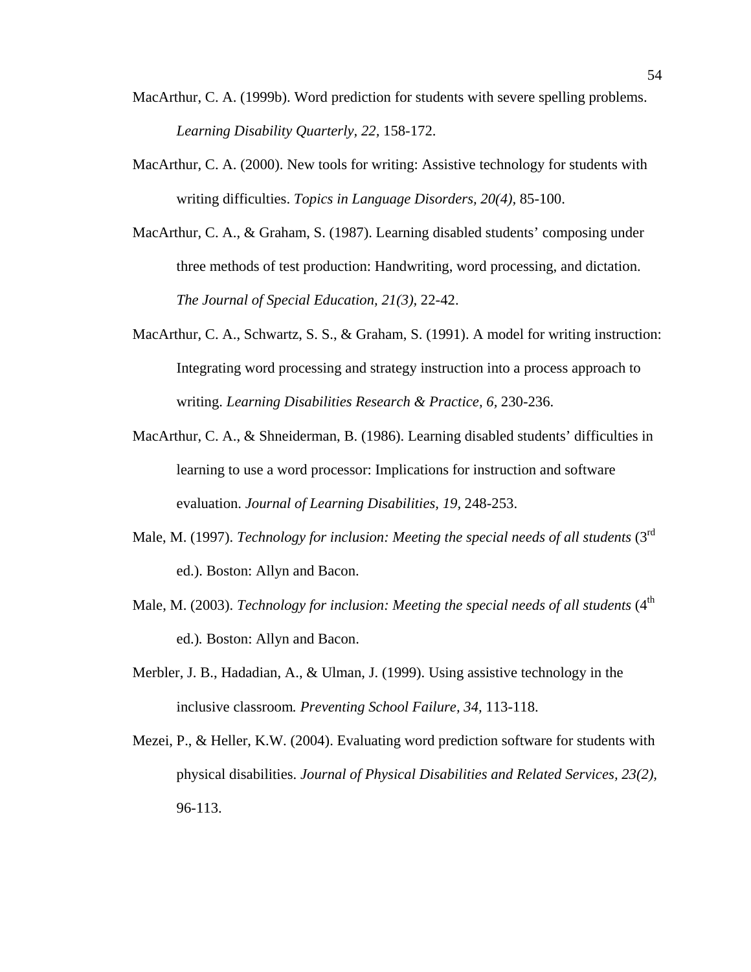- MacArthur, C. A. (1999b). Word prediction for students with severe spelling problems. *Learning Disability Quarterly, 22,* 158-172.
- MacArthur, C. A. (2000). New tools for writing: Assistive technology for students with writing difficulties. *Topics in Language Disorders, 20(4),* 85-100.
- MacArthur, C. A., & Graham, S. (1987). Learning disabled students' composing under three methods of test production: Handwriting, word processing, and dictation. *The Journal of Special Education, 21(3),* 22-42.
- MacArthur, C. A., Schwartz, S. S., & Graham, S. (1991). A model for writing instruction: Integrating word processing and strategy instruction into a process approach to writing. *Learning Disabilities Research & Practice, 6,* 230-236.
- MacArthur, C. A., & Shneiderman, B. (1986). Learning disabled students' difficulties in learning to use a word processor: Implications for instruction and software evaluation. *Journal of Learning Disabilities, 19,* 248-253.
- Male, M. (1997). *Technology for inclusion: Meeting the special needs of all students* (3<sup>rd</sup> ed.). Boston: Allyn and Bacon.
- Male, M. (2003). *Technology for inclusion: Meeting the special needs of all students* (4<sup>th</sup> ed.)*.* Boston: Allyn and Bacon.
- Merbler, J. B., Hadadian, A., & Ulman, J. (1999). Using assistive technology in the inclusive classroom*. Preventing School Failure, 34,* 113-118.
- Mezei, P., & Heller, K.W. (2004). Evaluating word prediction software for students with physical disabilities. *Journal of Physical Disabilities and Related Services, 23(2),*  96-113.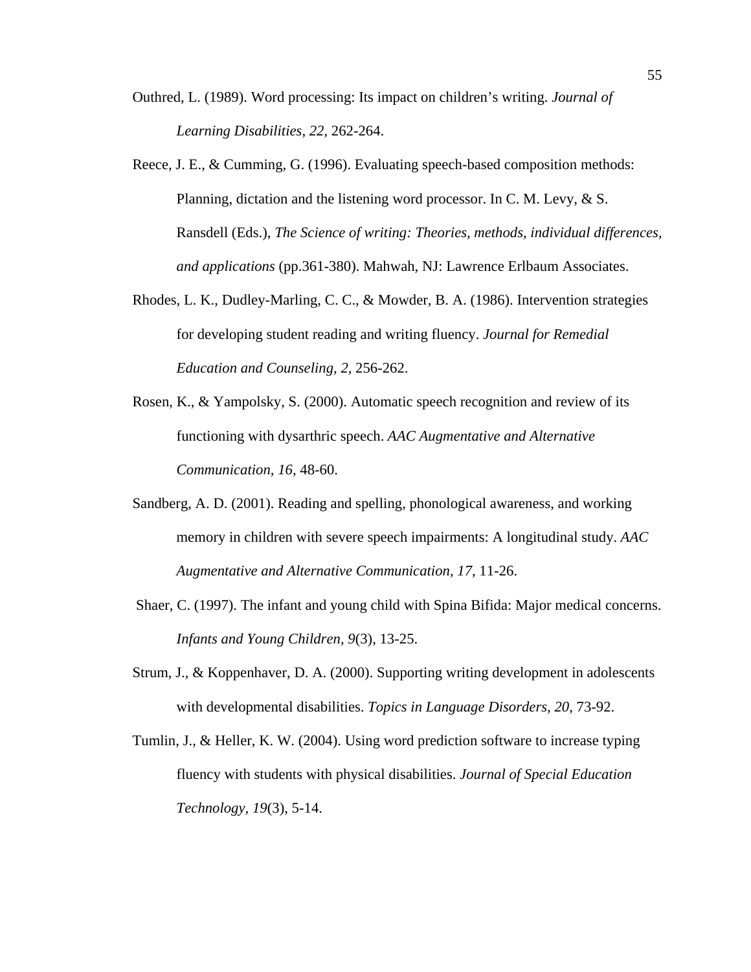- Outhred, L. (1989). Word processing: Its impact on children's writing. *Journal of Learning Disabilities, 22,* 262-264.
- Reece, J. E., & Cumming, G. (1996). Evaluating speech-based composition methods: Planning, dictation and the listening word processor. In C. M. Levy, & S. Ransdell (Eds.), *The Science of writing: Theories, methods, individual differences, and applications* (pp.361-380). Mahwah, NJ: Lawrence Erlbaum Associates.
- Rhodes, L. K., Dudley-Marling, C. C., & Mowder, B. A. (1986). Intervention strategies for developing student reading and writing fluency. *Journal for Remedial Education and Counseling, 2,* 256-262.
- Rosen, K., & Yampolsky, S. (2000). Automatic speech recognition and review of its functioning with dysarthric speech. *AAC Augmentative and Alternative Communication, 16,* 48-60.
- Sandberg, A. D. (2001). Reading and spelling, phonological awareness, and working memory in children with severe speech impairments: A longitudinal study. *AAC Augmentative and Alternative Communication, 17*, 11-26.
- Shaer, C. (1997). The infant and young child with Spina Bifida: Major medical concerns. *Infants and Young Children, 9*(3), 13-25.
- Strum, J., & Koppenhaver, D. A. (2000). Supporting writing development in adolescents with developmental disabilities. *Topics in Language Disorders, 20*, 73-92.
- Tumlin, J., & Heller, K. W. (2004). Using word prediction software to increase typing fluency with students with physical disabilities. *Journal of Special Education Technology, 19*(3), 5-14.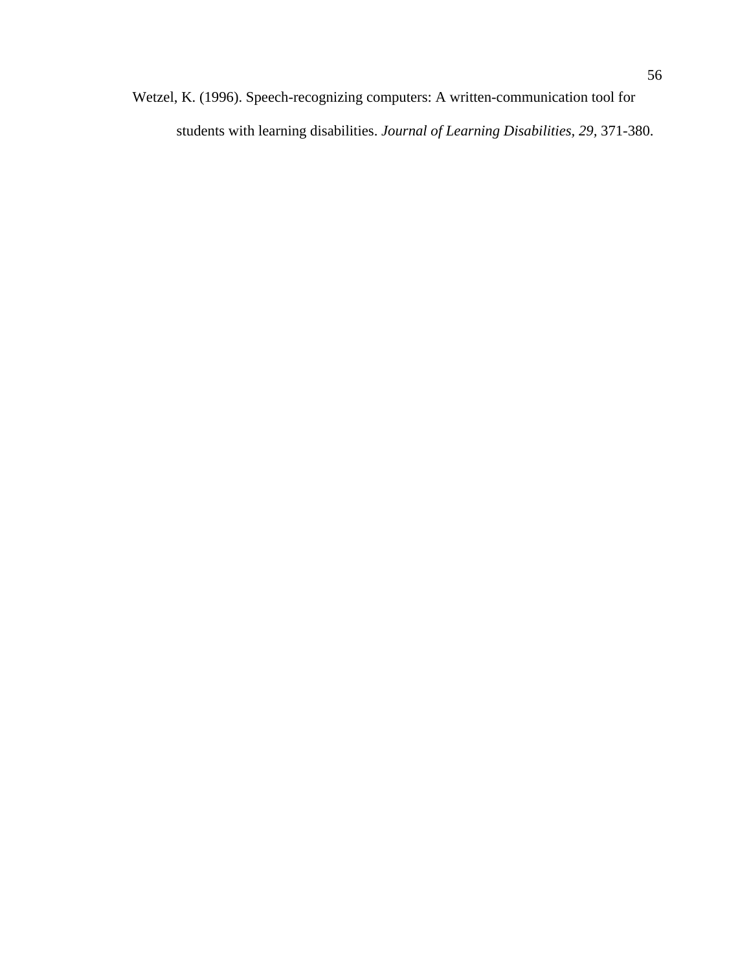Wetzel, K. (1996). Speech-recognizing computers: A written-communication tool for students with learning disabilities. *Journal of Learning Disabilities, 29,* 371-380.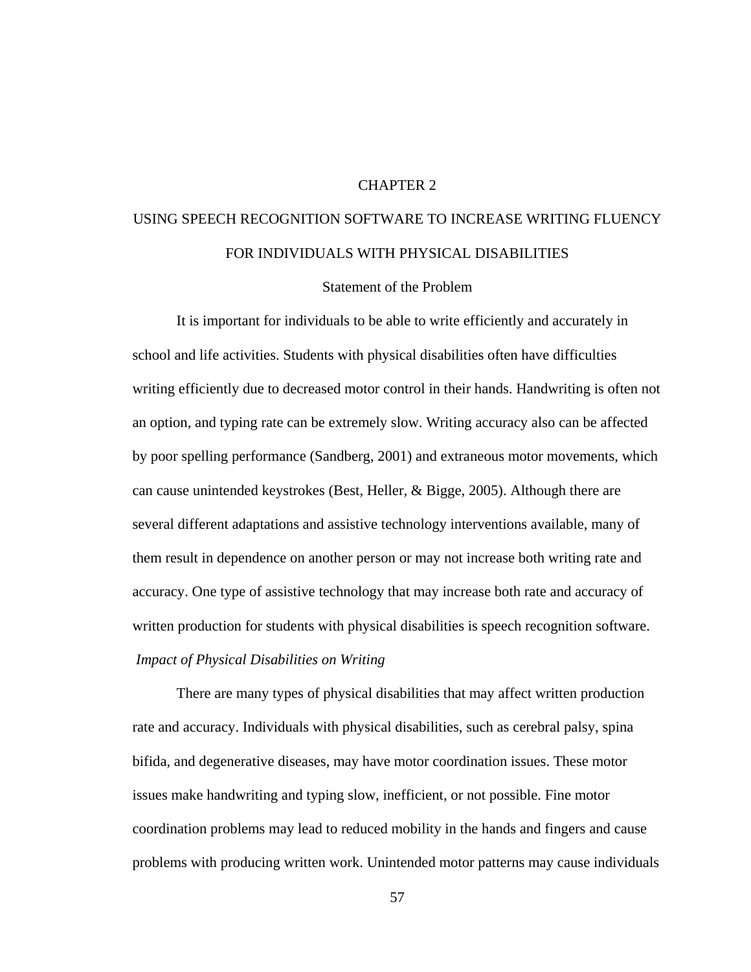### CHAPTER 2

# USING SPEECH RECOGNITION SOFTWARE TO INCREASE WRITING FLUENCY FOR INDIVIDUALS WITH PHYSICAL DISABILITIES

Statement of the Problem

 It is important for individuals to be able to write efficiently and accurately in school and life activities. Students with physical disabilities often have difficulties writing efficiently due to decreased motor control in their hands. Handwriting is often not an option, and typing rate can be extremely slow. Writing accuracy also can be affected by poor spelling performance (Sandberg, 2001) and extraneous motor movements, which can cause unintended keystrokes (Best, Heller, & Bigge, 2005). Although there are several different adaptations and assistive technology interventions available, many of them result in dependence on another person or may not increase both writing rate and accuracy. One type of assistive technology that may increase both rate and accuracy of written production for students with physical disabilities is speech recognition software. *Impact of Physical Disabilities on Writing*

 There are many types of physical disabilities that may affect written production rate and accuracy. Individuals with physical disabilities, such as cerebral palsy, spina bifida, and degenerative diseases, may have motor coordination issues. These motor issues make handwriting and typing slow, inefficient, or not possible. Fine motor coordination problems may lead to reduced mobility in the hands and fingers and cause problems with producing written work. Unintended motor patterns may cause individuals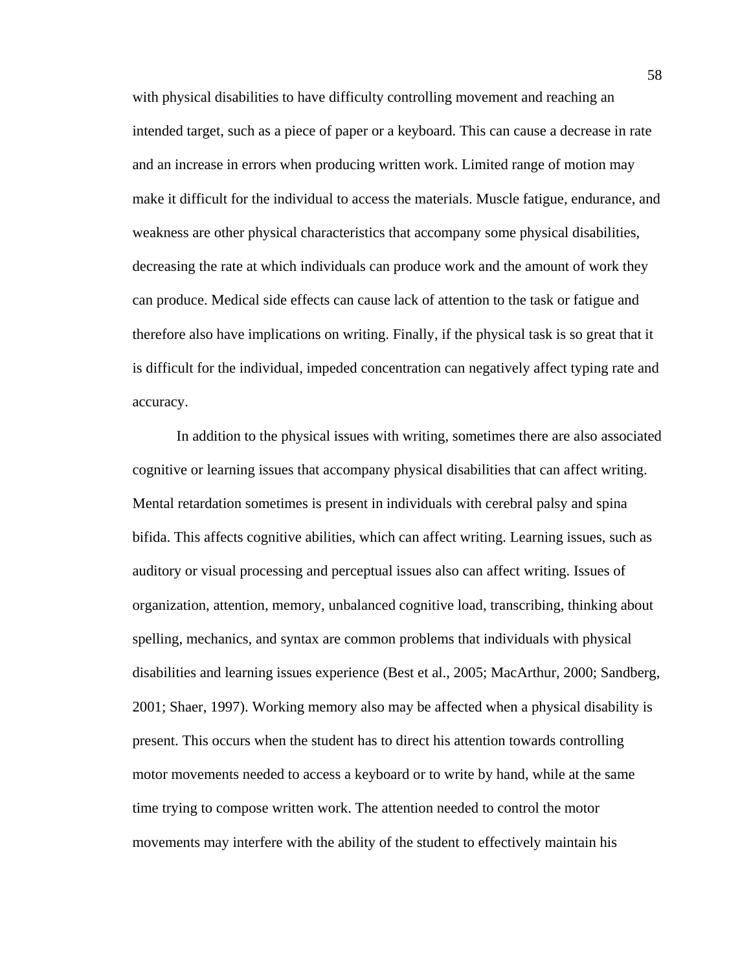with physical disabilities to have difficulty controlling movement and reaching an intended target, such as a piece of paper or a keyboard. This can cause a decrease in rate and an increase in errors when producing written work. Limited range of motion may make it difficult for the individual to access the materials. Muscle fatigue, endurance, and weakness are other physical characteristics that accompany some physical disabilities, decreasing the rate at which individuals can produce work and the amount of work they can produce. Medical side effects can cause lack of attention to the task or fatigue and therefore also have implications on writing. Finally, if the physical task is so great that it is difficult for the individual, impeded concentration can negatively affect typing rate and accuracy.

 In addition to the physical issues with writing, sometimes there are also associated cognitive or learning issues that accompany physical disabilities that can affect writing. Mental retardation sometimes is present in individuals with cerebral palsy and spina bifida. This affects cognitive abilities, which can affect writing. Learning issues, such as auditory or visual processing and perceptual issues also can affect writing. Issues of organization, attention, memory, unbalanced cognitive load, transcribing, thinking about spelling, mechanics, and syntax are common problems that individuals with physical disabilities and learning issues experience (Best et al., 2005; MacArthur, 2000; Sandberg, 2001; Shaer, 1997). Working memory also may be affected when a physical disability is present. This occurs when the student has to direct his attention towards controlling motor movements needed to access a keyboard or to write by hand, while at the same time trying to compose written work. The attention needed to control the motor movements may interfere with the ability of the student to effectively maintain his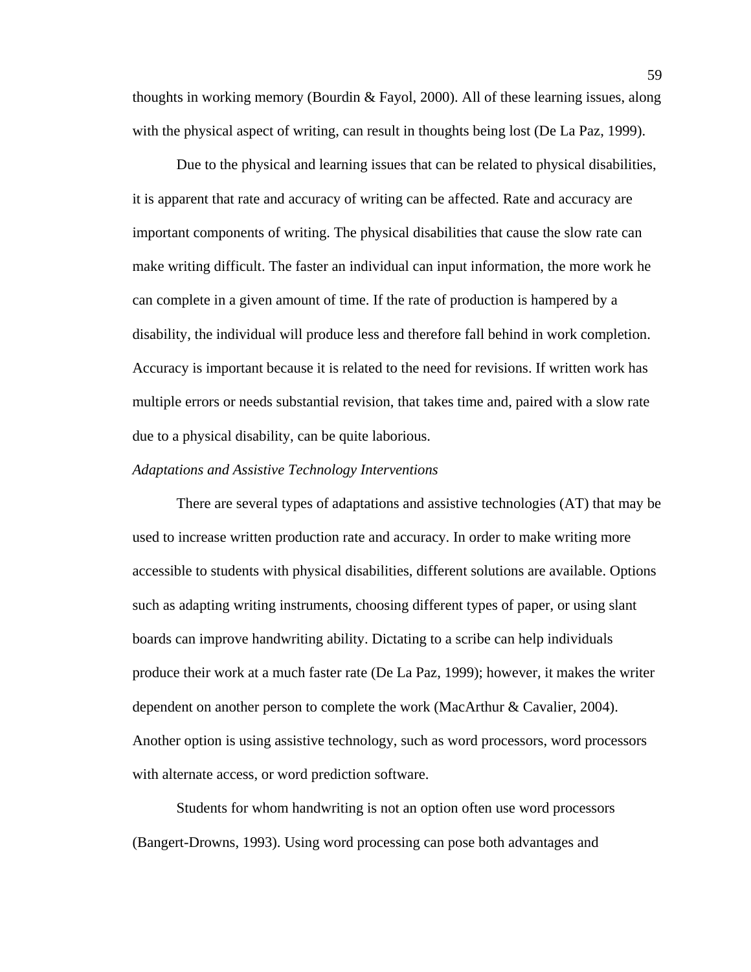thoughts in working memory (Bourdin & Fayol, 2000). All of these learning issues, along with the physical aspect of writing, can result in thoughts being lost (De La Paz, 1999).

 Due to the physical and learning issues that can be related to physical disabilities, it is apparent that rate and accuracy of writing can be affected. Rate and accuracy are important components of writing. The physical disabilities that cause the slow rate can make writing difficult. The faster an individual can input information, the more work he can complete in a given amount of time. If the rate of production is hampered by a disability, the individual will produce less and therefore fall behind in work completion. Accuracy is important because it is related to the need for revisions. If written work has multiple errors or needs substantial revision, that takes time and, paired with a slow rate due to a physical disability, can be quite laborious.

#### *Adaptations and Assistive Technology Interventions*

 There are several types of adaptations and assistive technologies (AT) that may be used to increase written production rate and accuracy. In order to make writing more accessible to students with physical disabilities, different solutions are available. Options such as adapting writing instruments, choosing different types of paper, or using slant boards can improve handwriting ability. Dictating to a scribe can help individuals produce their work at a much faster rate (De La Paz, 1999); however, it makes the writer dependent on another person to complete the work (MacArthur & Cavalier, 2004). Another option is using assistive technology, such as word processors, word processors with alternate access, or word prediction software.

Students for whom handwriting is not an option often use word processors (Bangert-Drowns, 1993). Using word processing can pose both advantages and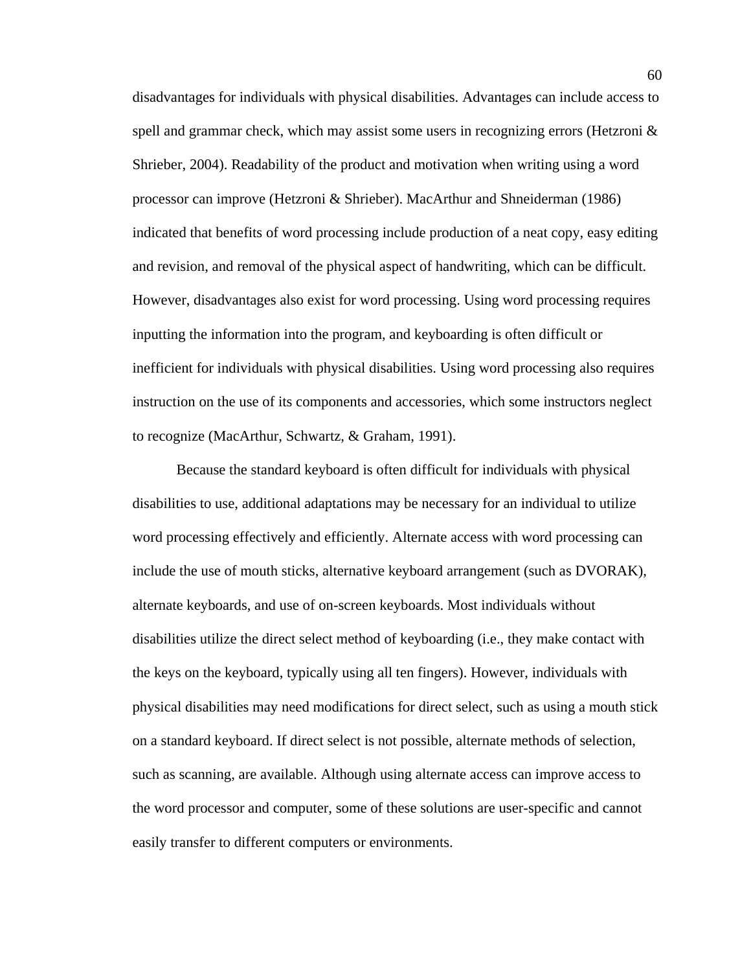disadvantages for individuals with physical disabilities. Advantages can include access to spell and grammar check, which may assist some users in recognizing errors (Hetzroni  $\&$ Shrieber, 2004). Readability of the product and motivation when writing using a word processor can improve (Hetzroni & Shrieber). MacArthur and Shneiderman (1986) indicated that benefits of word processing include production of a neat copy, easy editing and revision, and removal of the physical aspect of handwriting, which can be difficult. However, disadvantages also exist for word processing. Using word processing requires inputting the information into the program, and keyboarding is often difficult or inefficient for individuals with physical disabilities. Using word processing also requires instruction on the use of its components and accessories, which some instructors neglect to recognize (MacArthur, Schwartz, & Graham, 1991).

Because the standard keyboard is often difficult for individuals with physical disabilities to use, additional adaptations may be necessary for an individual to utilize word processing effectively and efficiently. Alternate access with word processing can include the use of mouth sticks, alternative keyboard arrangement (such as DVORAK), alternate keyboards, and use of on-screen keyboards. Most individuals without disabilities utilize the direct select method of keyboarding (i.e., they make contact with the keys on the keyboard, typically using all ten fingers). However, individuals with physical disabilities may need modifications for direct select, such as using a mouth stick on a standard keyboard. If direct select is not possible, alternate methods of selection, such as scanning, are available. Although using alternate access can improve access to the word processor and computer, some of these solutions are user-specific and cannot easily transfer to different computers or environments.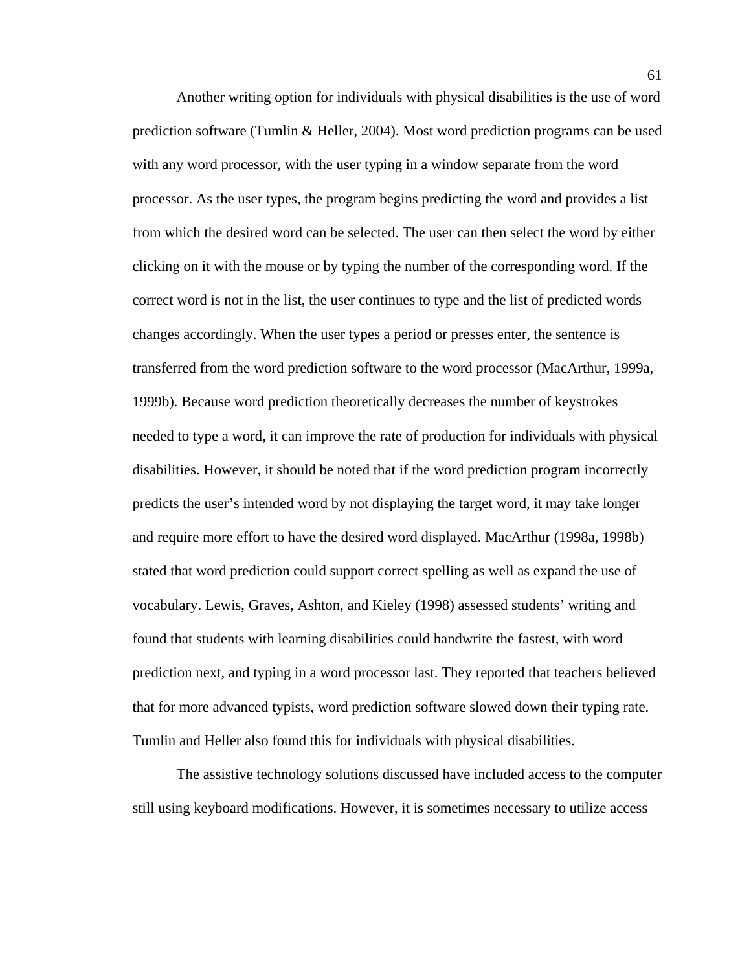Another writing option for individuals with physical disabilities is the use of word prediction software (Tumlin & Heller, 2004). Most word prediction programs can be used with any word processor, with the user typing in a window separate from the word processor. As the user types, the program begins predicting the word and provides a list from which the desired word can be selected. The user can then select the word by either clicking on it with the mouse or by typing the number of the corresponding word. If the correct word is not in the list, the user continues to type and the list of predicted words changes accordingly. When the user types a period or presses enter, the sentence is transferred from the word prediction software to the word processor (MacArthur, 1999a, 1999b). Because word prediction theoretically decreases the number of keystrokes needed to type a word, it can improve the rate of production for individuals with physical disabilities. However, it should be noted that if the word prediction program incorrectly predicts the user's intended word by not displaying the target word, it may take longer and require more effort to have the desired word displayed. MacArthur (1998a, 1998b) stated that word prediction could support correct spelling as well as expand the use of vocabulary. Lewis, Graves, Ashton, and Kieley (1998) assessed students' writing and found that students with learning disabilities could handwrite the fastest, with word prediction next, and typing in a word processor last. They reported that teachers believed that for more advanced typists, word prediction software slowed down their typing rate. Tumlin and Heller also found this for individuals with physical disabilities.

 The assistive technology solutions discussed have included access to the computer still using keyboard modifications. However, it is sometimes necessary to utilize access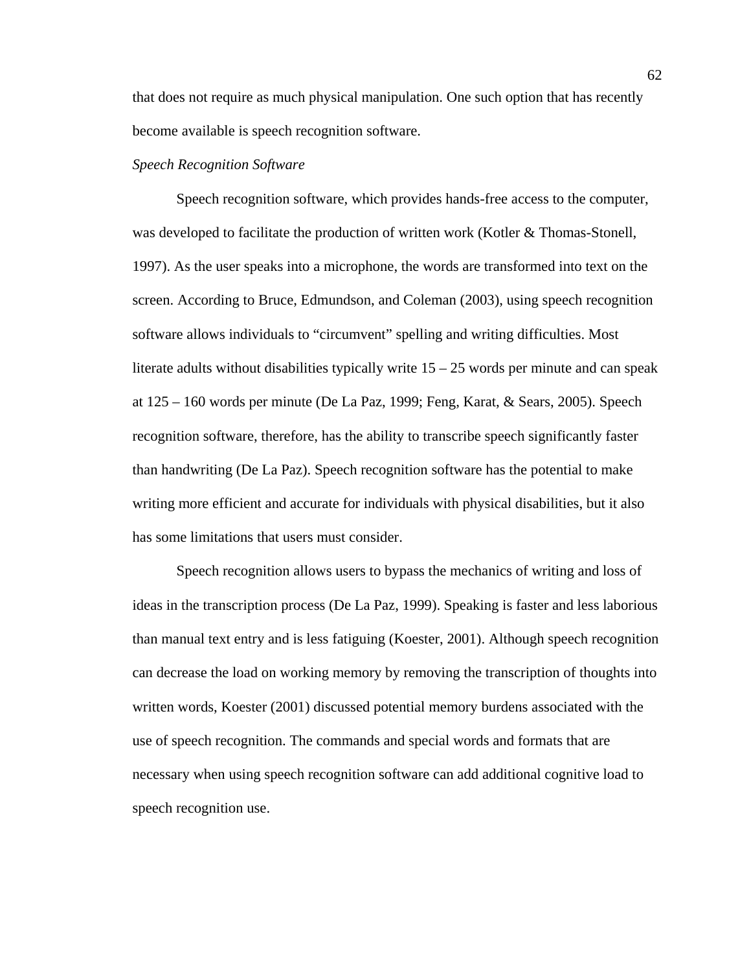that does not require as much physical manipulation. One such option that has recently become available is speech recognition software.

## *Speech Recognition Software*

 Speech recognition software, which provides hands-free access to the computer, was developed to facilitate the production of written work (Kotler & Thomas-Stonell, 1997). As the user speaks into a microphone, the words are transformed into text on the screen. According to Bruce, Edmundson, and Coleman (2003), using speech recognition software allows individuals to "circumvent" spelling and writing difficulties. Most literate adults without disabilities typically write  $15 - 25$  words per minute and can speak at 125 – 160 words per minute (De La Paz, 1999; Feng, Karat, & Sears, 2005). Speech recognition software, therefore, has the ability to transcribe speech significantly faster than handwriting (De La Paz). Speech recognition software has the potential to make writing more efficient and accurate for individuals with physical disabilities, but it also has some limitations that users must consider.

 Speech recognition allows users to bypass the mechanics of writing and loss of ideas in the transcription process (De La Paz, 1999). Speaking is faster and less laborious than manual text entry and is less fatiguing (Koester, 2001). Although speech recognition can decrease the load on working memory by removing the transcription of thoughts into written words, Koester (2001) discussed potential memory burdens associated with the use of speech recognition. The commands and special words and formats that are necessary when using speech recognition software can add additional cognitive load to speech recognition use.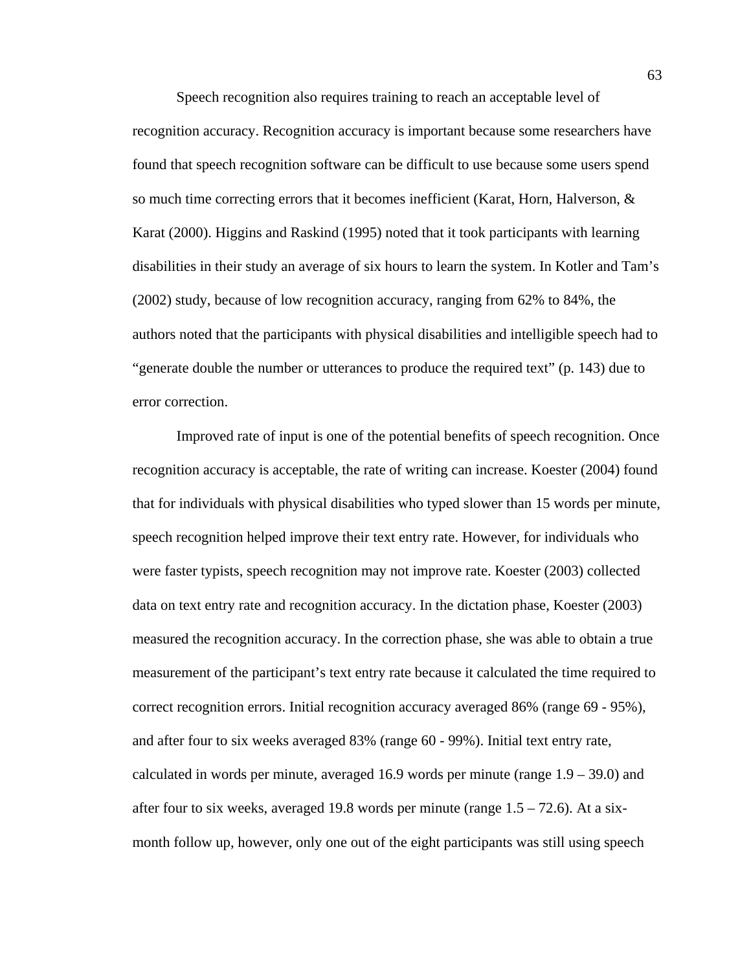Speech recognition also requires training to reach an acceptable level of recognition accuracy. Recognition accuracy is important because some researchers have found that speech recognition software can be difficult to use because some users spend so much time correcting errors that it becomes inefficient (Karat, Horn, Halverson, & Karat (2000). Higgins and Raskind (1995) noted that it took participants with learning disabilities in their study an average of six hours to learn the system. In Kotler and Tam's (2002) study, because of low recognition accuracy, ranging from 62% to 84%, the authors noted that the participants with physical disabilities and intelligible speech had to "generate double the number or utterances to produce the required text" (p. 143) due to error correction.

 Improved rate of input is one of the potential benefits of speech recognition. Once recognition accuracy is acceptable, the rate of writing can increase. Koester (2004) found that for individuals with physical disabilities who typed slower than 15 words per minute, speech recognition helped improve their text entry rate. However, for individuals who were faster typists, speech recognition may not improve rate. Koester (2003) collected data on text entry rate and recognition accuracy. In the dictation phase, Koester (2003) measured the recognition accuracy. In the correction phase, she was able to obtain a true measurement of the participant's text entry rate because it calculated the time required to correct recognition errors. Initial recognition accuracy averaged 86% (range 69 - 95%), and after four to six weeks averaged 83% (range 60 - 99%). Initial text entry rate, calculated in words per minute, averaged 16.9 words per minute (range 1.9 – 39.0) and after four to six weeks, averaged 19.8 words per minute (range  $1.5 - 72.6$ ). At a sixmonth follow up, however, only one out of the eight participants was still using speech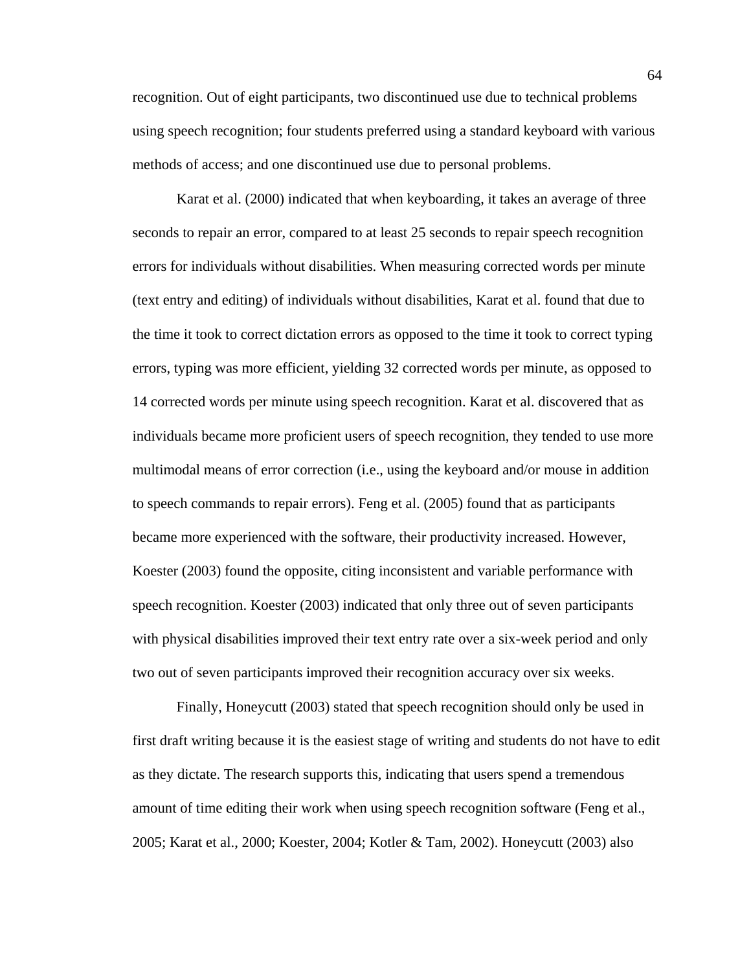recognition. Out of eight participants, two discontinued use due to technical problems using speech recognition; four students preferred using a standard keyboard with various methods of access; and one discontinued use due to personal problems.

 Karat et al. (2000) indicated that when keyboarding, it takes an average of three seconds to repair an error, compared to at least 25 seconds to repair speech recognition errors for individuals without disabilities. When measuring corrected words per minute (text entry and editing) of individuals without disabilities, Karat et al. found that due to the time it took to correct dictation errors as opposed to the time it took to correct typing errors, typing was more efficient, yielding 32 corrected words per minute, as opposed to 14 corrected words per minute using speech recognition. Karat et al. discovered that as individuals became more proficient users of speech recognition, they tended to use more multimodal means of error correction (i.e., using the keyboard and/or mouse in addition to speech commands to repair errors). Feng et al. (2005) found that as participants became more experienced with the software, their productivity increased. However, Koester (2003) found the opposite, citing inconsistent and variable performance with speech recognition. Koester (2003) indicated that only three out of seven participants with physical disabilities improved their text entry rate over a six-week period and only two out of seven participants improved their recognition accuracy over six weeks.

 Finally, Honeycutt (2003) stated that speech recognition should only be used in first draft writing because it is the easiest stage of writing and students do not have to edit as they dictate. The research supports this, indicating that users spend a tremendous amount of time editing their work when using speech recognition software (Feng et al., 2005; Karat et al., 2000; Koester, 2004; Kotler & Tam, 2002). Honeycutt (2003) also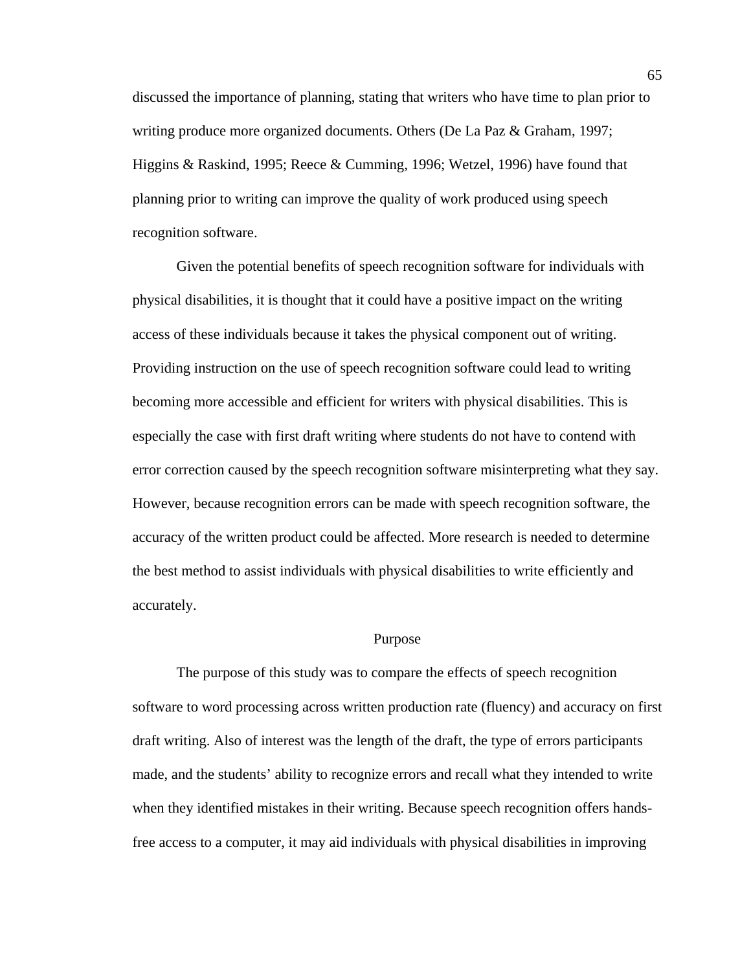discussed the importance of planning, stating that writers who have time to plan prior to writing produce more organized documents. Others (De La Paz & Graham, 1997; Higgins & Raskind, 1995; Reece & Cumming, 1996; Wetzel, 1996) have found that planning prior to writing can improve the quality of work produced using speech recognition software.

 Given the potential benefits of speech recognition software for individuals with physical disabilities, it is thought that it could have a positive impact on the writing access of these individuals because it takes the physical component out of writing. Providing instruction on the use of speech recognition software could lead to writing becoming more accessible and efficient for writers with physical disabilities. This is especially the case with first draft writing where students do not have to contend with error correction caused by the speech recognition software misinterpreting what they say. However, because recognition errors can be made with speech recognition software, the accuracy of the written product could be affected. More research is needed to determine the best method to assist individuals with physical disabilities to write efficiently and accurately.

### Purpose

The purpose of this study was to compare the effects of speech recognition software to word processing across written production rate (fluency) and accuracy on first draft writing. Also of interest was the length of the draft, the type of errors participants made, and the students' ability to recognize errors and recall what they intended to write when they identified mistakes in their writing. Because speech recognition offers handsfree access to a computer, it may aid individuals with physical disabilities in improving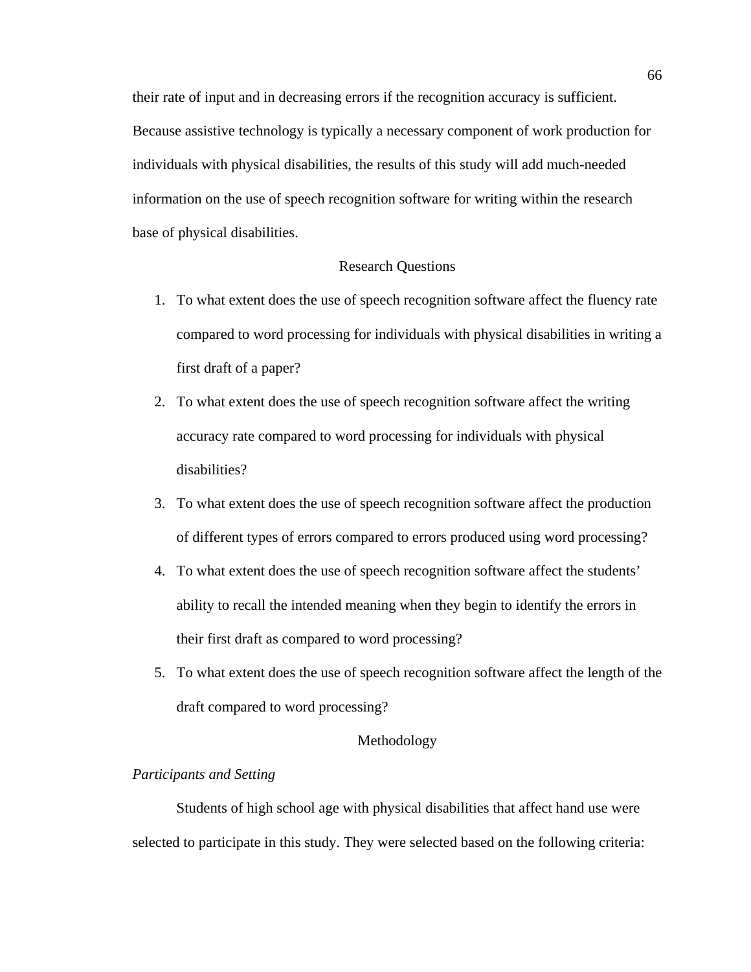their rate of input and in decreasing errors if the recognition accuracy is sufficient. Because assistive technology is typically a necessary component of work production for individuals with physical disabilities, the results of this study will add much-needed information on the use of speech recognition software for writing within the research base of physical disabilities.

# Research Questions

- 1. To what extent does the use of speech recognition software affect the fluency rate compared to word processing for individuals with physical disabilities in writing a first draft of a paper?
- 2. To what extent does the use of speech recognition software affect the writing accuracy rate compared to word processing for individuals with physical disabilities?
- 3. To what extent does the use of speech recognition software affect the production of different types of errors compared to errors produced using word processing?
- 4. To what extent does the use of speech recognition software affect the students' ability to recall the intended meaning when they begin to identify the errors in their first draft as compared to word processing?
- 5. To what extent does the use of speech recognition software affect the length of the draft compared to word processing?

## Methodology

# *Participants and Setting*

Students of high school age with physical disabilities that affect hand use were selected to participate in this study. They were selected based on the following criteria: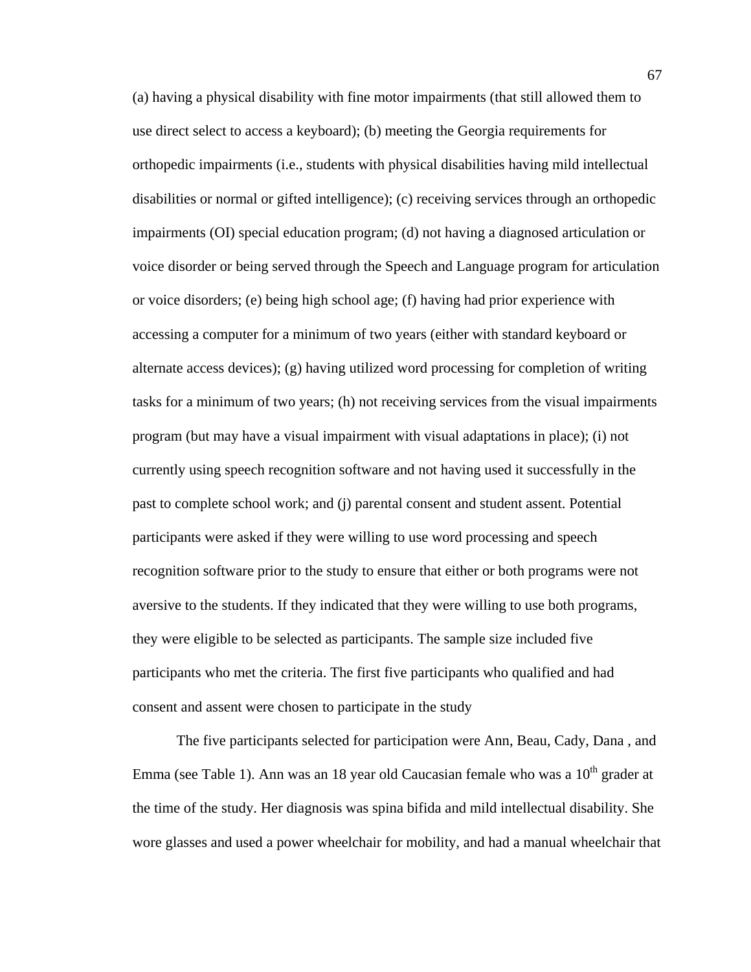(a) having a physical disability with fine motor impairments (that still allowed them to use direct select to access a keyboard); (b) meeting the Georgia requirements for orthopedic impairments (i.e., students with physical disabilities having mild intellectual disabilities or normal or gifted intelligence); (c) receiving services through an orthopedic impairments (OI) special education program; (d) not having a diagnosed articulation or voice disorder or being served through the Speech and Language program for articulation or voice disorders; (e) being high school age; (f) having had prior experience with accessing a computer for a minimum of two years (either with standard keyboard or alternate access devices); (g) having utilized word processing for completion of writing tasks for a minimum of two years; (h) not receiving services from the visual impairments program (but may have a visual impairment with visual adaptations in place); (i) not currently using speech recognition software and not having used it successfully in the past to complete school work; and (j) parental consent and student assent. Potential participants were asked if they were willing to use word processing and speech recognition software prior to the study to ensure that either or both programs were not aversive to the students. If they indicated that they were willing to use both programs, they were eligible to be selected as participants. The sample size included five participants who met the criteria. The first five participants who qualified and had consent and assent were chosen to participate in the study

The five participants selected for participation were Ann, Beau, Cady, Dana , and Emma (see Table 1). Ann was an 18 year old Caucasian female who was a  $10<sup>th</sup>$  grader at the time of the study. Her diagnosis was spina bifida and mild intellectual disability. She wore glasses and used a power wheelchair for mobility, and had a manual wheelchair that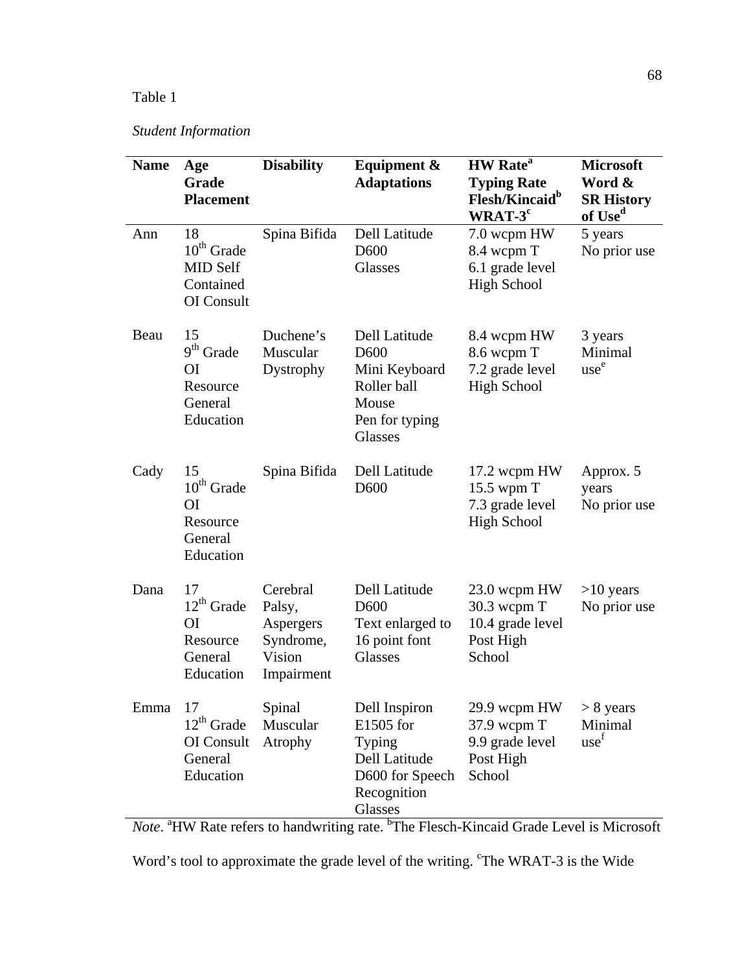# Table 1

# *Student Information*

| <b>Name</b> | Age<br>Grade<br><b>Placement</b>                                            | <b>Disability</b>                                                    | Equipment &<br><b>Adaptations</b>                                                                       | <b>HW</b> Rate <sup>a</sup><br><b>Typing Rate</b><br>Flesh/Kincaid <sup>b</sup><br>$WRAT-3^c$ | <b>Microsoft</b><br>Word &<br><b>SR History</b><br>of Use <sup>d</sup> |
|-------------|-----------------------------------------------------------------------------|----------------------------------------------------------------------|---------------------------------------------------------------------------------------------------------|-----------------------------------------------------------------------------------------------|------------------------------------------------------------------------|
| Ann         | 18<br>$10^{th}$ Grade<br>MID Self<br>Contained<br>OI Consult                | Spina Bifida                                                         | Dell Latitude<br>D <sub>600</sub><br>Glasses                                                            | 7.0 wcpm HW<br>8.4 wcpm T<br>6.1 grade level<br><b>High School</b>                            | 5 years<br>No prior use                                                |
| Beau        | 15<br>$9th$ Grade<br>O <sub>I</sub><br>Resource<br>General<br>Education     | Duchene's<br>Muscular<br>Dystrophy                                   | Dell Latitude<br>D <sub>600</sub><br>Mini Keyboard<br>Roller ball<br>Mouse<br>Pen for typing<br>Glasses | 8.4 wcpm HW<br>8.6 wcpm T<br>7.2 grade level<br><b>High School</b>                            | 3 years<br>Minimal<br>use <sup>e</sup>                                 |
| Cady        | 15<br>$10^{th}$ Grade<br><b>OI</b><br>Resource<br>General<br>Education      | Spina Bifida                                                         | Dell Latitude<br>D <sub>600</sub>                                                                       | 17.2 wcpm HW<br>15.5 wpm T<br>7.3 grade level<br><b>High School</b>                           | Approx. 5<br>years<br>No prior use                                     |
| Dana        | 17<br>$12^{th}$ Grade<br>O <sub>I</sub><br>Resource<br>General<br>Education | Cerebral<br>Palsy,<br>Aspergers<br>Syndrome,<br>Vision<br>Impairment | Dell Latitude<br>D <sub>600</sub><br>Text enlarged to<br>16 point font<br>Glasses                       | 23.0 wcpm HW<br>30.3 wcpm T<br>10.4 grade level<br>Post High<br>School                        | $>10$ years<br>No prior use                                            |
| Emma        | 17<br>$12^{th}$ Grade<br>OI Consult<br>General<br>Education                 | Spinal<br>Muscular<br>Atrophy                                        | Dell Inspiron<br>E1505 for<br>Typing<br>Dell Latitude<br>D600 for Speech<br>Recognition<br>Glasses      | 29.9 wcpm HW<br>37.9 wcpm T<br>9.9 grade level<br>Post High<br>School                         | $> 8$ years<br>Minimal<br>use <sup>f</sup>                             |

Note. <sup>a</sup>HW Rate refers to handwriting rate. <sup>b</sup>The Flesch-Kincaid Grade Level is Microsoft

Word's tool to approximate the grade level of the writing. 'The WRAT-3 is the Wide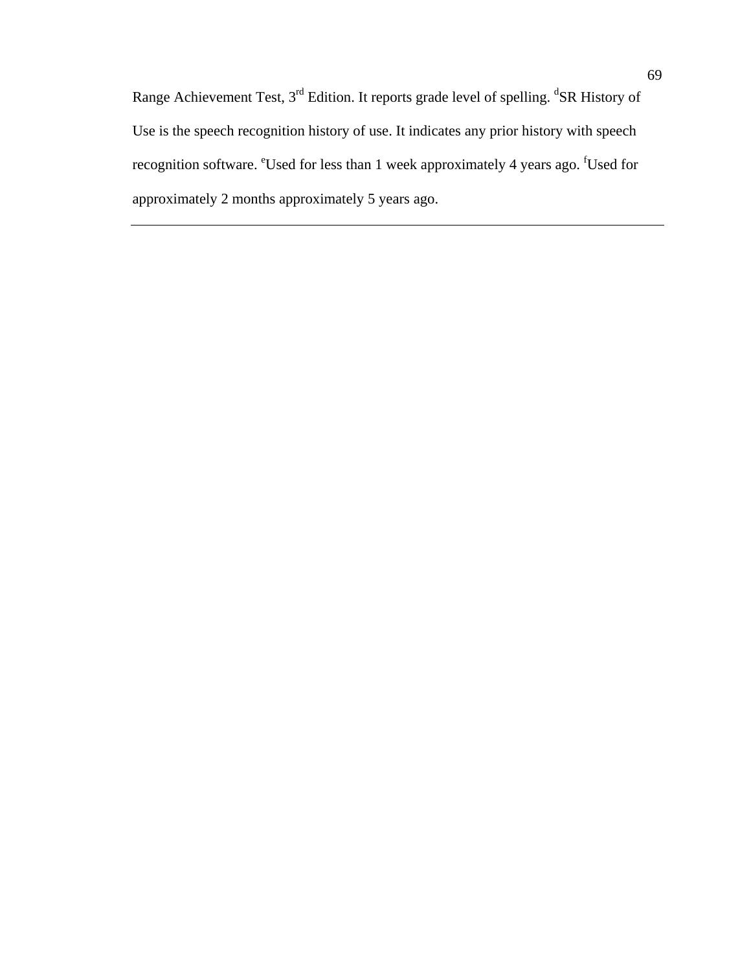Range Achievement Test, 3<sup>rd</sup> Edition. It reports grade level of spelling. <sup>d</sup>SR History of Use is the speech recognition history of use. It indicates any prior history with speech recognition software. <sup>e</sup>Used for less than 1 week approximately 4 years ago. <sup>f</sup>Used for approximately 2 months approximately 5 years ago.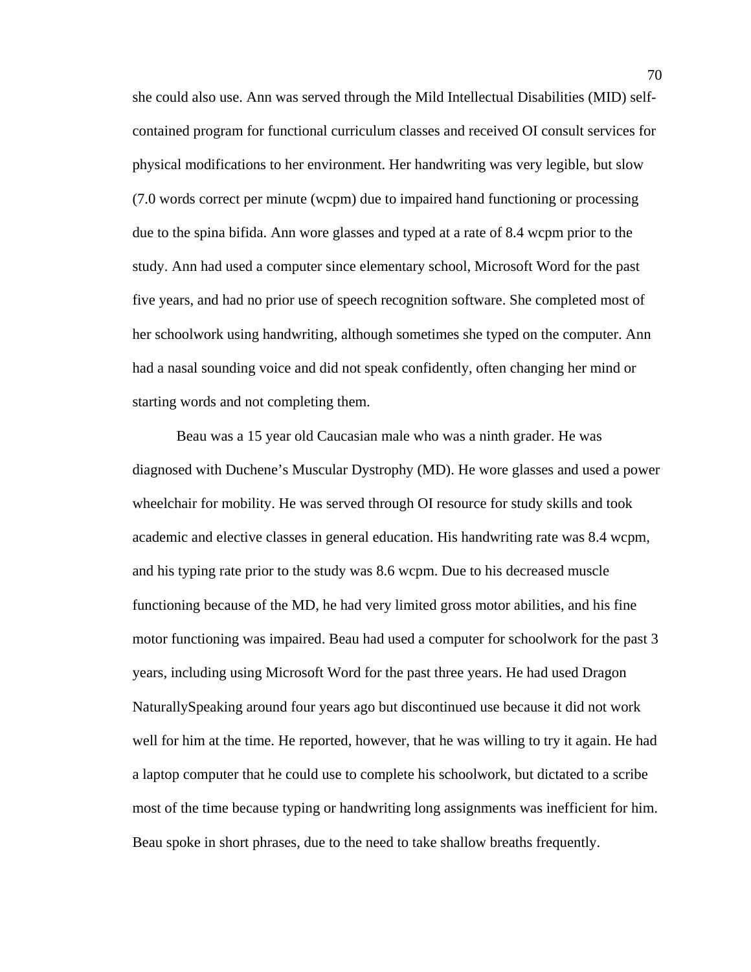she could also use. Ann was served through the Mild Intellectual Disabilities (MID) selfcontained program for functional curriculum classes and received OI consult services for physical modifications to her environment. Her handwriting was very legible, but slow (7.0 words correct per minute (wcpm) due to impaired hand functioning or processing due to the spina bifida. Ann wore glasses and typed at a rate of 8.4 wcpm prior to the study. Ann had used a computer since elementary school, Microsoft Word for the past five years, and had no prior use of speech recognition software. She completed most of her schoolwork using handwriting, although sometimes she typed on the computer. Ann had a nasal sounding voice and did not speak confidently, often changing her mind or starting words and not completing them.

Beau was a 15 year old Caucasian male who was a ninth grader. He was diagnosed with Duchene's Muscular Dystrophy (MD). He wore glasses and used a power wheelchair for mobility. He was served through OI resource for study skills and took academic and elective classes in general education. His handwriting rate was 8.4 wcpm, and his typing rate prior to the study was 8.6 wcpm. Due to his decreased muscle functioning because of the MD, he had very limited gross motor abilities, and his fine motor functioning was impaired. Beau had used a computer for schoolwork for the past 3 years, including using Microsoft Word for the past three years. He had used Dragon NaturallySpeaking around four years ago but discontinued use because it did not work well for him at the time. He reported, however, that he was willing to try it again. He had a laptop computer that he could use to complete his schoolwork, but dictated to a scribe most of the time because typing or handwriting long assignments was inefficient for him. Beau spoke in short phrases, due to the need to take shallow breaths frequently.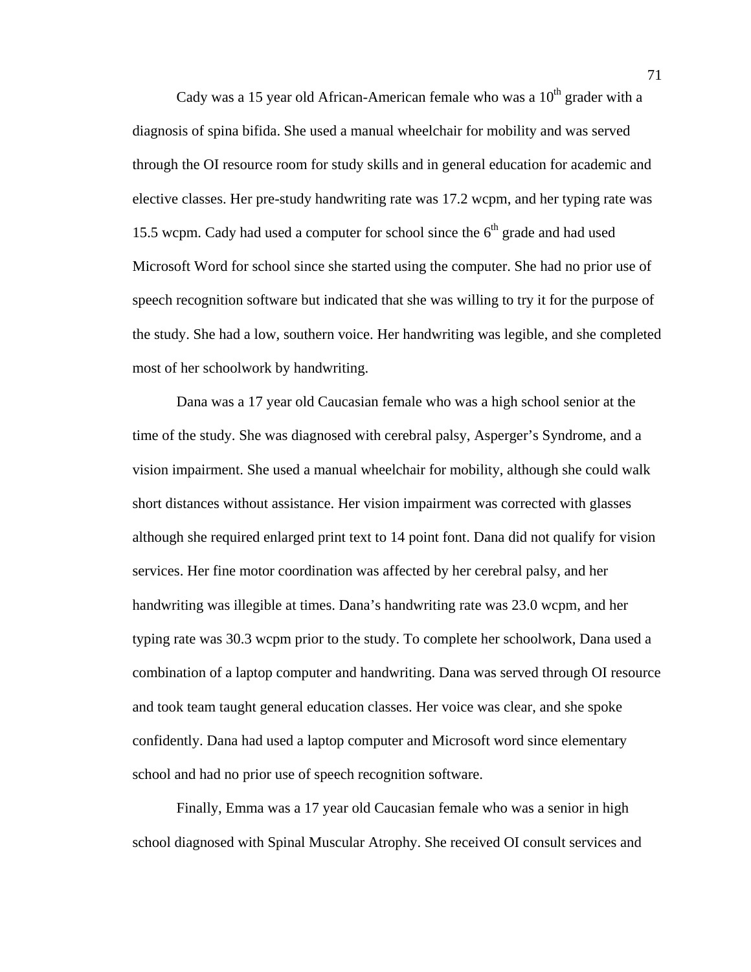Cady was a 15 year old African-American female who was a  $10<sup>th</sup>$  grader with a diagnosis of spina bifida. She used a manual wheelchair for mobility and was served through the OI resource room for study skills and in general education for academic and elective classes. Her pre-study handwriting rate was 17.2 wcpm, and her typing rate was 15.5 wcpm. Cady had used a computer for school since the  $6<sup>th</sup>$  grade and had used Microsoft Word for school since she started using the computer. She had no prior use of speech recognition software but indicated that she was willing to try it for the purpose of the study. She had a low, southern voice. Her handwriting was legible, and she completed most of her schoolwork by handwriting.

Dana was a 17 year old Caucasian female who was a high school senior at the time of the study. She was diagnosed with cerebral palsy, Asperger's Syndrome, and a vision impairment. She used a manual wheelchair for mobility, although she could walk short distances without assistance. Her vision impairment was corrected with glasses although she required enlarged print text to 14 point font. Dana did not qualify for vision services. Her fine motor coordination was affected by her cerebral palsy, and her handwriting was illegible at times. Dana's handwriting rate was 23.0 wcpm, and her typing rate was 30.3 wcpm prior to the study. To complete her schoolwork, Dana used a combination of a laptop computer and handwriting. Dana was served through OI resource and took team taught general education classes. Her voice was clear, and she spoke confidently. Dana had used a laptop computer and Microsoft word since elementary school and had no prior use of speech recognition software.

Finally, Emma was a 17 year old Caucasian female who was a senior in high school diagnosed with Spinal Muscular Atrophy. She received OI consult services and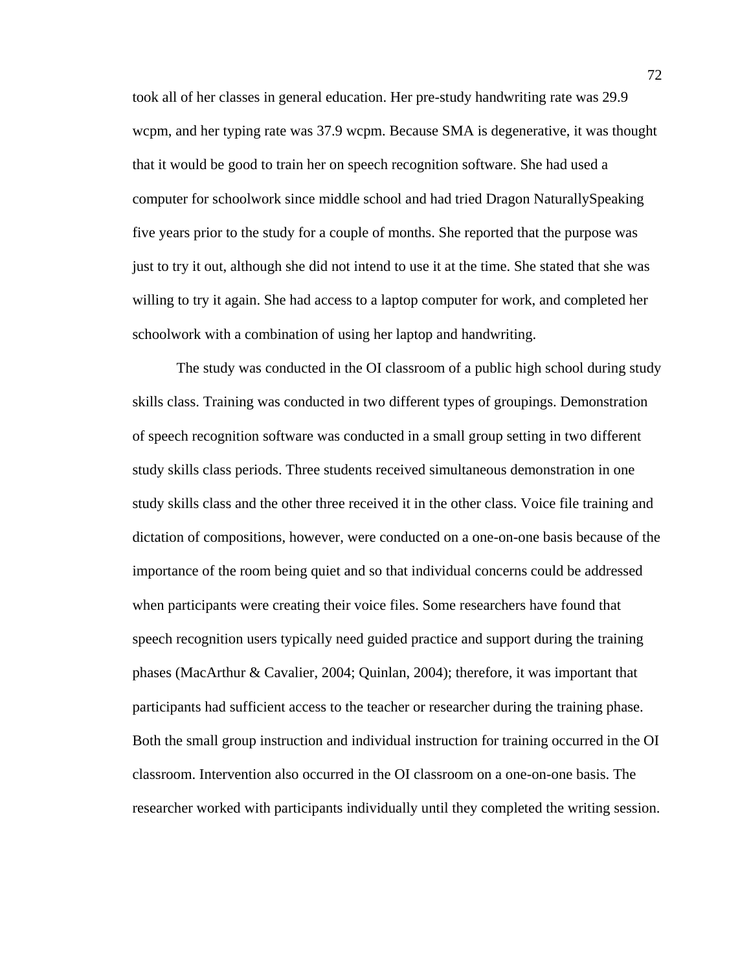took all of her classes in general education. Her pre-study handwriting rate was 29.9 wcpm, and her typing rate was 37.9 wcpm. Because SMA is degenerative, it was thought that it would be good to train her on speech recognition software. She had used a computer for schoolwork since middle school and had tried Dragon NaturallySpeaking five years prior to the study for a couple of months. She reported that the purpose was just to try it out, although she did not intend to use it at the time. She stated that she was willing to try it again. She had access to a laptop computer for work, and completed her schoolwork with a combination of using her laptop and handwriting.

The study was conducted in the OI classroom of a public high school during study skills class. Training was conducted in two different types of groupings. Demonstration of speech recognition software was conducted in a small group setting in two different study skills class periods. Three students received simultaneous demonstration in one study skills class and the other three received it in the other class. Voice file training and dictation of compositions, however, were conducted on a one-on-one basis because of the importance of the room being quiet and so that individual concerns could be addressed when participants were creating their voice files. Some researchers have found that speech recognition users typically need guided practice and support during the training phases (MacArthur & Cavalier, 2004; Quinlan, 2004); therefore, it was important that participants had sufficient access to the teacher or researcher during the training phase. Both the small group instruction and individual instruction for training occurred in the OI classroom. Intervention also occurred in the OI classroom on a one-on-one basis. The researcher worked with participants individually until they completed the writing session.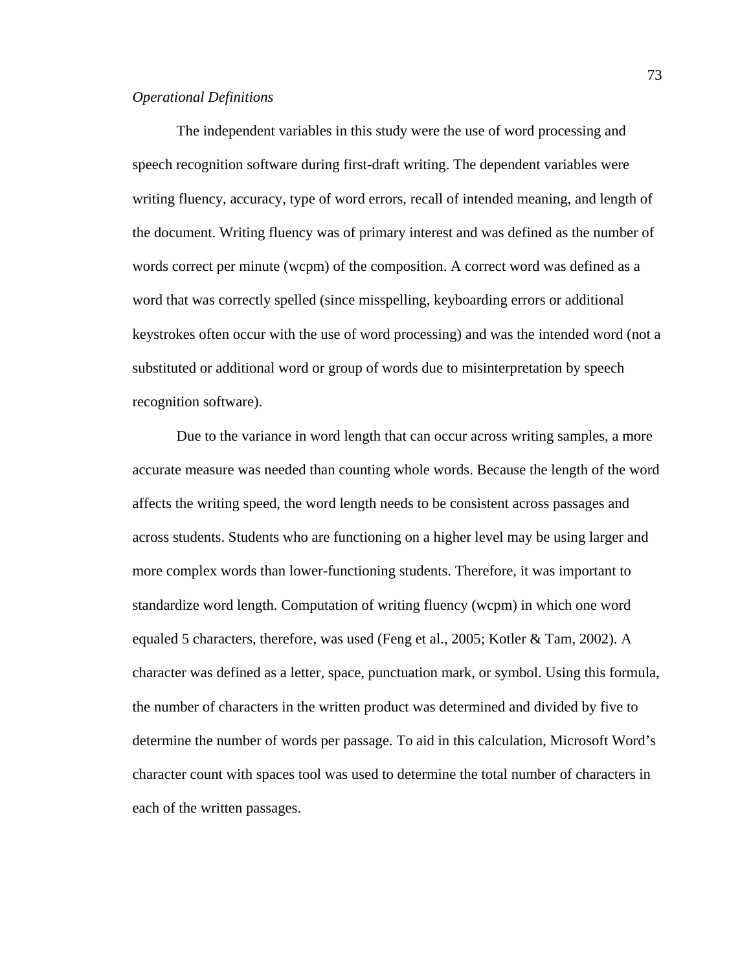# *Operational Definitions*

The independent variables in this study were the use of word processing and speech recognition software during first-draft writing. The dependent variables were writing fluency, accuracy, type of word errors, recall of intended meaning, and length of the document. Writing fluency was of primary interest and was defined as the number of words correct per minute (wcpm) of the composition. A correct word was defined as a word that was correctly spelled (since misspelling, keyboarding errors or additional keystrokes often occur with the use of word processing) and was the intended word (not a substituted or additional word or group of words due to misinterpretation by speech recognition software).

 Due to the variance in word length that can occur across writing samples, a more accurate measure was needed than counting whole words. Because the length of the word affects the writing speed, the word length needs to be consistent across passages and across students. Students who are functioning on a higher level may be using larger and more complex words than lower-functioning students. Therefore, it was important to standardize word length. Computation of writing fluency (wcpm) in which one word equaled 5 characters, therefore, was used (Feng et al., 2005; Kotler & Tam, 2002). A character was defined as a letter, space, punctuation mark, or symbol. Using this formula, the number of characters in the written product was determined and divided by five to determine the number of words per passage. To aid in this calculation, Microsoft Word's character count with spaces tool was used to determine the total number of characters in each of the written passages.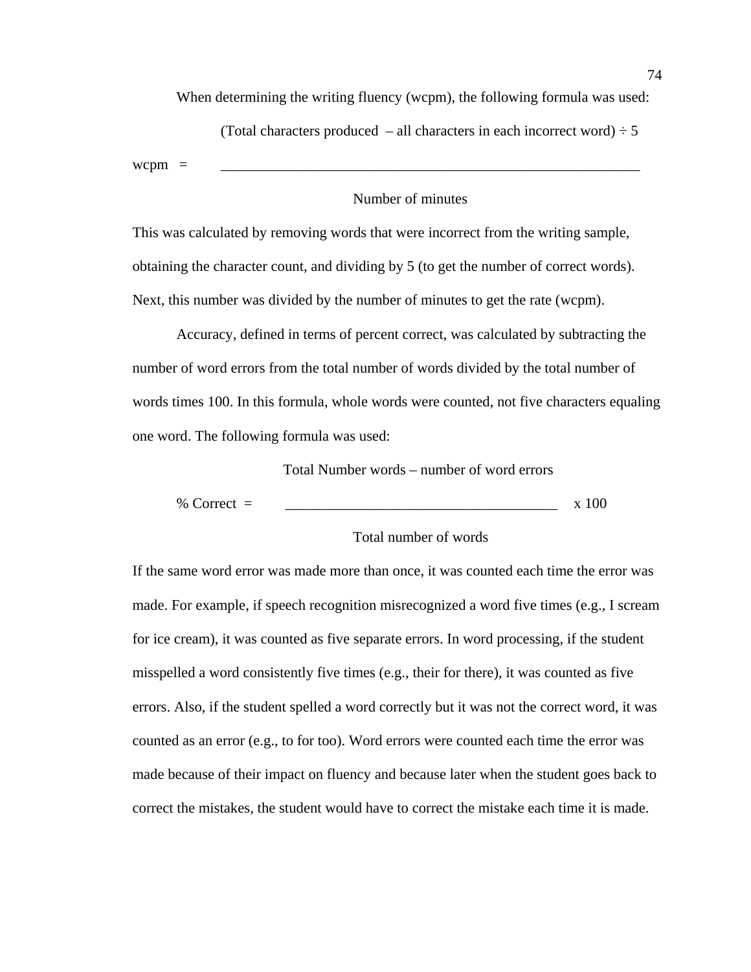When determining the writing fluency (wcpm), the following formula was used:

(Total characters produced – all characters in each incorrect word)  $\div$  5

 $wcpm =$ 

## Number of minutes

This was calculated by removing words that were incorrect from the writing sample, obtaining the character count, and dividing by 5 (to get the number of correct words). Next, this number was divided by the number of minutes to get the rate (wcpm).

Accuracy, defined in terms of percent correct, was calculated by subtracting the number of word errors from the total number of words divided by the total number of words times 100. In this formula, whole words were counted, not five characters equaling one word. The following formula was used:

Total Number words – number of word errors

% Correct =  $\frac{1}{x}$  x 100

## Total number of words

If the same word error was made more than once, it was counted each time the error was made. For example, if speech recognition misrecognized a word five times (e.g., I scream for ice cream), it was counted as five separate errors. In word processing, if the student misspelled a word consistently five times (e.g., their for there), it was counted as five errors. Also, if the student spelled a word correctly but it was not the correct word, it was counted as an error (e.g., to for too). Word errors were counted each time the error was made because of their impact on fluency and because later when the student goes back to correct the mistakes, the student would have to correct the mistake each time it is made.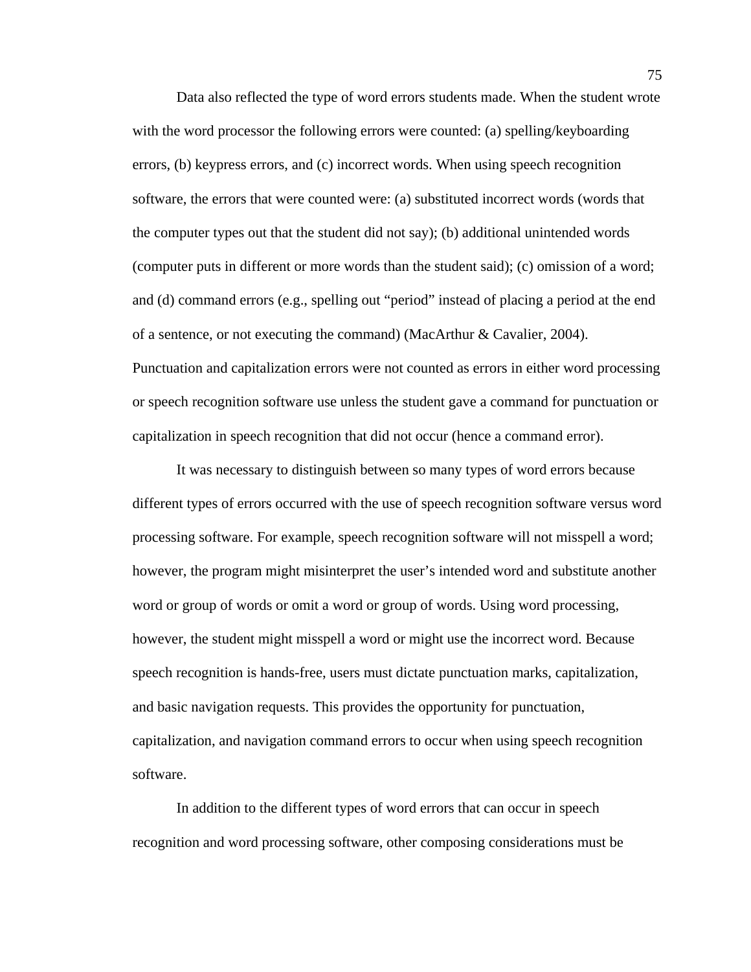Data also reflected the type of word errors students made. When the student wrote with the word processor the following errors were counted: (a) spelling/keyboarding errors, (b) keypress errors, and (c) incorrect words. When using speech recognition software, the errors that were counted were: (a) substituted incorrect words (words that the computer types out that the student did not say); (b) additional unintended words (computer puts in different or more words than the student said); (c) omission of a word; and (d) command errors (e.g., spelling out "period" instead of placing a period at the end of a sentence, or not executing the command) (MacArthur & Cavalier, 2004). Punctuation and capitalization errors were not counted as errors in either word processing or speech recognition software use unless the student gave a command for punctuation or capitalization in speech recognition that did not occur (hence a command error).

It was necessary to distinguish between so many types of word errors because different types of errors occurred with the use of speech recognition software versus word processing software. For example, speech recognition software will not misspell a word; however, the program might misinterpret the user's intended word and substitute another word or group of words or omit a word or group of words. Using word processing, however, the student might misspell a word or might use the incorrect word. Because speech recognition is hands-free, users must dictate punctuation marks, capitalization, and basic navigation requests. This provides the opportunity for punctuation, capitalization, and navigation command errors to occur when using speech recognition software.

In addition to the different types of word errors that can occur in speech recognition and word processing software, other composing considerations must be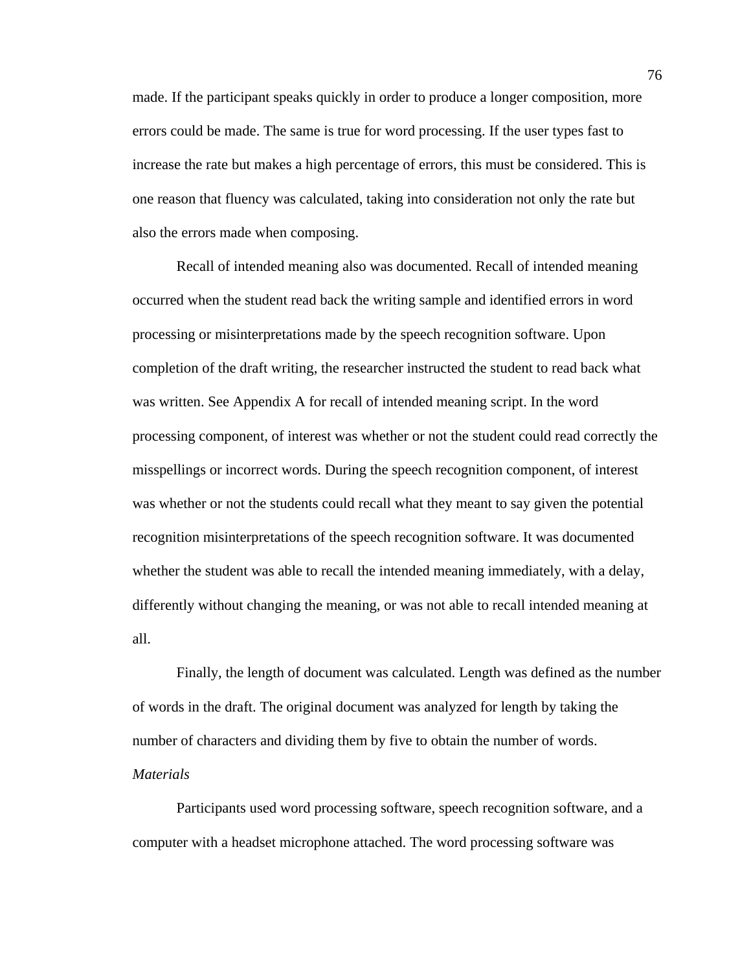made. If the participant speaks quickly in order to produce a longer composition, more errors could be made. The same is true for word processing. If the user types fast to increase the rate but makes a high percentage of errors, this must be considered. This is one reason that fluency was calculated, taking into consideration not only the rate but also the errors made when composing.

Recall of intended meaning also was documented. Recall of intended meaning occurred when the student read back the writing sample and identified errors in word processing or misinterpretations made by the speech recognition software. Upon completion of the draft writing, the researcher instructed the student to read back what was written. See Appendix A for recall of intended meaning script. In the word processing component, of interest was whether or not the student could read correctly the misspellings or incorrect words. During the speech recognition component, of interest was whether or not the students could recall what they meant to say given the potential recognition misinterpretations of the speech recognition software. It was documented whether the student was able to recall the intended meaning immediately, with a delay, differently without changing the meaning, or was not able to recall intended meaning at all.

Finally, the length of document was calculated. Length was defined as the number of words in the draft. The original document was analyzed for length by taking the number of characters and dividing them by five to obtain the number of words. *Materials* 

Participants used word processing software, speech recognition software, and a computer with a headset microphone attached. The word processing software was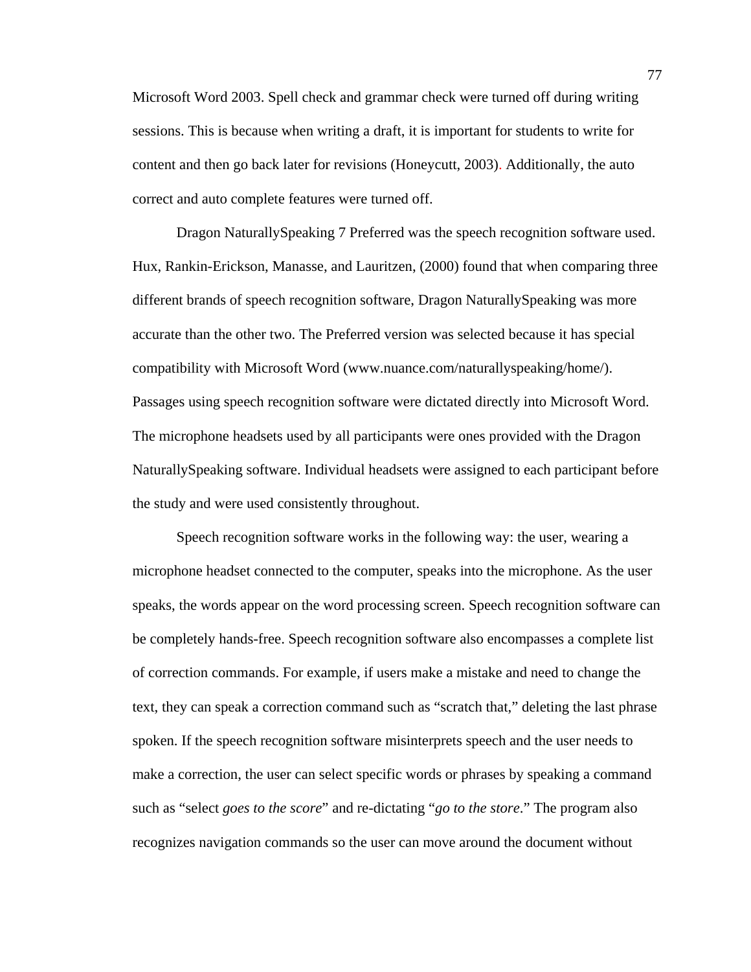Microsoft Word 2003. Spell check and grammar check were turned off during writing sessions. This is because when writing a draft, it is important for students to write for content and then go back later for revisions (Honeycutt, 2003). Additionally, the auto correct and auto complete features were turned off.

Dragon NaturallySpeaking 7 Preferred was the speech recognition software used. Hux, Rankin-Erickson, Manasse, and Lauritzen, (2000) found that when comparing three different brands of speech recognition software, Dragon NaturallySpeaking was more accurate than the other two. The Preferred version was selected because it has special compatibility with Microsoft Word (www.nuance.com/naturallyspeaking/home/). Passages using speech recognition software were dictated directly into Microsoft Word. The microphone headsets used by all participants were ones provided with the Dragon NaturallySpeaking software. Individual headsets were assigned to each participant before the study and were used consistently throughout.

Speech recognition software works in the following way: the user, wearing a microphone headset connected to the computer, speaks into the microphone. As the user speaks, the words appear on the word processing screen. Speech recognition software can be completely hands-free. Speech recognition software also encompasses a complete list of correction commands. For example, if users make a mistake and need to change the text, they can speak a correction command such as "scratch that," deleting the last phrase spoken. If the speech recognition software misinterprets speech and the user needs to make a correction, the user can select specific words or phrases by speaking a command such as "select *goes to the score*" and re-dictating "*go to the store*." The program also recognizes navigation commands so the user can move around the document without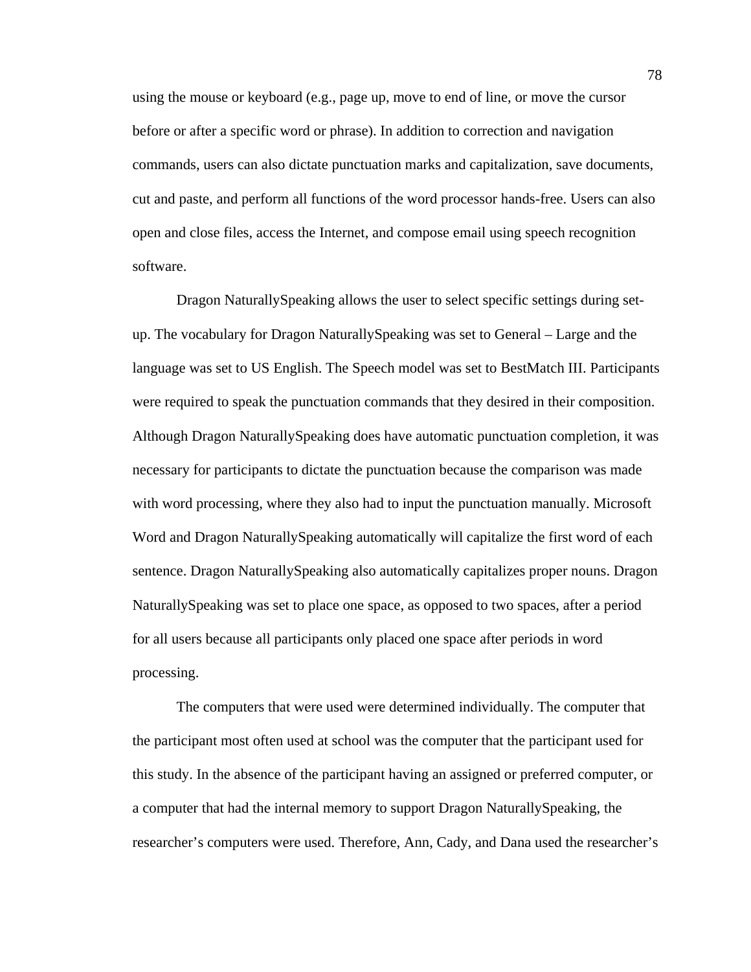using the mouse or keyboard (e.g., page up, move to end of line, or move the cursor before or after a specific word or phrase). In addition to correction and navigation commands, users can also dictate punctuation marks and capitalization, save documents, cut and paste, and perform all functions of the word processor hands-free. Users can also open and close files, access the Internet, and compose email using speech recognition software.

Dragon NaturallySpeaking allows the user to select specific settings during setup. The vocabulary for Dragon NaturallySpeaking was set to General – Large and the language was set to US English. The Speech model was set to BestMatch III. Participants were required to speak the punctuation commands that they desired in their composition. Although Dragon NaturallySpeaking does have automatic punctuation completion, it was necessary for participants to dictate the punctuation because the comparison was made with word processing, where they also had to input the punctuation manually. Microsoft Word and Dragon NaturallySpeaking automatically will capitalize the first word of each sentence. Dragon NaturallySpeaking also automatically capitalizes proper nouns. Dragon NaturallySpeaking was set to place one space, as opposed to two spaces, after a period for all users because all participants only placed one space after periods in word processing.

The computers that were used were determined individually. The computer that the participant most often used at school was the computer that the participant used for this study. In the absence of the participant having an assigned or preferred computer, or a computer that had the internal memory to support Dragon NaturallySpeaking, the researcher's computers were used. Therefore, Ann, Cady, and Dana used the researcher's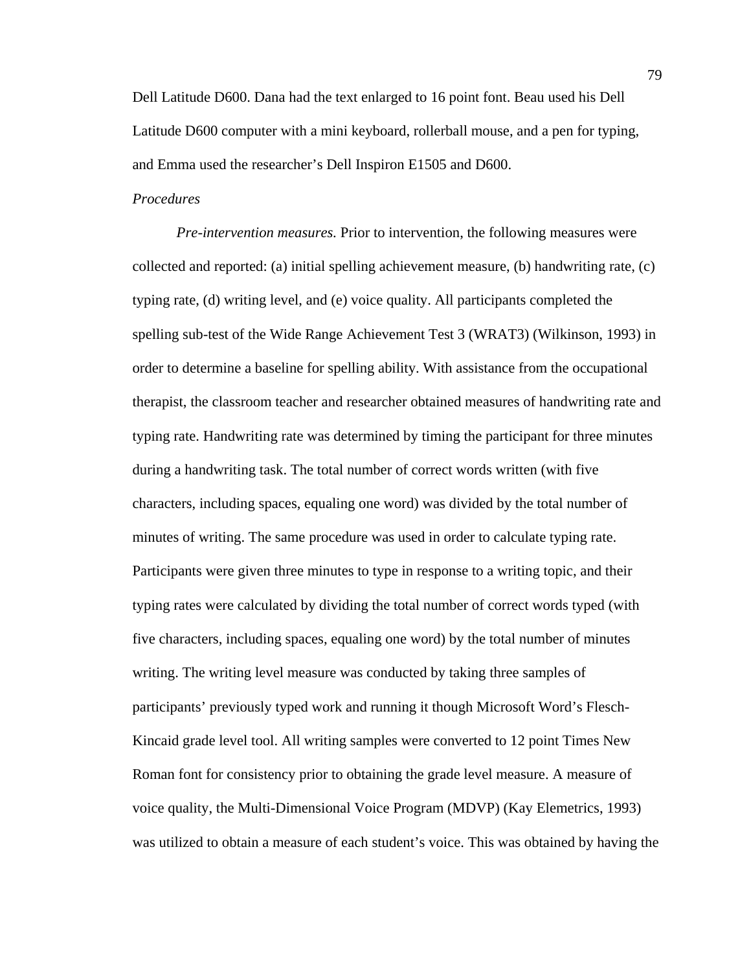Dell Latitude D600. Dana had the text enlarged to 16 point font. Beau used his Dell Latitude D600 computer with a mini keyboard, rollerball mouse, and a pen for typing, and Emma used the researcher's Dell Inspiron E1505 and D600.

# *Procedures*

*Pre-intervention measures.* Prior to intervention, the following measures were collected and reported: (a) initial spelling achievement measure, (b) handwriting rate, (c) typing rate, (d) writing level, and (e) voice quality. All participants completed the spelling sub-test of the Wide Range Achievement Test 3 (WRAT3) (Wilkinson, 1993) in order to determine a baseline for spelling ability. With assistance from the occupational therapist, the classroom teacher and researcher obtained measures of handwriting rate and typing rate. Handwriting rate was determined by timing the participant for three minutes during a handwriting task. The total number of correct words written (with five characters, including spaces, equaling one word) was divided by the total number of minutes of writing. The same procedure was used in order to calculate typing rate. Participants were given three minutes to type in response to a writing topic, and their typing rates were calculated by dividing the total number of correct words typed (with five characters, including spaces, equaling one word) by the total number of minutes writing. The writing level measure was conducted by taking three samples of participants' previously typed work and running it though Microsoft Word's Flesch-Kincaid grade level tool. All writing samples were converted to 12 point Times New Roman font for consistency prior to obtaining the grade level measure. A measure of voice quality, the Multi-Dimensional Voice Program (MDVP) (Kay Elemetrics, 1993) was utilized to obtain a measure of each student's voice. This was obtained by having the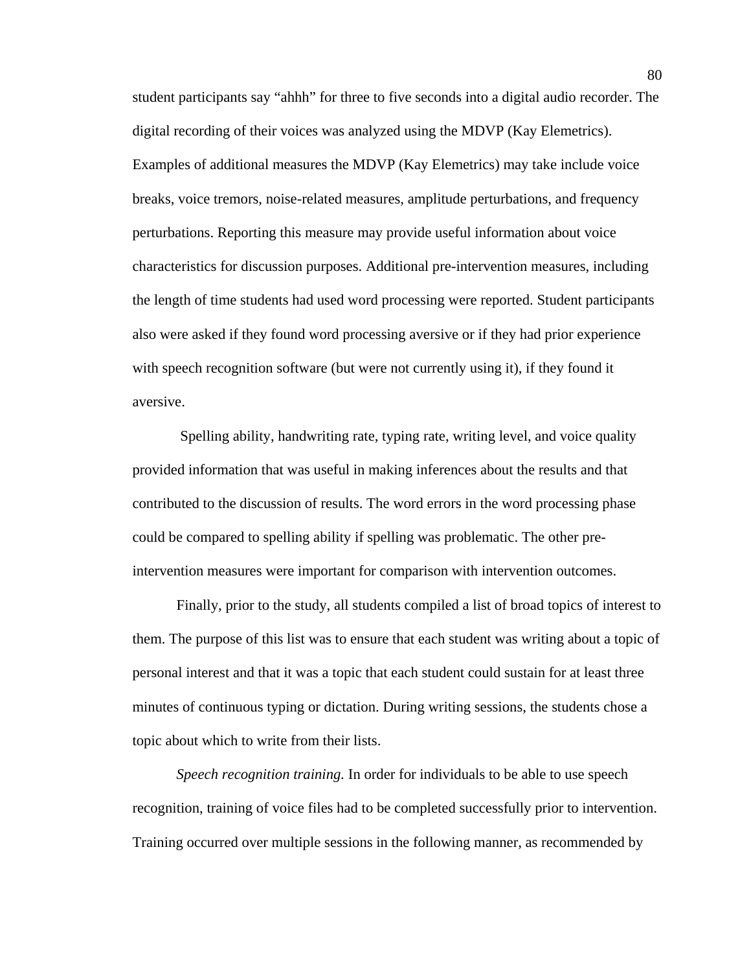student participants say "ahhh" for three to five seconds into a digital audio recorder. The digital recording of their voices was analyzed using the MDVP (Kay Elemetrics). Examples of additional measures the MDVP (Kay Elemetrics) may take include voice breaks, voice tremors, noise-related measures, amplitude perturbations, and frequency perturbations. Reporting this measure may provide useful information about voice characteristics for discussion purposes. Additional pre-intervention measures, including the length of time students had used word processing were reported. Student participants also were asked if they found word processing aversive or if they had prior experience with speech recognition software (but were not currently using it), if they found it aversive.

 Spelling ability, handwriting rate, typing rate, writing level, and voice quality provided information that was useful in making inferences about the results and that contributed to the discussion of results. The word errors in the word processing phase could be compared to spelling ability if spelling was problematic. The other preintervention measures were important for comparison with intervention outcomes.

Finally, prior to the study, all students compiled a list of broad topics of interest to them. The purpose of this list was to ensure that each student was writing about a topic of personal interest and that it was a topic that each student could sustain for at least three minutes of continuous typing or dictation. During writing sessions, the students chose a topic about which to write from their lists.

*Speech recognition training.* In order for individuals to be able to use speech recognition, training of voice files had to be completed successfully prior to intervention. Training occurred over multiple sessions in the following manner, as recommended by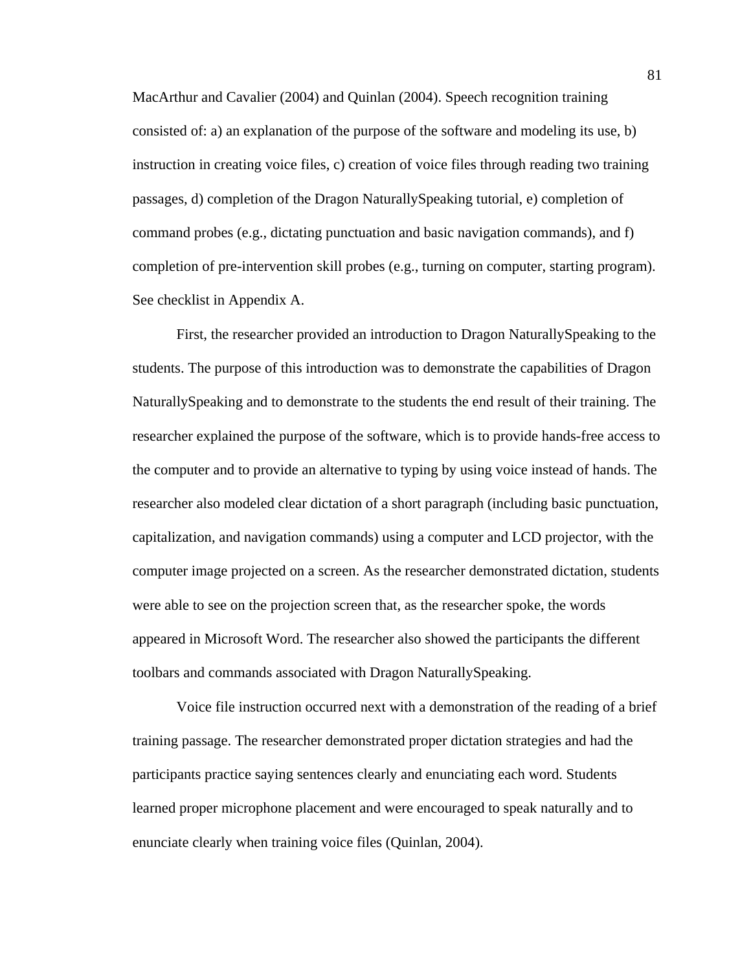MacArthur and Cavalier (2004) and Quinlan (2004). Speech recognition training consisted of: a) an explanation of the purpose of the software and modeling its use, b) instruction in creating voice files, c) creation of voice files through reading two training passages, d) completion of the Dragon NaturallySpeaking tutorial, e) completion of command probes (e.g., dictating punctuation and basic navigation commands), and f) completion of pre-intervention skill probes (e.g., turning on computer, starting program). See checklist in Appendix A.

First, the researcher provided an introduction to Dragon NaturallySpeaking to the students. The purpose of this introduction was to demonstrate the capabilities of Dragon NaturallySpeaking and to demonstrate to the students the end result of their training. The researcher explained the purpose of the software, which is to provide hands-free access to the computer and to provide an alternative to typing by using voice instead of hands. The researcher also modeled clear dictation of a short paragraph (including basic punctuation, capitalization, and navigation commands) using a computer and LCD projector, with the computer image projected on a screen. As the researcher demonstrated dictation, students were able to see on the projection screen that, as the researcher spoke, the words appeared in Microsoft Word. The researcher also showed the participants the different toolbars and commands associated with Dragon NaturallySpeaking.

Voice file instruction occurred next with a demonstration of the reading of a brief training passage. The researcher demonstrated proper dictation strategies and had the participants practice saying sentences clearly and enunciating each word. Students learned proper microphone placement and were encouraged to speak naturally and to enunciate clearly when training voice files (Quinlan, 2004).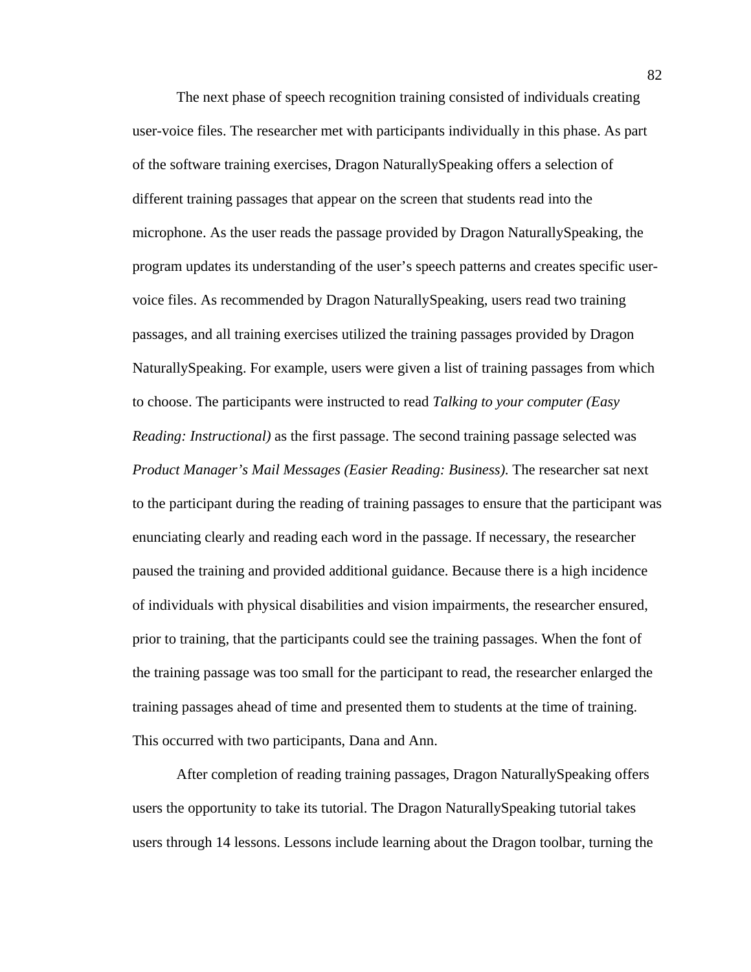The next phase of speech recognition training consisted of individuals creating user-voice files. The researcher met with participants individually in this phase. As part of the software training exercises, Dragon NaturallySpeaking offers a selection of different training passages that appear on the screen that students read into the microphone. As the user reads the passage provided by Dragon NaturallySpeaking, the program updates its understanding of the user's speech patterns and creates specific uservoice files. As recommended by Dragon NaturallySpeaking, users read two training passages, and all training exercises utilized the training passages provided by Dragon NaturallySpeaking. For example, users were given a list of training passages from which to choose. The participants were instructed to read *Talking to your computer (Easy Reading: Instructional*) as the first passage. The second training passage selected was *Product Manager's Mail Messages (Easier Reading: Business)*. The researcher sat next to the participant during the reading of training passages to ensure that the participant was enunciating clearly and reading each word in the passage. If necessary, the researcher paused the training and provided additional guidance. Because there is a high incidence of individuals with physical disabilities and vision impairments, the researcher ensured, prior to training, that the participants could see the training passages. When the font of the training passage was too small for the participant to read, the researcher enlarged the training passages ahead of time and presented them to students at the time of training. This occurred with two participants, Dana and Ann.

After completion of reading training passages, Dragon NaturallySpeaking offers users the opportunity to take its tutorial. The Dragon NaturallySpeaking tutorial takes users through 14 lessons. Lessons include learning about the Dragon toolbar, turning the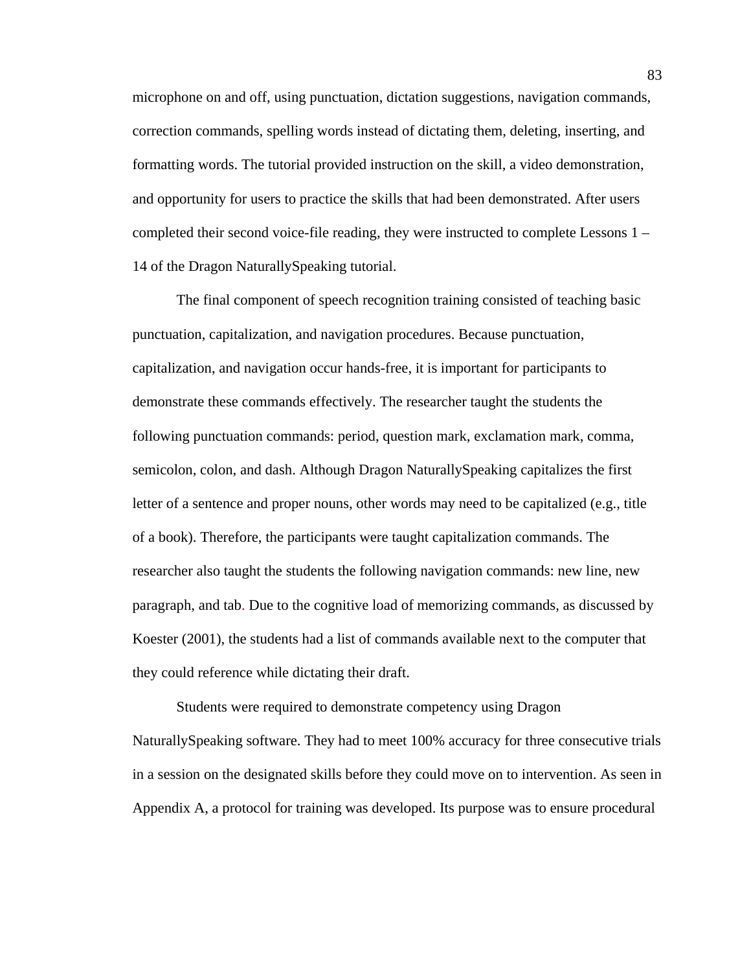microphone on and off, using punctuation, dictation suggestions, navigation commands, correction commands, spelling words instead of dictating them, deleting, inserting, and formatting words. The tutorial provided instruction on the skill, a video demonstration, and opportunity for users to practice the skills that had been demonstrated. After users completed their second voice-file reading, they were instructed to complete Lessons 1 – 14 of the Dragon NaturallySpeaking tutorial.

The final component of speech recognition training consisted of teaching basic punctuation, capitalization, and navigation procedures. Because punctuation, capitalization, and navigation occur hands-free, it is important for participants to demonstrate these commands effectively. The researcher taught the students the following punctuation commands: period, question mark, exclamation mark, comma, semicolon, colon, and dash. Although Dragon NaturallySpeaking capitalizes the first letter of a sentence and proper nouns, other words may need to be capitalized (e.g., title of a book). Therefore, the participants were taught capitalization commands. The researcher also taught the students the following navigation commands: new line, new paragraph, and tab. Due to the cognitive load of memorizing commands, as discussed by Koester (2001), the students had a list of commands available next to the computer that they could reference while dictating their draft.

Students were required to demonstrate competency using Dragon NaturallySpeaking software. They had to meet 100% accuracy for three consecutive trials in a session on the designated skills before they could move on to intervention. As seen in Appendix A, a protocol for training was developed. Its purpose was to ensure procedural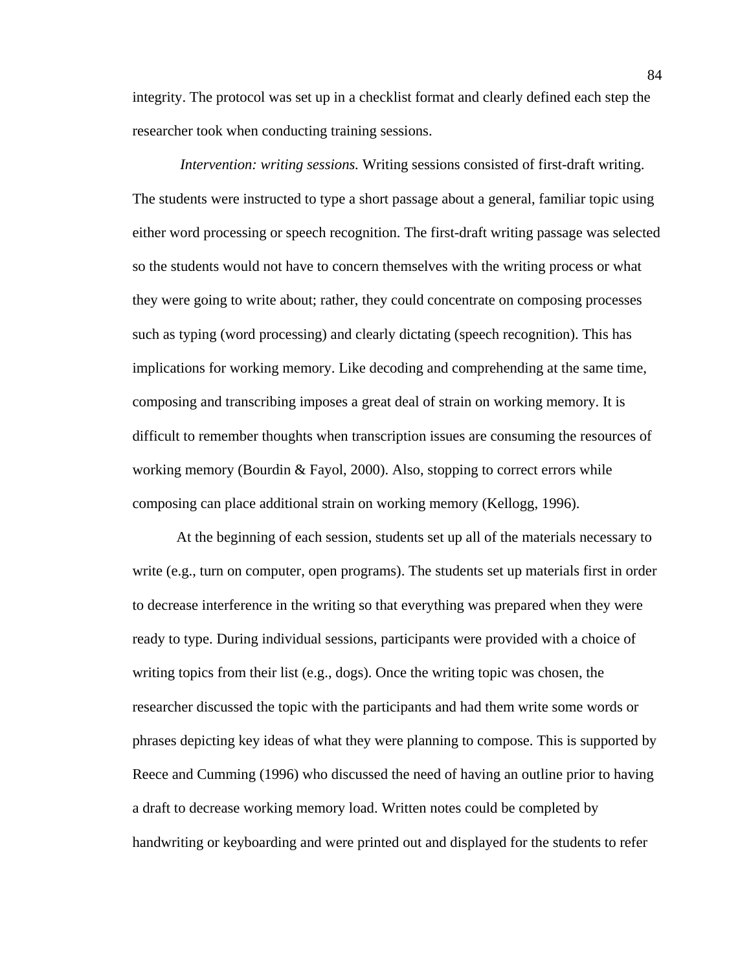integrity. The protocol was set up in a checklist format and clearly defined each step the researcher took when conducting training sessions.

 *Intervention: writing sessions.* Writing sessions consisted of first-draft writing. The students were instructed to type a short passage about a general, familiar topic using either word processing or speech recognition. The first-draft writing passage was selected so the students would not have to concern themselves with the writing process or what they were going to write about; rather, they could concentrate on composing processes such as typing (word processing) and clearly dictating (speech recognition). This has implications for working memory. Like decoding and comprehending at the same time, composing and transcribing imposes a great deal of strain on working memory. It is difficult to remember thoughts when transcription issues are consuming the resources of working memory (Bourdin & Fayol, 2000). Also, stopping to correct errors while composing can place additional strain on working memory (Kellogg, 1996).

At the beginning of each session, students set up all of the materials necessary to write (e.g., turn on computer, open programs). The students set up materials first in order to decrease interference in the writing so that everything was prepared when they were ready to type. During individual sessions, participants were provided with a choice of writing topics from their list (e.g., dogs). Once the writing topic was chosen, the researcher discussed the topic with the participants and had them write some words or phrases depicting key ideas of what they were planning to compose. This is supported by Reece and Cumming (1996) who discussed the need of having an outline prior to having a draft to decrease working memory load. Written notes could be completed by handwriting or keyboarding and were printed out and displayed for the students to refer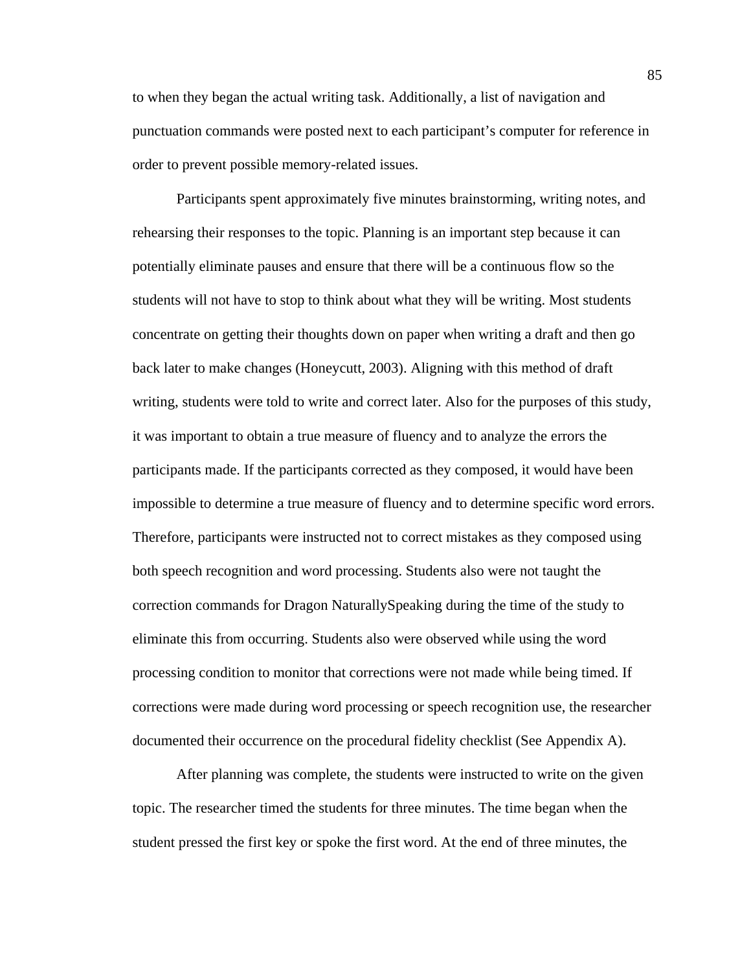to when they began the actual writing task. Additionally, a list of navigation and punctuation commands were posted next to each participant's computer for reference in order to prevent possible memory-related issues.

Participants spent approximately five minutes brainstorming, writing notes, and rehearsing their responses to the topic. Planning is an important step because it can potentially eliminate pauses and ensure that there will be a continuous flow so the students will not have to stop to think about what they will be writing. Most students concentrate on getting their thoughts down on paper when writing a draft and then go back later to make changes (Honeycutt, 2003). Aligning with this method of draft writing, students were told to write and correct later. Also for the purposes of this study, it was important to obtain a true measure of fluency and to analyze the errors the participants made. If the participants corrected as they composed, it would have been impossible to determine a true measure of fluency and to determine specific word errors. Therefore, participants were instructed not to correct mistakes as they composed using both speech recognition and word processing. Students also were not taught the correction commands for Dragon NaturallySpeaking during the time of the study to eliminate this from occurring. Students also were observed while using the word processing condition to monitor that corrections were not made while being timed. If corrections were made during word processing or speech recognition use, the researcher documented their occurrence on the procedural fidelity checklist (See Appendix A).

After planning was complete, the students were instructed to write on the given topic. The researcher timed the students for three minutes. The time began when the student pressed the first key or spoke the first word. At the end of three minutes, the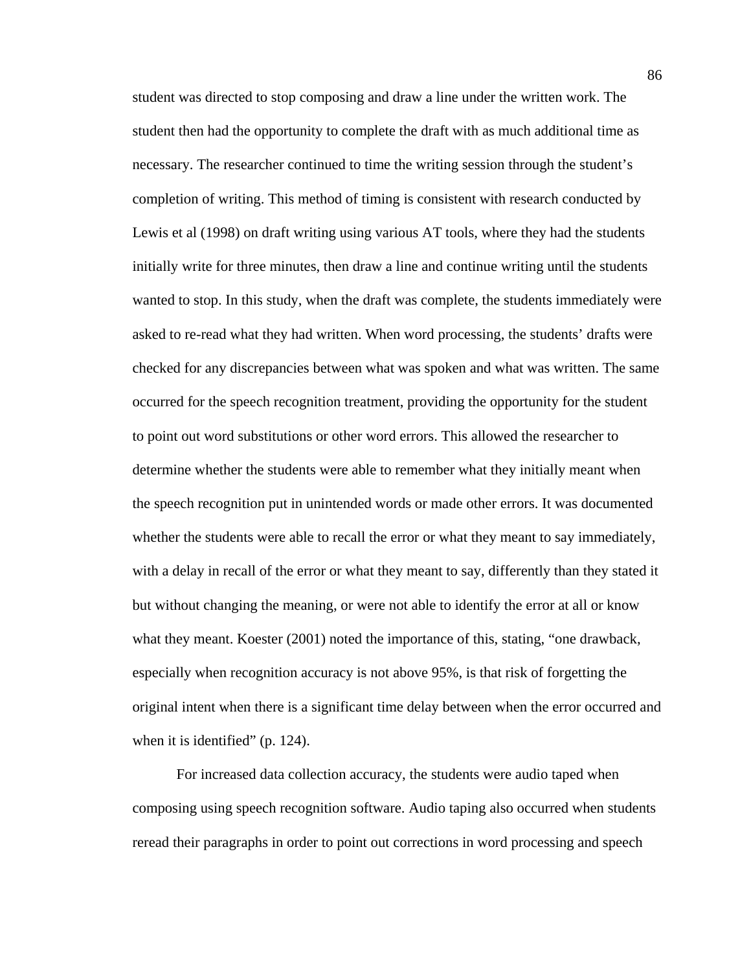student was directed to stop composing and draw a line under the written work. The student then had the opportunity to complete the draft with as much additional time as necessary. The researcher continued to time the writing session through the student's completion of writing. This method of timing is consistent with research conducted by Lewis et al (1998) on draft writing using various AT tools, where they had the students initially write for three minutes, then draw a line and continue writing until the students wanted to stop. In this study, when the draft was complete, the students immediately were asked to re-read what they had written. When word processing, the students' drafts were checked for any discrepancies between what was spoken and what was written. The same occurred for the speech recognition treatment, providing the opportunity for the student to point out word substitutions or other word errors. This allowed the researcher to determine whether the students were able to remember what they initially meant when the speech recognition put in unintended words or made other errors. It was documented whether the students were able to recall the error or what they meant to say immediately, with a delay in recall of the error or what they meant to say, differently than they stated it but without changing the meaning, or were not able to identify the error at all or know what they meant. Koester (2001) noted the importance of this, stating, "one drawback, especially when recognition accuracy is not above 95%, is that risk of forgetting the original intent when there is a significant time delay between when the error occurred and when it is identified" (p. 124).

For increased data collection accuracy, the students were audio taped when composing using speech recognition software. Audio taping also occurred when students reread their paragraphs in order to point out corrections in word processing and speech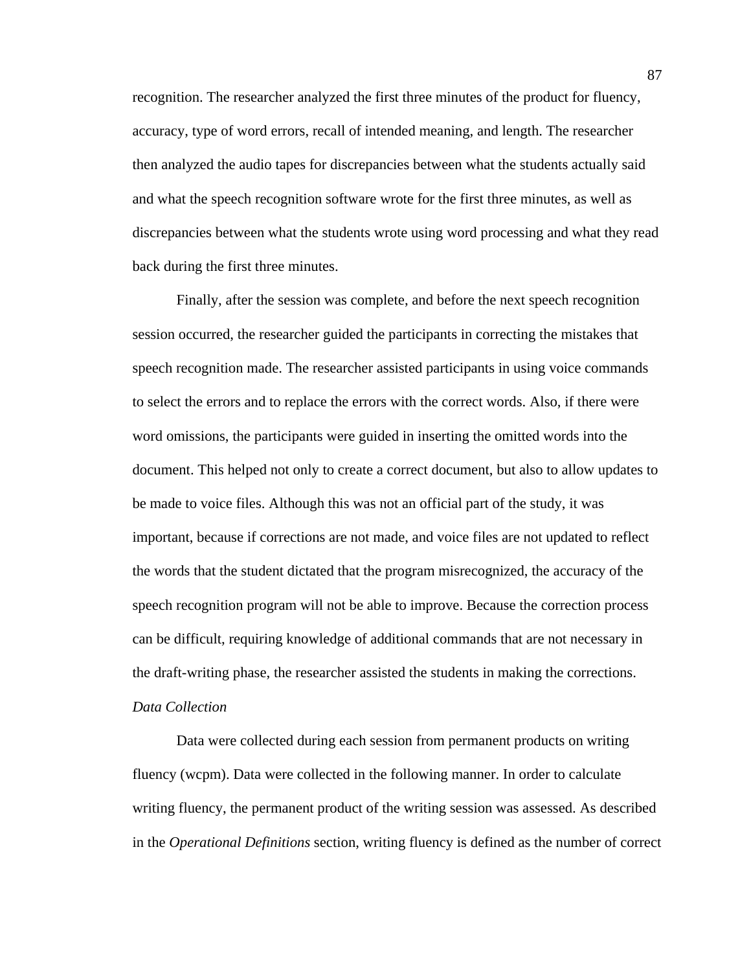recognition. The researcher analyzed the first three minutes of the product for fluency, accuracy, type of word errors, recall of intended meaning, and length. The researcher then analyzed the audio tapes for discrepancies between what the students actually said and what the speech recognition software wrote for the first three minutes, as well as discrepancies between what the students wrote using word processing and what they read back during the first three minutes.

Finally, after the session was complete, and before the next speech recognition session occurred, the researcher guided the participants in correcting the mistakes that speech recognition made. The researcher assisted participants in using voice commands to select the errors and to replace the errors with the correct words. Also, if there were word omissions, the participants were guided in inserting the omitted words into the document. This helped not only to create a correct document, but also to allow updates to be made to voice files. Although this was not an official part of the study, it was important, because if corrections are not made, and voice files are not updated to reflect the words that the student dictated that the program misrecognized, the accuracy of the speech recognition program will not be able to improve. Because the correction process can be difficult, requiring knowledge of additional commands that are not necessary in the draft-writing phase, the researcher assisted the students in making the corrections. *Data Collection* 

Data were collected during each session from permanent products on writing fluency (wcpm). Data were collected in the following manner. In order to calculate writing fluency, the permanent product of the writing session was assessed. As described in the *Operational Definitions* section, writing fluency is defined as the number of correct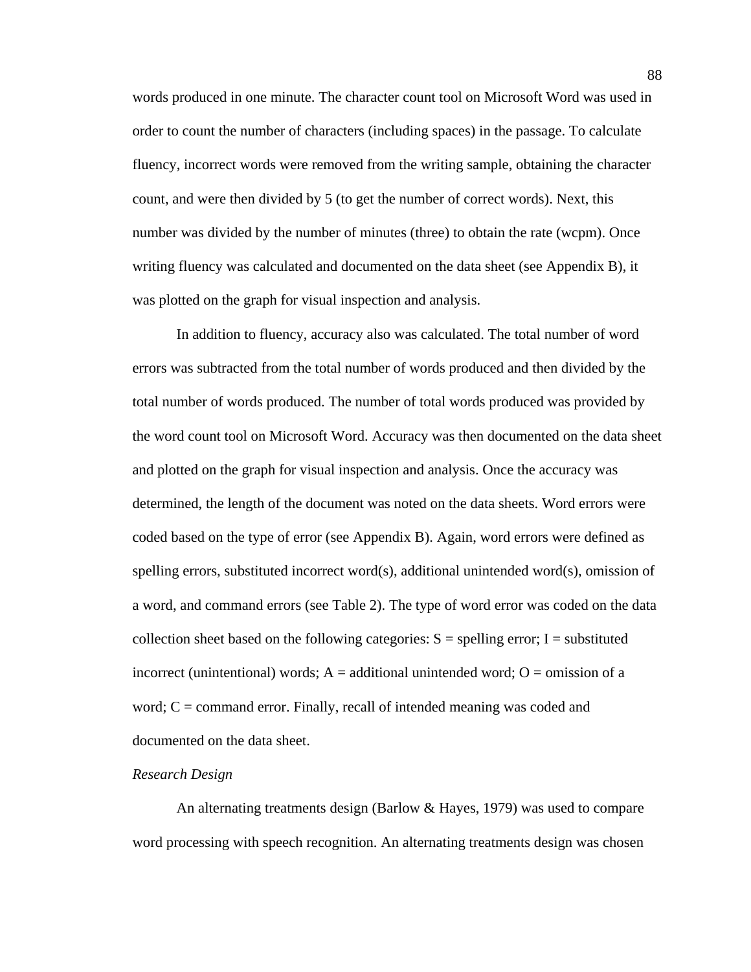words produced in one minute. The character count tool on Microsoft Word was used in order to count the number of characters (including spaces) in the passage. To calculate fluency, incorrect words were removed from the writing sample, obtaining the character count, and were then divided by 5 (to get the number of correct words). Next, this number was divided by the number of minutes (three) to obtain the rate (wcpm). Once writing fluency was calculated and documented on the data sheet (see Appendix B), it was plotted on the graph for visual inspection and analysis.

In addition to fluency, accuracy also was calculated. The total number of word errors was subtracted from the total number of words produced and then divided by the total number of words produced. The number of total words produced was provided by the word count tool on Microsoft Word. Accuracy was then documented on the data sheet and plotted on the graph for visual inspection and analysis. Once the accuracy was determined, the length of the document was noted on the data sheets. Word errors were coded based on the type of error (see Appendix B). Again, word errors were defined as spelling errors, substituted incorrect word(s), additional unintended word(s), omission of a word, and command errors (see Table 2). The type of word error was coded on the data collection sheet based on the following categories:  $S =$  spelling error; I = substituted incorrect (unintentional) words;  $A =$  additional unintended word;  $O =$  omission of a word;  $C =$  command error. Finally, recall of intended meaning was coded and documented on the data sheet.

# *Research Design*

An alternating treatments design (Barlow  $&$  Hayes, 1979) was used to compare word processing with speech recognition. An alternating treatments design was chosen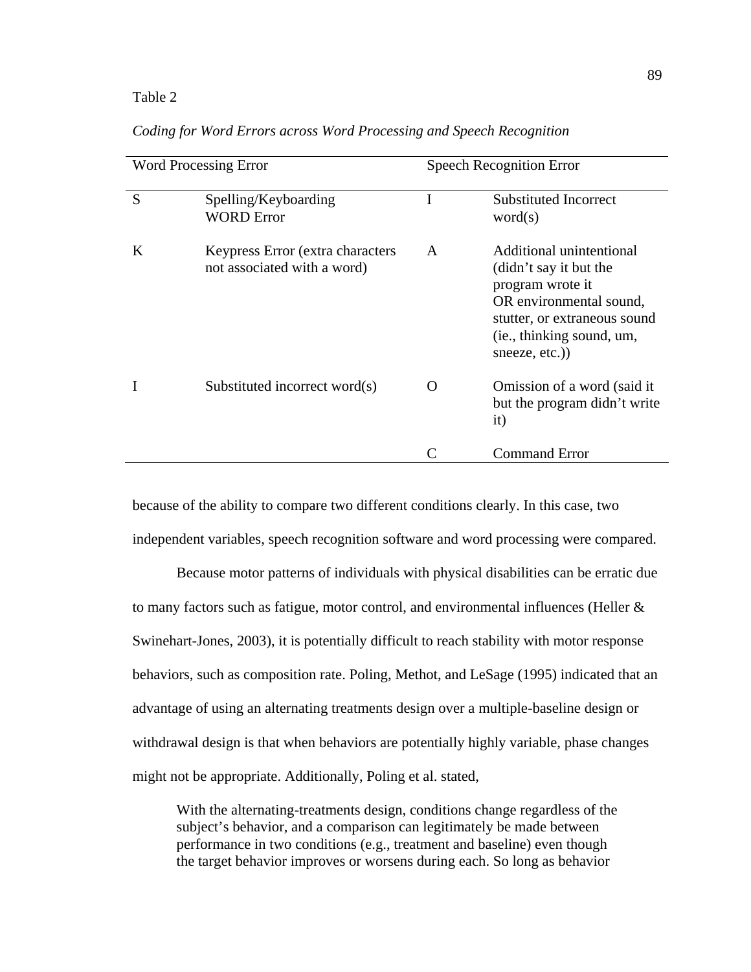#### Table 2

|   | <b>Word Processing Error</b>                                     | <b>Speech Recognition Error</b> |                                                                                                                                                                                 |  |
|---|------------------------------------------------------------------|---------------------------------|---------------------------------------------------------------------------------------------------------------------------------------------------------------------------------|--|
| S | Spelling/Keyboarding<br><b>WORD Error</b>                        | I                               | <b>Substituted Incorrect</b><br>word(s)                                                                                                                                         |  |
| K | Keypress Error (extra characters)<br>not associated with a word) | A                               | Additional unintentional<br>(didn't say it but the<br>program wrote it<br>OR environmental sound,<br>stutter, or extraneous sound<br>(ie., thinking sound, um,<br>sneeze, etc.) |  |
|   | Substituted incorrect word(s)                                    | ( )                             | Omission of a word (said it)<br>but the program didn't write<br>it)                                                                                                             |  |
|   |                                                                  | C                               | <b>Command Error</b>                                                                                                                                                            |  |

*Coding for Word Errors across Word Processing and Speech Recognition* 

because of the ability to compare two different conditions clearly. In this case, two independent variables, speech recognition software and word processing were compared.

Because motor patterns of individuals with physical disabilities can be erratic due to many factors such as fatigue, motor control, and environmental influences (Heller & Swinehart-Jones, 2003), it is potentially difficult to reach stability with motor response behaviors, such as composition rate. Poling, Methot, and LeSage (1995) indicated that an advantage of using an alternating treatments design over a multiple-baseline design or withdrawal design is that when behaviors are potentially highly variable, phase changes might not be appropriate. Additionally, Poling et al. stated,

With the alternating-treatments design, conditions change regardless of the subject's behavior, and a comparison can legitimately be made between performance in two conditions (e.g., treatment and baseline) even though the target behavior improves or worsens during each. So long as behavior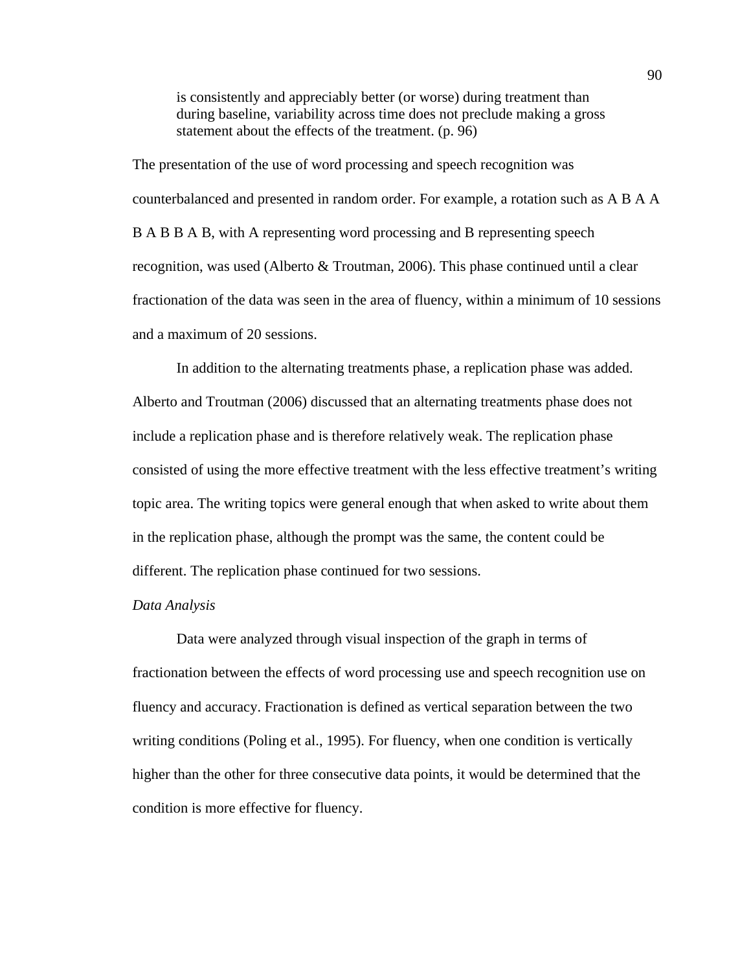is consistently and appreciably better (or worse) during treatment than during baseline, variability across time does not preclude making a gross statement about the effects of the treatment. (p. 96)

The presentation of the use of word processing and speech recognition was counterbalanced and presented in random order. For example, a rotation such as A B A A B A B B A B, with A representing word processing and B representing speech recognition, was used (Alberto & Troutman, 2006). This phase continued until a clear fractionation of the data was seen in the area of fluency, within a minimum of 10 sessions and a maximum of 20 sessions.

In addition to the alternating treatments phase, a replication phase was added. Alberto and Troutman (2006) discussed that an alternating treatments phase does not include a replication phase and is therefore relatively weak. The replication phase consisted of using the more effective treatment with the less effective treatment's writing topic area. The writing topics were general enough that when asked to write about them in the replication phase, although the prompt was the same, the content could be different. The replication phase continued for two sessions.

#### *Data Analysis*

Data were analyzed through visual inspection of the graph in terms of fractionation between the effects of word processing use and speech recognition use on fluency and accuracy. Fractionation is defined as vertical separation between the two writing conditions (Poling et al., 1995). For fluency, when one condition is vertically higher than the other for three consecutive data points, it would be determined that the condition is more effective for fluency.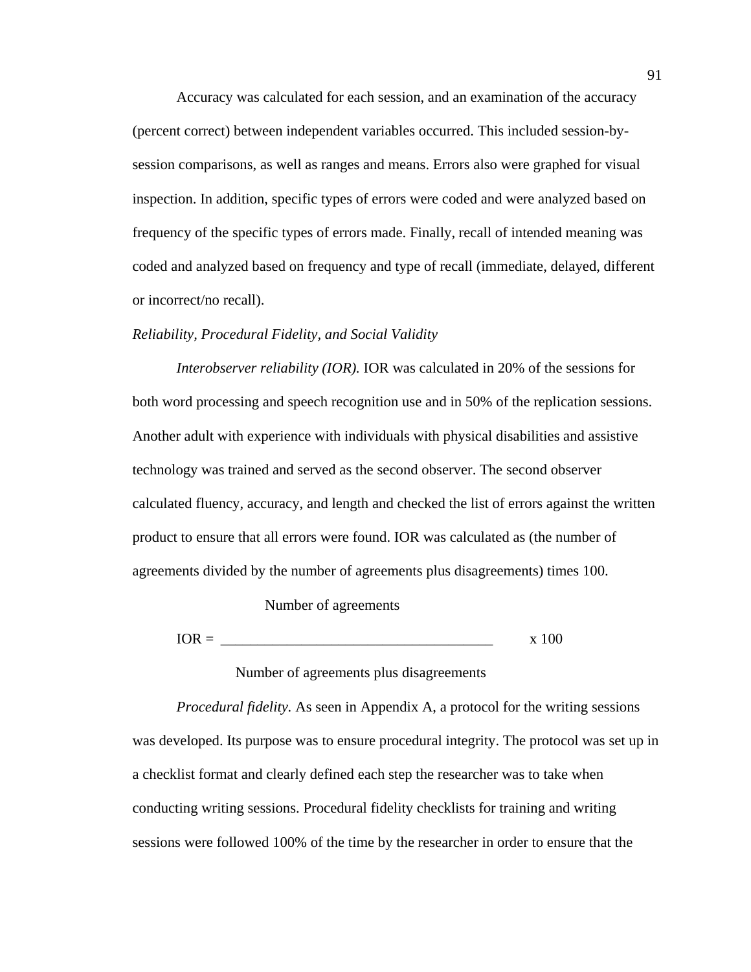Accuracy was calculated for each session, and an examination of the accuracy (percent correct) between independent variables occurred. This included session-bysession comparisons, as well as ranges and means. Errors also were graphed for visual inspection. In addition, specific types of errors were coded and were analyzed based on frequency of the specific types of errors made. Finally, recall of intended meaning was coded and analyzed based on frequency and type of recall (immediate, delayed, different or incorrect/no recall).

## *Reliability, Procedural Fidelity, and Social Validity*

*Interobserver reliability (IOR).* IOR was calculated in 20% of the sessions for both word processing and speech recognition use and in 50% of the replication sessions. Another adult with experience with individuals with physical disabilities and assistive technology was trained and served as the second observer. The second observer calculated fluency, accuracy, and length and checked the list of errors against the written product to ensure that all errors were found. IOR was calculated as (the number of agreements divided by the number of agreements plus disagreements) times 100.

Number of agreements

 $IOR =$  x 100

# Number of agreements plus disagreements

*Procedural fidelity.* As seen in Appendix A, a protocol for the writing sessions was developed. Its purpose was to ensure procedural integrity. The protocol was set up in a checklist format and clearly defined each step the researcher was to take when conducting writing sessions. Procedural fidelity checklists for training and writing sessions were followed 100% of the time by the researcher in order to ensure that the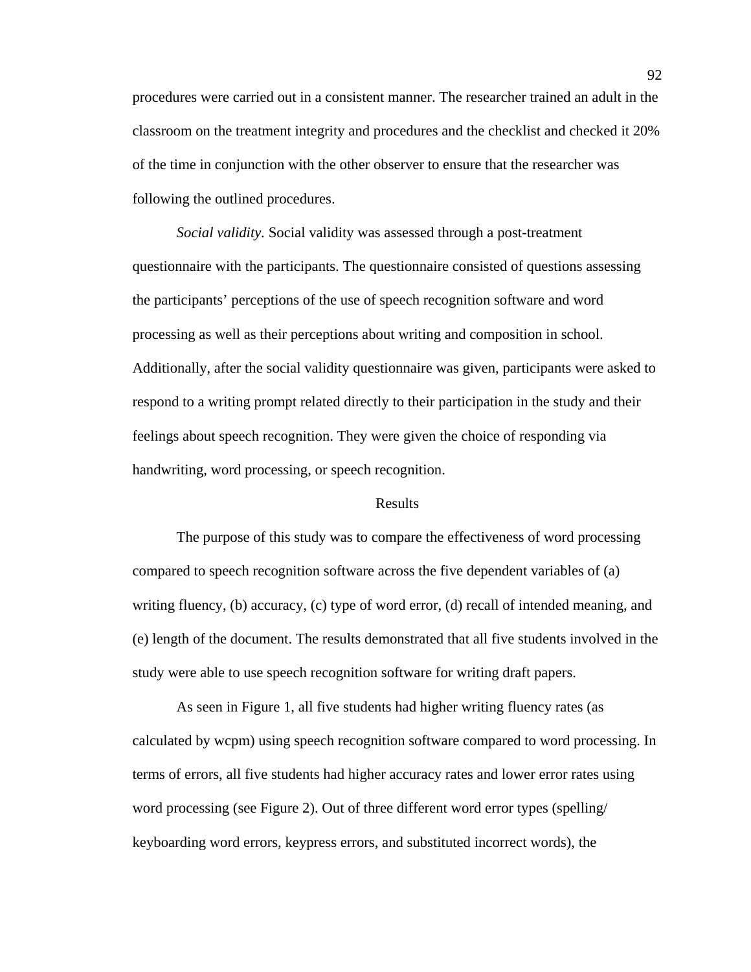procedures were carried out in a consistent manner. The researcher trained an adult in the classroom on the treatment integrity and procedures and the checklist and checked it 20% of the time in conjunction with the other observer to ensure that the researcher was following the outlined procedures.

*Social validity.* Social validity was assessed through a post-treatment questionnaire with the participants. The questionnaire consisted of questions assessing the participants' perceptions of the use of speech recognition software and word processing as well as their perceptions about writing and composition in school. Additionally, after the social validity questionnaire was given, participants were asked to respond to a writing prompt related directly to their participation in the study and their feelings about speech recognition. They were given the choice of responding via handwriting, word processing, or speech recognition.

## Results

The purpose of this study was to compare the effectiveness of word processing compared to speech recognition software across the five dependent variables of (a) writing fluency, (b) accuracy, (c) type of word error, (d) recall of intended meaning, and (e) length of the document. The results demonstrated that all five students involved in the study were able to use speech recognition software for writing draft papers.

As seen in Figure 1, all five students had higher writing fluency rates (as calculated by wcpm) using speech recognition software compared to word processing. In terms of errors, all five students had higher accuracy rates and lower error rates using word processing (see Figure 2). Out of three different word error types (spelling/ keyboarding word errors, keypress errors, and substituted incorrect words), the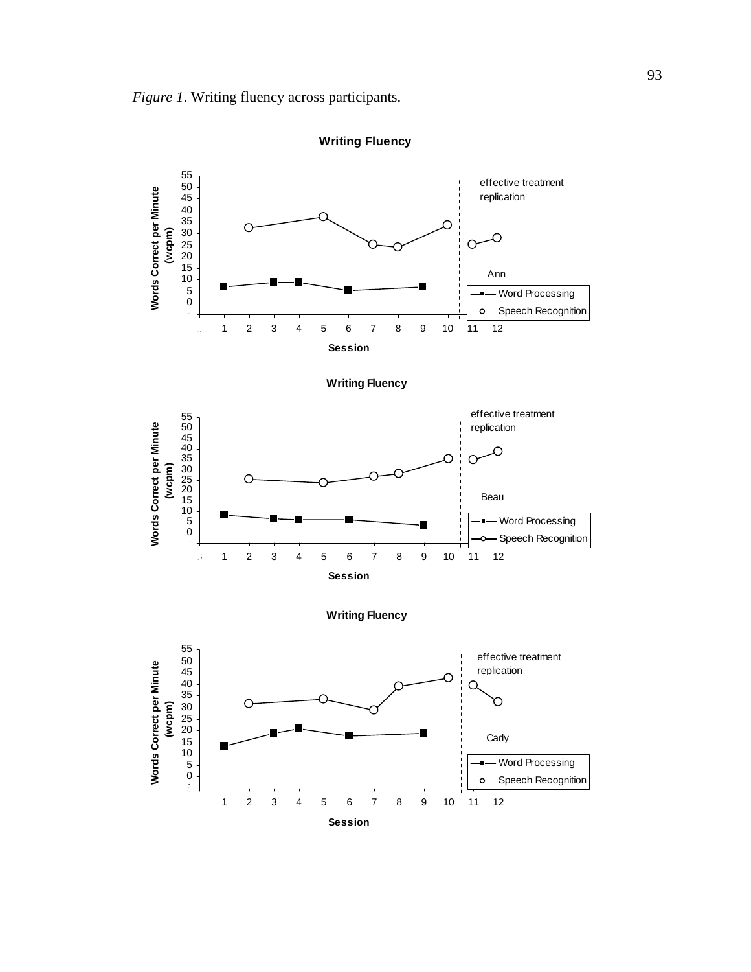

**Session**

**Writing Fluency**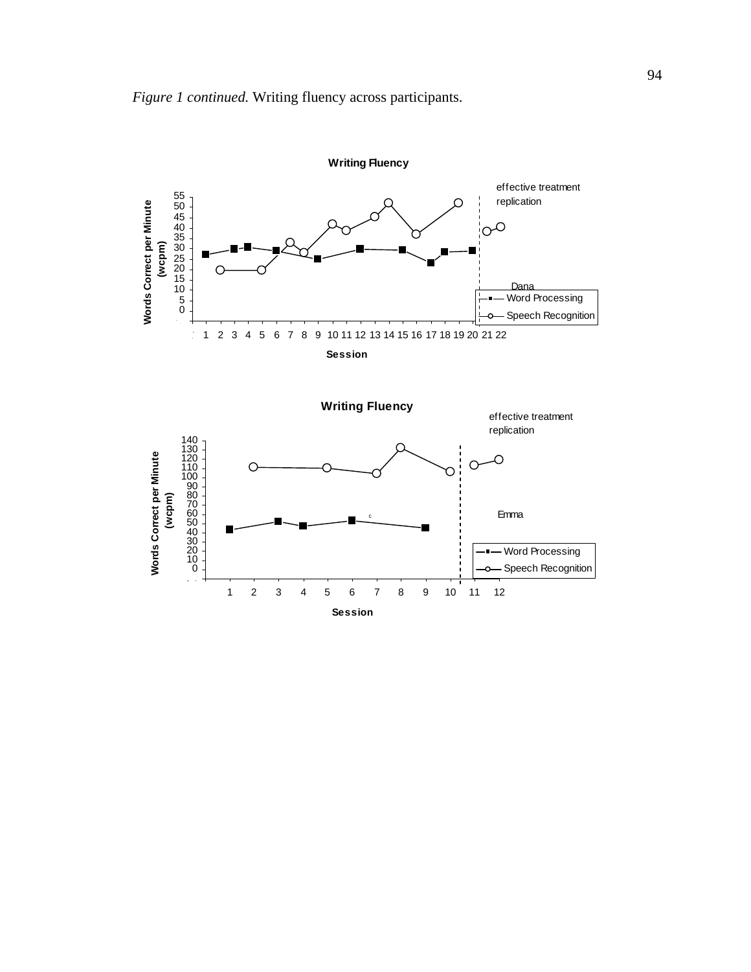

**Session**

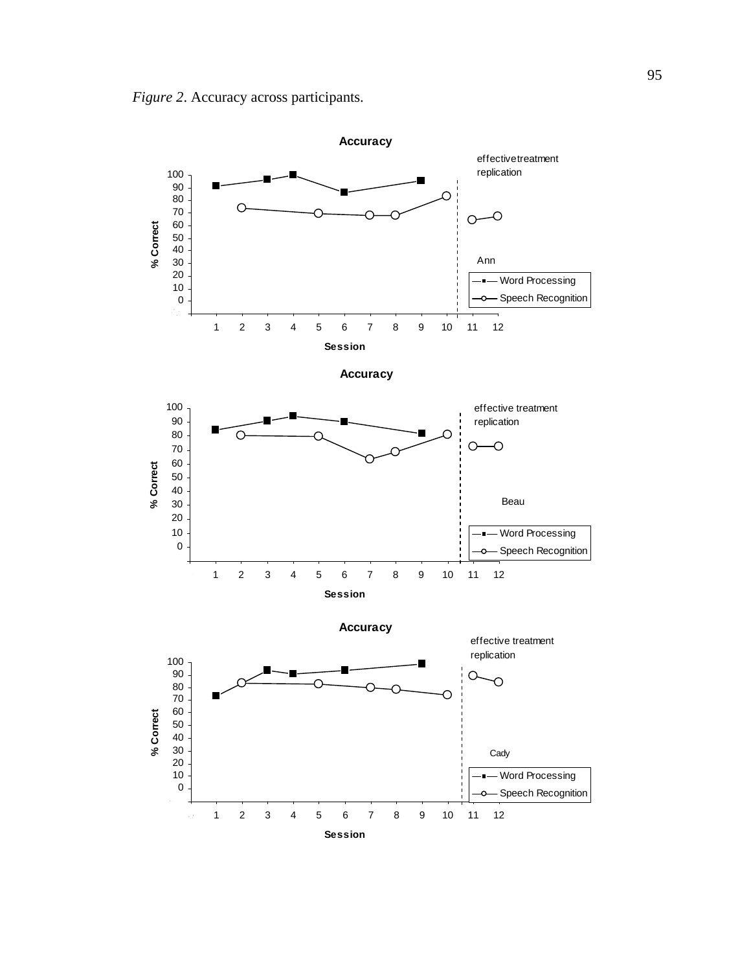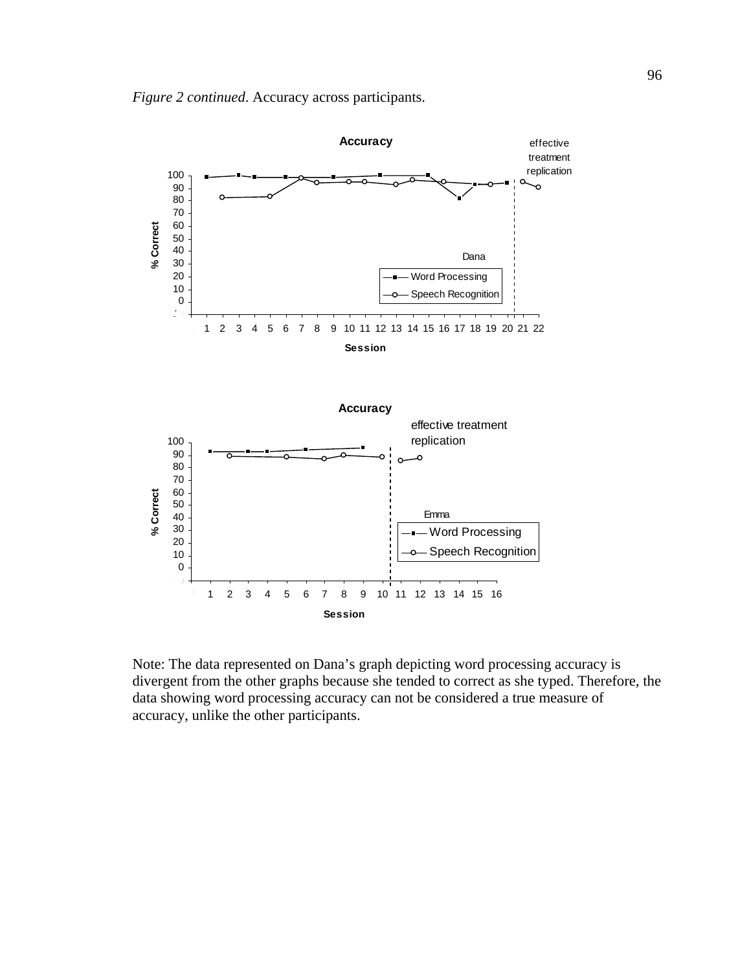



Note: The data represented on Dana's graph depicting word processing accuracy is divergent from the other graphs because she tended to correct as she typed. Therefore, the data showing word processing accuracy can not be considered a true measure of accuracy, unlike the other participants.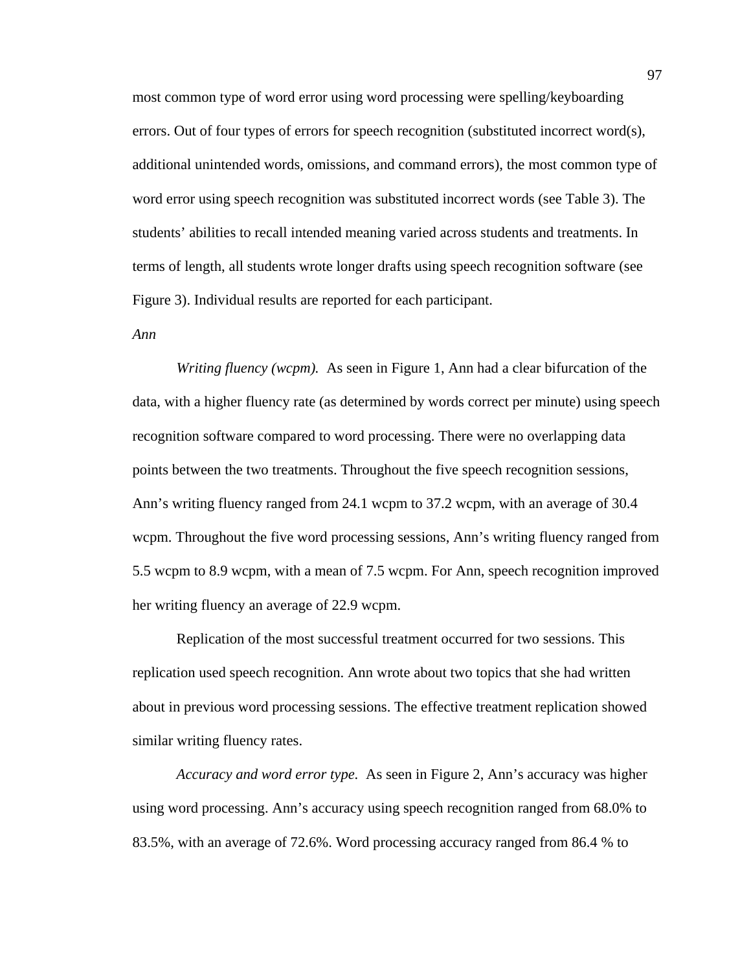most common type of word error using word processing were spelling/keyboarding errors. Out of four types of errors for speech recognition (substituted incorrect word(s), additional unintended words, omissions, and command errors), the most common type of word error using speech recognition was substituted incorrect words (see Table 3). The students' abilities to recall intended meaning varied across students and treatments. In terms of length, all students wrote longer drafts using speech recognition software (see Figure 3). Individual results are reported for each participant.

### *Ann*

*Writing fluency (wcpm).* As seen in Figure 1, Ann had a clear bifurcation of the data, with a higher fluency rate (as determined by words correct per minute) using speech recognition software compared to word processing. There were no overlapping data points between the two treatments. Throughout the five speech recognition sessions, Ann's writing fluency ranged from 24.1 wcpm to 37.2 wcpm, with an average of 30.4 wcpm. Throughout the five word processing sessions, Ann's writing fluency ranged from 5.5 wcpm to 8.9 wcpm, with a mean of 7.5 wcpm. For Ann, speech recognition improved her writing fluency an average of 22.9 wcpm.

Replication of the most successful treatment occurred for two sessions. This replication used speech recognition. Ann wrote about two topics that she had written about in previous word processing sessions. The effective treatment replication showed similar writing fluency rates.

*Accuracy and word error type.* As seen in Figure 2, Ann's accuracy was higher using word processing. Ann's accuracy using speech recognition ranged from 68.0% to 83.5%, with an average of 72.6%. Word processing accuracy ranged from 86.4 % to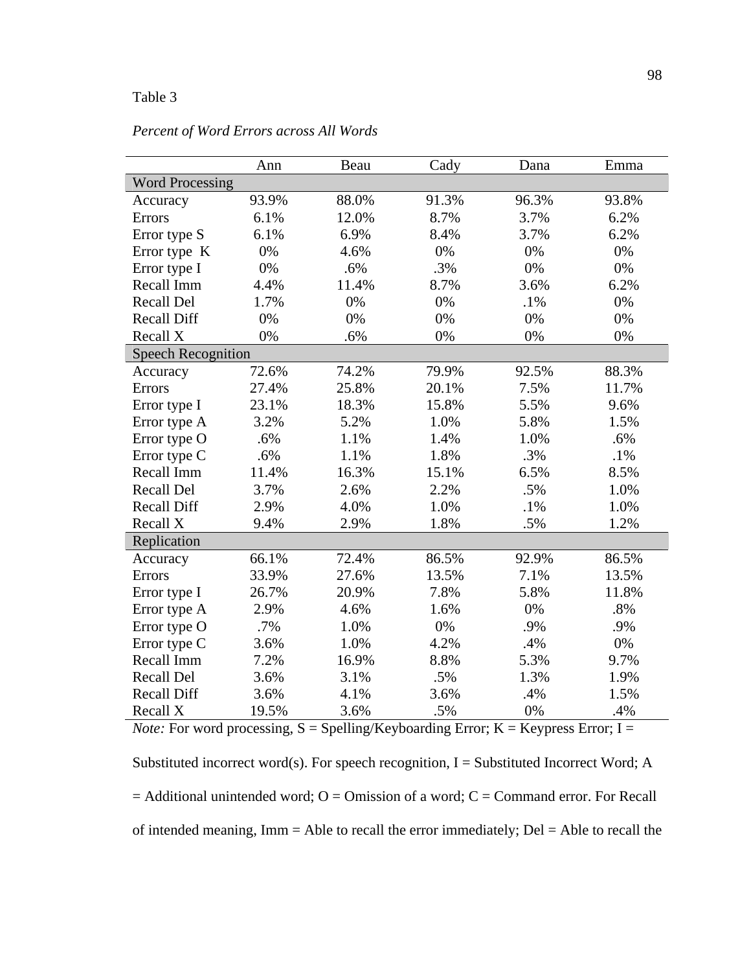# Table 3

|                           | Ann   | Beau  | Cady  | Dana   | Emma   |  |  |
|---------------------------|-------|-------|-------|--------|--------|--|--|
| <b>Word Processing</b>    |       |       |       |        |        |  |  |
| Accuracy                  | 93.9% | 88.0% | 91.3% | 96.3%  | 93.8%  |  |  |
| Errors                    | 6.1%  | 12.0% | 8.7%  | 3.7%   | 6.2%   |  |  |
| Error type S              | 6.1%  | 6.9%  | 8.4%  | 3.7%   | 6.2%   |  |  |
| Error type K              | 0%    | 4.6%  | 0%    | 0%     | 0%     |  |  |
| Error type I              | 0%    | .6%   | .3%   | 0%     | 0%     |  |  |
| Recall Imm                | 4.4%  | 11.4% | 8.7%  | 3.6%   | 6.2%   |  |  |
| <b>Recall Del</b>         | 1.7%  | 0%    | 0%    | $.1\%$ | 0%     |  |  |
| <b>Recall Diff</b>        | 0%    | 0%    | 0%    | 0%     | 0%     |  |  |
| Recall X                  | 0%    | .6%   | 0%    | 0%     | 0%     |  |  |
| <b>Speech Recognition</b> |       |       |       |        |        |  |  |
| Accuracy                  | 72.6% | 74.2% | 79.9% | 92.5%  | 88.3%  |  |  |
| <b>Errors</b>             | 27.4% | 25.8% | 20.1% | 7.5%   | 11.7%  |  |  |
| Error type I              | 23.1% | 18.3% | 15.8% | 5.5%   | 9.6%   |  |  |
| Error type A              | 3.2%  | 5.2%  | 1.0%  | 5.8%   | 1.5%   |  |  |
| Error type O              | .6%   | 1.1%  | 1.4%  | 1.0%   | .6%    |  |  |
| Error type C              | .6%   | 1.1%  | 1.8%  | .3%    | $.1\%$ |  |  |
| Recall Imm                | 11.4% | 16.3% | 15.1% | 6.5%   | 8.5%   |  |  |
| <b>Recall Del</b>         | 3.7%  | 2.6%  | 2.2%  | .5%    | 1.0%   |  |  |
| <b>Recall Diff</b>        | 2.9%  | 4.0%  | 1.0%  | $.1\%$ | 1.0%   |  |  |
| Recall X                  | 9.4%  | 2.9%  | 1.8%  | .5%    | 1.2%   |  |  |
| Replication               |       |       |       |        |        |  |  |
| Accuracy                  | 66.1% | 72.4% | 86.5% | 92.9%  | 86.5%  |  |  |
| Errors                    | 33.9% | 27.6% | 13.5% | 7.1%   | 13.5%  |  |  |
| Error type I              | 26.7% | 20.9% | 7.8%  | 5.8%   | 11.8%  |  |  |
| Error type A              | 2.9%  | 4.6%  | 1.6%  | 0%     | .8%    |  |  |
| Error type O              | .7%   | 1.0%  | 0%    | .9%    | .9%    |  |  |
| Error type C              | 3.6%  | 1.0%  | 4.2%  | .4%    | 0%     |  |  |
| Recall Imm                | 7.2%  | 16.9% | 8.8%  | 5.3%   | 9.7%   |  |  |
| Recall Del                | 3.6%  | 3.1%  | .5%   | 1.3%   | 1.9%   |  |  |
| <b>Recall Diff</b>        | 3.6%  | 4.1%  | 3.6%  | .4%    | 1.5%   |  |  |
| Recall X                  | 19.5% | 3.6%  | .5%   | 0%     | .4%    |  |  |

# *Percent of Word Errors across All Words*

*Note:* For word processing,  $S = Spelling/Keyboarding Error$ ;  $K = Keynes Error$ ;  $I =$ Substituted incorrect word(s). For speech recognition,  $I =$  Substituted Incorrect Word; A  $=$  Additional unintended word; O = Omission of a word; C = Command error. For Recall of intended meaning, Imm = Able to recall the error immediately; Del = Able to recall the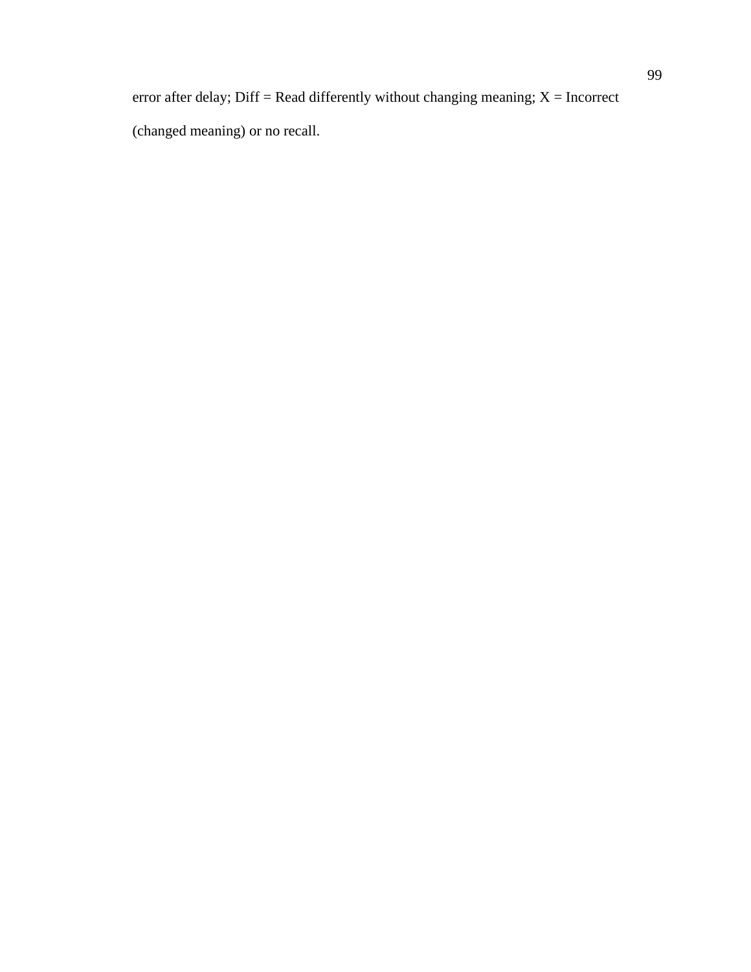error after delay; Diff = Read differently without changing meaning;  $X =$  Incorrect (changed meaning) or no recall.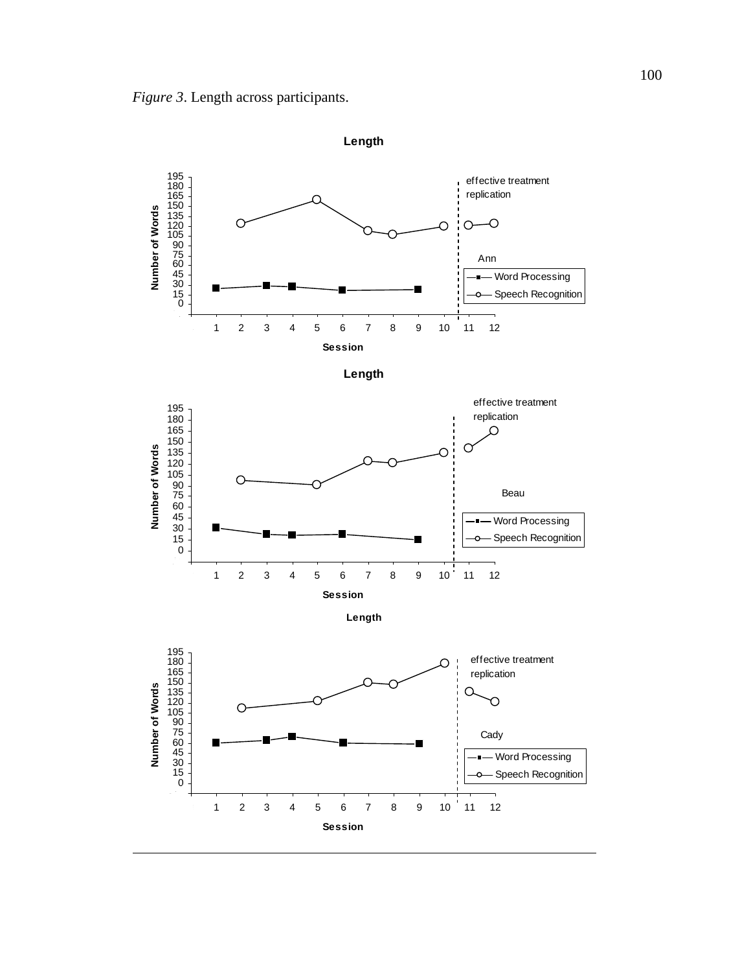

**Length**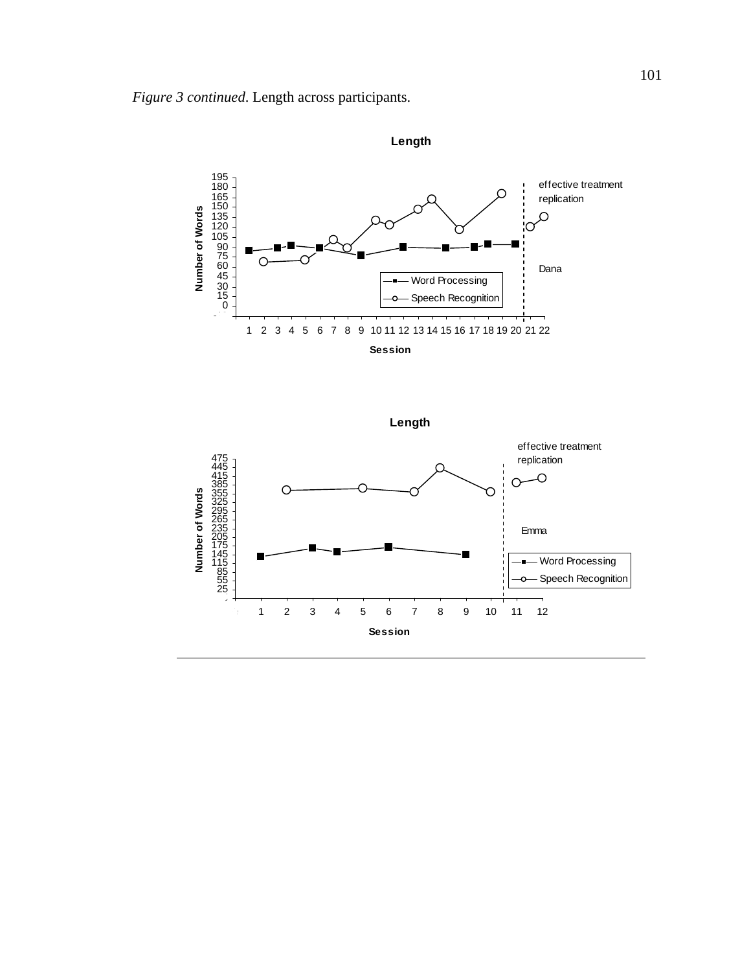





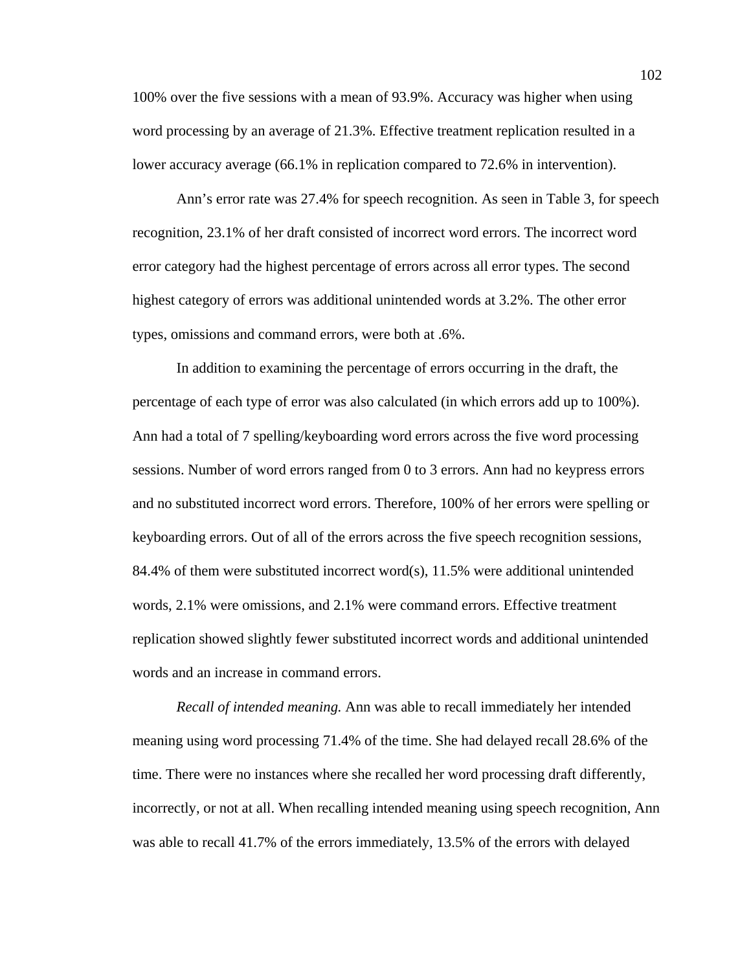100% over the five sessions with a mean of 93.9%. Accuracy was higher when using word processing by an average of 21.3%. Effective treatment replication resulted in a lower accuracy average (66.1% in replication compared to 72.6% in intervention).

Ann's error rate was 27.4% for speech recognition. As seen in Table 3, for speech recognition, 23.1% of her draft consisted of incorrect word errors. The incorrect word error category had the highest percentage of errors across all error types. The second highest category of errors was additional unintended words at 3.2%. The other error types, omissions and command errors, were both at .6%.

In addition to examining the percentage of errors occurring in the draft, the percentage of each type of error was also calculated (in which errors add up to 100%). Ann had a total of 7 spelling/keyboarding word errors across the five word processing sessions. Number of word errors ranged from 0 to 3 errors. Ann had no keypress errors and no substituted incorrect word errors. Therefore, 100% of her errors were spelling or keyboarding errors. Out of all of the errors across the five speech recognition sessions, 84.4% of them were substituted incorrect word(s), 11.5% were additional unintended words, 2.1% were omissions, and 2.1% were command errors. Effective treatment replication showed slightly fewer substituted incorrect words and additional unintended words and an increase in command errors.

*Recall of intended meaning.* Ann was able to recall immediately her intended meaning using word processing 71.4% of the time. She had delayed recall 28.6% of the time. There were no instances where she recalled her word processing draft differently, incorrectly, or not at all. When recalling intended meaning using speech recognition, Ann was able to recall 41.7% of the errors immediately, 13.5% of the errors with delayed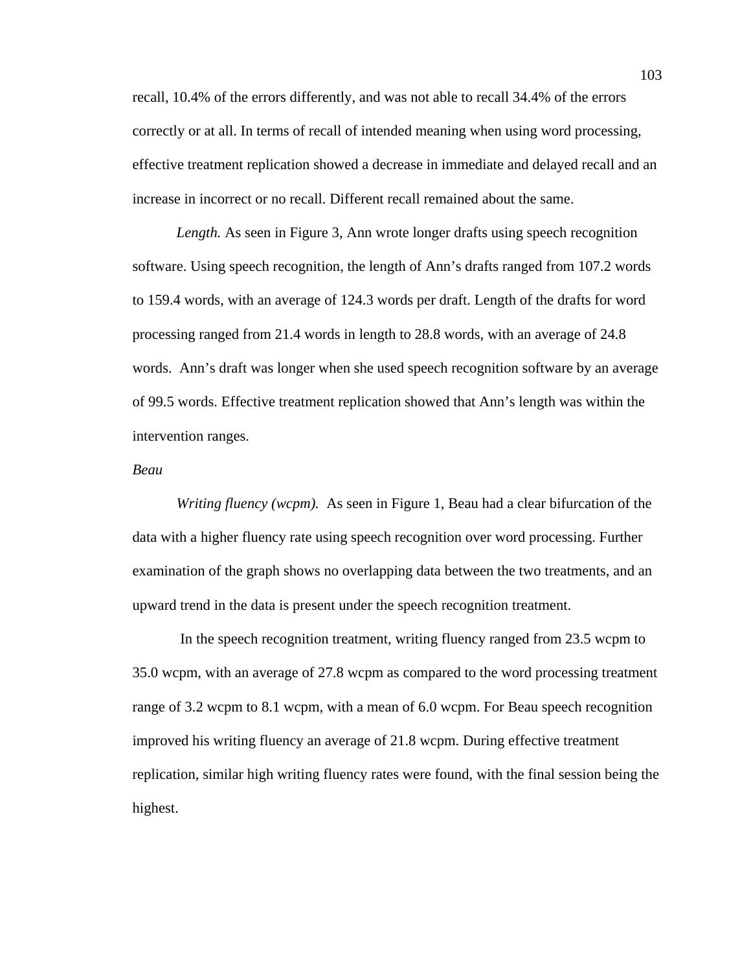recall, 10.4% of the errors differently, and was not able to recall 34.4% of the errors correctly or at all. In terms of recall of intended meaning when using word processing, effective treatment replication showed a decrease in immediate and delayed recall and an increase in incorrect or no recall. Different recall remained about the same.

*Length.* As seen in Figure 3, Ann wrote longer drafts using speech recognition software. Using speech recognition, the length of Ann's drafts ranged from 107.2 words to 159.4 words, with an average of 124.3 words per draft. Length of the drafts for word processing ranged from 21.4 words in length to 28.8 words, with an average of 24.8 words. Ann's draft was longer when she used speech recognition software by an average of 99.5 words. Effective treatment replication showed that Ann's length was within the intervention ranges.

### *Beau*

*Writing fluency (wcpm).* As seen in Figure 1, Beau had a clear bifurcation of the data with a higher fluency rate using speech recognition over word processing. Further examination of the graph shows no overlapping data between the two treatments, and an upward trend in the data is present under the speech recognition treatment.

 In the speech recognition treatment, writing fluency ranged from 23.5 wcpm to 35.0 wcpm, with an average of 27.8 wcpm as compared to the word processing treatment range of 3.2 wcpm to 8.1 wcpm, with a mean of 6.0 wcpm. For Beau speech recognition improved his writing fluency an average of 21.8 wcpm. During effective treatment replication, similar high writing fluency rates were found, with the final session being the highest.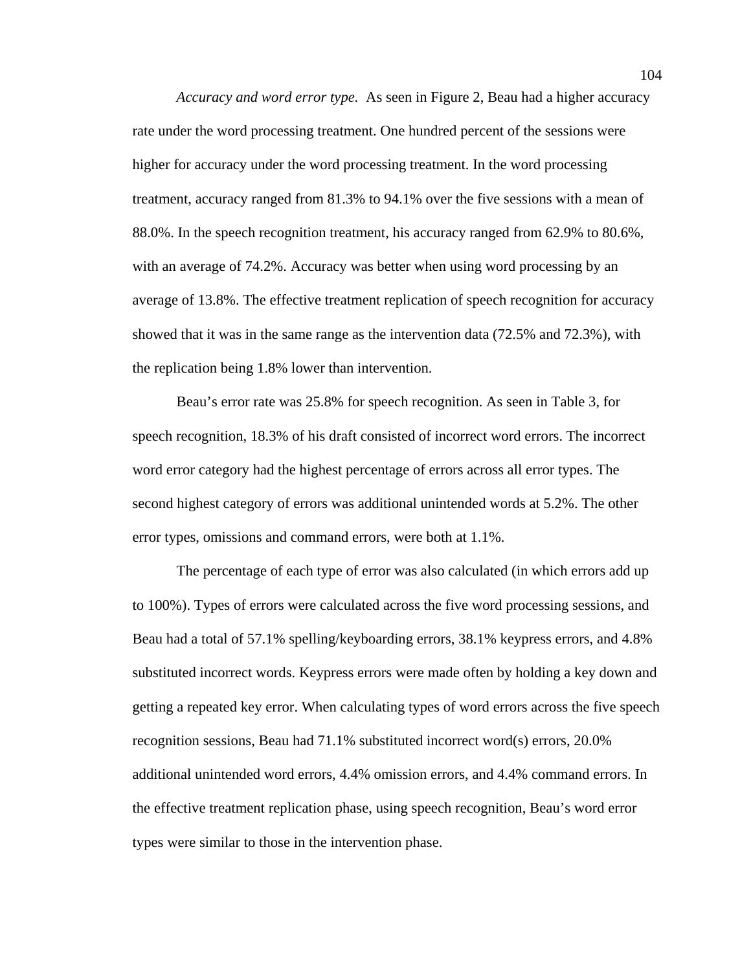*Accuracy and word error type.* As seen in Figure 2, Beau had a higher accuracy rate under the word processing treatment. One hundred percent of the sessions were higher for accuracy under the word processing treatment. In the word processing treatment, accuracy ranged from 81.3% to 94.1% over the five sessions with a mean of 88.0%. In the speech recognition treatment, his accuracy ranged from 62.9% to 80.6%, with an average of 74.2%. Accuracy was better when using word processing by an average of 13.8%. The effective treatment replication of speech recognition for accuracy showed that it was in the same range as the intervention data (72.5% and 72.3%), with the replication being 1.8% lower than intervention.

Beau's error rate was 25.8% for speech recognition. As seen in Table 3, for speech recognition, 18.3% of his draft consisted of incorrect word errors. The incorrect word error category had the highest percentage of errors across all error types. The second highest category of errors was additional unintended words at 5.2%. The other error types, omissions and command errors, were both at 1.1%.

The percentage of each type of error was also calculated (in which errors add up to 100%). Types of errors were calculated across the five word processing sessions, and Beau had a total of 57.1% spelling/keyboarding errors, 38.1% keypress errors, and 4.8% substituted incorrect words. Keypress errors were made often by holding a key down and getting a repeated key error. When calculating types of word errors across the five speech recognition sessions, Beau had 71.1% substituted incorrect word(s) errors, 20.0% additional unintended word errors, 4.4% omission errors, and 4.4% command errors. In the effective treatment replication phase, using speech recognition, Beau's word error types were similar to those in the intervention phase.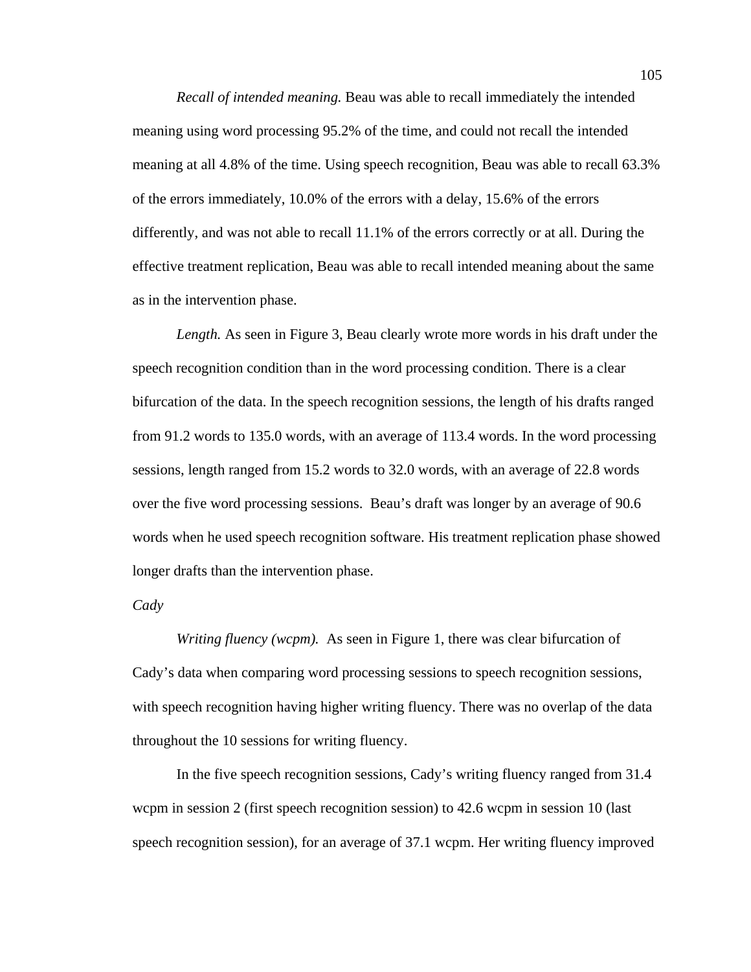*Recall of intended meaning.* Beau was able to recall immediately the intended meaning using word processing 95.2% of the time, and could not recall the intended meaning at all 4.8% of the time. Using speech recognition, Beau was able to recall 63.3% of the errors immediately, 10.0% of the errors with a delay, 15.6% of the errors differently, and was not able to recall 11.1% of the errors correctly or at all. During the effective treatment replication, Beau was able to recall intended meaning about the same as in the intervention phase.

*Length.* As seen in Figure 3, Beau clearly wrote more words in his draft under the speech recognition condition than in the word processing condition. There is a clear bifurcation of the data. In the speech recognition sessions, the length of his drafts ranged from 91.2 words to 135.0 words, with an average of 113.4 words. In the word processing sessions, length ranged from 15.2 words to 32.0 words, with an average of 22.8 words over the five word processing sessions. Beau's draft was longer by an average of 90.6 words when he used speech recognition software. His treatment replication phase showed longer drafts than the intervention phase.

*Cady* 

*Writing fluency (wcpm).* As seen in Figure 1, there was clear bifurcation of Cady's data when comparing word processing sessions to speech recognition sessions, with speech recognition having higher writing fluency. There was no overlap of the data throughout the 10 sessions for writing fluency.

In the five speech recognition sessions, Cady's writing fluency ranged from 31.4 wcpm in session 2 (first speech recognition session) to 42.6 wcpm in session 10 (last speech recognition session), for an average of 37.1 wcpm. Her writing fluency improved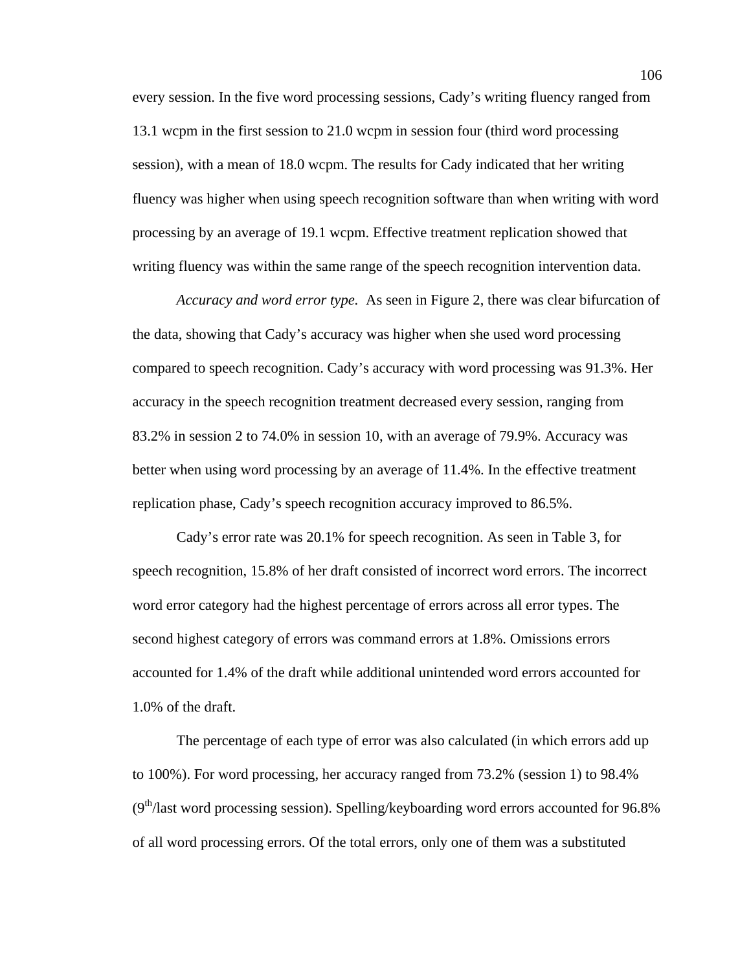every session. In the five word processing sessions, Cady's writing fluency ranged from 13.1 wcpm in the first session to 21.0 wcpm in session four (third word processing session), with a mean of 18.0 wcpm. The results for Cady indicated that her writing fluency was higher when using speech recognition software than when writing with word processing by an average of 19.1 wcpm. Effective treatment replication showed that writing fluency was within the same range of the speech recognition intervention data.

*Accuracy and word error type.* As seen in Figure 2, there was clear bifurcation of the data, showing that Cady's accuracy was higher when she used word processing compared to speech recognition. Cady's accuracy with word processing was 91.3%. Her accuracy in the speech recognition treatment decreased every session, ranging from 83.2% in session 2 to 74.0% in session 10, with an average of 79.9%. Accuracy was better when using word processing by an average of 11.4%. In the effective treatment replication phase, Cady's speech recognition accuracy improved to 86.5%.

Cady's error rate was 20.1% for speech recognition. As seen in Table 3, for speech recognition, 15.8% of her draft consisted of incorrect word errors. The incorrect word error category had the highest percentage of errors across all error types. The second highest category of errors was command errors at 1.8%. Omissions errors accounted for 1.4% of the draft while additional unintended word errors accounted for 1.0% of the draft.

The percentage of each type of error was also calculated (in which errors add up to 100%). For word processing, her accuracy ranged from 73.2% (session 1) to 98.4%  $(9<sup>th</sup>/last word processing session)$ . Spelling/keyboarding word errors accounted for 96.8% of all word processing errors. Of the total errors, only one of them was a substituted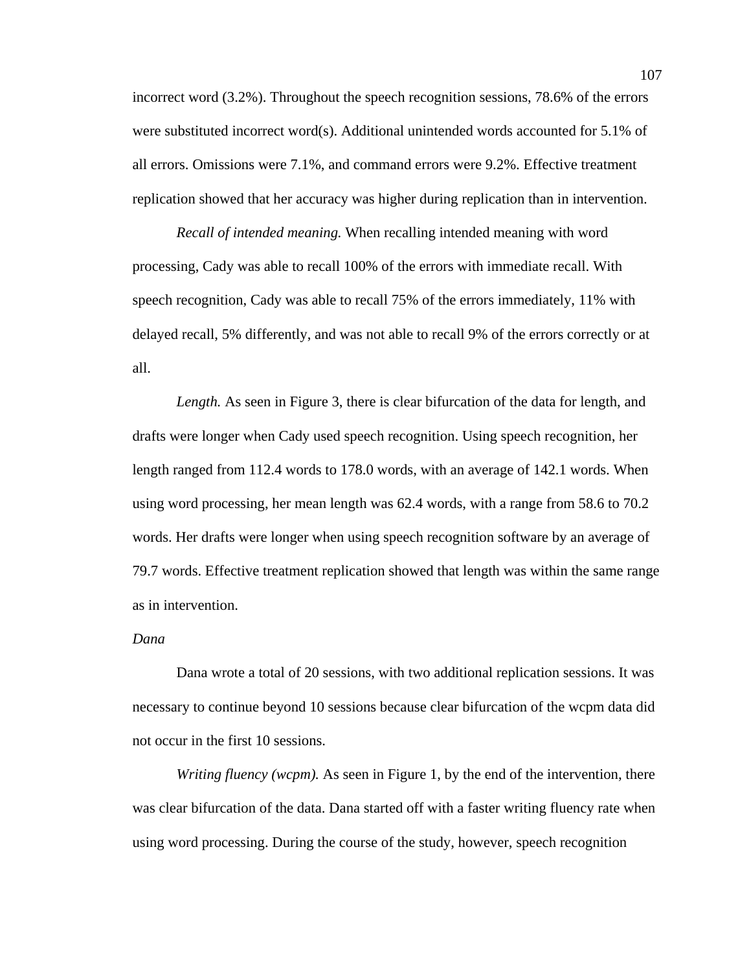incorrect word (3.2%). Throughout the speech recognition sessions, 78.6% of the errors were substituted incorrect word(s). Additional unintended words accounted for 5.1% of all errors. Omissions were 7.1%, and command errors were 9.2%. Effective treatment replication showed that her accuracy was higher during replication than in intervention.

*Recall of intended meaning.* When recalling intended meaning with word processing, Cady was able to recall 100% of the errors with immediate recall. With speech recognition, Cady was able to recall 75% of the errors immediately, 11% with delayed recall, 5% differently, and was not able to recall 9% of the errors correctly or at all.

*Length.* As seen in Figure 3, there is clear bifurcation of the data for length, and drafts were longer when Cady used speech recognition. Using speech recognition, her length ranged from 112.4 words to 178.0 words, with an average of 142.1 words. When using word processing, her mean length was 62.4 words, with a range from 58.6 to 70.2 words. Her drafts were longer when using speech recognition software by an average of 79.7 words. Effective treatment replication showed that length was within the same range as in intervention.

# *Dana*

 Dana wrote a total of 20 sessions, with two additional replication sessions. It was necessary to continue beyond 10 sessions because clear bifurcation of the wcpm data did not occur in the first 10 sessions.

*Writing fluency (wcpm).* As seen in Figure 1, by the end of the intervention, there was clear bifurcation of the data. Dana started off with a faster writing fluency rate when using word processing. During the course of the study, however, speech recognition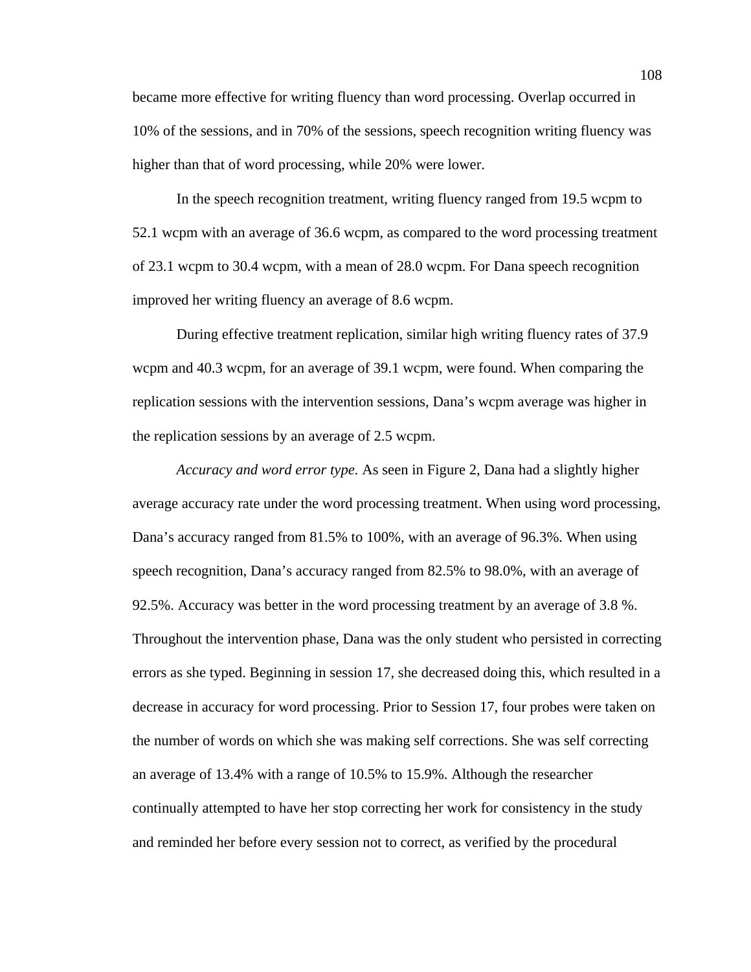became more effective for writing fluency than word processing. Overlap occurred in 10% of the sessions, and in 70% of the sessions, speech recognition writing fluency was higher than that of word processing, while 20% were lower.

In the speech recognition treatment, writing fluency ranged from 19.5 wcpm to 52.1 wcpm with an average of 36.6 wcpm, as compared to the word processing treatment of 23.1 wcpm to 30.4 wcpm, with a mean of 28.0 wcpm. For Dana speech recognition improved her writing fluency an average of 8.6 wcpm.

During effective treatment replication, similar high writing fluency rates of 37.9 wcpm and 40.3 wcpm, for an average of 39.1 wcpm, were found. When comparing the replication sessions with the intervention sessions, Dana's wcpm average was higher in the replication sessions by an average of 2.5 wcpm.

*Accuracy and word error type.* As seen in Figure 2, Dana had a slightly higher average accuracy rate under the word processing treatment. When using word processing, Dana's accuracy ranged from 81.5% to 100%, with an average of 96.3%. When using speech recognition, Dana's accuracy ranged from 82.5% to 98.0%, with an average of 92.5%. Accuracy was better in the word processing treatment by an average of 3.8 %. Throughout the intervention phase, Dana was the only student who persisted in correcting errors as she typed. Beginning in session 17, she decreased doing this, which resulted in a decrease in accuracy for word processing. Prior to Session 17, four probes were taken on the number of words on which she was making self corrections. She was self correcting an average of 13.4% with a range of 10.5% to 15.9%. Although the researcher continually attempted to have her stop correcting her work for consistency in the study and reminded her before every session not to correct, as verified by the procedural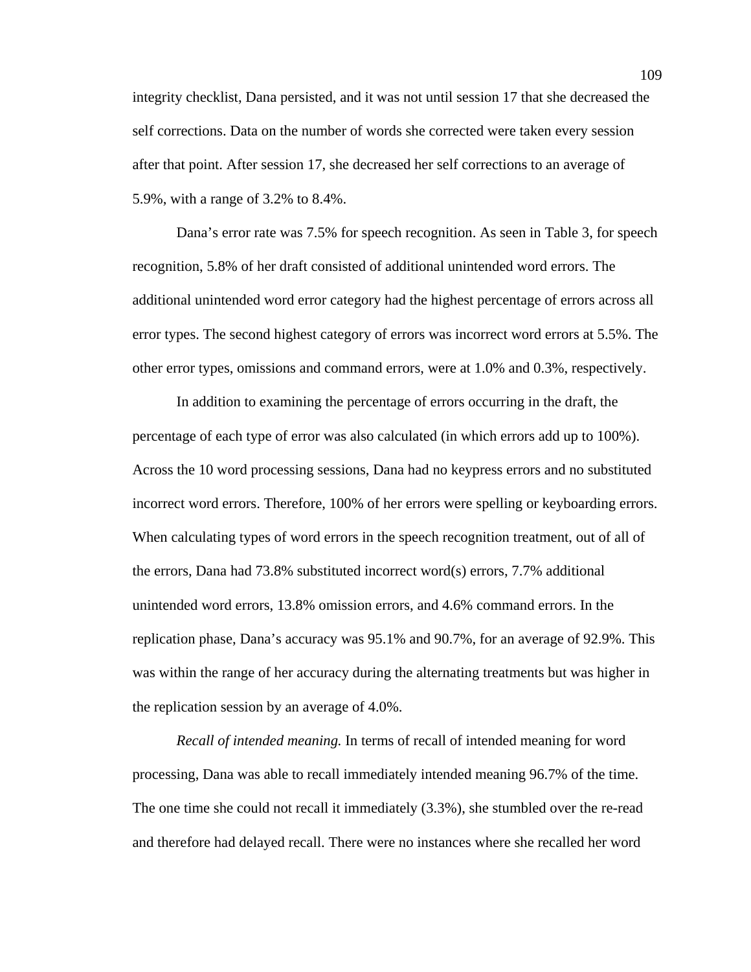integrity checklist, Dana persisted, and it was not until session 17 that she decreased the self corrections. Data on the number of words she corrected were taken every session after that point. After session 17, she decreased her self corrections to an average of 5.9%, with a range of 3.2% to 8.4%.

Dana's error rate was 7.5% for speech recognition. As seen in Table 3, for speech recognition, 5.8% of her draft consisted of additional unintended word errors. The additional unintended word error category had the highest percentage of errors across all error types. The second highest category of errors was incorrect word errors at 5.5%. The other error types, omissions and command errors, were at 1.0% and 0.3%, respectively.

In addition to examining the percentage of errors occurring in the draft, the percentage of each type of error was also calculated (in which errors add up to 100%). Across the 10 word processing sessions, Dana had no keypress errors and no substituted incorrect word errors. Therefore, 100% of her errors were spelling or keyboarding errors. When calculating types of word errors in the speech recognition treatment, out of all of the errors, Dana had 73.8% substituted incorrect word(s) errors, 7.7% additional unintended word errors, 13.8% omission errors, and 4.6% command errors. In the replication phase, Dana's accuracy was 95.1% and 90.7%, for an average of 92.9%. This was within the range of her accuracy during the alternating treatments but was higher in the replication session by an average of 4.0%.

*Recall of intended meaning.* In terms of recall of intended meaning for word processing, Dana was able to recall immediately intended meaning 96.7% of the time. The one time she could not recall it immediately (3.3%), she stumbled over the re-read and therefore had delayed recall. There were no instances where she recalled her word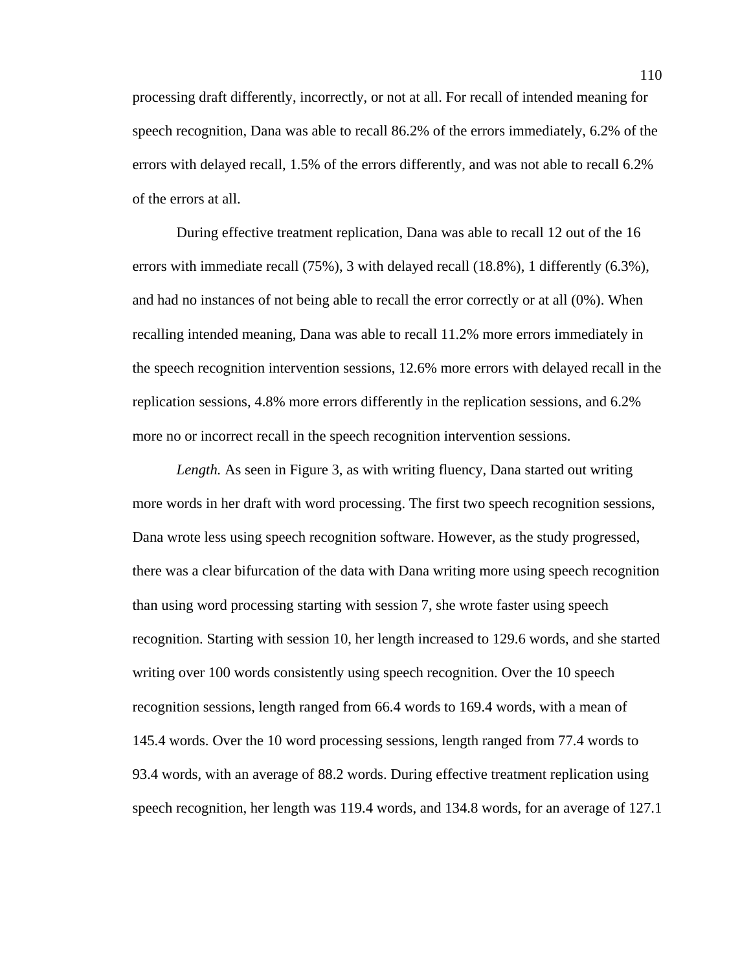processing draft differently, incorrectly, or not at all. For recall of intended meaning for speech recognition, Dana was able to recall 86.2% of the errors immediately, 6.2% of the errors with delayed recall, 1.5% of the errors differently, and was not able to recall 6.2% of the errors at all.

During effective treatment replication, Dana was able to recall 12 out of the 16 errors with immediate recall (75%), 3 with delayed recall (18.8%), 1 differently (6.3%), and had no instances of not being able to recall the error correctly or at all (0%). When recalling intended meaning, Dana was able to recall 11.2% more errors immediately in the speech recognition intervention sessions, 12.6% more errors with delayed recall in the replication sessions, 4.8% more errors differently in the replication sessions, and 6.2% more no or incorrect recall in the speech recognition intervention sessions.

*Length.* As seen in Figure 3, as with writing fluency, Dana started out writing more words in her draft with word processing. The first two speech recognition sessions, Dana wrote less using speech recognition software. However, as the study progressed, there was a clear bifurcation of the data with Dana writing more using speech recognition than using word processing starting with session 7, she wrote faster using speech recognition. Starting with session 10, her length increased to 129.6 words, and she started writing over 100 words consistently using speech recognition. Over the 10 speech recognition sessions, length ranged from 66.4 words to 169.4 words, with a mean of 145.4 words. Over the 10 word processing sessions, length ranged from 77.4 words to 93.4 words, with an average of 88.2 words. During effective treatment replication using speech recognition, her length was 119.4 words, and 134.8 words, for an average of 127.1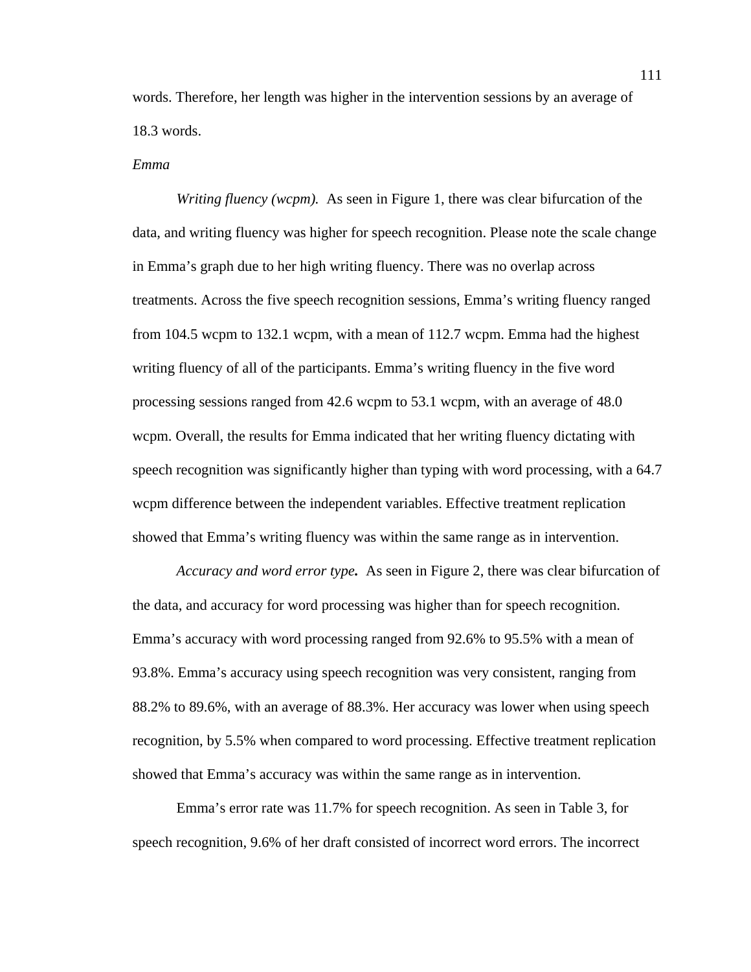words. Therefore, her length was higher in the intervention sessions by an average of 18.3 words.

#### *Emma*

*Writing fluency (wcpm).* As seen in Figure 1, there was clear bifurcation of the data, and writing fluency was higher for speech recognition. Please note the scale change in Emma's graph due to her high writing fluency. There was no overlap across treatments. Across the five speech recognition sessions, Emma's writing fluency ranged from 104.5 wcpm to 132.1 wcpm, with a mean of 112.7 wcpm. Emma had the highest writing fluency of all of the participants. Emma's writing fluency in the five word processing sessions ranged from 42.6 wcpm to 53.1 wcpm, with an average of 48.0 wcpm. Overall, the results for Emma indicated that her writing fluency dictating with speech recognition was significantly higher than typing with word processing, with a 64.7 wcpm difference between the independent variables. Effective treatment replication showed that Emma's writing fluency was within the same range as in intervention.

*Accuracy and word error type.* As seen in Figure 2, there was clear bifurcation of the data, and accuracy for word processing was higher than for speech recognition. Emma's accuracy with word processing ranged from 92.6% to 95.5% with a mean of 93.8%. Emma's accuracy using speech recognition was very consistent, ranging from 88.2% to 89.6%, with an average of 88.3%. Her accuracy was lower when using speech recognition, by 5.5% when compared to word processing. Effective treatment replication showed that Emma's accuracy was within the same range as in intervention.

Emma's error rate was 11.7% for speech recognition. As seen in Table 3, for speech recognition, 9.6% of her draft consisted of incorrect word errors. The incorrect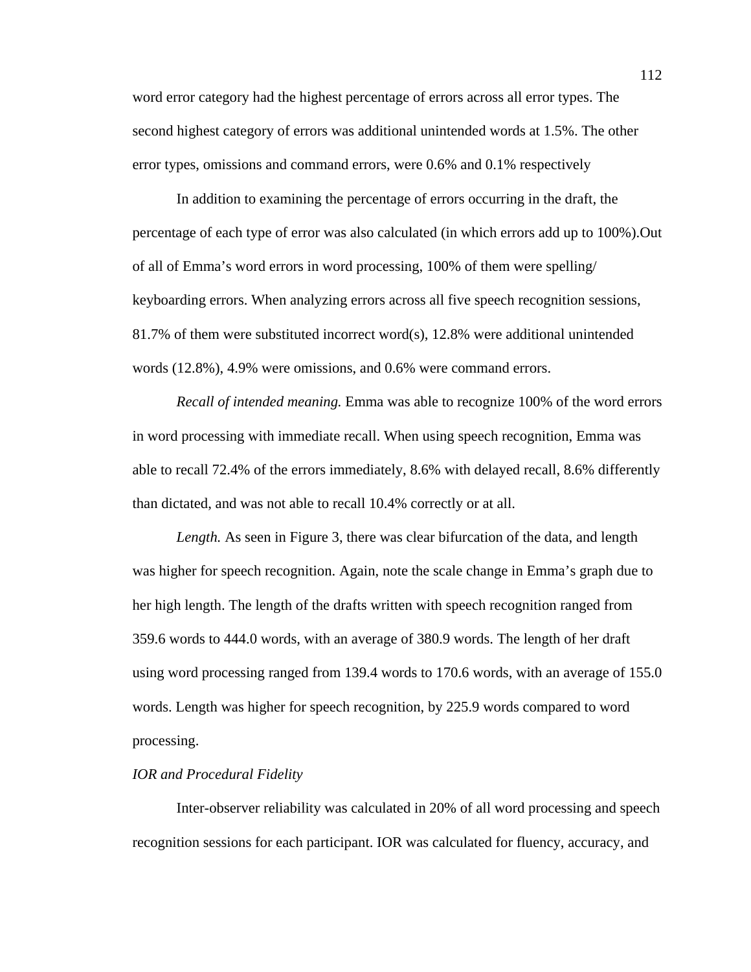word error category had the highest percentage of errors across all error types. The second highest category of errors was additional unintended words at 1.5%. The other error types, omissions and command errors, were 0.6% and 0.1% respectively

In addition to examining the percentage of errors occurring in the draft, the percentage of each type of error was also calculated (in which errors add up to 100%).Out of all of Emma's word errors in word processing, 100% of them were spelling/ keyboarding errors. When analyzing errors across all five speech recognition sessions, 81.7% of them were substituted incorrect word(s), 12.8% were additional unintended words (12.8%), 4.9% were omissions, and 0.6% were command errors.

*Recall of intended meaning.* Emma was able to recognize 100% of the word errors in word processing with immediate recall. When using speech recognition, Emma was able to recall 72.4% of the errors immediately, 8.6% with delayed recall, 8.6% differently than dictated, and was not able to recall 10.4% correctly or at all.

*Length.* As seen in Figure 3, there was clear bifurcation of the data, and length was higher for speech recognition. Again, note the scale change in Emma's graph due to her high length. The length of the drafts written with speech recognition ranged from 359.6 words to 444.0 words, with an average of 380.9 words. The length of her draft using word processing ranged from 139.4 words to 170.6 words, with an average of 155.0 words. Length was higher for speech recognition, by 225.9 words compared to word processing.

### *IOR and Procedural Fidelity*

Inter-observer reliability was calculated in 20% of all word processing and speech recognition sessions for each participant. IOR was calculated for fluency, accuracy, and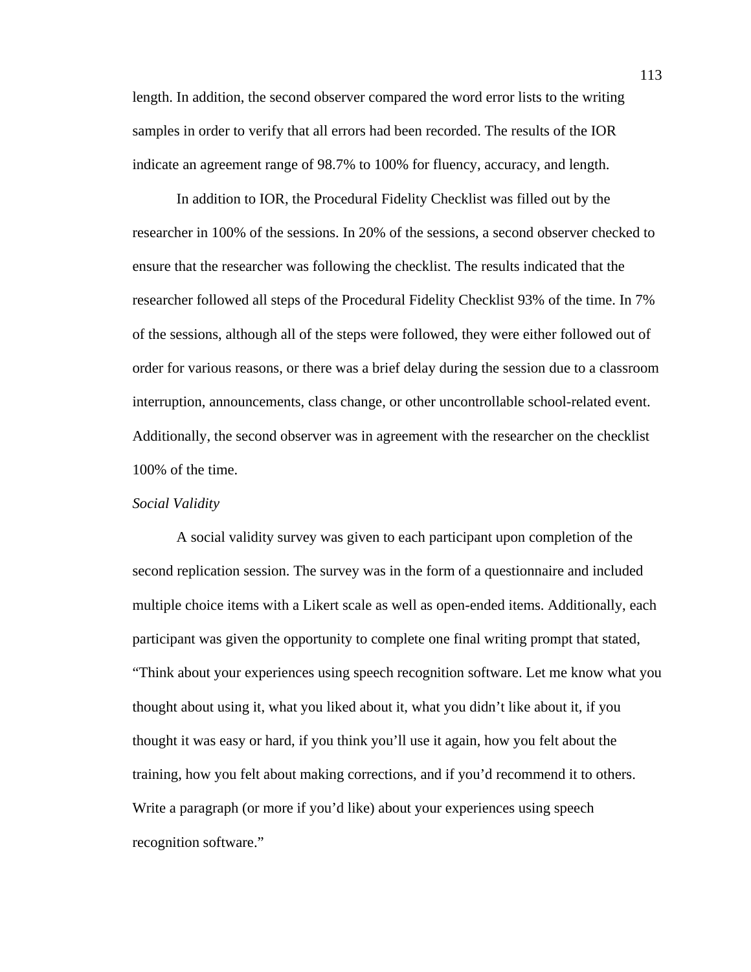length. In addition, the second observer compared the word error lists to the writing samples in order to verify that all errors had been recorded. The results of the IOR indicate an agreement range of 98.7% to 100% for fluency, accuracy, and length.

In addition to IOR, the Procedural Fidelity Checklist was filled out by the researcher in 100% of the sessions. In 20% of the sessions, a second observer checked to ensure that the researcher was following the checklist. The results indicated that the researcher followed all steps of the Procedural Fidelity Checklist 93% of the time. In 7% of the sessions, although all of the steps were followed, they were either followed out of order for various reasons, or there was a brief delay during the session due to a classroom interruption, announcements, class change, or other uncontrollable school-related event. Additionally, the second observer was in agreement with the researcher on the checklist 100% of the time.

### *Social Validity*

 A social validity survey was given to each participant upon completion of the second replication session. The survey was in the form of a questionnaire and included multiple choice items with a Likert scale as well as open-ended items. Additionally, each participant was given the opportunity to complete one final writing prompt that stated, "Think about your experiences using speech recognition software. Let me know what you thought about using it, what you liked about it, what you didn't like about it, if you thought it was easy or hard, if you think you'll use it again, how you felt about the training, how you felt about making corrections, and if you'd recommend it to others. Write a paragraph (or more if you'd like) about your experiences using speech recognition software."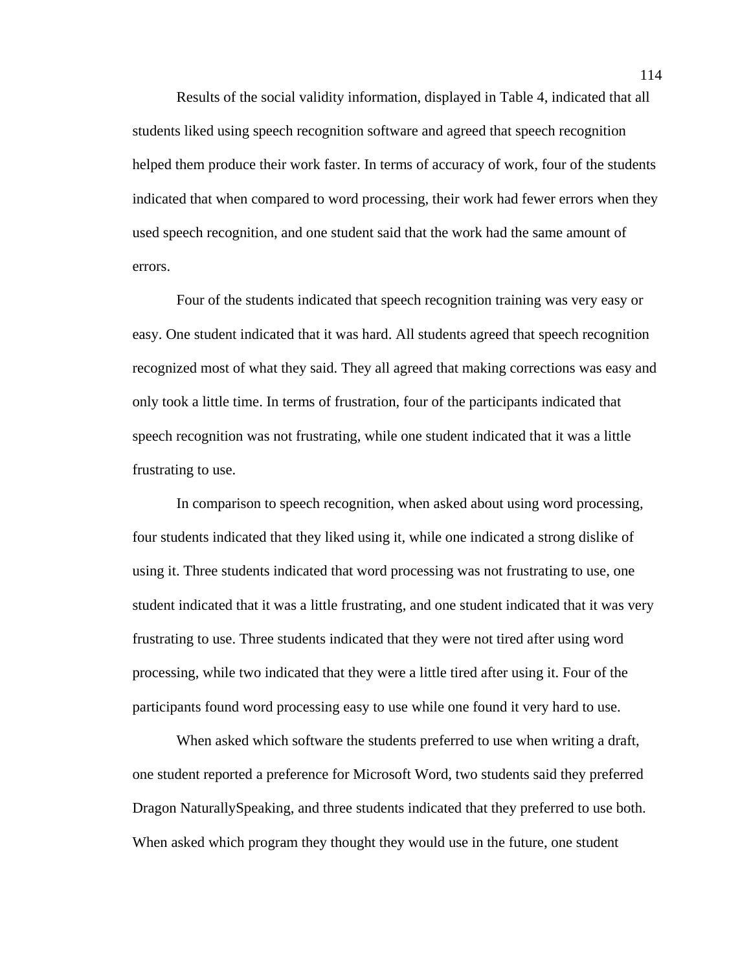Results of the social validity information, displayed in Table 4, indicated that all students liked using speech recognition software and agreed that speech recognition helped them produce their work faster. In terms of accuracy of work, four of the students indicated that when compared to word processing, their work had fewer errors when they used speech recognition, and one student said that the work had the same amount of errors.

Four of the students indicated that speech recognition training was very easy or easy. One student indicated that it was hard. All students agreed that speech recognition recognized most of what they said. They all agreed that making corrections was easy and only took a little time. In terms of frustration, four of the participants indicated that speech recognition was not frustrating, while one student indicated that it was a little frustrating to use.

 In comparison to speech recognition, when asked about using word processing, four students indicated that they liked using it, while one indicated a strong dislike of using it. Three students indicated that word processing was not frustrating to use, one student indicated that it was a little frustrating, and one student indicated that it was very frustrating to use. Three students indicated that they were not tired after using word processing, while two indicated that they were a little tired after using it. Four of the participants found word processing easy to use while one found it very hard to use.

When asked which software the students preferred to use when writing a draft, one student reported a preference for Microsoft Word, two students said they preferred Dragon NaturallySpeaking, and three students indicated that they preferred to use both. When asked which program they thought they would use in the future, one student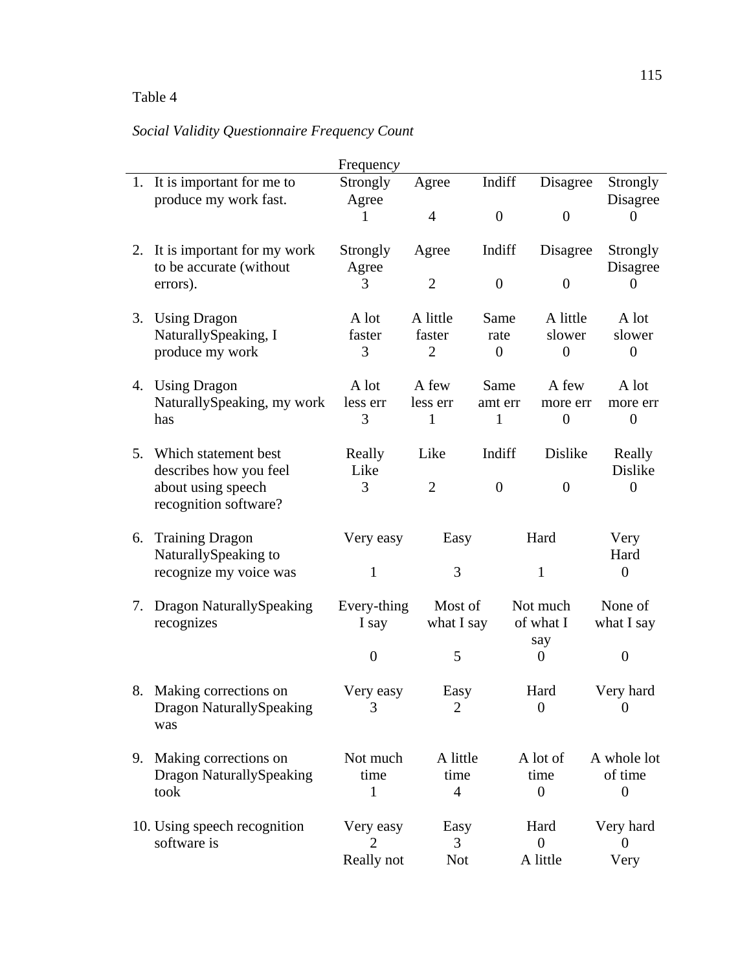# Table 4

# *Social Validity Questionnaire Frequency Count*

|    |                                             | Frequency         |                |                |                     |                  |
|----|---------------------------------------------|-------------------|----------------|----------------|---------------------|------------------|
|    | 1. It is important for me to                | Strongly          | Agree          | Indiff         | Disagree            | Strongly         |
|    | produce my work fast.                       | Agree             |                |                |                     | Disagree         |
|    |                                             |                   | $\overline{4}$ | $\overline{0}$ | $\overline{0}$      | $\theta$         |
|    | 2. It is important for my work              | Strongly          | Agree          | Indiff         | Disagree            | Strongly         |
|    | to be accurate (without                     | Agree             |                |                |                     | Disagree         |
|    | errors).                                    | 3                 | $\overline{2}$ | $\overline{0}$ | $\theta$            | $\Omega$         |
|    | 3. Using Dragon                             | A lot             | A little       | Same           | A little            | A lot            |
|    | NaturallySpeaking, I                        | faster            | faster         | rate           | slower              | slower           |
|    | produce my work                             | 3                 | $\overline{2}$ | $\overline{0}$ | $\theta$            | $\overline{0}$   |
|    | 4. Using Dragon                             | A lot             | A few          | Same           | A few               | A lot            |
|    | NaturallySpeaking, my work                  | less err          | less err       | amt err        | more err            | more err         |
|    | has                                         | 3                 | $\mathbf{1}$   | $\mathbf{1}$   | $\overline{0}$      | $\boldsymbol{0}$ |
|    | 5. Which statement best                     | Really            | Like           | Indiff         | Dislike             | Really           |
|    | describes how you feel                      | Like              |                |                |                     | Dislike          |
|    | about using speech<br>recognition software? | 3                 | $\overline{2}$ | $\theta$       | $\overline{0}$      | $\overline{0}$   |
|    | 6. Training Dragon                          | Very easy<br>Easy |                |                | Hard                | Very             |
|    | NaturallySpeaking to                        |                   |                |                |                     | Hard             |
|    | recognize my voice was                      | 1                 | 3              |                | $\mathbf{1}$        | $\boldsymbol{0}$ |
| 7. | <b>Dragon NaturallySpeaking</b>             | Every-thing       | Most of        |                | Not much            | None of          |
|    | recognizes                                  | I say             | what I say     |                | of what I           | what I say       |
|    |                                             | $\overline{0}$    | 5              |                | say<br>$\mathbf{0}$ | $\overline{0}$   |
|    | 8. Making corrections on                    | Very easy         | Easy           |                | Hard                | Very hard        |
|    | <b>Dragon NaturallySpeaking</b>             |                   | 2              |                | $\overline{0}$      | $\theta$         |
|    | was                                         |                   |                |                |                     |                  |
| 9. | Making corrections on                       | Not much          | A little       |                | A lot of            | A whole lot      |
|    | <b>Dragon NaturallySpeaking</b>             | time              | time           |                | time                | of time          |
|    | took                                        | 1                 | 4              |                | $\theta$            | $\boldsymbol{0}$ |
|    | 10. Using speech recognition                | Very easy         | Easy           |                | Hard                | Very hard        |
|    | software is                                 | 2                 | 3              |                | $\overline{0}$      | $\boldsymbol{0}$ |
|    |                                             | Really not        | <b>Not</b>     |                | A little            | Very             |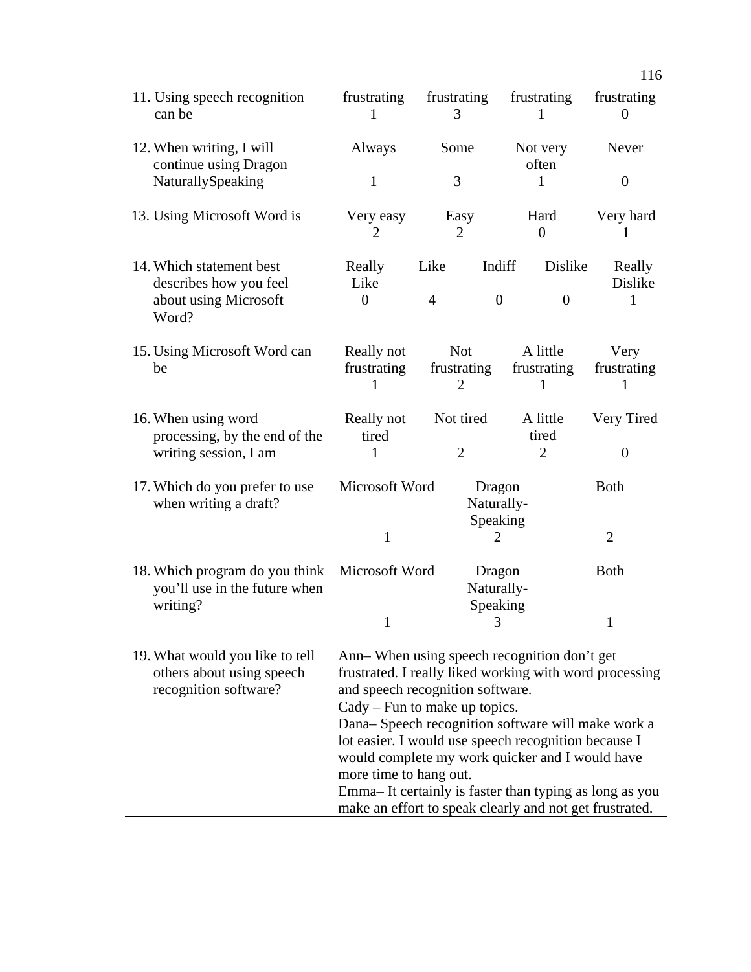| 11. Using speech recognition<br>can be                                                     | frustrating<br>1                                                                                                                                                                                                                                                                                                                                                                                                                                                                              | frustrating<br>3                            | frustrating<br>1                    | frustrating<br>$\overline{0}$ |  |
|--------------------------------------------------------------------------------------------|-----------------------------------------------------------------------------------------------------------------------------------------------------------------------------------------------------------------------------------------------------------------------------------------------------------------------------------------------------------------------------------------------------------------------------------------------------------------------------------------------|---------------------------------------------|-------------------------------------|-------------------------------|--|
| 12. When writing, I will                                                                   | Always                                                                                                                                                                                                                                                                                                                                                                                                                                                                                        | Some                                        | Not very                            | Never                         |  |
| continue using Dragon<br>NaturallySpeaking                                                 | $\mathbf{1}$                                                                                                                                                                                                                                                                                                                                                                                                                                                                                  | 3                                           | often<br>1                          | $\theta$                      |  |
| 13. Using Microsoft Word is                                                                | Very easy<br>$\overline{2}$                                                                                                                                                                                                                                                                                                                                                                                                                                                                   | Easy<br>$\overline{2}$                      | Hard<br>$\overline{0}$              | Very hard<br>1                |  |
| 14. Which statement best<br>describes how you feel<br>about using Microsoft                | Really<br>Like<br>$\overline{0}$                                                                                                                                                                                                                                                                                                                                                                                                                                                              | Like<br>$\overline{4}$<br>$\theta$          | Dislike<br>Indiff<br>$\overline{0}$ | Really<br>Dislike<br>1        |  |
| Word?                                                                                      |                                                                                                                                                                                                                                                                                                                                                                                                                                                                                               |                                             |                                     |                               |  |
| 15. Using Microsoft Word can<br>be                                                         | Really not<br>frustrating                                                                                                                                                                                                                                                                                                                                                                                                                                                                     | <b>Not</b><br>frustrating<br>$\overline{2}$ | A little<br>frustrating             | Very<br>frustrating           |  |
| 16. When using word<br>processing, by the end of the<br>writing session, I am              | Really not<br>tired<br>1                                                                                                                                                                                                                                                                                                                                                                                                                                                                      | Not tired<br>$\overline{2}$                 | A little<br>tired<br>$\overline{2}$ | Very Tired<br>$\theta$        |  |
| 17. Which do you prefer to use<br>when writing a draft?                                    | Microsoft Word                                                                                                                                                                                                                                                                                                                                                                                                                                                                                | Dragon<br>Naturally-<br>Speaking            |                                     | <b>Both</b>                   |  |
|                                                                                            | $\mathbf{1}$                                                                                                                                                                                                                                                                                                                                                                                                                                                                                  |                                             | 2                                   | $\overline{2}$                |  |
| 18. Which program do you think Microsoft Word<br>you'll use in the future when<br>writing? |                                                                                                                                                                                                                                                                                                                                                                                                                                                                                               |                                             | Dragon<br>Naturally-                | <b>Both</b>                   |  |
|                                                                                            | $\mathbf{1}$                                                                                                                                                                                                                                                                                                                                                                                                                                                                                  | Speaking<br>3                               |                                     | $\mathbf{1}$                  |  |
| 19. What would you like to tell<br>others about using speech<br>recognition software?      | Ann– When using speech recognition don't get<br>frustrated. I really liked working with word processing<br>and speech recognition software.<br>$Cady$ – Fun to make up topics.<br>Dana-Speech recognition software will make work a<br>lot easier. I would use speech recognition because I<br>would complete my work quicker and I would have<br>more time to hang out.<br>Emma-It certainly is faster than typing as long as you<br>make an effort to speak clearly and not get frustrated. |                                             |                                     |                               |  |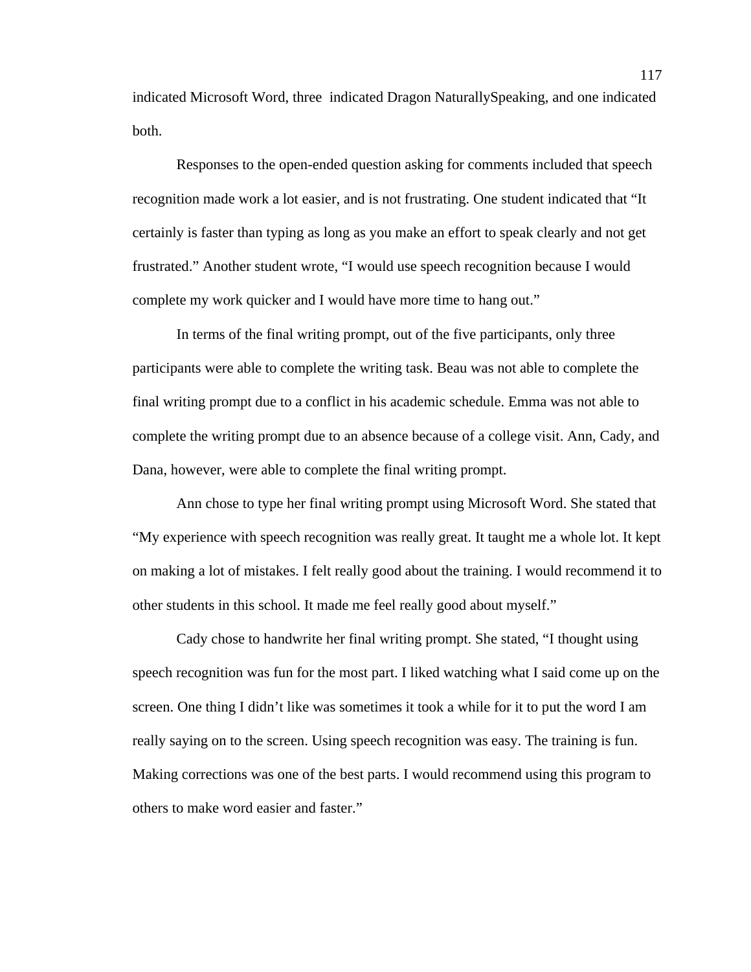indicated Microsoft Word, three indicated Dragon NaturallySpeaking, and one indicated both.

 Responses to the open-ended question asking for comments included that speech recognition made work a lot easier, and is not frustrating. One student indicated that "It certainly is faster than typing as long as you make an effort to speak clearly and not get frustrated." Another student wrote, "I would use speech recognition because I would complete my work quicker and I would have more time to hang out."

In terms of the final writing prompt, out of the five participants, only three participants were able to complete the writing task. Beau was not able to complete the final writing prompt due to a conflict in his academic schedule. Emma was not able to complete the writing prompt due to an absence because of a college visit. Ann, Cady, and Dana, however, were able to complete the final writing prompt.

Ann chose to type her final writing prompt using Microsoft Word. She stated that "My experience with speech recognition was really great. It taught me a whole lot. It kept on making a lot of mistakes. I felt really good about the training. I would recommend it to other students in this school. It made me feel really good about myself."

Cady chose to handwrite her final writing prompt. She stated, "I thought using speech recognition was fun for the most part. I liked watching what I said come up on the screen. One thing I didn't like was sometimes it took a while for it to put the word I am really saying on to the screen. Using speech recognition was easy. The training is fun. Making corrections was one of the best parts. I would recommend using this program to others to make word easier and faster."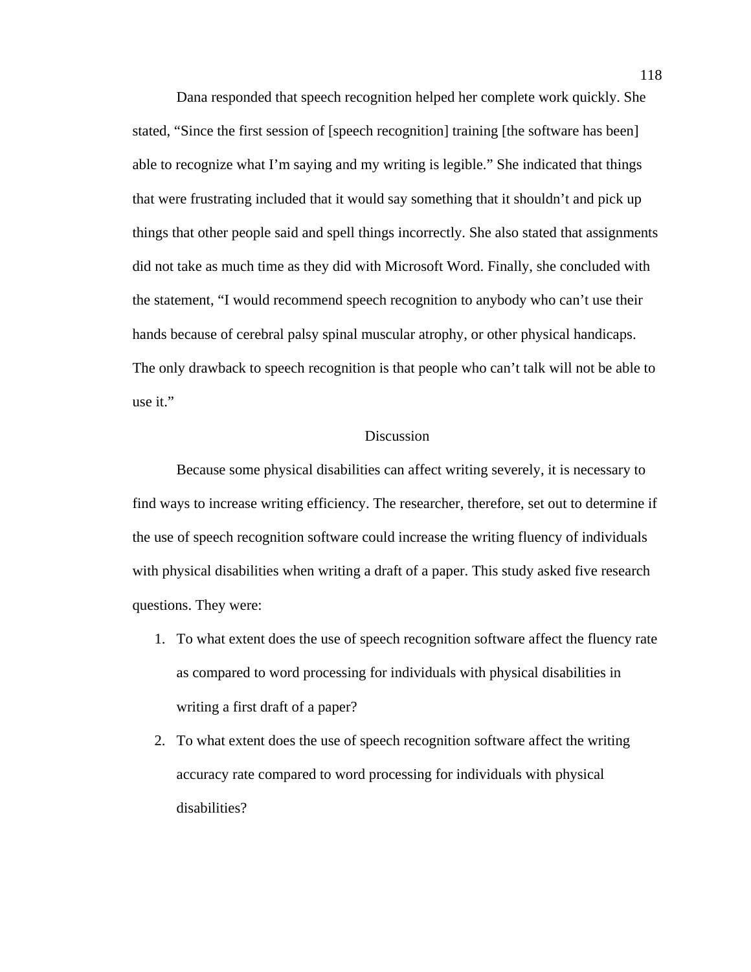Dana responded that speech recognition helped her complete work quickly. She stated, "Since the first session of [speech recognition] training [the software has been] able to recognize what I'm saying and my writing is legible." She indicated that things that were frustrating included that it would say something that it shouldn't and pick up things that other people said and spell things incorrectly. She also stated that assignments did not take as much time as they did with Microsoft Word. Finally, she concluded with the statement, "I would recommend speech recognition to anybody who can't use their hands because of cerebral palsy spinal muscular atrophy, or other physical handicaps. The only drawback to speech recognition is that people who can't talk will not be able to use it."

### Discussion

Because some physical disabilities can affect writing severely, it is necessary to find ways to increase writing efficiency. The researcher, therefore, set out to determine if the use of speech recognition software could increase the writing fluency of individuals with physical disabilities when writing a draft of a paper. This study asked five research questions. They were:

- 1. To what extent does the use of speech recognition software affect the fluency rate as compared to word processing for individuals with physical disabilities in writing a first draft of a paper?
- 2. To what extent does the use of speech recognition software affect the writing accuracy rate compared to word processing for individuals with physical disabilities?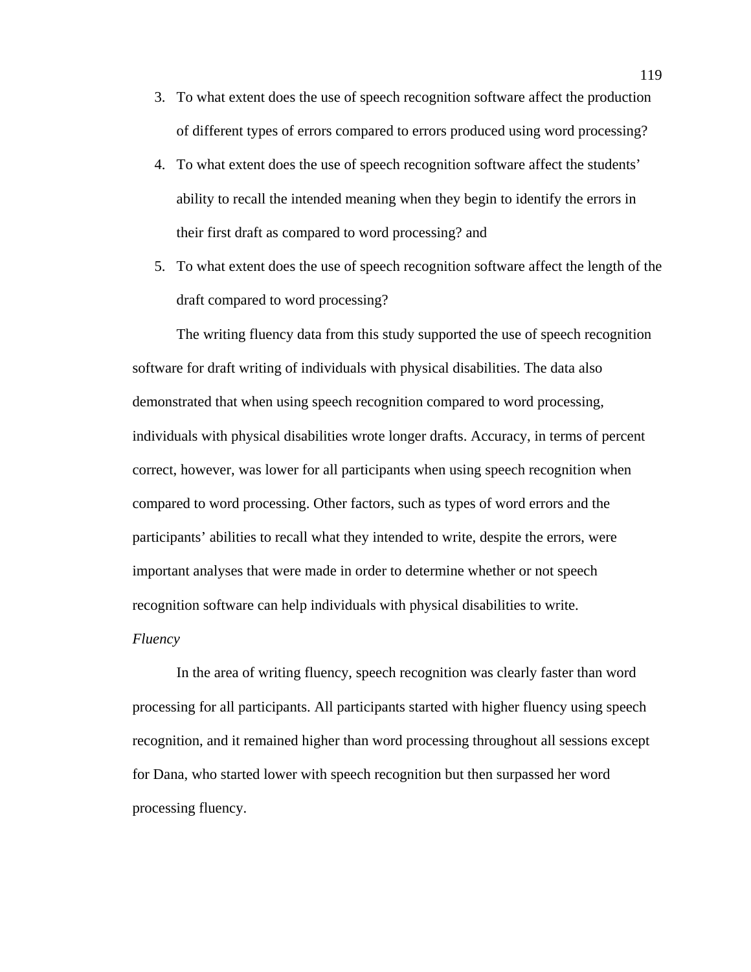- 3. To what extent does the use of speech recognition software affect the production of different types of errors compared to errors produced using word processing?
- 4. To what extent does the use of speech recognition software affect the students' ability to recall the intended meaning when they begin to identify the errors in their first draft as compared to word processing? and
- 5. To what extent does the use of speech recognition software affect the length of the draft compared to word processing?

The writing fluency data from this study supported the use of speech recognition software for draft writing of individuals with physical disabilities. The data also demonstrated that when using speech recognition compared to word processing, individuals with physical disabilities wrote longer drafts. Accuracy, in terms of percent correct, however, was lower for all participants when using speech recognition when compared to word processing. Other factors, such as types of word errors and the participants' abilities to recall what they intended to write, despite the errors, were important analyses that were made in order to determine whether or not speech recognition software can help individuals with physical disabilities to write.

# *Fluency*

In the area of writing fluency, speech recognition was clearly faster than word processing for all participants. All participants started with higher fluency using speech recognition, and it remained higher than word processing throughout all sessions except for Dana, who started lower with speech recognition but then surpassed her word processing fluency.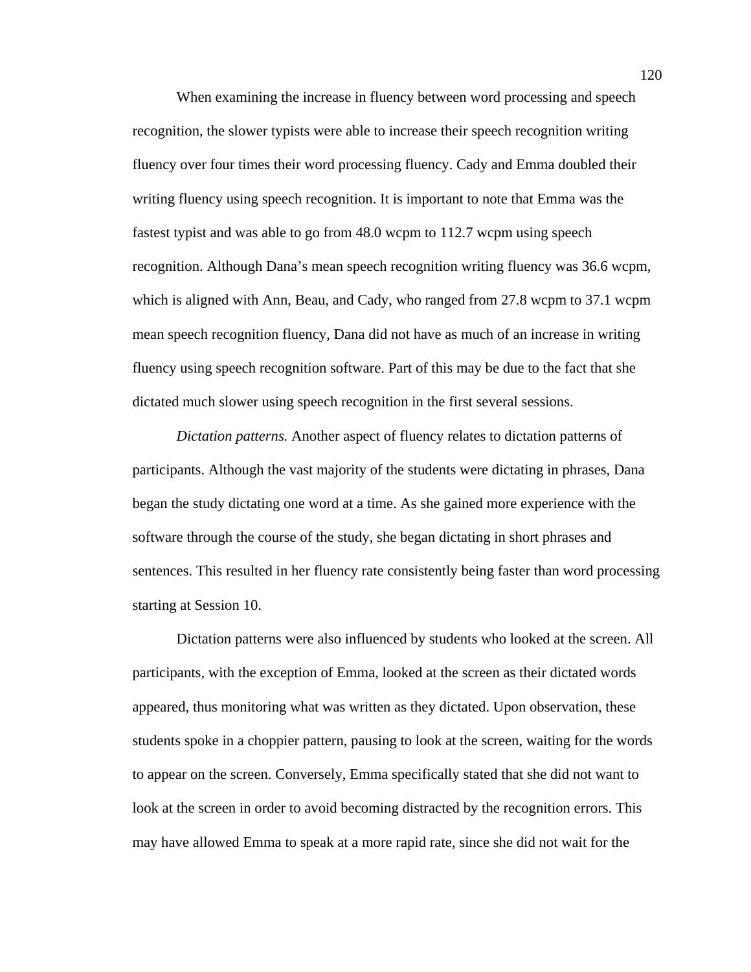When examining the increase in fluency between word processing and speech recognition, the slower typists were able to increase their speech recognition writing fluency over four times their word processing fluency. Cady and Emma doubled their writing fluency using speech recognition. It is important to note that Emma was the fastest typist and was able to go from 48.0 wcpm to 112.7 wcpm using speech recognition. Although Dana's mean speech recognition writing fluency was 36.6 wcpm, which is aligned with Ann, Beau, and Cady, who ranged from 27.8 wcpm to 37.1 wcpm mean speech recognition fluency, Dana did not have as much of an increase in writing fluency using speech recognition software. Part of this may be due to the fact that she dictated much slower using speech recognition in the first several sessions.

*Dictation patterns.* Another aspect of fluency relates to dictation patterns of participants. Although the vast majority of the students were dictating in phrases, Dana began the study dictating one word at a time. As she gained more experience with the software through the course of the study, she began dictating in short phrases and sentences. This resulted in her fluency rate consistently being faster than word processing starting at Session 10.

Dictation patterns were also influenced by students who looked at the screen. All participants, with the exception of Emma, looked at the screen as their dictated words appeared, thus monitoring what was written as they dictated. Upon observation, these students spoke in a choppier pattern, pausing to look at the screen, waiting for the words to appear on the screen. Conversely, Emma specifically stated that she did not want to look at the screen in order to avoid becoming distracted by the recognition errors. This may have allowed Emma to speak at a more rapid rate, since she did not wait for the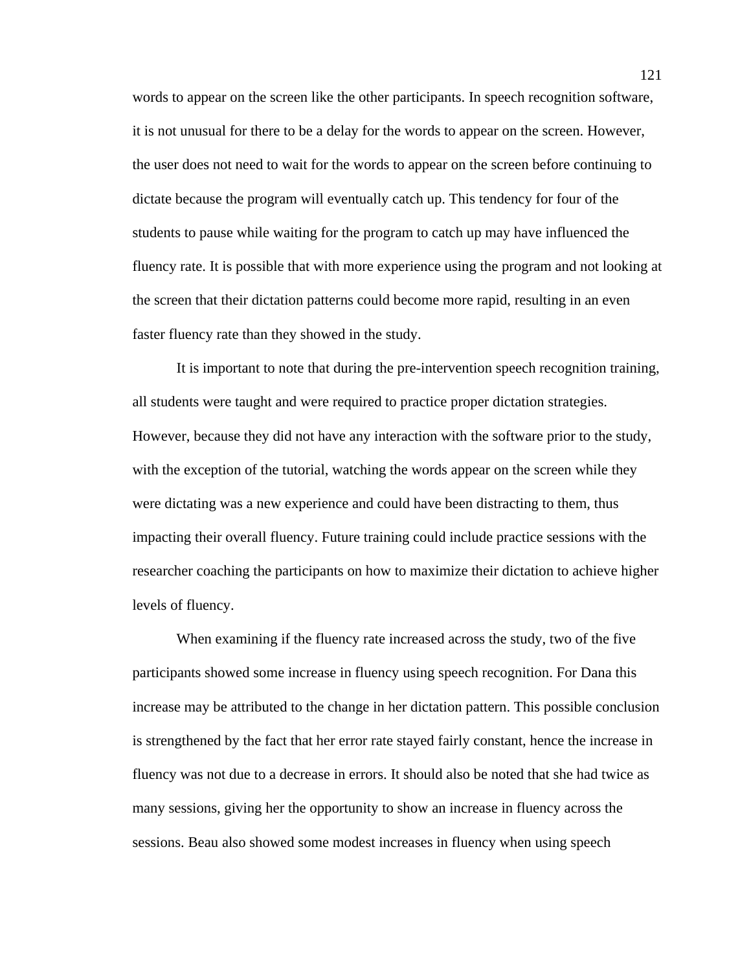words to appear on the screen like the other participants. In speech recognition software, it is not unusual for there to be a delay for the words to appear on the screen. However, the user does not need to wait for the words to appear on the screen before continuing to dictate because the program will eventually catch up. This tendency for four of the students to pause while waiting for the program to catch up may have influenced the fluency rate. It is possible that with more experience using the program and not looking at the screen that their dictation patterns could become more rapid, resulting in an even faster fluency rate than they showed in the study.

It is important to note that during the pre-intervention speech recognition training, all students were taught and were required to practice proper dictation strategies. However, because they did not have any interaction with the software prior to the study, with the exception of the tutorial, watching the words appear on the screen while they were dictating was a new experience and could have been distracting to them, thus impacting their overall fluency. Future training could include practice sessions with the researcher coaching the participants on how to maximize their dictation to achieve higher levels of fluency.

When examining if the fluency rate increased across the study, two of the five participants showed some increase in fluency using speech recognition. For Dana this increase may be attributed to the change in her dictation pattern. This possible conclusion is strengthened by the fact that her error rate stayed fairly constant, hence the increase in fluency was not due to a decrease in errors. It should also be noted that she had twice as many sessions, giving her the opportunity to show an increase in fluency across the sessions. Beau also showed some modest increases in fluency when using speech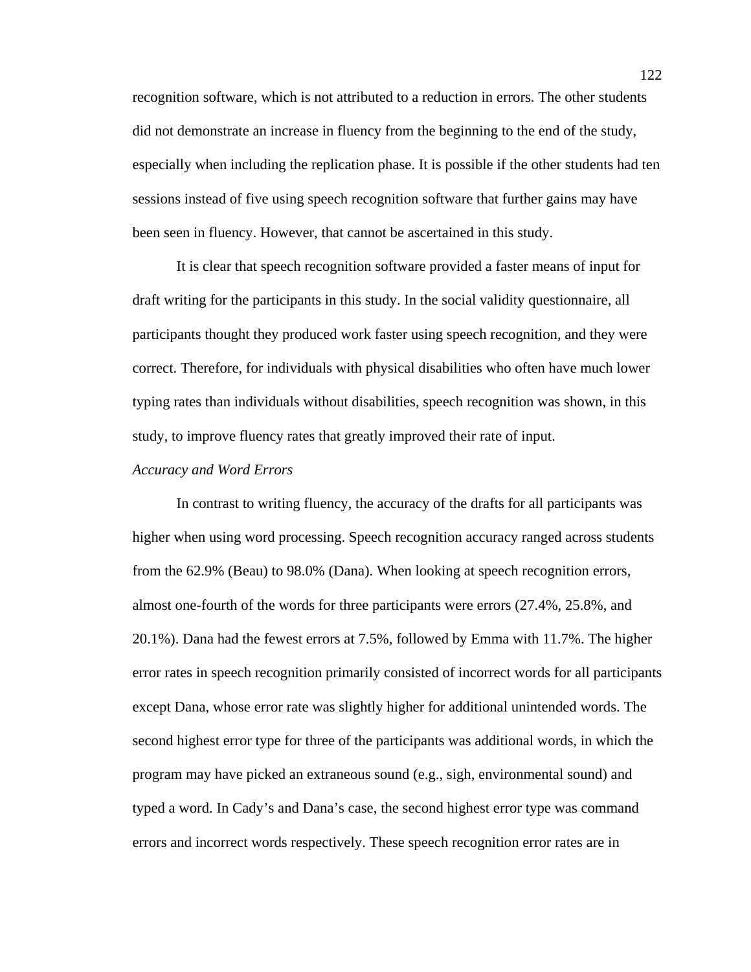recognition software, which is not attributed to a reduction in errors. The other students did not demonstrate an increase in fluency from the beginning to the end of the study, especially when including the replication phase. It is possible if the other students had ten sessions instead of five using speech recognition software that further gains may have been seen in fluency. However, that cannot be ascertained in this study.

It is clear that speech recognition software provided a faster means of input for draft writing for the participants in this study. In the social validity questionnaire, all participants thought they produced work faster using speech recognition, and they were correct. Therefore, for individuals with physical disabilities who often have much lower typing rates than individuals without disabilities, speech recognition was shown, in this study, to improve fluency rates that greatly improved their rate of input.

#### *Accuracy and Word Errors*

 In contrast to writing fluency, the accuracy of the drafts for all participants was higher when using word processing. Speech recognition accuracy ranged across students from the 62.9% (Beau) to 98.0% (Dana). When looking at speech recognition errors, almost one-fourth of the words for three participants were errors (27.4%, 25.8%, and 20.1%). Dana had the fewest errors at 7.5%, followed by Emma with 11.7%. The higher error rates in speech recognition primarily consisted of incorrect words for all participants except Dana, whose error rate was slightly higher for additional unintended words. The second highest error type for three of the participants was additional words, in which the program may have picked an extraneous sound (e.g., sigh, environmental sound) and typed a word. In Cady's and Dana's case, the second highest error type was command errors and incorrect words respectively. These speech recognition error rates are in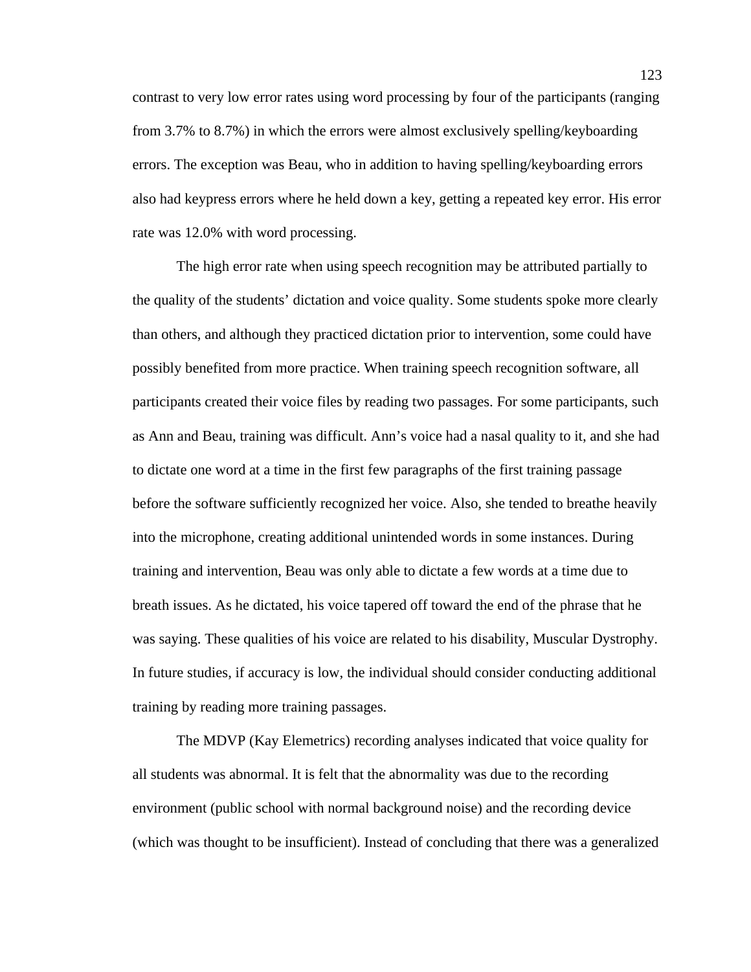contrast to very low error rates using word processing by four of the participants (ranging from 3.7% to 8.7%) in which the errors were almost exclusively spelling/keyboarding errors. The exception was Beau, who in addition to having spelling/keyboarding errors also had keypress errors where he held down a key, getting a repeated key error. His error rate was 12.0% with word processing.

The high error rate when using speech recognition may be attributed partially to the quality of the students' dictation and voice quality. Some students spoke more clearly than others, and although they practiced dictation prior to intervention, some could have possibly benefited from more practice. When training speech recognition software, all participants created their voice files by reading two passages. For some participants, such as Ann and Beau, training was difficult. Ann's voice had a nasal quality to it, and she had to dictate one word at a time in the first few paragraphs of the first training passage before the software sufficiently recognized her voice. Also, she tended to breathe heavily into the microphone, creating additional unintended words in some instances. During training and intervention, Beau was only able to dictate a few words at a time due to breath issues. As he dictated, his voice tapered off toward the end of the phrase that he was saying. These qualities of his voice are related to his disability, Muscular Dystrophy. In future studies, if accuracy is low, the individual should consider conducting additional training by reading more training passages.

The MDVP (Kay Elemetrics) recording analyses indicated that voice quality for all students was abnormal. It is felt that the abnormality was due to the recording environment (public school with normal background noise) and the recording device (which was thought to be insufficient). Instead of concluding that there was a generalized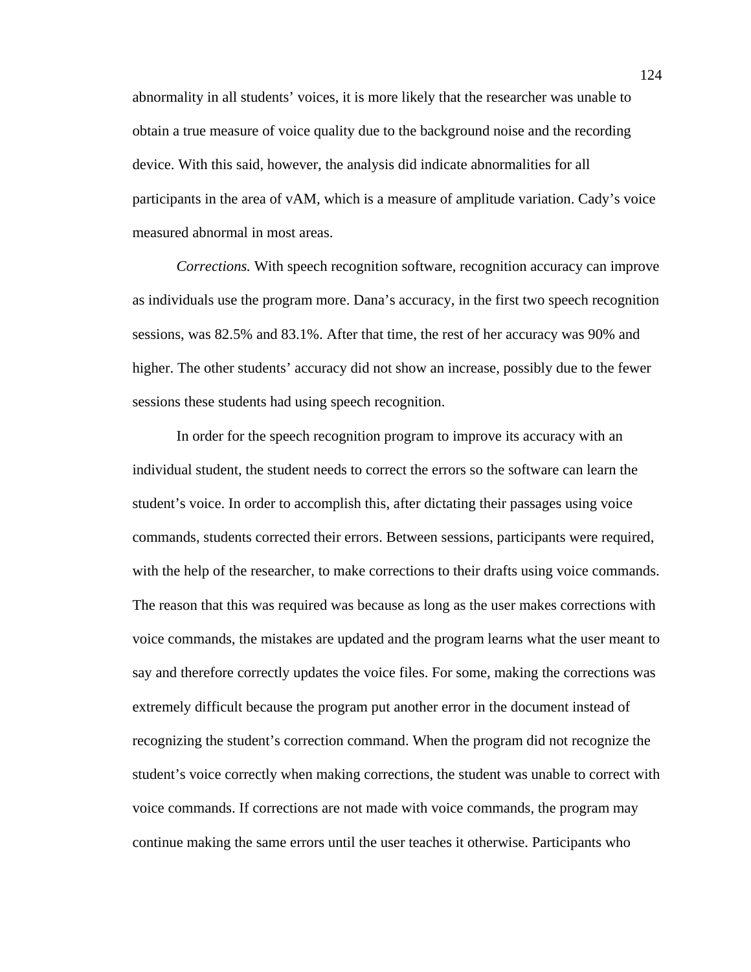abnormality in all students' voices, it is more likely that the researcher was unable to obtain a true measure of voice quality due to the background noise and the recording device. With this said, however, the analysis did indicate abnormalities for all participants in the area of vAM, which is a measure of amplitude variation. Cady's voice measured abnormal in most areas.

*Corrections.* With speech recognition software, recognition accuracy can improve as individuals use the program more. Dana's accuracy, in the first two speech recognition sessions, was 82.5% and 83.1%. After that time, the rest of her accuracy was 90% and higher. The other students' accuracy did not show an increase, possibly due to the fewer sessions these students had using speech recognition.

In order for the speech recognition program to improve its accuracy with an individual student, the student needs to correct the errors so the software can learn the student's voice. In order to accomplish this, after dictating their passages using voice commands, students corrected their errors. Between sessions, participants were required, with the help of the researcher, to make corrections to their drafts using voice commands. The reason that this was required was because as long as the user makes corrections with voice commands, the mistakes are updated and the program learns what the user meant to say and therefore correctly updates the voice files. For some, making the corrections was extremely difficult because the program put another error in the document instead of recognizing the student's correction command. When the program did not recognize the student's voice correctly when making corrections, the student was unable to correct with voice commands. If corrections are not made with voice commands, the program may continue making the same errors until the user teaches it otherwise. Participants who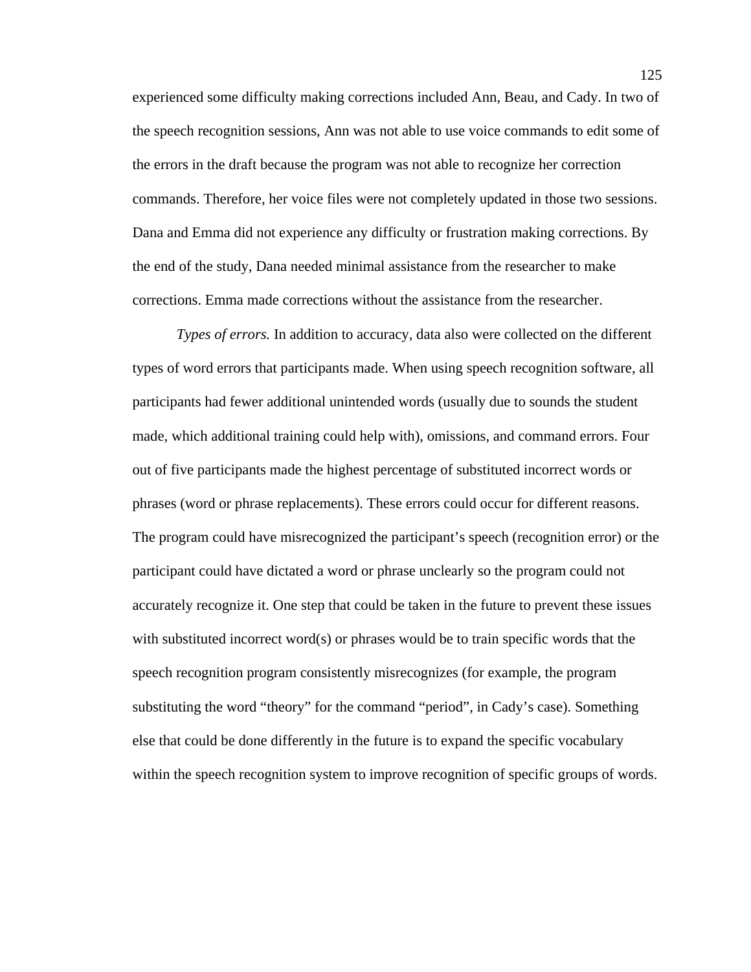experienced some difficulty making corrections included Ann, Beau, and Cady. In two of the speech recognition sessions, Ann was not able to use voice commands to edit some of the errors in the draft because the program was not able to recognize her correction commands. Therefore, her voice files were not completely updated in those two sessions. Dana and Emma did not experience any difficulty or frustration making corrections. By the end of the study, Dana needed minimal assistance from the researcher to make corrections. Emma made corrections without the assistance from the researcher.

*Types of errors.* In addition to accuracy, data also were collected on the different types of word errors that participants made. When using speech recognition software, all participants had fewer additional unintended words (usually due to sounds the student made, which additional training could help with), omissions, and command errors. Four out of five participants made the highest percentage of substituted incorrect words or phrases (word or phrase replacements). These errors could occur for different reasons. The program could have misrecognized the participant's speech (recognition error) or the participant could have dictated a word or phrase unclearly so the program could not accurately recognize it. One step that could be taken in the future to prevent these issues with substituted incorrect word(s) or phrases would be to train specific words that the speech recognition program consistently misrecognizes (for example, the program substituting the word "theory" for the command "period", in Cady's case). Something else that could be done differently in the future is to expand the specific vocabulary within the speech recognition system to improve recognition of specific groups of words.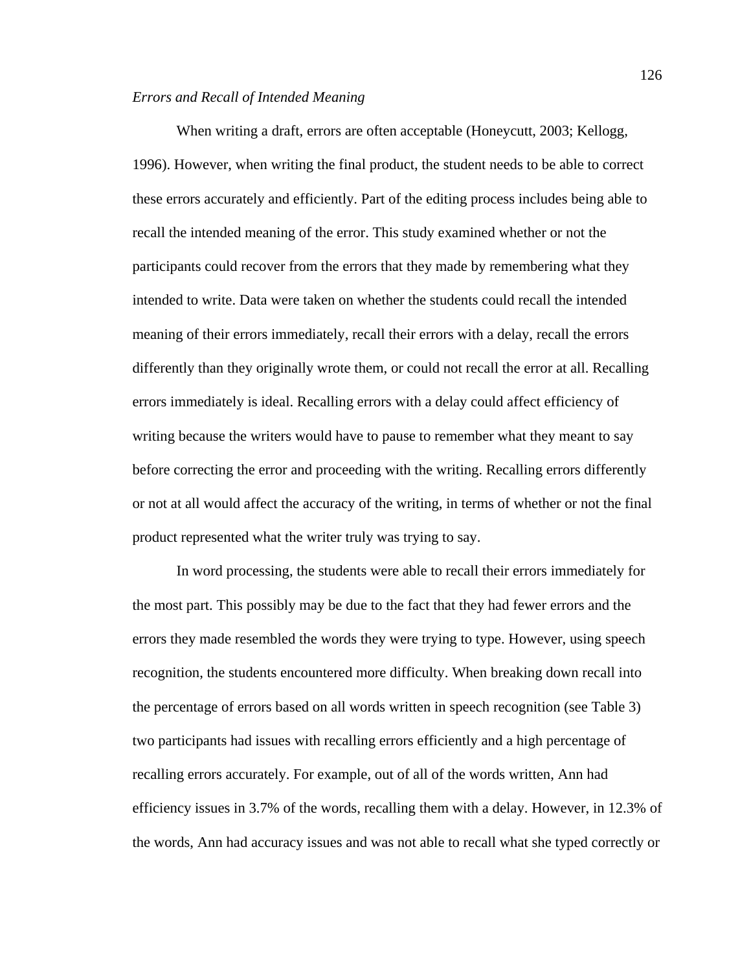# *Errors and Recall of Intended Meaning*

 When writing a draft, errors are often acceptable (Honeycutt, 2003; Kellogg, 1996). However, when writing the final product, the student needs to be able to correct these errors accurately and efficiently. Part of the editing process includes being able to recall the intended meaning of the error. This study examined whether or not the participants could recover from the errors that they made by remembering what they intended to write. Data were taken on whether the students could recall the intended meaning of their errors immediately, recall their errors with a delay, recall the errors differently than they originally wrote them, or could not recall the error at all. Recalling errors immediately is ideal. Recalling errors with a delay could affect efficiency of writing because the writers would have to pause to remember what they meant to say before correcting the error and proceeding with the writing. Recalling errors differently or not at all would affect the accuracy of the writing, in terms of whether or not the final product represented what the writer truly was trying to say.

In word processing, the students were able to recall their errors immediately for the most part. This possibly may be due to the fact that they had fewer errors and the errors they made resembled the words they were trying to type. However, using speech recognition, the students encountered more difficulty. When breaking down recall into the percentage of errors based on all words written in speech recognition (see Table 3) two participants had issues with recalling errors efficiently and a high percentage of recalling errors accurately. For example, out of all of the words written, Ann had efficiency issues in 3.7% of the words, recalling them with a delay. However, in 12.3% of the words, Ann had accuracy issues and was not able to recall what she typed correctly or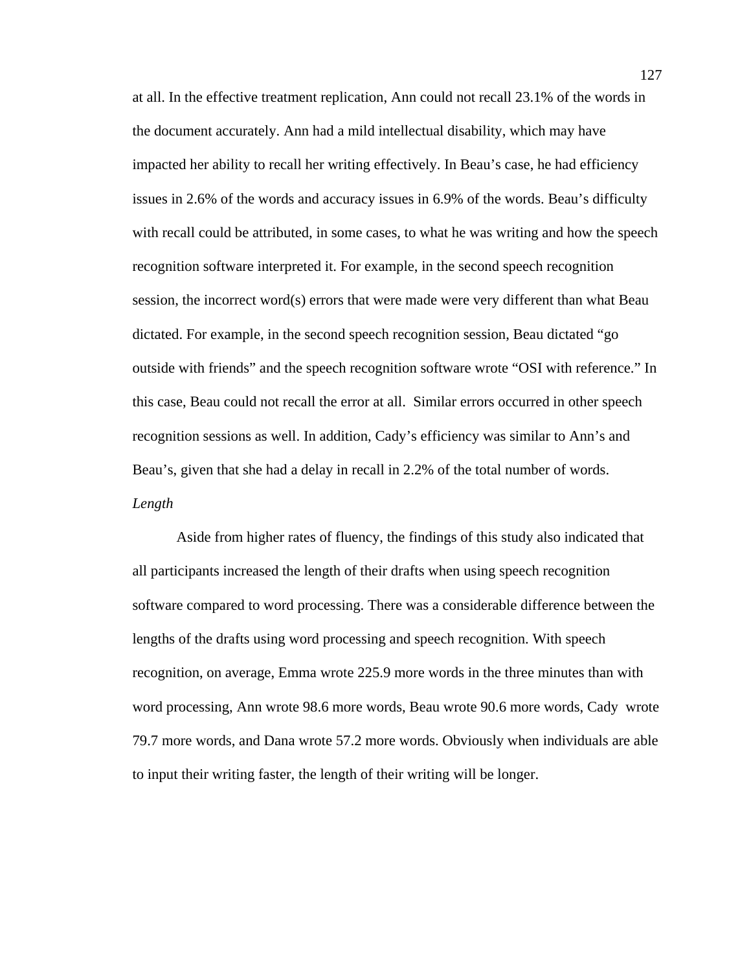at all. In the effective treatment replication, Ann could not recall 23.1% of the words in the document accurately. Ann had a mild intellectual disability, which may have impacted her ability to recall her writing effectively. In Beau's case, he had efficiency issues in 2.6% of the words and accuracy issues in 6.9% of the words. Beau's difficulty with recall could be attributed, in some cases, to what he was writing and how the speech recognition software interpreted it. For example, in the second speech recognition session, the incorrect word(s) errors that were made were very different than what Beau dictated. For example, in the second speech recognition session, Beau dictated "go outside with friends" and the speech recognition software wrote "OSI with reference." In this case, Beau could not recall the error at all. Similar errors occurred in other speech recognition sessions as well. In addition, Cady's efficiency was similar to Ann's and Beau's, given that she had a delay in recall in 2.2% of the total number of words. *Length* 

Aside from higher rates of fluency, the findings of this study also indicated that all participants increased the length of their drafts when using speech recognition software compared to word processing. There was a considerable difference between the lengths of the drafts using word processing and speech recognition. With speech recognition, on average, Emma wrote 225.9 more words in the three minutes than with word processing, Ann wrote 98.6 more words, Beau wrote 90.6 more words, Cady wrote 79.7 more words, and Dana wrote 57.2 more words. Obviously when individuals are able to input their writing faster, the length of their writing will be longer.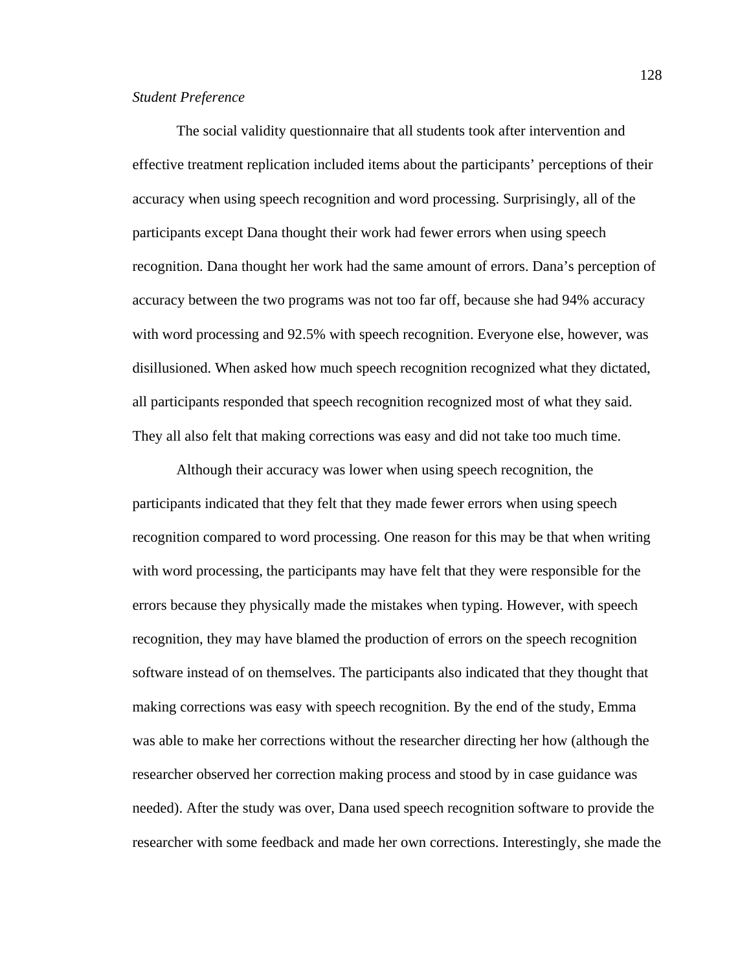# *Student Preference*

The social validity questionnaire that all students took after intervention and effective treatment replication included items about the participants' perceptions of their accuracy when using speech recognition and word processing. Surprisingly, all of the participants except Dana thought their work had fewer errors when using speech recognition. Dana thought her work had the same amount of errors. Dana's perception of accuracy between the two programs was not too far off, because she had 94% accuracy with word processing and 92.5% with speech recognition. Everyone else, however, was disillusioned. When asked how much speech recognition recognized what they dictated, all participants responded that speech recognition recognized most of what they said. They all also felt that making corrections was easy and did not take too much time.

Although their accuracy was lower when using speech recognition, the participants indicated that they felt that they made fewer errors when using speech recognition compared to word processing. One reason for this may be that when writing with word processing, the participants may have felt that they were responsible for the errors because they physically made the mistakes when typing. However, with speech recognition, they may have blamed the production of errors on the speech recognition software instead of on themselves. The participants also indicated that they thought that making corrections was easy with speech recognition. By the end of the study, Emma was able to make her corrections without the researcher directing her how (although the researcher observed her correction making process and stood by in case guidance was needed). After the study was over, Dana used speech recognition software to provide the researcher with some feedback and made her own corrections. Interestingly, she made the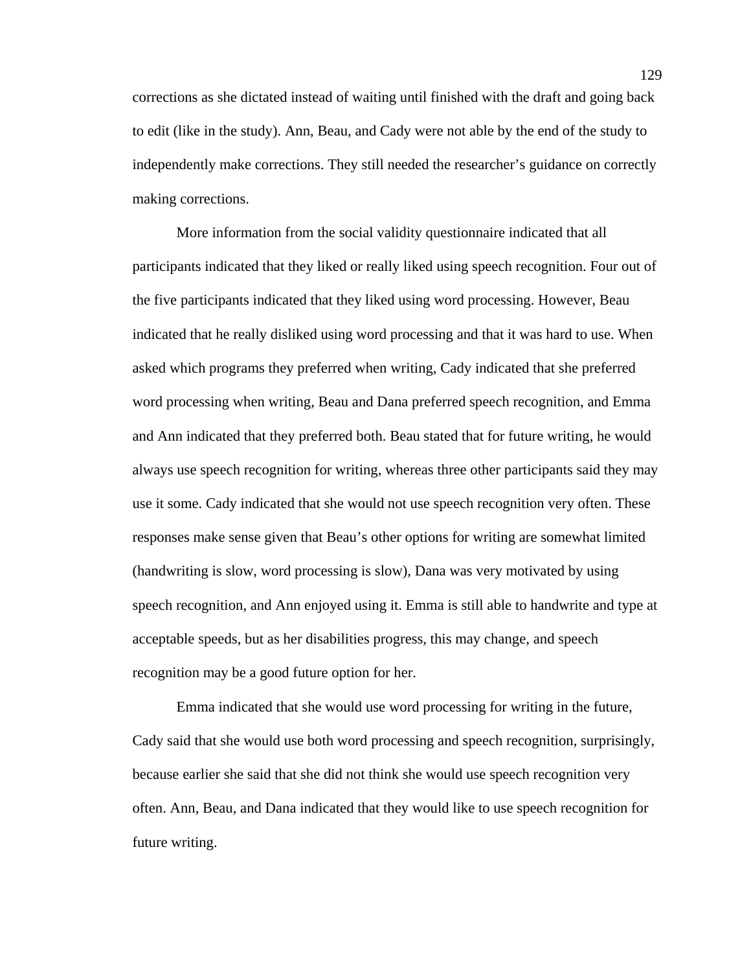corrections as she dictated instead of waiting until finished with the draft and going back to edit (like in the study). Ann, Beau, and Cady were not able by the end of the study to independently make corrections. They still needed the researcher's guidance on correctly making corrections.

 More information from the social validity questionnaire indicated that all participants indicated that they liked or really liked using speech recognition. Four out of the five participants indicated that they liked using word processing. However, Beau indicated that he really disliked using word processing and that it was hard to use. When asked which programs they preferred when writing, Cady indicated that she preferred word processing when writing, Beau and Dana preferred speech recognition, and Emma and Ann indicated that they preferred both. Beau stated that for future writing, he would always use speech recognition for writing, whereas three other participants said they may use it some. Cady indicated that she would not use speech recognition very often. These responses make sense given that Beau's other options for writing are somewhat limited (handwriting is slow, word processing is slow), Dana was very motivated by using speech recognition, and Ann enjoyed using it. Emma is still able to handwrite and type at acceptable speeds, but as her disabilities progress, this may change, and speech recognition may be a good future option for her.

Emma indicated that she would use word processing for writing in the future, Cady said that she would use both word processing and speech recognition, surprisingly, because earlier she said that she did not think she would use speech recognition very often. Ann, Beau, and Dana indicated that they would like to use speech recognition for future writing.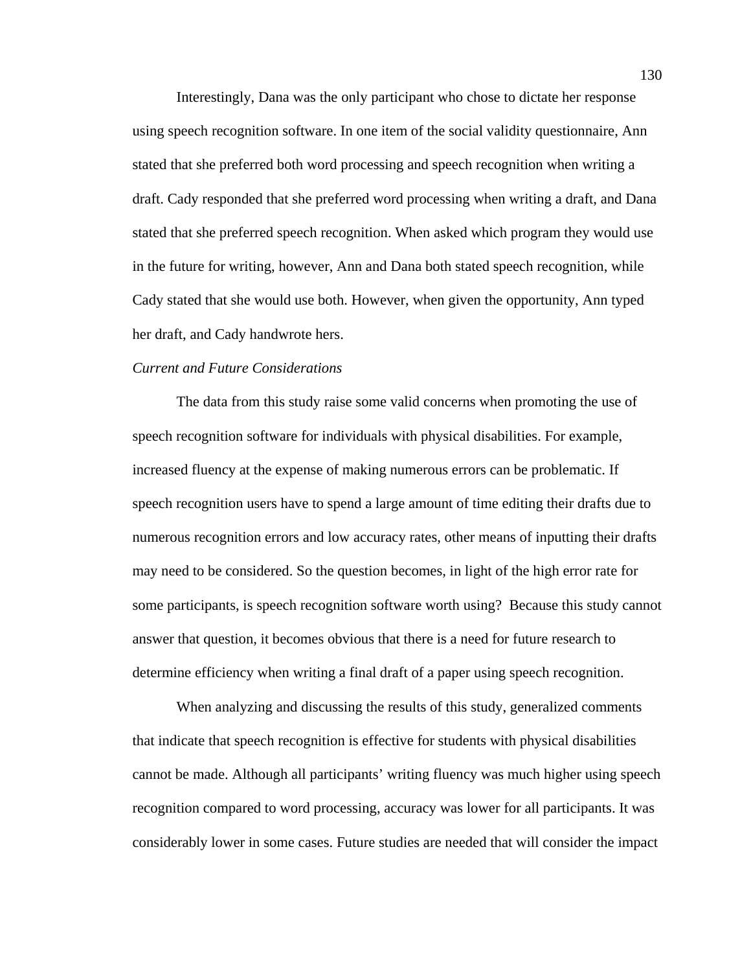Interestingly, Dana was the only participant who chose to dictate her response using speech recognition software. In one item of the social validity questionnaire, Ann stated that she preferred both word processing and speech recognition when writing a draft. Cady responded that she preferred word processing when writing a draft, and Dana stated that she preferred speech recognition. When asked which program they would use in the future for writing, however, Ann and Dana both stated speech recognition, while Cady stated that she would use both. However, when given the opportunity, Ann typed her draft, and Cady handwrote hers.

### *Current and Future Considerations*

The data from this study raise some valid concerns when promoting the use of speech recognition software for individuals with physical disabilities. For example, increased fluency at the expense of making numerous errors can be problematic. If speech recognition users have to spend a large amount of time editing their drafts due to numerous recognition errors and low accuracy rates, other means of inputting their drafts may need to be considered. So the question becomes, in light of the high error rate for some participants, is speech recognition software worth using? Because this study cannot answer that question, it becomes obvious that there is a need for future research to determine efficiency when writing a final draft of a paper using speech recognition.

 When analyzing and discussing the results of this study, generalized comments that indicate that speech recognition is effective for students with physical disabilities cannot be made. Although all participants' writing fluency was much higher using speech recognition compared to word processing, accuracy was lower for all participants. It was considerably lower in some cases. Future studies are needed that will consider the impact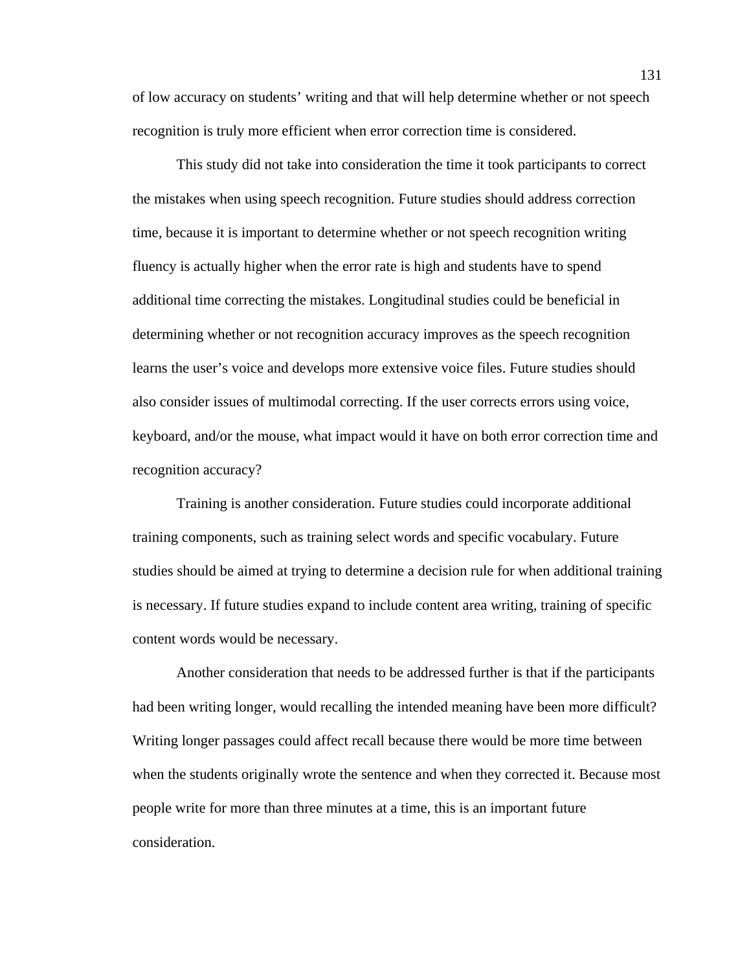of low accuracy on students' writing and that will help determine whether or not speech recognition is truly more efficient when error correction time is considered.

This study did not take into consideration the time it took participants to correct the mistakes when using speech recognition. Future studies should address correction time, because it is important to determine whether or not speech recognition writing fluency is actually higher when the error rate is high and students have to spend additional time correcting the mistakes. Longitudinal studies could be beneficial in determining whether or not recognition accuracy improves as the speech recognition learns the user's voice and develops more extensive voice files. Future studies should also consider issues of multimodal correcting. If the user corrects errors using voice, keyboard, and/or the mouse, what impact would it have on both error correction time and recognition accuracy?

Training is another consideration. Future studies could incorporate additional training components, such as training select words and specific vocabulary. Future studies should be aimed at trying to determine a decision rule for when additional training is necessary. If future studies expand to include content area writing, training of specific content words would be necessary.

Another consideration that needs to be addressed further is that if the participants had been writing longer, would recalling the intended meaning have been more difficult? Writing longer passages could affect recall because there would be more time between when the students originally wrote the sentence and when they corrected it. Because most people write for more than three minutes at a time, this is an important future consideration.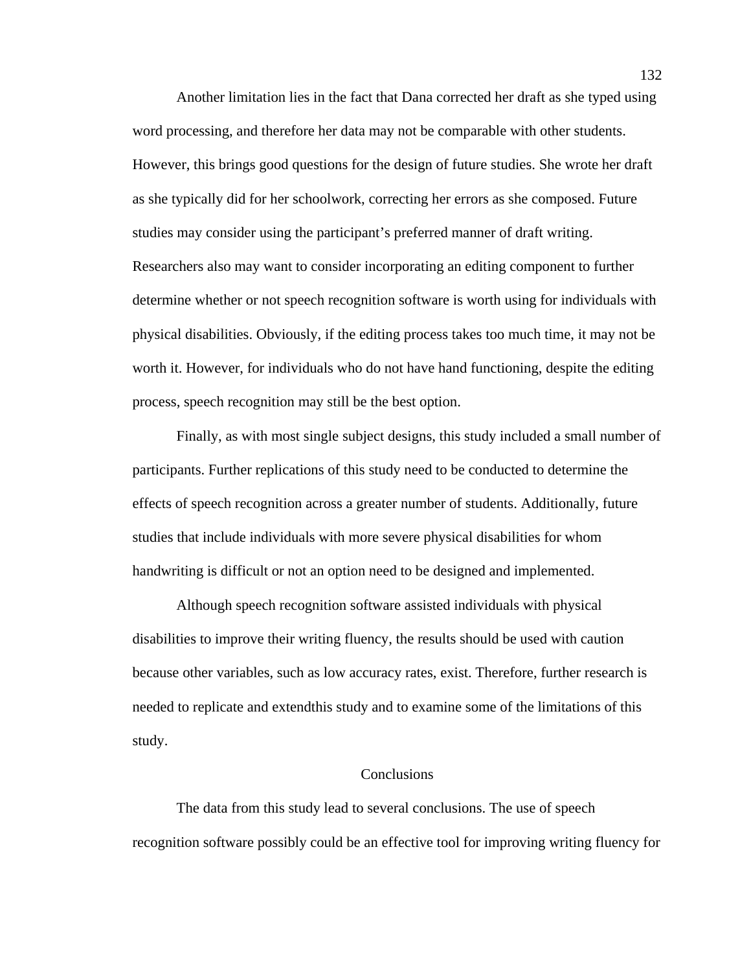Another limitation lies in the fact that Dana corrected her draft as she typed using word processing, and therefore her data may not be comparable with other students. However, this brings good questions for the design of future studies. She wrote her draft as she typically did for her schoolwork, correcting her errors as she composed. Future studies may consider using the participant's preferred manner of draft writing. Researchers also may want to consider incorporating an editing component to further determine whether or not speech recognition software is worth using for individuals with physical disabilities. Obviously, if the editing process takes too much time, it may not be worth it. However, for individuals who do not have hand functioning, despite the editing process, speech recognition may still be the best option.

Finally, as with most single subject designs, this study included a small number of participants. Further replications of this study need to be conducted to determine the effects of speech recognition across a greater number of students. Additionally, future studies that include individuals with more severe physical disabilities for whom handwriting is difficult or not an option need to be designed and implemented.

 Although speech recognition software assisted individuals with physical disabilities to improve their writing fluency, the results should be used with caution because other variables, such as low accuracy rates, exist. Therefore, further research is needed to replicate and extendthis study and to examine some of the limitations of this study.

#### **Conclusions**

 The data from this study lead to several conclusions. The use of speech recognition software possibly could be an effective tool for improving writing fluency for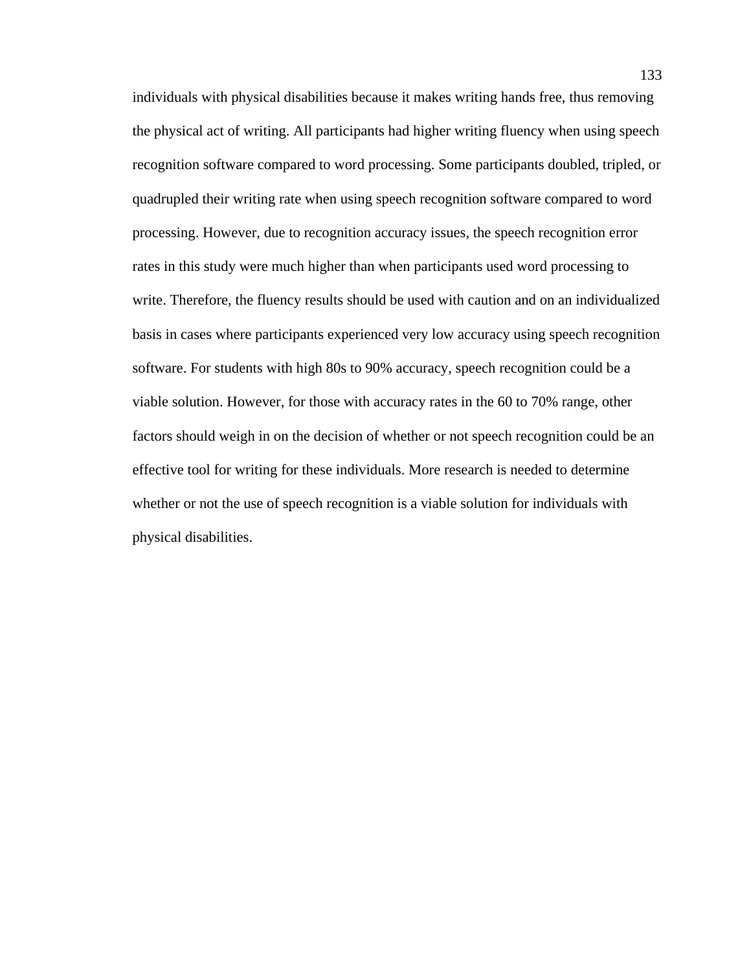individuals with physical disabilities because it makes writing hands free, thus removing the physical act of writing. All participants had higher writing fluency when using speech recognition software compared to word processing. Some participants doubled, tripled, or quadrupled their writing rate when using speech recognition software compared to word processing. However, due to recognition accuracy issues, the speech recognition error rates in this study were much higher than when participants used word processing to write. Therefore, the fluency results should be used with caution and on an individualized basis in cases where participants experienced very low accuracy using speech recognition software. For students with high 80s to 90% accuracy, speech recognition could be a viable solution. However, for those with accuracy rates in the 60 to 70% range, other factors should weigh in on the decision of whether or not speech recognition could be an effective tool for writing for these individuals. More research is needed to determine whether or not the use of speech recognition is a viable solution for individuals with physical disabilities.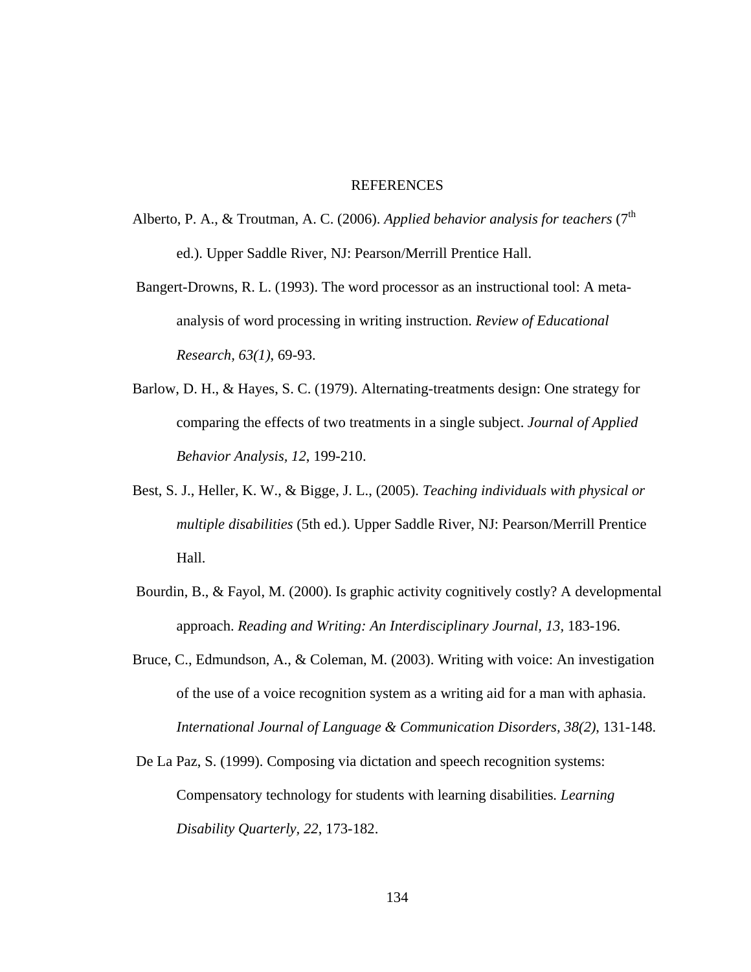## REFERENCES

Alberto, P. A., & Troutman, A. C. (2006). *Applied behavior analysis for teachers* (7<sup>th</sup> ed.). Upper Saddle River, NJ: Pearson/Merrill Prentice Hall.

 Bangert-Drowns, R. L. (1993). The word processor as an instructional tool: A metaanalysis of word processing in writing instruction. *Review of Educational Research, 63(1)*, 69-93.

- Barlow, D. H., & Hayes, S. C. (1979). Alternating-treatments design: One strategy for comparing the effects of two treatments in a single subject. *Journal of Applied Behavior Analysis, 12*, 199-210.
- Best, S. J., Heller, K. W., & Bigge, J. L., (2005). *Teaching individuals with physical or multiple disabilities* (5th ed.). Upper Saddle River, NJ: Pearson/Merrill Prentice Hall.
- Bourdin, B., & Fayol, M. (2000). Is graphic activity cognitively costly? A developmental approach. *Reading and Writing: An Interdisciplinary Journal, 13,* 183-196.
- Bruce, C., Edmundson, A., & Coleman, M. (2003). Writing with voice: An investigation of the use of a voice recognition system as a writing aid for a man with aphasia. *International Journal of Language & Communication Disorders, 38(2)*, 131-148.
- De La Paz, S. (1999). Composing via dictation and speech recognition systems: Compensatory technology for students with learning disabilities*. Learning Disability Quarterly, 22*, 173-182.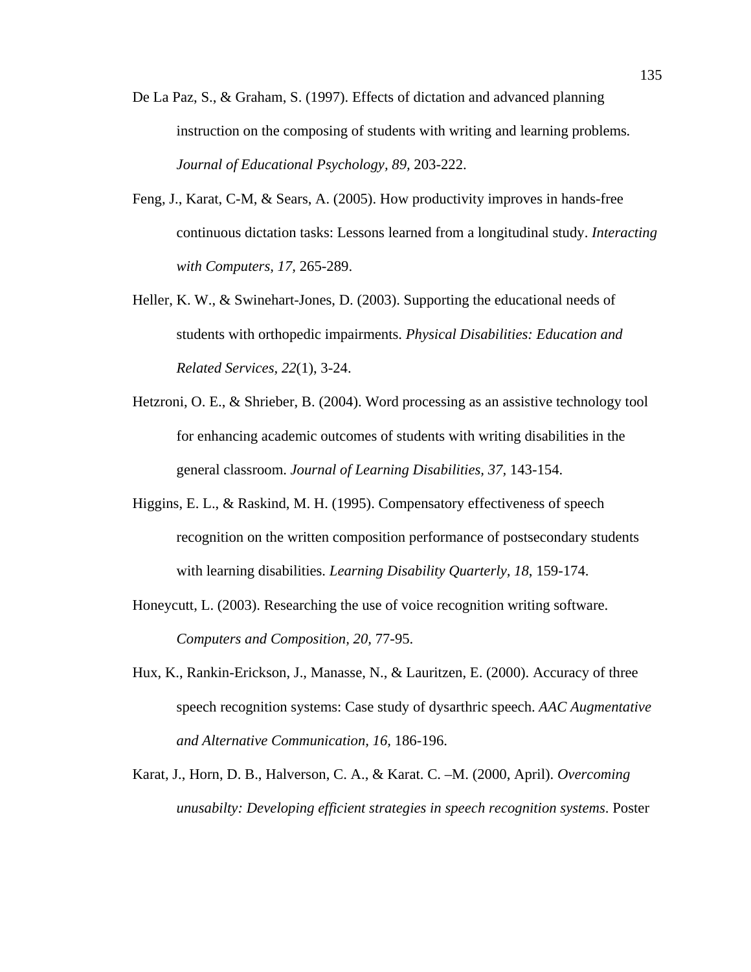- De La Paz, S., & Graham, S. (1997). Effects of dictation and advanced planning instruction on the composing of students with writing and learning problems*. Journal of Educational Psychology, 89,* 203-222.
- Feng, J., Karat, C-M, & Sears, A. (2005). How productivity improves in hands-free continuous dictation tasks: Lessons learned from a longitudinal study. *Interacting with Computers, 17,* 265-289.
- Heller, K. W., & Swinehart-Jones, D. (2003). Supporting the educational needs of students with orthopedic impairments. *Physical Disabilities: Education and Related Services, 22*(1), 3-24.
- Hetzroni, O. E., & Shrieber, B. (2004). Word processing as an assistive technology tool for enhancing academic outcomes of students with writing disabilities in the general classroom. *Journal of Learning Disabilities, 37,* 143-154.
- Higgins, E. L., & Raskind, M. H. (1995). Compensatory effectiveness of speech recognition on the written composition performance of postsecondary students with learning disabilities. *Learning Disability Quarterly, 18*, 159-174.
- Honeycutt, L. (2003). Researching the use of voice recognition writing software. *Computers and Composition, 20,* 77-95.
- Hux, K., Rankin-Erickson, J., Manasse, N., & Lauritzen, E. (2000). Accuracy of three speech recognition systems: Case study of dysarthric speech. *AAC Augmentative and Alternative Communication, 16,* 186-196.
- Karat, J., Horn, D. B., Halverson, C. A., & Karat. C. –M. (2000, April). *Overcoming unusabilty: Developing efficient strategies in speech recognition systems*. Poster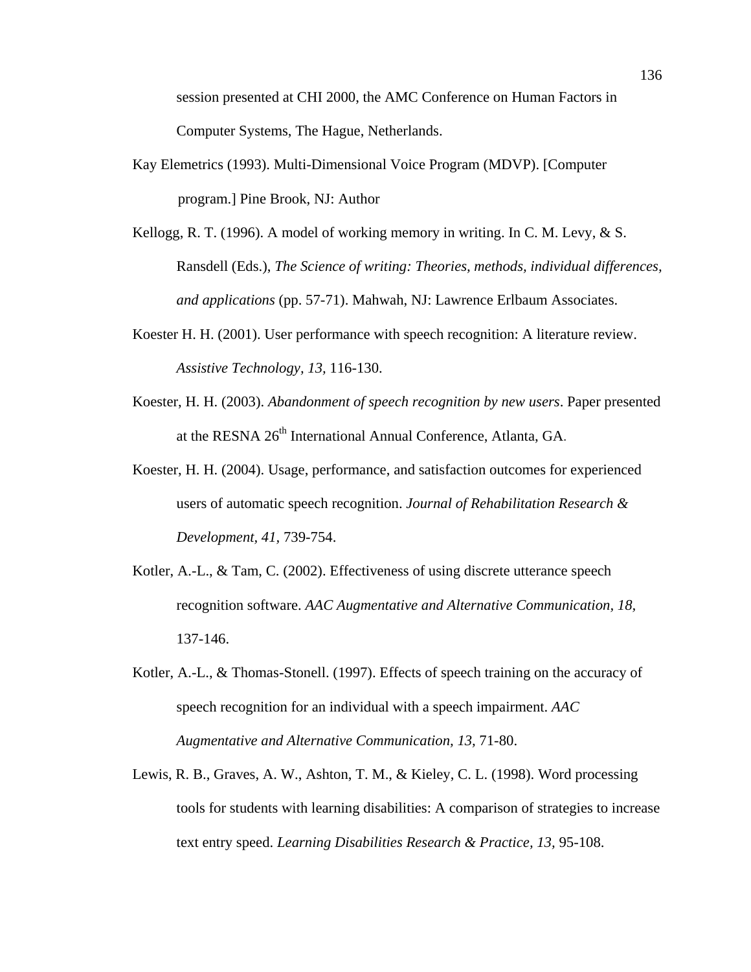session presented at CHI 2000, the AMC Conference on Human Factors in Computer Systems, The Hague, Netherlands.

- Kay Elemetrics (1993). Multi-Dimensional Voice Program (MDVP). [Computer program.] Pine Brook, NJ: Author
- Kellogg, R. T. (1996). A model of working memory in writing. In C. M. Levy, & S. Ransdell (Eds.), *The Science of writing: Theories, methods, individual differences, and applications* (pp. 57-71). Mahwah, NJ: Lawrence Erlbaum Associates.
- Koester H. H. (2001). User performance with speech recognition: A literature review. *Assistive Technology, 13,* 116-130.
- Koester, H. H. (2003). *Abandonment of speech recognition by new users*. Paper presented at the RESNA 26<sup>th</sup> International Annual Conference, Atlanta, GA.
- Koester, H. H. (2004). Usage, performance, and satisfaction outcomes for experienced users of automatic speech recognition. *Journal of Rehabilitation Research & Development, 41,* 739-754.
- Kotler, A.-L., & Tam, C. (2002). Effectiveness of using discrete utterance speech recognition software. *AAC Augmentative and Alternative Communication, 18,*  137-146.
- Kotler, A.-L., & Thomas-Stonell. (1997). Effects of speech training on the accuracy of speech recognition for an individual with a speech impairment. *AAC Augmentative and Alternative Communication, 13,* 71-80.
- Lewis, R. B., Graves, A. W., Ashton, T. M., & Kieley, C. L. (1998). Word processing tools for students with learning disabilities: A comparison of strategies to increase text entry speed. *Learning Disabilities Research & Practice, 13,* 95-108.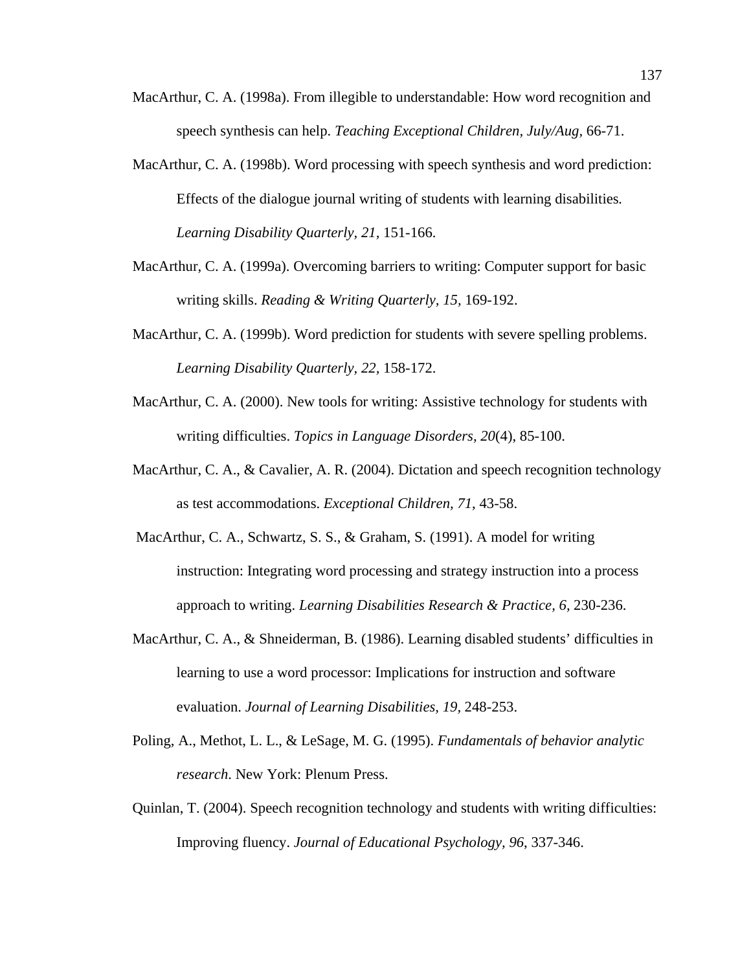- MacArthur, C. A. (1998a). From illegible to understandable: How word recognition and speech synthesis can help. *Teaching Exceptional Children, July/Aug,* 66-71.
- MacArthur, C. A. (1998b). Word processing with speech synthesis and word prediction: Effects of the dialogue journal writing of students with learning disabilities*. Learning Disability Quarterly, 21,* 151-166.
- MacArthur, C. A. (1999a). Overcoming barriers to writing: Computer support for basic writing skills. *Reading & Writing Quarterly, 15,* 169-192.
- MacArthur, C. A. (1999b). Word prediction for students with severe spelling problems. *Learning Disability Quarterly, 22,* 158-172.
- MacArthur, C. A. (2000). New tools for writing: Assistive technology for students with writing difficulties. *Topics in Language Disorders, 20*(4), 85-100.
- MacArthur, C. A., & Cavalier, A. R. (2004). Dictation and speech recognition technology as test accommodations. *Exceptional Children, 71*, 43-58.
- MacArthur, C. A., Schwartz, S. S., & Graham, S. (1991). A model for writing instruction: Integrating word processing and strategy instruction into a process approach to writing. *Learning Disabilities Research & Practice, 6,* 230-236.
- MacArthur, C. A., & Shneiderman, B. (1986). Learning disabled students' difficulties in learning to use a word processor: Implications for instruction and software evaluation. *Journal of Learning Disabilities, 19,* 248-253.
- Poling, A., Methot, L. L., & LeSage, M. G. (1995). *Fundamentals of behavior analytic research*. New York: Plenum Press.
- Quinlan, T. (2004). Speech recognition technology and students with writing difficulties: Improving fluency. *Journal of Educational Psychology, 96*, 337-346.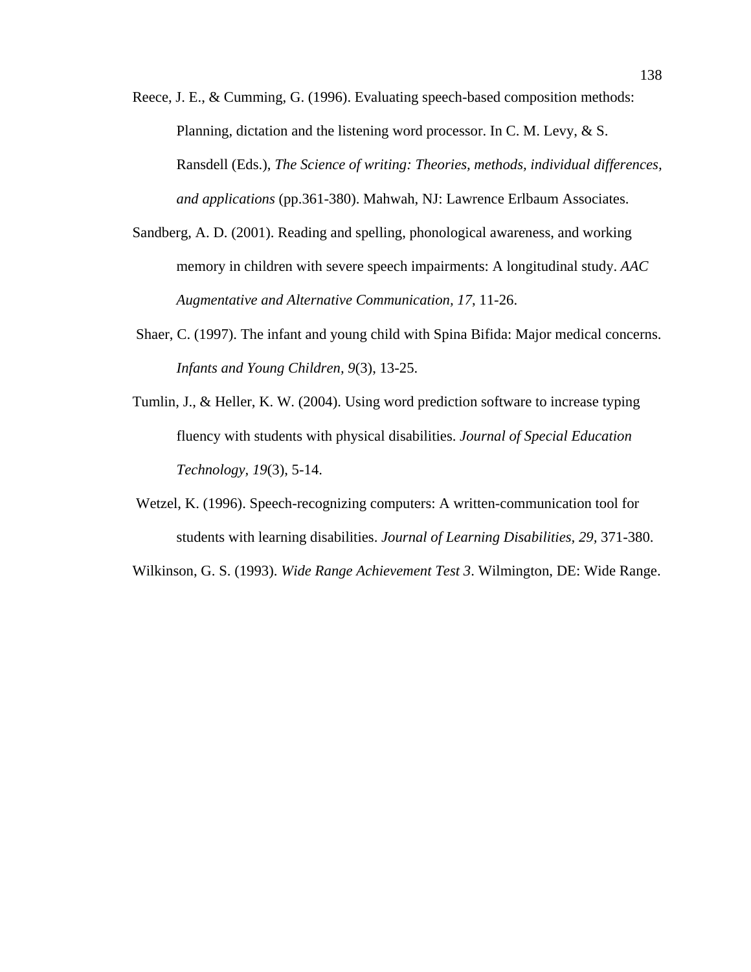- Reece, J. E., & Cumming, G. (1996). Evaluating speech-based composition methods: Planning, dictation and the listening word processor. In C. M. Levy, & S. Ransdell (Eds.), *The Science of writing: Theories, methods, individual differences, and applications* (pp.361-380). Mahwah, NJ: Lawrence Erlbaum Associates.
- Sandberg, A. D. (2001). Reading and spelling, phonological awareness, and working memory in children with severe speech impairments: A longitudinal study. *AAC Augmentative and Alternative Communication, 17*, 11-26.
- Shaer, C. (1997). The infant and young child with Spina Bifida: Major medical concerns. *Infants and Young Children, 9*(3), 13-25.
- Tumlin, J., & Heller, K. W. (2004). Using word prediction software to increase typing fluency with students with physical disabilities. *Journal of Special Education Technology, 19*(3), 5-14.
- Wetzel, K. (1996). Speech-recognizing computers: A written-communication tool for students with learning disabilities. *Journal of Learning Disabilities, 29,* 371-380.
- Wilkinson, G. S. (1993). *Wide Range Achievement Test 3*. Wilmington, DE: Wide Range.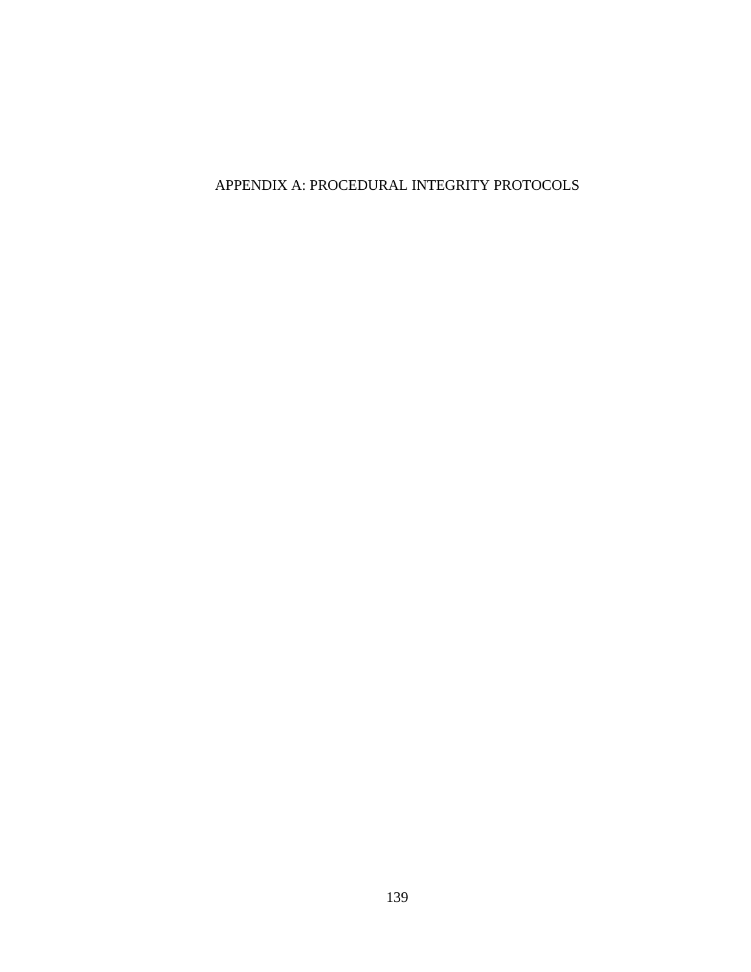APPENDIX A: PROCEDURAL INTEGRITY PROTOCOLS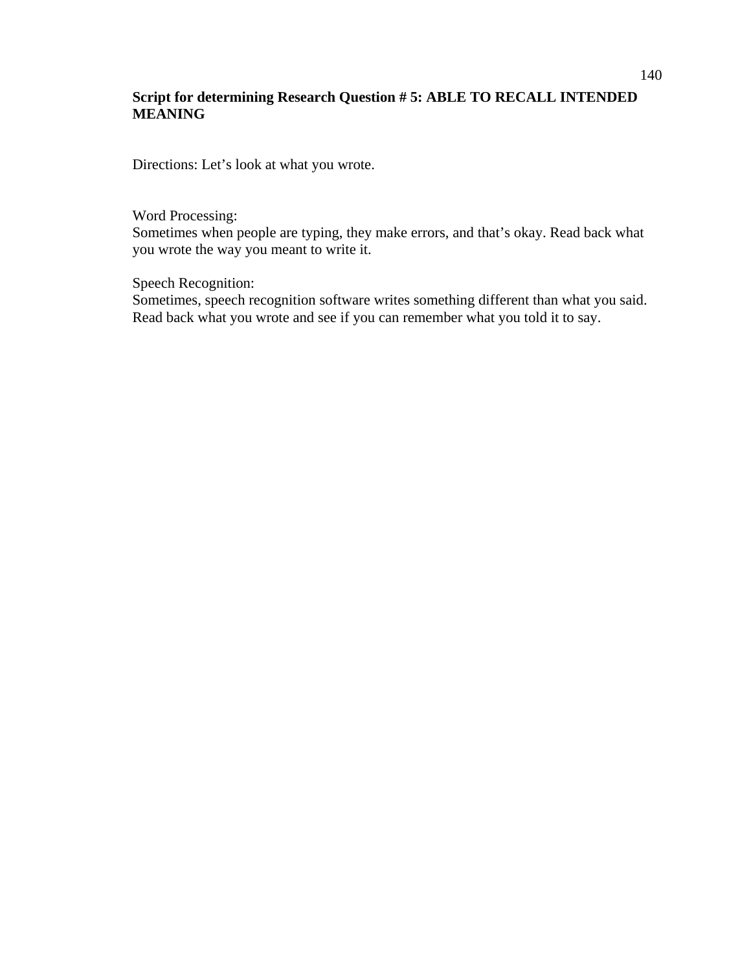## **Script for determining Research Question # 5: ABLE TO RECALL INTENDED MEANING**

Directions: Let's look at what you wrote.

Word Processing:

Sometimes when people are typing, they make errors, and that's okay. Read back what you wrote the way you meant to write it.

Speech Recognition:

Sometimes, speech recognition software writes something different than what you said. Read back what you wrote and see if you can remember what you told it to say.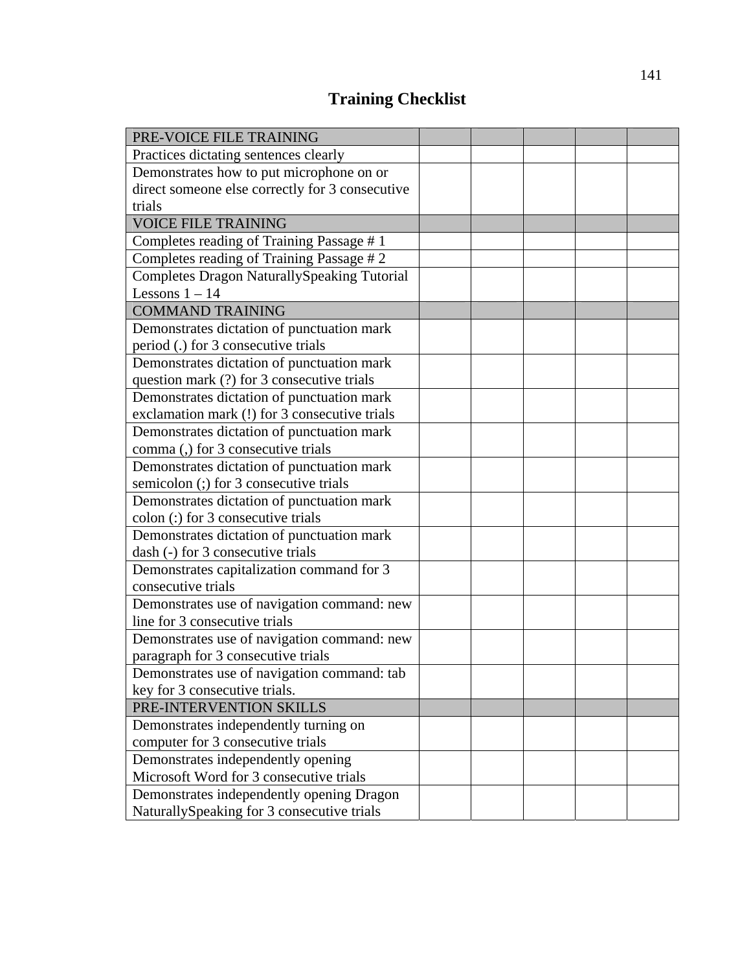# **Training Checklist**

| PRE-VOICE FILE TRAINING                            |  |  |  |
|----------------------------------------------------|--|--|--|
| Practices dictating sentences clearly              |  |  |  |
| Demonstrates how to put microphone on or           |  |  |  |
| direct someone else correctly for 3 consecutive    |  |  |  |
| trials                                             |  |  |  |
| <b>VOICE FILE TRAINING</b>                         |  |  |  |
| Completes reading of Training Passage #1           |  |  |  |
| Completes reading of Training Passage # 2          |  |  |  |
| <b>Completes Dragon NaturallySpeaking Tutorial</b> |  |  |  |
| Lessons $1 - 14$                                   |  |  |  |
| <b>COMMAND TRAINING</b>                            |  |  |  |
| Demonstrates dictation of punctuation mark         |  |  |  |
| period (.) for 3 consecutive trials                |  |  |  |
| Demonstrates dictation of punctuation mark         |  |  |  |
| question mark (?) for 3 consecutive trials         |  |  |  |
| Demonstrates dictation of punctuation mark         |  |  |  |
| exclamation mark (!) for 3 consecutive trials      |  |  |  |
| Demonstrates dictation of punctuation mark         |  |  |  |
| comma (,) for 3 consecutive trials                 |  |  |  |
| Demonstrates dictation of punctuation mark         |  |  |  |
| semicolon (;) for 3 consecutive trials             |  |  |  |
| Demonstrates dictation of punctuation mark         |  |  |  |
| colon (:) for 3 consecutive trials                 |  |  |  |
| Demonstrates dictation of punctuation mark         |  |  |  |
| dash (-) for 3 consecutive trials                  |  |  |  |
| Demonstrates capitalization command for 3          |  |  |  |
| consecutive trials                                 |  |  |  |
| Demonstrates use of navigation command: new        |  |  |  |
| line for 3 consecutive trials                      |  |  |  |
| Demonstrates use of navigation command: new        |  |  |  |
| paragraph for 3 consecutive trials                 |  |  |  |
| Demonstrates use of navigation command: tab        |  |  |  |
| key for 3 consecutive trials.                      |  |  |  |
| PRE-INTERVENTION SKILLS                            |  |  |  |
| Demonstrates independently turning on              |  |  |  |
| computer for 3 consecutive trials                  |  |  |  |
| Demonstrates independently opening                 |  |  |  |
| Microsoft Word for 3 consecutive trials            |  |  |  |
| Demonstrates independently opening Dragon          |  |  |  |
| NaturallySpeaking for 3 consecutive trials         |  |  |  |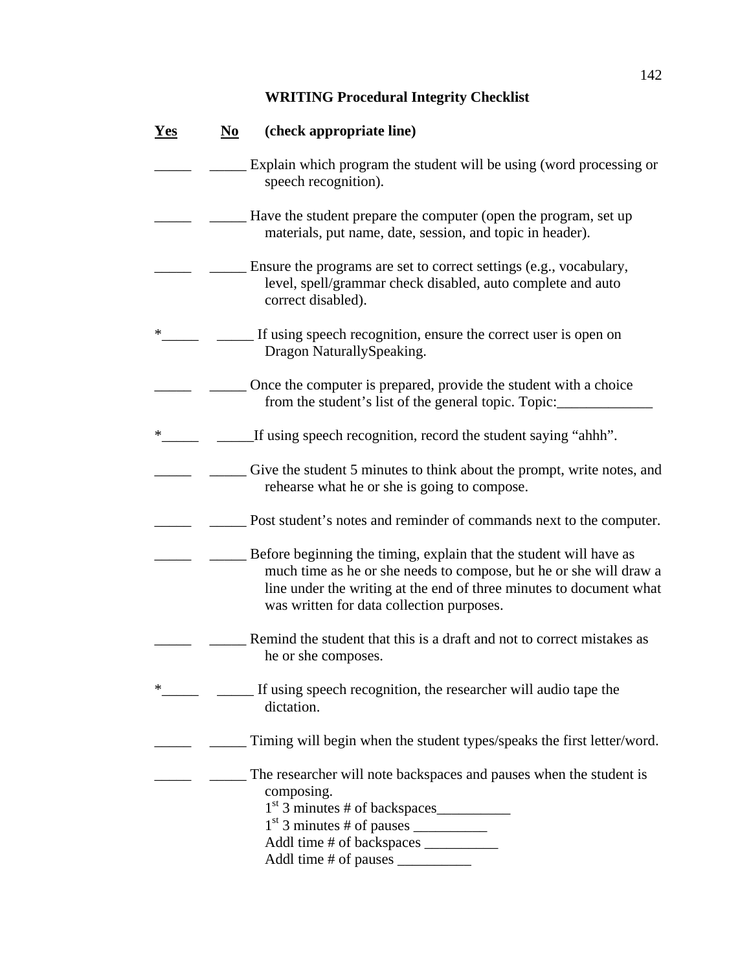## **WRITING Procedural Integrity Checklist**

| <u>Yes</u> | (check appropriate line)<br>$\mathbf{N}\mathbf{o}$                                                                                                                                                                                                           |
|------------|--------------------------------------------------------------------------------------------------------------------------------------------------------------------------------------------------------------------------------------------------------------|
|            | Explain which program the student will be using (word processing or<br>speech recognition).                                                                                                                                                                  |
|            | Have the student prepare the computer (open the program, set up<br>materials, put name, date, session, and topic in header).                                                                                                                                 |
|            | Ensure the programs are set to correct settings (e.g., vocabulary,<br>level, spell/grammar check disabled, auto complete and auto<br>correct disabled).                                                                                                      |
| $\ast$     | If using speech recognition, ensure the correct user is open on<br>Dragon NaturallySpeaking.                                                                                                                                                                 |
|            | Once the computer is prepared, provide the student with a choice<br>from the student's list of the general topic. Topic:                                                                                                                                     |
| ∗          | If using speech recognition, record the student saying "ahhh".                                                                                                                                                                                               |
|            | Give the student 5 minutes to think about the prompt, write notes, and<br>rehearse what he or she is going to compose.                                                                                                                                       |
|            | Post student's notes and reminder of commands next to the computer.                                                                                                                                                                                          |
|            | Before beginning the timing, explain that the student will have as<br>much time as he or she needs to compose, but he or she will draw a<br>line under the writing at the end of three minutes to document what<br>was written for data collection purposes. |
|            | Remind the student that this is a draft and not to correct mistakes as<br>he or she composes.                                                                                                                                                                |
| ∗          | If using speech recognition, the researcher will audio tape the<br>dictation.                                                                                                                                                                                |
|            | Timing will begin when the student types/speaks the first letter/word.                                                                                                                                                                                       |
|            | The researcher will note backspaces and pauses when the student is<br>composing.<br>$1st$ 3 minutes # of backspaces                                                                                                                                          |
|            | Addl time # of backspaces __________                                                                                                                                                                                                                         |
|            |                                                                                                                                                                                                                                                              |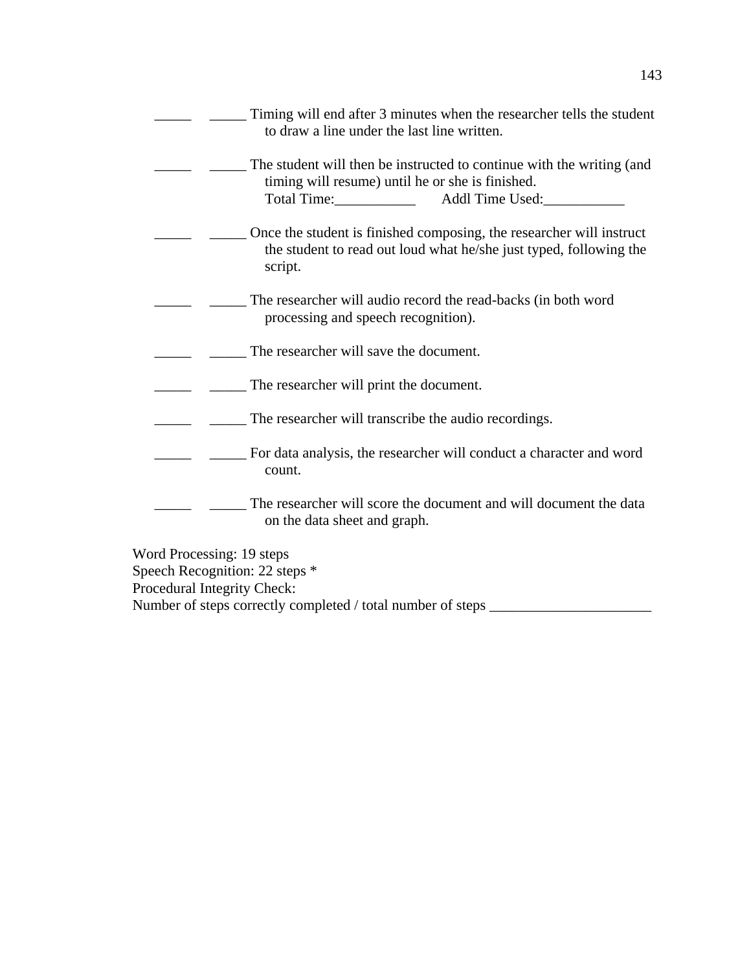| Timing will end after 3 minutes when the researcher tells the student<br>to draw a line under the last line written.                                        |
|-------------------------------------------------------------------------------------------------------------------------------------------------------------|
| The student will then be instructed to continue with the writing (and<br>timing will resume) until he or she is finished.<br>Addl Time Used:<br>Total Time: |
| Once the student is finished composing, the researcher will instruct<br>the student to read out loud what he/she just typed, following the<br>script.       |
| The researcher will audio record the read-backs (in both word<br>processing and speech recognition).                                                        |
| The researcher will save the document.                                                                                                                      |
| The researcher will print the document.                                                                                                                     |
| The researcher will transcribe the audio recordings.                                                                                                        |
| For data analysis, the researcher will conduct a character and word<br>count.                                                                               |
| The researcher will score the document and will document the data<br>on the data sheet and graph.                                                           |
|                                                                                                                                                             |

Word Processing: 19 steps Speech Recognition: 22 steps \* Procedural Integrity Check: Number of steps correctly completed / total number of steps \_\_\_\_\_\_\_\_\_\_\_\_\_\_\_\_\_\_\_\_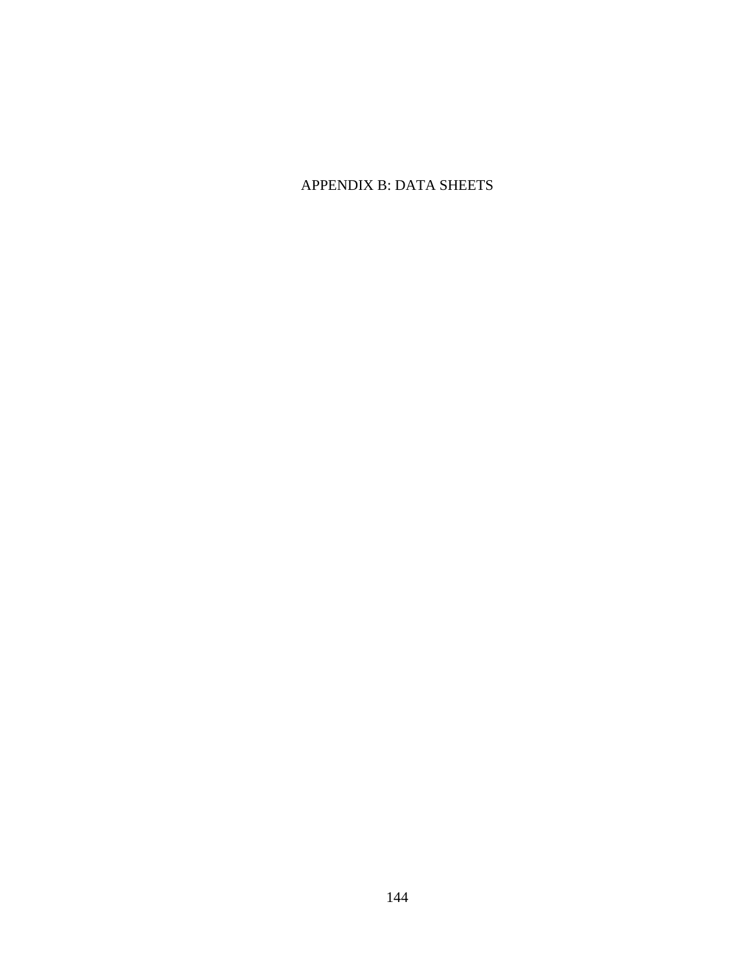## APPENDIX B: DATA SHEETS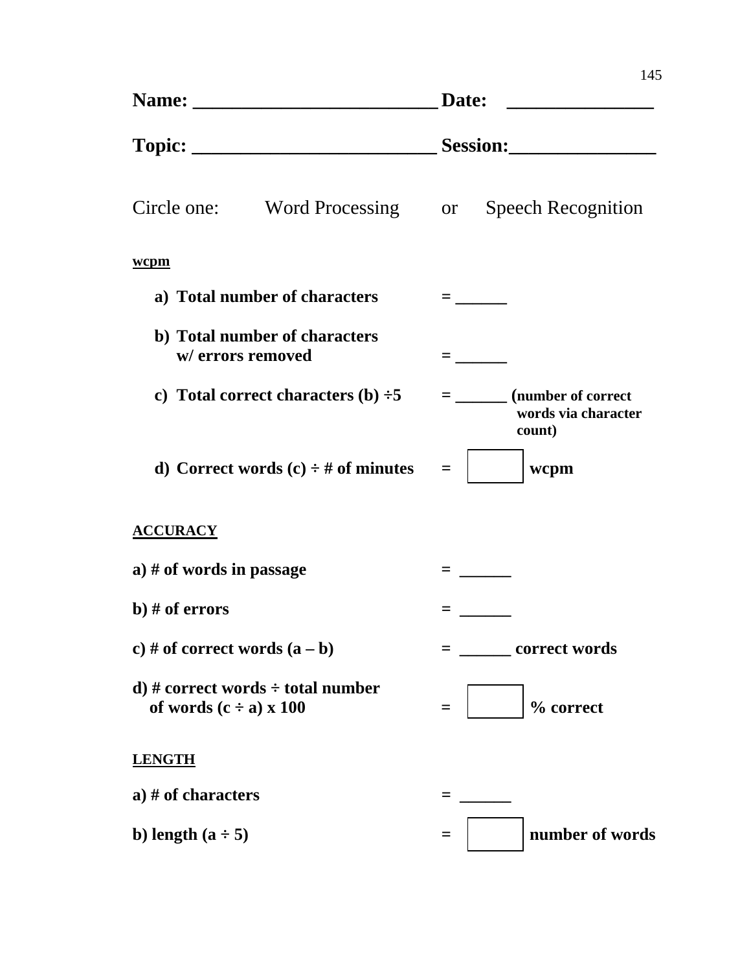|                                                                            | Date:                                                             |  |  |  |
|----------------------------------------------------------------------------|-------------------------------------------------------------------|--|--|--|
|                                                                            |                                                                   |  |  |  |
| Circle one:<br>Word Processing or                                          | <b>Speech Recognition</b>                                         |  |  |  |
| wcpm                                                                       |                                                                   |  |  |  |
| a) Total number of characters                                              | $=$ $\sim$ $\sim$                                                 |  |  |  |
| b) Total number of characters<br>w/ errors removed                         | $\equiv$ 1000 $\pm$                                               |  |  |  |
| c) Total correct characters (b) $\div 5$                                   | $=$ _________ (number of correct<br>words via character<br>count) |  |  |  |
| d) Correct words $(c) \div \#$ of minutes                                  | wcpm                                                              |  |  |  |
| <b>ACCURACY</b>                                                            |                                                                   |  |  |  |
| a) # of words in passage                                                   |                                                                   |  |  |  |
| b) $#$ of errors                                                           |                                                                   |  |  |  |
| c) # of correct words $(a - b)$                                            | <b>correct words</b>                                              |  |  |  |
| d) # correct words $\div$ total number<br>of words $(c \div a) \times 100$ | % correct<br>$=$                                                  |  |  |  |
| <b>LENGTH</b>                                                              |                                                                   |  |  |  |
| a) # of characters                                                         |                                                                   |  |  |  |
| b) length $(a \div 5)$                                                     | number of words                                                   |  |  |  |